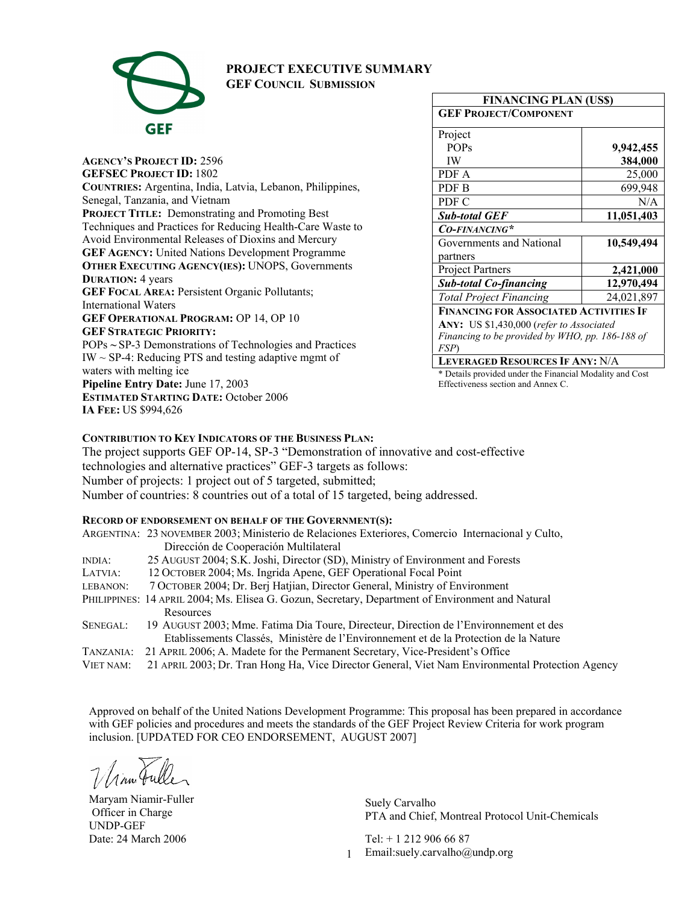

# **PROJECT EXECUTIVE SUMMARY**

**GEF COUNCIL SUBMISSION**

**AGENCY'S PROJECT ID:** 2596 **GEFSEC PROJECT ID:** 1802 **COUNTRIES:** Argentina, India, Latvia, Lebanon, Philippines, Senegal, Tanzania, and Vietnam **PROJECT TITLE:** Demonstrating and Promoting Best Techniques and Practices for Reducing Health-Care Waste to Avoid Environmental Releases of Dioxins and Mercury **GEF AGENCY:** United Nations Development Programme **OTHER EXECUTING AGENCY(IES):** UNOPS, Governments **DURATION:** 4 years **GEF FOCAL AREA:** Persistent Organic Pollutants; International Waters **GEF OPERATIONAL PROGRAM:** OP 14, OP 10 **GEF STRATEGIC PRIORITY:** POPs **~** SP-3 Demonstrations of Technologies and Practices  $IW \sim SP-4$ : Reducing PTS and testing adaptive mgmt of waters with melting ice **Pipeline Entry Date:** June 17, 2003 **ESTIMATED STARTING DATE:** October 2006 **IA FEE:** US \$994,626

| <b>FINANCING PLAN (US\$)</b>                    |            |
|-------------------------------------------------|------------|
| <b>GEF PROJECT/COMPONENT</b>                    |            |
| Project                                         |            |
| <b>POPs</b>                                     | 9,942,455  |
| IW                                              | 384,000    |
| PDF A                                           | 25,000     |
| PDF B                                           | 699,948    |
| PDF C                                           | N/A        |
| <b>Sub-total GEF</b>                            | 11,051,403 |
| CO-FINANCING*                                   |            |
| Governments and National                        | 10,549,494 |
| partners                                        |            |
| <b>Project Partners</b>                         | 2,421,000  |
| <b>Sub-total Co-financing</b>                   | 12,970,494 |
| <b>Total Project Financing</b>                  | 24,021,897 |
| <b>FINANCING FOR ASSOCIATED ACTIVITIES IF</b>   |            |
| ANY: US \$1,430,000 (refer to Associated        |            |
| Financing to be provided by WHO, pp. 186-188 of |            |
| FSP)                                            |            |

**LEVERAGED RESOURCES IF ANY:** N/A

\* Details provided under the Financial Modality and Cost Effectiveness section and Annex C.

### **CONTRIBUTION TO KEY INDICATORS OF THE BUSINESS PLAN:**

The project supports GEF OP-14, SP-3 "Demonstration of innovative and cost-effective technologies and alternative practices" GEF-3 targets as follows: Number of projects: 1 project out of 5 targeted, submitted; Number of countries: 8 countries out of a total of 15 targeted, being addressed.

### **RECORD OF ENDORSEMENT ON BEHALF OF THE GOVERNMENT(S):**

|               | ARGENTINA: 23 NOVEMBER 2003; Ministerio de Relaciones Exteriores, Comercio Internacional y Culto, |
|---------------|---------------------------------------------------------------------------------------------------|
|               | Dirección de Cooperación Multilateral                                                             |
| <b>INDIA:</b> | 25 AUGUST 2004; S.K. Joshi, Director (SD), Ministry of Environment and Forests                    |
| LATVIA:       | 12 OCTOBER 2004; Ms. Ingrida Apene, GEF Operational Focal Point                                   |
| LEBANON:      | 7 OCTOBER 2004; Dr. Berj Hatjian, Director General, Ministry of Environment                       |
|               | PHILIPPINES: 14 APRIL 2004; Ms. Elisea G. Gozun, Secretary, Department of Environment and Natural |
|               | Resources                                                                                         |
| SENEGAL:      | 19 AUGUST 2003; Mme. Fatima Dia Toure, Directeur, Direction de l'Environnement et des             |
|               | Etablissements Classés, Ministère de l'Environnement et de la Protection de la Nature             |
| TANZANIA:     | 21 APRIL 2006; A. Madete for the Permanent Secretary, Vice-President's Office                     |
| VIET NAM:     | 21 APRIL 2003; Dr. Tran Hong Ha, Vice Director General, Viet Nam Environmental Protection Agency  |

Approved on behalf of the United Nations Development Programme: This proposal has been prepared in accordance with GEF policies and procedures and meets the standards of the GEF Project Review Criteria for work program inclusion. [UPDATED FOR CEO ENDORSEMENT, AUGUST 2007]

Maryam Niamir-Fuller Officer in Charge UNDP-GEF Date: 24 March 2006 **Tel:** + 1 212 906 66 87

Suely Carvalho PTA and Chief, Montreal Protocol Unit-Chemicals

1 Email:suely.carvalho@undp.org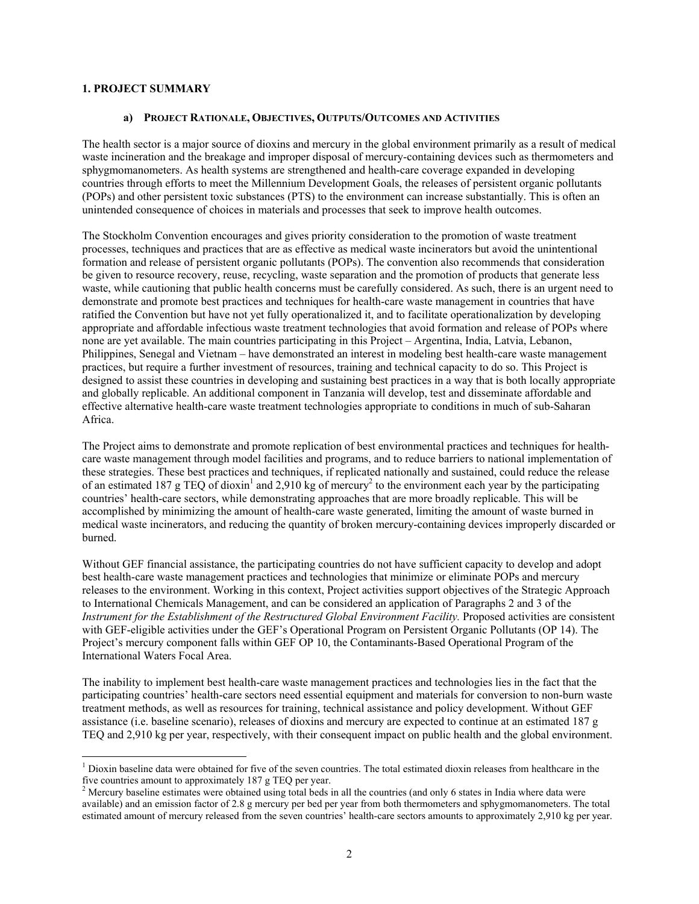### **1. PROJECT SUMMARY**

 $\overline{a}$ 

#### **a) PROJECT RATIONALE, OBJECTIVES, OUTPUTS/OUTCOMES AND ACTIVITIES**

The health sector is a major source of dioxins and mercury in the global environment primarily as a result of medical waste incineration and the breakage and improper disposal of mercury-containing devices such as thermometers and sphygmomanometers. As health systems are strengthened and health-care coverage expanded in developing countries through efforts to meet the Millennium Development Goals, the releases of persistent organic pollutants (POPs) and other persistent toxic substances (PTS) to the environment can increase substantially. This is often an unintended consequence of choices in materials and processes that seek to improve health outcomes.

The Stockholm Convention encourages and gives priority consideration to the promotion of waste treatment processes, techniques and practices that are as effective as medical waste incinerators but avoid the unintentional formation and release of persistent organic pollutants (POPs). The convention also recommends that consideration be given to resource recovery, reuse, recycling, waste separation and the promotion of products that generate less waste, while cautioning that public health concerns must be carefully considered. As such, there is an urgent need to demonstrate and promote best practices and techniques for health-care waste management in countries that have ratified the Convention but have not yet fully operationalized it, and to facilitate operationalization by developing appropriate and affordable infectious waste treatment technologies that avoid formation and release of POPs where none are yet available. The main countries participating in this Project – Argentina, India, Latvia, Lebanon, Philippines, Senegal and Vietnam – have demonstrated an interest in modeling best health-care waste management practices, but require a further investment of resources, training and technical capacity to do so. This Project is designed to assist these countries in developing and sustaining best practices in a way that is both locally appropriate and globally replicable. An additional component in Tanzania will develop, test and disseminate affordable and effective alternative health-care waste treatment technologies appropriate to conditions in much of sub-Saharan Africa.

The Project aims to demonstrate and promote replication of best environmental practices and techniques for healthcare waste management through model facilities and programs, and to reduce barriers to national implementation of these strategies. These best practices and techniques, if replicated nationally and sustained, could reduce the release of an estimated 187 g TEQ of dioxin<sup>1</sup> and 2,910 kg of mercury<sup>2</sup> to the environment each year by the participating countries' health-care sectors, while demonstrating approaches that are more broadly replicable. This will be accomplished by minimizing the amount of health-care waste generated, limiting the amount of waste burned in medical waste incinerators, and reducing the quantity of broken mercury-containing devices improperly discarded or burned.

Without GEF financial assistance, the participating countries do not have sufficient capacity to develop and adopt best health-care waste management practices and technologies that minimize or eliminate POPs and mercury releases to the environment. Working in this context, Project activities support objectives of the Strategic Approach to International Chemicals Management, and can be considered an application of Paragraphs 2 and 3 of the *Instrument for the Establishment of the Restructured Global Environment Facility.* Proposed activities are consistent with GEF-eligible activities under the GEF's Operational Program on Persistent Organic Pollutants (OP 14). The Project's mercury component falls within GEF OP 10, the Contaminants-Based Operational Program of the International Waters Focal Area.

The inability to implement best health-care waste management practices and technologies lies in the fact that the participating countries' health-care sectors need essential equipment and materials for conversion to non-burn waste treatment methods, as well as resources for training, technical assistance and policy development. Without GEF assistance (i.e. baseline scenario), releases of dioxins and mercury are expected to continue at an estimated 187 g TEQ and 2,910 kg per year, respectively, with their consequent impact on public health and the global environment.

<sup>&</sup>lt;sup>1</sup> Dioxin baseline data were obtained for five of the seven countries. The total estimated dioxin releases from healthcare in the five countries amount to approximately 187 g TEQ per year.<br><sup>2</sup> Mercury baseline estimates were obtained using total beds in all the countries (and only 6 states in India where data were

available) and an emission factor of 2.8 g mercury per bed per year from both thermometers and sphygmomanometers. The total estimated amount of mercury released from the seven countries' health-care sectors amounts to approximately 2,910 kg per year.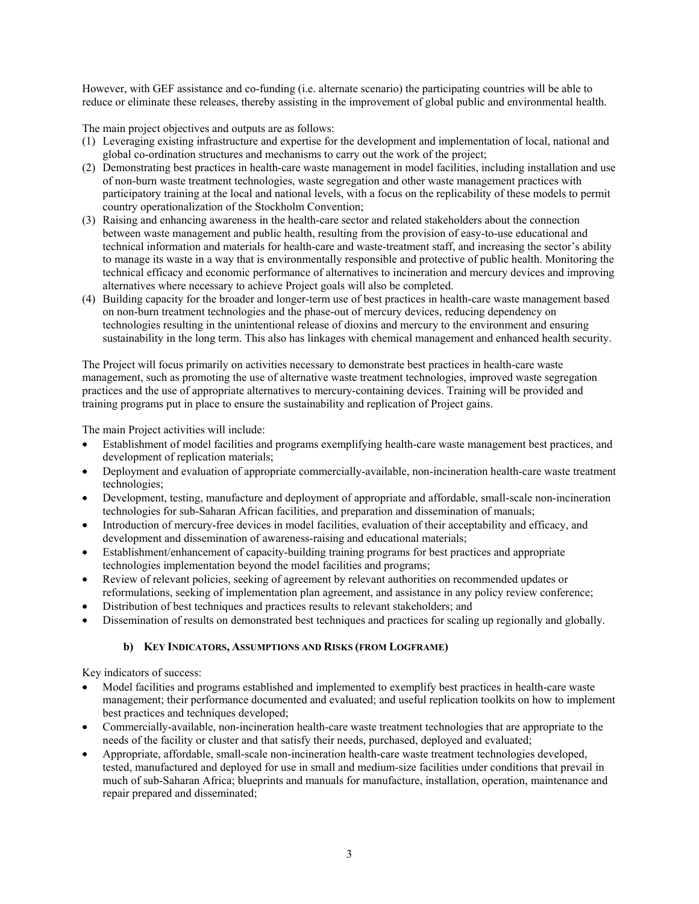However, with GEF assistance and co-funding (i.e. alternate scenario) the participating countries will be able to reduce or eliminate these releases, thereby assisting in the improvement of global public and environmental health.

The main project objectives and outputs are as follows:

- (1) Leveraging existing infrastructure and expertise for the development and implementation of local, national and global co-ordination structures and mechanisms to carry out the work of the project;
- (2) Demonstrating best practices in health-care waste management in model facilities, including installation and use of non-burn waste treatment technologies, waste segregation and other waste management practices with participatory training at the local and national levels, with a focus on the replicability of these models to permit country operationalization of the Stockholm Convention;
- (3) Raising and enhancing awareness in the health-care sector and related stakeholders about the connection between waste management and public health, resulting from the provision of easy-to-use educational and technical information and materials for health-care and waste-treatment staff, and increasing the sector's ability to manage its waste in a way that is environmentally responsible and protective of public health. Monitoring the technical efficacy and economic performance of alternatives to incineration and mercury devices and improving alternatives where necessary to achieve Project goals will also be completed.
- (4) Building capacity for the broader and longer-term use of best practices in health-care waste management based on non-burn treatment technologies and the phase-out of mercury devices, reducing dependency on technologies resulting in the unintentional release of dioxins and mercury to the environment and ensuring sustainability in the long term. This also has linkages with chemical management and enhanced health security.

The Project will focus primarily on activities necessary to demonstrate best practices in health-care waste management, such as promoting the use of alternative waste treatment technologies, improved waste segregation practices and the use of appropriate alternatives to mercury-containing devices. Training will be provided and training programs put in place to ensure the sustainability and replication of Project gains.

The main Project activities will include:

- Establishment of model facilities and programs exemplifying health-care waste management best practices, and development of replication materials;
- Deployment and evaluation of appropriate commercially-available, non-incineration health-care waste treatment technologies;
- Development, testing, manufacture and deployment of appropriate and affordable, small-scale non-incineration technologies for sub-Saharan African facilities, and preparation and dissemination of manuals;
- Introduction of mercury-free devices in model facilities, evaluation of their acceptability and efficacy, and development and dissemination of awareness-raising and educational materials;
- Establishment/enhancement of capacity-building training programs for best practices and appropriate technologies implementation beyond the model facilities and programs;
- Review of relevant policies, seeking of agreement by relevant authorities on recommended updates or reformulations, seeking of implementation plan agreement, and assistance in any policy review conference;
- Distribution of best techniques and practices results to relevant stakeholders; and
- Dissemination of results on demonstrated best techniques and practices for scaling up regionally and globally.

### **b) KEY INDICATORS, ASSUMPTIONS AND RISKS (FROM LOGFRAME)**

Key indicators of success:

- Model facilities and programs established and implemented to exemplify best practices in health-care waste management; their performance documented and evaluated; and useful replication toolkits on how to implement best practices and techniques developed;
- Commercially-available, non-incineration health-care waste treatment technologies that are appropriate to the needs of the facility or cluster and that satisfy their needs, purchased, deployed and evaluated;
- Appropriate, affordable, small-scale non-incineration health-care waste treatment technologies developed, tested, manufactured and deployed for use in small and medium-size facilities under conditions that prevail in much of sub-Saharan Africa; blueprints and manuals for manufacture, installation, operation, maintenance and repair prepared and disseminated;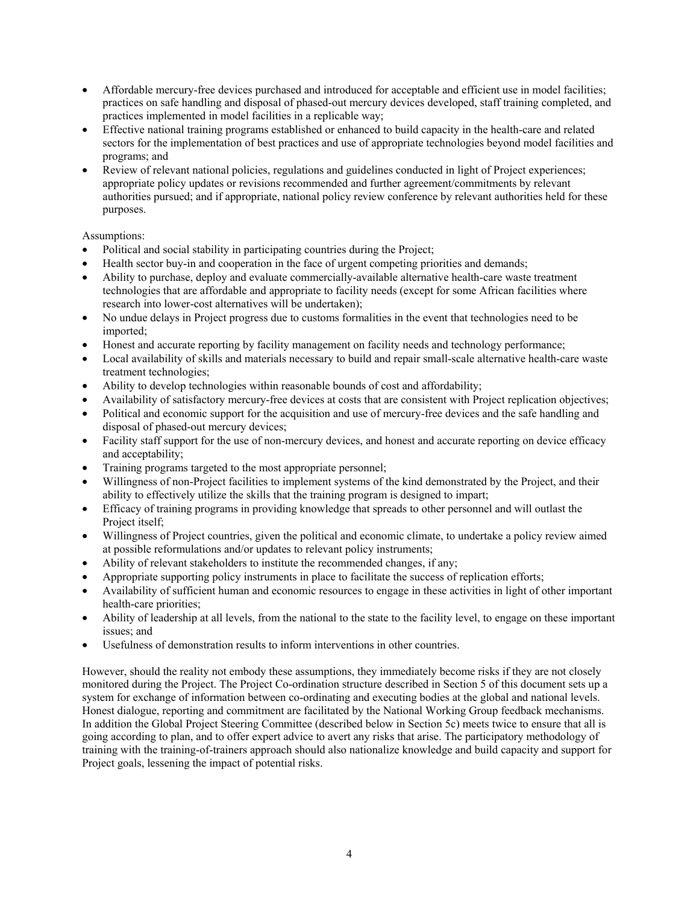- Affordable mercury-free devices purchased and introduced for acceptable and efficient use in model facilities; practices on safe handling and disposal of phased-out mercury devices developed, staff training completed, and practices implemented in model facilities in a replicable way;
- Effective national training programs established or enhanced to build capacity in the health-care and related sectors for the implementation of best practices and use of appropriate technologies beyond model facilities and programs; and
- Review of relevant national policies, regulations and guidelines conducted in light of Project experiences; appropriate policy updates or revisions recommended and further agreement/commitments by relevant authorities pursued; and if appropriate, national policy review conference by relevant authorities held for these purposes.

## Assumptions:

- Political and social stability in participating countries during the Project;
- Health sector buy-in and cooperation in the face of urgent competing priorities and demands;
- Ability to purchase, deploy and evaluate commercially-available alternative health-care waste treatment technologies that are affordable and appropriate to facility needs (except for some African facilities where research into lower-cost alternatives will be undertaken);
- No undue delays in Project progress due to customs formalities in the event that technologies need to be imported;
- Honest and accurate reporting by facility management on facility needs and technology performance;
- Local availability of skills and materials necessary to build and repair small-scale alternative health-care waste treatment technologies;
- Ability to develop technologies within reasonable bounds of cost and affordability;
- Availability of satisfactory mercury-free devices at costs that are consistent with Project replication objectives;
- Political and economic support for the acquisition and use of mercury-free devices and the safe handling and disposal of phased-out mercury devices;
- Facility staff support for the use of non-mercury devices, and honest and accurate reporting on device efficacy and acceptability;
- Training programs targeted to the most appropriate personnel;
- Willingness of non-Project facilities to implement systems of the kind demonstrated by the Project, and their ability to effectively utilize the skills that the training program is designed to impart;
- Efficacy of training programs in providing knowledge that spreads to other personnel and will outlast the Project itself;
- Willingness of Project countries, given the political and economic climate, to undertake a policy review aimed at possible reformulations and/or updates to relevant policy instruments;
- Ability of relevant stakeholders to institute the recommended changes, if any;
- Appropriate supporting policy instruments in place to facilitate the success of replication efforts;
- Availability of sufficient human and economic resources to engage in these activities in light of other important health-care priorities;
- Ability of leadership at all levels, from the national to the state to the facility level, to engage on these important issues; and
- Usefulness of demonstration results to inform interventions in other countries.

However, should the reality not embody these assumptions, they immediately become risks if they are not closely monitored during the Project. The Project Co-ordination structure described in Section 5 of this document sets up a system for exchange of information between co-ordinating and executing bodies at the global and national levels. Honest dialogue, reporting and commitment are facilitated by the National Working Group feedback mechanisms. In addition the Global Project Steering Committee (described below in Section 5c) meets twice to ensure that all is going according to plan, and to offer expert advice to avert any risks that arise. The participatory methodology of training with the training-of-trainers approach should also nationalize knowledge and build capacity and support for Project goals, lessening the impact of potential risks.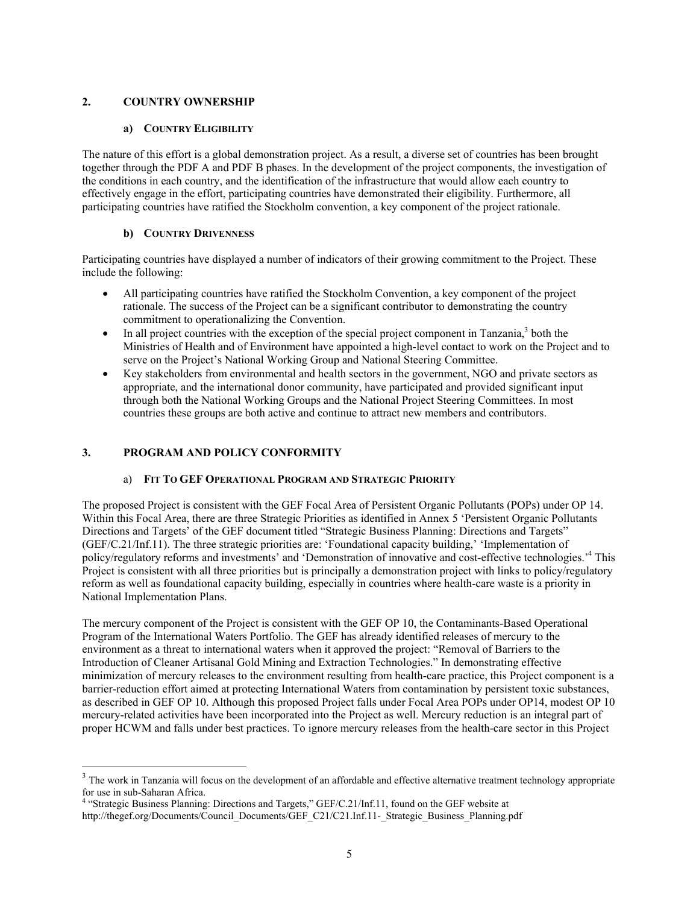## **2. COUNTRY OWNERSHIP**

### **a) COUNTRY ELIGIBILITY**

The nature of this effort is a global demonstration project. As a result, a diverse set of countries has been brought together through the PDF A and PDF B phases. In the development of the project components, the investigation of the conditions in each country, and the identification of the infrastructure that would allow each country to effectively engage in the effort, participating countries have demonstrated their eligibility. Furthermore, all participating countries have ratified the Stockholm convention, a key component of the project rationale.

### **b) COUNTRY DRIVENNESS**

Participating countries have displayed a number of indicators of their growing commitment to the Project. These include the following:

- All participating countries have ratified the Stockholm Convention, a key component of the project rationale. The success of the Project can be a significant contributor to demonstrating the country commitment to operationalizing the Convention.
- $\bullet$  In all project countries with the exception of the special project component in Tanzania, $3$  both the Ministries of Health and of Environment have appointed a high-level contact to work on the Project and to serve on the Project's National Working Group and National Steering Committee.
- Key stakeholders from environmental and health sectors in the government, NGO and private sectors as appropriate, and the international donor community, have participated and provided significant input through both the National Working Groups and the National Project Steering Committees. In most countries these groups are both active and continue to attract new members and contributors.

### **3. PROGRAM AND POLICY CONFORMITY**

 $\overline{a}$ 

### a) **FIT TO GEF OPERATIONAL PROGRAM AND STRATEGIC PRIORITY**

The proposed Project is consistent with the GEF Focal Area of Persistent Organic Pollutants (POPs) under OP 14. Within this Focal Area, there are three Strategic Priorities as identified in Annex 5 'Persistent Organic Pollutants Directions and Targets' of the GEF document titled "Strategic Business Planning: Directions and Targets" (GEF/C.21/Inf.11). The three strategic priorities are: 'Foundational capacity building,' 'Implementation of policy/regulatory reforms and investments' and 'Demonstration of innovative and cost-effective technologies.'4 This Project is consistent with all three priorities but is principally a demonstration project with links to policy/regulatory reform as well as foundational capacity building, especially in countries where health-care waste is a priority in National Implementation Plans.

The mercury component of the Project is consistent with the GEF OP 10, the Contaminants-Based Operational Program of the International Waters Portfolio. The GEF has already identified releases of mercury to the environment as a threat to international waters when it approved the project: "Removal of Barriers to the Introduction of Cleaner Artisanal Gold Mining and Extraction Technologies." In demonstrating effective minimization of mercury releases to the environment resulting from health-care practice, this Project component is a barrier-reduction effort aimed at protecting International Waters from contamination by persistent toxic substances, as described in GEF OP 10. Although this proposed Project falls under Focal Area POPs under OP14, modest OP 10 mercury-related activities have been incorporated into the Project as well. Mercury reduction is an integral part of proper HCWM and falls under best practices. To ignore mercury releases from the health-care sector in this Project

<sup>&</sup>lt;sup>3</sup> The work in Tanzania will focus on the development of an affordable and effective alternative treatment technology appropriate for use in sub-Saharan Africa. 4 "Strategic Business Planning: Directions and Targets," GEF/C.21/Inf.11, found on the GEF website at

http://thegef.org/Documents/Council\_Documents/GEF\_C21/C21.Inf.11-\_Strategic\_Business\_Planning.pdf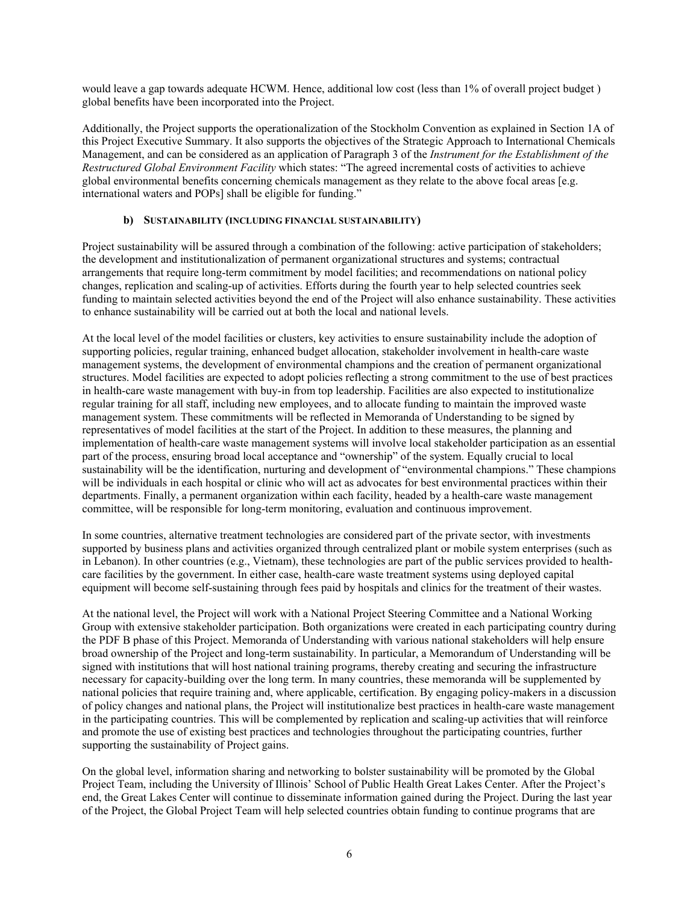would leave a gap towards adequate HCWM. Hence, additional low cost (less than 1% of overall project budget ) global benefits have been incorporated into the Project.

Additionally, the Project supports the operationalization of the Stockholm Convention as explained in Section 1A of this Project Executive Summary. It also supports the objectives of the Strategic Approach to International Chemicals Management, and can be considered as an application of Paragraph 3 of the *Instrument for the Establishment of the Restructured Global Environment Facility* which states: "The agreed incremental costs of activities to achieve global environmental benefits concerning chemicals management as they relate to the above focal areas [e.g. international waters and POPs] shall be eligible for funding."

## **b) SUSTAINABILITY (INCLUDING FINANCIAL SUSTAINABILITY)**

Project sustainability will be assured through a combination of the following: active participation of stakeholders; the development and institutionalization of permanent organizational structures and systems; contractual arrangements that require long-term commitment by model facilities; and recommendations on national policy changes, replication and scaling-up of activities. Efforts during the fourth year to help selected countries seek funding to maintain selected activities beyond the end of the Project will also enhance sustainability. These activities to enhance sustainability will be carried out at both the local and national levels.

At the local level of the model facilities or clusters, key activities to ensure sustainability include the adoption of supporting policies, regular training, enhanced budget allocation, stakeholder involvement in health-care waste management systems, the development of environmental champions and the creation of permanent organizational structures. Model facilities are expected to adopt policies reflecting a strong commitment to the use of best practices in health-care waste management with buy-in from top leadership. Facilities are also expected to institutionalize regular training for all staff, including new employees, and to allocate funding to maintain the improved waste management system. These commitments will be reflected in Memoranda of Understanding to be signed by representatives of model facilities at the start of the Project. In addition to these measures, the planning and implementation of health-care waste management systems will involve local stakeholder participation as an essential part of the process, ensuring broad local acceptance and "ownership" of the system. Equally crucial to local sustainability will be the identification, nurturing and development of "environmental champions." These champions will be individuals in each hospital or clinic who will act as advocates for best environmental practices within their departments. Finally, a permanent organization within each facility, headed by a health-care waste management committee, will be responsible for long-term monitoring, evaluation and continuous improvement.

In some countries, alternative treatment technologies are considered part of the private sector, with investments supported by business plans and activities organized through centralized plant or mobile system enterprises (such as in Lebanon). In other countries (e.g., Vietnam), these technologies are part of the public services provided to healthcare facilities by the government. In either case, health-care waste treatment systems using deployed capital equipment will become self-sustaining through fees paid by hospitals and clinics for the treatment of their wastes.

At the national level, the Project will work with a National Project Steering Committee and a National Working Group with extensive stakeholder participation. Both organizations were created in each participating country during the PDF B phase of this Project. Memoranda of Understanding with various national stakeholders will help ensure broad ownership of the Project and long-term sustainability. In particular, a Memorandum of Understanding will be signed with institutions that will host national training programs, thereby creating and securing the infrastructure necessary for capacity-building over the long term. In many countries, these memoranda will be supplemented by national policies that require training and, where applicable, certification. By engaging policy-makers in a discussion of policy changes and national plans, the Project will institutionalize best practices in health-care waste management in the participating countries. This will be complemented by replication and scaling-up activities that will reinforce and promote the use of existing best practices and technologies throughout the participating countries, further supporting the sustainability of Project gains.

On the global level, information sharing and networking to bolster sustainability will be promoted by the Global Project Team, including the University of Illinois' School of Public Health Great Lakes Center. After the Project's end, the Great Lakes Center will continue to disseminate information gained during the Project. During the last year of the Project, the Global Project Team will help selected countries obtain funding to continue programs that are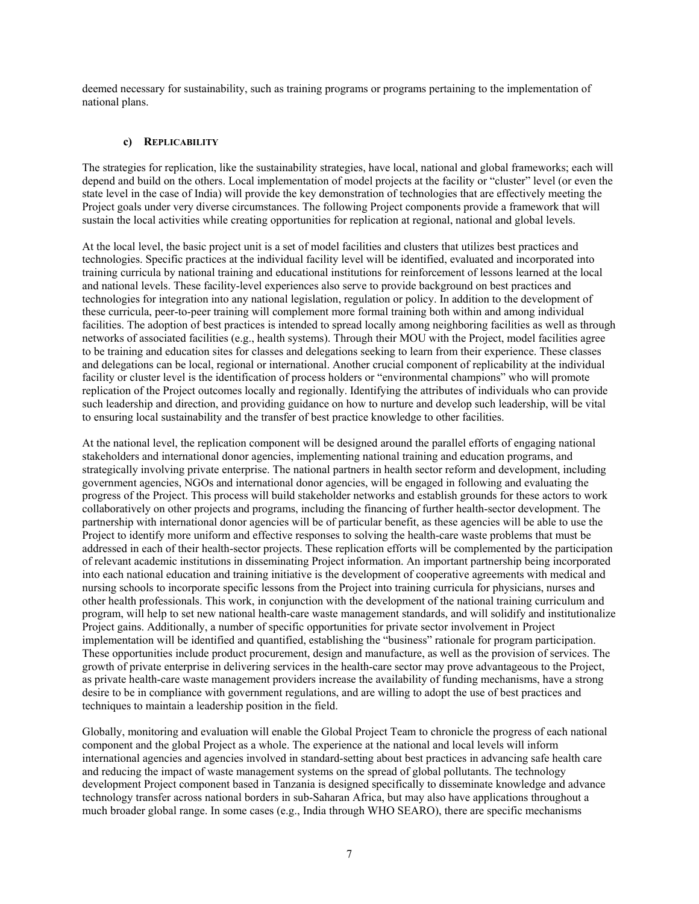deemed necessary for sustainability, such as training programs or programs pertaining to the implementation of national plans.

### **c) REPLICABILITY**

The strategies for replication, like the sustainability strategies, have local, national and global frameworks; each will depend and build on the others. Local implementation of model projects at the facility or "cluster" level (or even the state level in the case of India) will provide the key demonstration of technologies that are effectively meeting the Project goals under very diverse circumstances. The following Project components provide a framework that will sustain the local activities while creating opportunities for replication at regional, national and global levels.

At the local level, the basic project unit is a set of model facilities and clusters that utilizes best practices and technologies. Specific practices at the individual facility level will be identified, evaluated and incorporated into training curricula by national training and educational institutions for reinforcement of lessons learned at the local and national levels. These facility-level experiences also serve to provide background on best practices and technologies for integration into any national legislation, regulation or policy. In addition to the development of these curricula, peer-to-peer training will complement more formal training both within and among individual facilities. The adoption of best practices is intended to spread locally among neighboring facilities as well as through networks of associated facilities (e.g., health systems). Through their MOU with the Project, model facilities agree to be training and education sites for classes and delegations seeking to learn from their experience. These classes and delegations can be local, regional or international. Another crucial component of replicability at the individual facility or cluster level is the identification of process holders or "environmental champions" who will promote replication of the Project outcomes locally and regionally. Identifying the attributes of individuals who can provide such leadership and direction, and providing guidance on how to nurture and develop such leadership, will be vital to ensuring local sustainability and the transfer of best practice knowledge to other facilities.

At the national level, the replication component will be designed around the parallel efforts of engaging national stakeholders and international donor agencies, implementing national training and education programs, and strategically involving private enterprise. The national partners in health sector reform and development, including government agencies, NGOs and international donor agencies, will be engaged in following and evaluating the progress of the Project. This process will build stakeholder networks and establish grounds for these actors to work collaboratively on other projects and programs, including the financing of further health-sector development. The partnership with international donor agencies will be of particular benefit, as these agencies will be able to use the Project to identify more uniform and effective responses to solving the health-care waste problems that must be addressed in each of their health-sector projects. These replication efforts will be complemented by the participation of relevant academic institutions in disseminating Project information. An important partnership being incorporated into each national education and training initiative is the development of cooperative agreements with medical and nursing schools to incorporate specific lessons from the Project into training curricula for physicians, nurses and other health professionals. This work, in conjunction with the development of the national training curriculum and program, will help to set new national health-care waste management standards, and will solidify and institutionalize Project gains. Additionally, a number of specific opportunities for private sector involvement in Project implementation will be identified and quantified, establishing the "business" rationale for program participation. These opportunities include product procurement, design and manufacture, as well as the provision of services. The growth of private enterprise in delivering services in the health-care sector may prove advantageous to the Project, as private health-care waste management providers increase the availability of funding mechanisms, have a strong desire to be in compliance with government regulations, and are willing to adopt the use of best practices and techniques to maintain a leadership position in the field.

Globally, monitoring and evaluation will enable the Global Project Team to chronicle the progress of each national component and the global Project as a whole. The experience at the national and local levels will inform international agencies and agencies involved in standard-setting about best practices in advancing safe health care and reducing the impact of waste management systems on the spread of global pollutants. The technology development Project component based in Tanzania is designed specifically to disseminate knowledge and advance technology transfer across national borders in sub-Saharan Africa, but may also have applications throughout a much broader global range. In some cases (e.g., India through WHO SEARO), there are specific mechanisms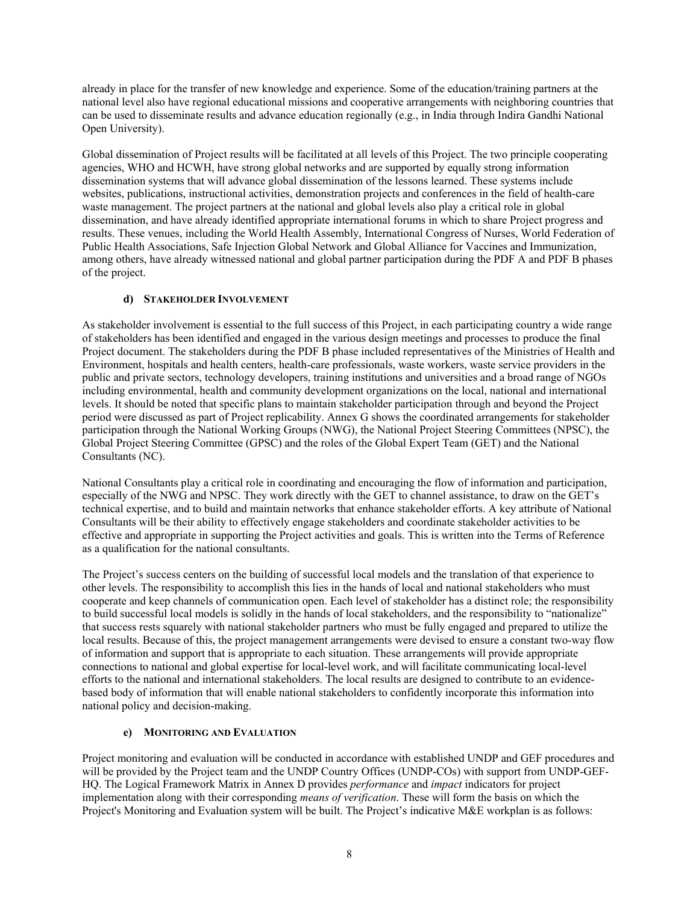already in place for the transfer of new knowledge and experience. Some of the education/training partners at the national level also have regional educational missions and cooperative arrangements with neighboring countries that can be used to disseminate results and advance education regionally (e.g., in India through Indira Gandhi National Open University).

Global dissemination of Project results will be facilitated at all levels of this Project. The two principle cooperating agencies, WHO and HCWH, have strong global networks and are supported by equally strong information dissemination systems that will advance global dissemination of the lessons learned. These systems include websites, publications, instructional activities, demonstration projects and conferences in the field of health-care waste management. The project partners at the national and global levels also play a critical role in global dissemination, and have already identified appropriate international forums in which to share Project progress and results. These venues, including the World Health Assembly, International Congress of Nurses, World Federation of Public Health Associations, Safe Injection Global Network and Global Alliance for Vaccines and Immunization, among others, have already witnessed national and global partner participation during the PDF A and PDF B phases of the project.

## **d) STAKEHOLDER INVOLVEMENT**

As stakeholder involvement is essential to the full success of this Project, in each participating country a wide range of stakeholders has been identified and engaged in the various design meetings and processes to produce the final Project document. The stakeholders during the PDF B phase included representatives of the Ministries of Health and Environment, hospitals and health centers, health-care professionals, waste workers, waste service providers in the public and private sectors, technology developers, training institutions and universities and a broad range of NGOs including environmental, health and community development organizations on the local, national and international levels. It should be noted that specific plans to maintain stakeholder participation through and beyond the Project period were discussed as part of Project replicability. Annex G shows the coordinated arrangements for stakeholder participation through the National Working Groups (NWG), the National Project Steering Committees (NPSC), the Global Project Steering Committee (GPSC) and the roles of the Global Expert Team (GET) and the National Consultants (NC).

National Consultants play a critical role in coordinating and encouraging the flow of information and participation, especially of the NWG and NPSC. They work directly with the GET to channel assistance, to draw on the GET's technical expertise, and to build and maintain networks that enhance stakeholder efforts. A key attribute of National Consultants will be their ability to effectively engage stakeholders and coordinate stakeholder activities to be effective and appropriate in supporting the Project activities and goals. This is written into the Terms of Reference as a qualification for the national consultants.

The Project's success centers on the building of successful local models and the translation of that experience to other levels. The responsibility to accomplish this lies in the hands of local and national stakeholders who must cooperate and keep channels of communication open. Each level of stakeholder has a distinct role; the responsibility to build successful local models is solidly in the hands of local stakeholders, and the responsibility to "nationalize" that success rests squarely with national stakeholder partners who must be fully engaged and prepared to utilize the local results. Because of this, the project management arrangements were devised to ensure a constant two-way flow of information and support that is appropriate to each situation. These arrangements will provide appropriate connections to national and global expertise for local-level work, and will facilitate communicating local-level efforts to the national and international stakeholders. The local results are designed to contribute to an evidencebased body of information that will enable national stakeholders to confidently incorporate this information into national policy and decision-making.

### **e) MONITORING AND EVALUATION**

Project monitoring and evaluation will be conducted in accordance with established UNDP and GEF procedures and will be provided by the Project team and the UNDP Country Offices (UNDP-COs) with support from UNDP-GEF-HQ. The Logical Framework Matrix in Annex D provides *performance* and *impact* indicators for project implementation along with their corresponding *means of verification*. These will form the basis on which the Project's Monitoring and Evaluation system will be built. The Project's indicative M&E workplan is as follows: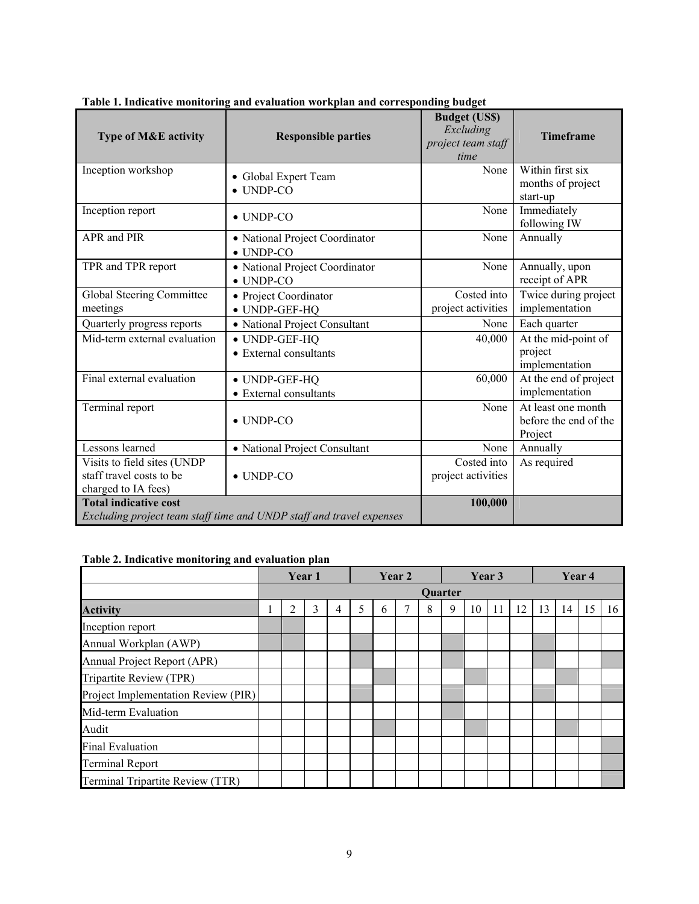| <b>Type of M&amp;E activity</b>                                                | $\frac{1}{2}$<br>$\frac{1}{2}$<br><b>Responsible parties</b>         | <b>Budget (US\$)</b><br>Excluding<br>project team staff | Timeframe                                              |
|--------------------------------------------------------------------------------|----------------------------------------------------------------------|---------------------------------------------------------|--------------------------------------------------------|
| Inception workshop                                                             | • Global Expert Team<br>$\bullet$ UNDP-CO                            | time<br>None                                            | Within first six<br>months of project<br>start-up      |
| Inception report                                                               | $\bullet$ UNDP-CO                                                    | None                                                    | Immediately<br>following IW                            |
| APR and PIR                                                                    | · National Project Coordinator<br>$\bullet$ UNDP-CO                  | None                                                    | Annually                                               |
| TPR and TPR report                                                             | • National Project Coordinator<br>$\bullet$ UNDP-CO                  | None                                                    | Annually, upon<br>receipt of APR                       |
| Global Steering Committee<br>meetings                                          | • Project Coordinator<br>• UNDP-GEF-HQ                               | Costed into<br>project activities                       | Twice during project<br>implementation                 |
| Quarterly progress reports                                                     | • National Project Consultant                                        | None                                                    | Each quarter                                           |
| Mid-term external evaluation                                                   | • UNDP-GEF-HQ<br>• External consultants                              | 40,000                                                  | At the mid-point of<br>project<br>implementation       |
| Final external evaluation                                                      | • UNDP-GEF-HQ<br>• External consultants                              | 60,000                                                  | At the end of project<br>implementation                |
| Terminal report                                                                | $\bullet$ UNDP-CO                                                    | None                                                    | At least one month<br>before the end of the<br>Project |
| Lessons learned                                                                | • National Project Consultant                                        | None                                                    | Annually                                               |
| Visits to field sites (UNDP<br>staff travel costs to be<br>charged to IA fees) | $\bullet$ UNDP-CO                                                    | Costed into<br>project activities                       | As required                                            |
| <b>Total indicative cost</b>                                                   | Excluding project team staff time and UNDP staff and travel expenses | 100,000                                                 |                                                        |

**Table 1. Indicative monitoring and evaluation workplan and corresponding budget** 

# **Table 2. Indicative monitoring and evaluation plan**

|                                     |   | Year 1 |   |   |               | Year 2 |                |   | Year 3 |    |    |    | Year <sub>4</sub> |    |    |
|-------------------------------------|---|--------|---|---|---------------|--------|----------------|---|--------|----|----|----|-------------------|----|----|
|                                     |   |        |   |   |               |        | <b>Ouarter</b> |   |        |    |    |    |                   |    |    |
| <b>Activity</b>                     | 2 | 3      | 4 | 5 | $\mathfrak b$ |        | 8              | 9 | 10     | 11 | 12 | 13 | 14                | 15 | 16 |
| Inception report                    |   |        |   |   |               |        |                |   |        |    |    |    |                   |    |    |
| Annual Workplan (AWP)               |   |        |   |   |               |        |                |   |        |    |    |    |                   |    |    |
| Annual Project Report (APR)         |   |        |   |   |               |        |                |   |        |    |    |    |                   |    |    |
| Tripartite Review (TPR)             |   |        |   |   |               |        |                |   |        |    |    |    |                   |    |    |
| Project Implementation Review (PIR) |   |        |   |   |               |        |                |   |        |    |    |    |                   |    |    |
| Mid-term Evaluation                 |   |        |   |   |               |        |                |   |        |    |    |    |                   |    |    |
| Audit                               |   |        |   |   |               |        |                |   |        |    |    |    |                   |    |    |
| <b>Final Evaluation</b>             |   |        |   |   |               |        |                |   |        |    |    |    |                   |    |    |
| <b>Terminal Report</b>              |   |        |   |   |               |        |                |   |        |    |    |    |                   |    |    |
| Terminal Tripartite Review (TTR)    |   |        |   |   |               |        |                |   |        |    |    |    |                   |    |    |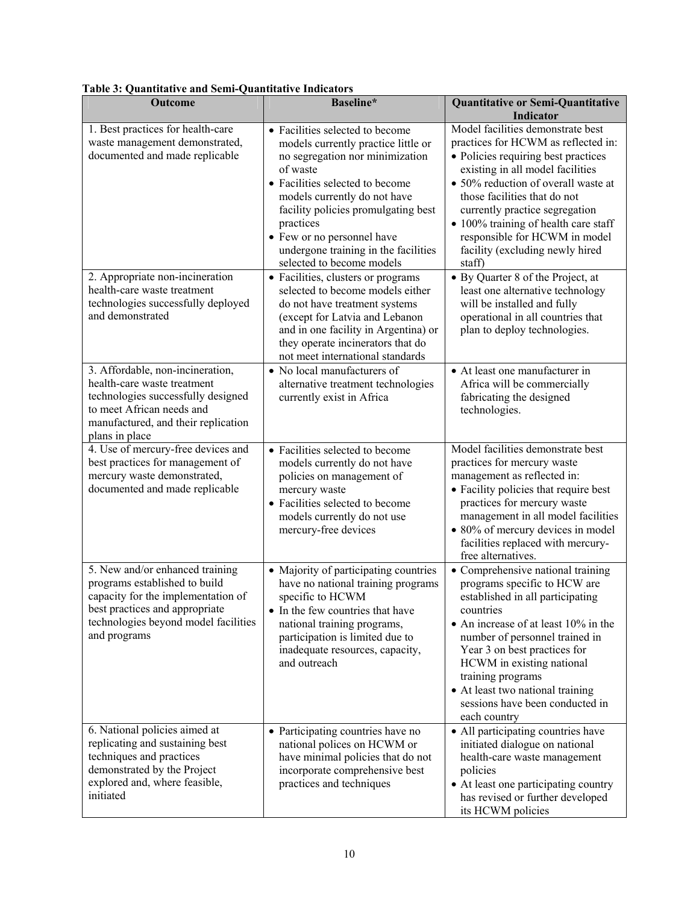| <b>Outcome</b>                                                                                                                                                                                   | Baseline*                                                                                                                                                                                                                                                                                                                                                                             | <b>Quantitative or Semi-Quantitative</b><br><b>Indicator</b>                                                                                                                                                                                                                                                                                                                                                            |
|--------------------------------------------------------------------------------------------------------------------------------------------------------------------------------------------------|---------------------------------------------------------------------------------------------------------------------------------------------------------------------------------------------------------------------------------------------------------------------------------------------------------------------------------------------------------------------------------------|-------------------------------------------------------------------------------------------------------------------------------------------------------------------------------------------------------------------------------------------------------------------------------------------------------------------------------------------------------------------------------------------------------------------------|
| 1. Best practices for health-care<br>waste management demonstrated,<br>documented and made replicable<br>2. Appropriate non-incineration                                                         | • Facilities selected to become<br>models currently practice little or<br>no segregation nor minimization<br>of waste<br>• Facilities selected to become<br>models currently do not have<br>facility policies promulgating best<br>practices<br>• Few or no personnel have<br>undergone training in the facilities<br>selected to become models<br>• Facilities, clusters or programs | Model facilities demonstrate best<br>practices for HCWM as reflected in:<br>• Policies requiring best practices<br>existing in all model facilities<br>• 50% reduction of overall waste at<br>those facilities that do not<br>currently practice segregation<br>• 100% training of health care staff<br>responsible for HCWM in model<br>facility (excluding newly hired<br>staff)<br>• By Quarter 8 of the Project, at |
| health-care waste treatment<br>technologies successfully deployed<br>and demonstrated                                                                                                            | selected to become models either<br>do not have treatment systems<br>(except for Latvia and Lebanon<br>and in one facility in Argentina) or<br>they operate incinerators that do<br>not meet international standards                                                                                                                                                                  | least one alternative technology<br>will be installed and fully<br>operational in all countries that<br>plan to deploy technologies.                                                                                                                                                                                                                                                                                    |
| 3. Affordable, non-incineration,<br>health-care waste treatment<br>technologies successfully designed<br>to meet African needs and<br>manufactured, and their replication<br>plans in place      | • No local manufacturers of<br>alternative treatment technologies<br>currently exist in Africa                                                                                                                                                                                                                                                                                        | • At least one manufacturer in<br>Africa will be commercially<br>fabricating the designed<br>technologies.                                                                                                                                                                                                                                                                                                              |
| 4. Use of mercury-free devices and<br>best practices for management of<br>mercury waste demonstrated,<br>documented and made replicable                                                          | • Facilities selected to become<br>models currently do not have<br>policies on management of<br>mercury waste<br>• Facilities selected to become<br>models currently do not use<br>mercury-free devices                                                                                                                                                                               | Model facilities demonstrate best<br>practices for mercury waste<br>management as reflected in:<br>• Facility policies that require best<br>practices for mercury waste<br>management in all model facilities<br>• 80% of mercury devices in model<br>facilities replaced with mercury-<br>free alternatives.                                                                                                           |
| 5. New and/or enhanced training<br>programs established to build<br>capacity for the implementation of<br>best practices and appropriate<br>technologies beyond model facilities<br>and programs | • Majority of participating countries<br>have no national training programs<br>specific to HCWM<br>• In the few countries that have<br>national training programs,<br>participation is limited due to<br>inadequate resources, capacity,<br>and outreach                                                                                                                              | • Comprehensive national training<br>programs specific to HCW are<br>established in all participating<br>countries<br>• An increase of at least 10% in the<br>number of personnel trained in<br>Year 3 on best practices for<br>HCWM in existing national<br>training programs<br>• At least two national training<br>sessions have been conducted in<br>each country                                                   |
| 6. National policies aimed at<br>replicating and sustaining best<br>techniques and practices<br>demonstrated by the Project<br>explored and, where feasible,<br>initiated                        | • Participating countries have no<br>national polices on HCWM or<br>have minimal policies that do not<br>incorporate comprehensive best<br>practices and techniques                                                                                                                                                                                                                   | • All participating countries have<br>initiated dialogue on national<br>health-care waste management<br>policies<br>• At least one participating country<br>has revised or further developed<br>its HCWM policies                                                                                                                                                                                                       |

**Table 3: Quantitative and Semi-Quantitative Indicators**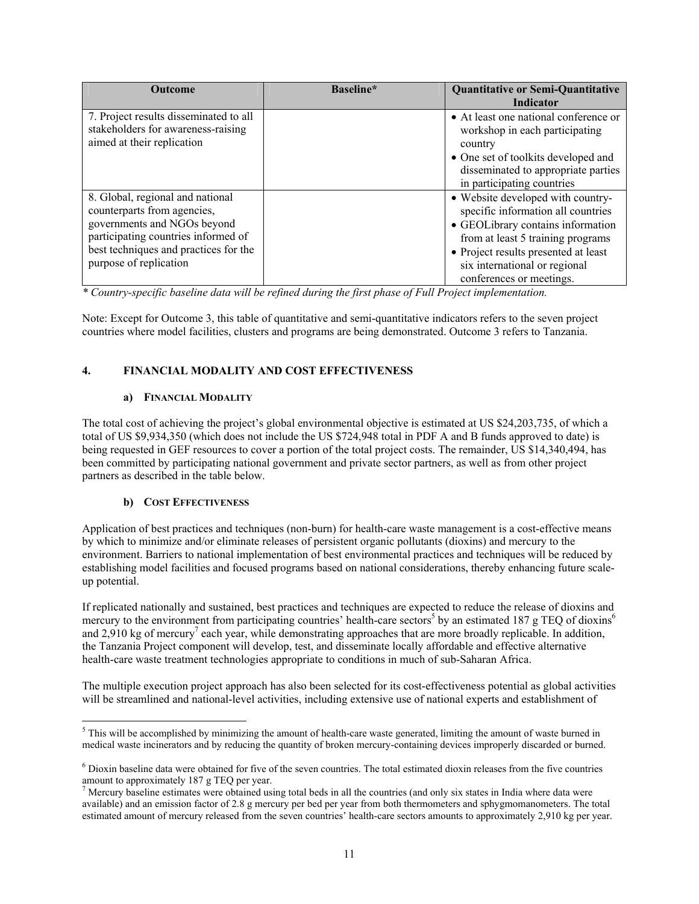| <b>Outcome</b>                                                                                                                                                                                           | Baseline* | <b>Quantitative or Semi-Quantitative</b><br><b>Indicator</b>                                                                                                                                                                                           |
|----------------------------------------------------------------------------------------------------------------------------------------------------------------------------------------------------------|-----------|--------------------------------------------------------------------------------------------------------------------------------------------------------------------------------------------------------------------------------------------------------|
| 7. Project results disseminated to all<br>stakeholders for awareness-raising<br>aimed at their replication                                                                                               |           | • At least one national conference or<br>workshop in each participating<br>country<br>• One set of toolkits developed and<br>disseminated to appropriate parties<br>in participating countries                                                         |
| 8. Global, regional and national<br>counterparts from agencies,<br>governments and NGOs beyond<br>participating countries informed of<br>best techniques and practices for the<br>purpose of replication |           | • Website developed with country-<br>specific information all countries<br>• GEOLibrary contains information<br>from at least 5 training programs<br>• Project results presented at least<br>six international or regional<br>conferences or meetings. |

*\* Country-specific baseline data will be refined during the first phase of Full Project implementation.* 

Note: Except for Outcome 3, this table of quantitative and semi-quantitative indicators refers to the seven project countries where model facilities, clusters and programs are being demonstrated. Outcome 3 refers to Tanzania.

# **4. FINANCIAL MODALITY AND COST EFFECTIVENESS**

## **a) FINANCIAL MODALITY**

The total cost of achieving the project's global environmental objective is estimated at US \$24,203,735, of which a total of US \$9,934,350 (which does not include the US \$724,948 total in PDF A and B funds approved to date) is being requested in GEF resources to cover a portion of the total project costs. The remainder, US \$14,340,494, has been committed by participating national government and private sector partners, as well as from other project partners as described in the table below.

# **b) COST EFFECTIVENESS**

Application of best practices and techniques (non-burn) for health-care waste management is a cost-effective means by which to minimize and/or eliminate releases of persistent organic pollutants (dioxins) and mercury to the environment. Barriers to national implementation of best environmental practices and techniques will be reduced by establishing model facilities and focused programs based on national considerations, thereby enhancing future scaleup potential.

If replicated nationally and sustained, best practices and techniques are expected to reduce the release of dioxins and mercury to the environment from participating countries' health-care sectors<sup>5</sup> by an estimated 187 g TEQ of dioxins<sup>6</sup> and 2,910 kg of mercury<sup>7</sup> each year, while demonstrating approaches that are more broadly replicable. In addition, the Tanzania Project component will develop, test, and disseminate locally affordable and effective alternative health-care waste treatment technologies appropriate to conditions in much of sub-Saharan Africa.

The multiple execution project approach has also been selected for its cost-effectiveness potential as global activities will be streamlined and national-level activities, including extensive use of national experts and establishment of

<sup>&</sup>lt;sup>5</sup> This will be accomplished by minimizing the amount of health-care waste generated, limiting the amount of waste burned in medical waste incinerators and by reducing the quantity of broken mercury-containing devices improperly discarded or burned.

<sup>&</sup>lt;sup>6</sup> Dioxin baseline data were obtained for five of the seven countries. The total estimated dioxin releases from the five countries amount to approximately 187 g TEQ per year.

 $<sup>7</sup>$  Mercury baseline estimates were obtained using total beds in all the countries (and only six states in India where data were</sup> available) and an emission factor of 2.8 g mercury per bed per year from both thermometers and sphygmomanometers. The total estimated amount of mercury released from the seven countries' health-care sectors amounts to approximately 2,910 kg per year.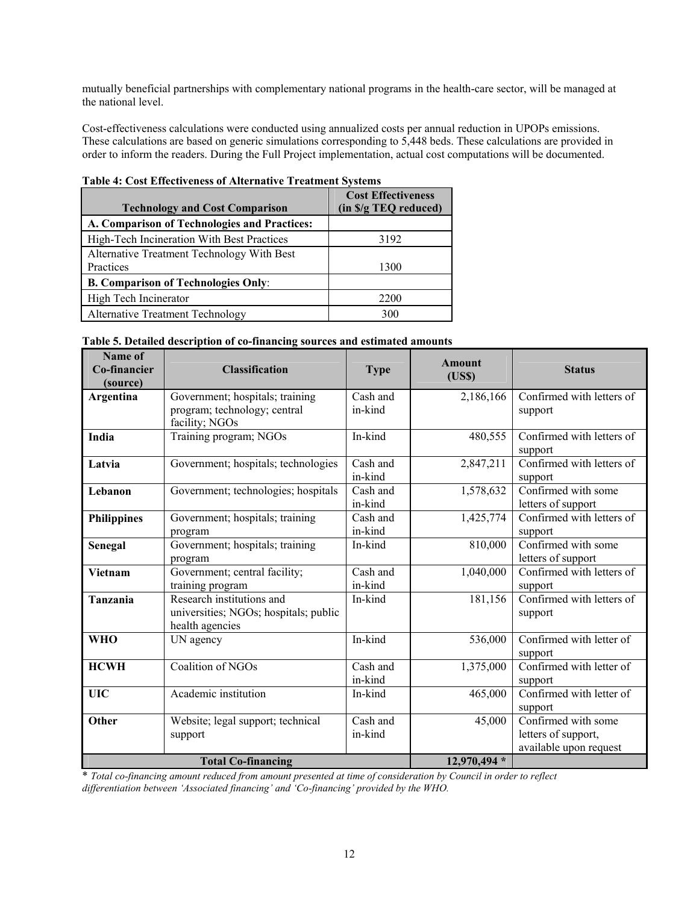mutually beneficial partnerships with complementary national programs in the health-care sector, will be managed at the national level.

Cost-effectiveness calculations were conducted using annualized costs per annual reduction in UPOPs emissions. These calculations are based on generic simulations corresponding to 5,448 beds. These calculations are provided in order to inform the readers. During the Full Project implementation, actual cost computations will be documented.

| <b>Technology and Cost Comparison</b>                   | <b>Cost Effectiveness</b><br>(in S/g TEQ reduced) |
|---------------------------------------------------------|---------------------------------------------------|
| A. Comparison of Technologies and Practices:            |                                                   |
| High-Tech Incineration With Best Practices              | 3192                                              |
| Alternative Treatment Technology With Best<br>Practices | 1300                                              |
| <b>B. Comparison of Technologies Only:</b>              |                                                   |
| High Tech Incinerator                                   | 2200                                              |
| Alternative Treatment Technology                        | 300                                               |

# **Table 4: Cost Effectiveness of Alternative Treatment Systems**

| Name of<br>Co-financier<br>(source) | <b>Classification</b>                                                                 | <b>Type</b>         | <b>Amount</b><br>(US\$) | <b>Status</b>                                                        |
|-------------------------------------|---------------------------------------------------------------------------------------|---------------------|-------------------------|----------------------------------------------------------------------|
| Argentina                           | Government; hospitals; training<br>program; technology; central<br>facility; NGOs     | Cash and<br>in-kind | 2,186,166               | Confirmed with letters of<br>support                                 |
| India                               | Training program; NGOs                                                                | In-kind             | 480,555                 | Confirmed with letters of<br>support                                 |
| Latvia                              | Government; hospitals; technologies                                                   | Cash and<br>in-kind | 2,847,211               | Confirmed with letters of<br>support                                 |
| Lebanon                             | Government; technologies; hospitals                                                   | Cash and<br>in-kind | 1,578,632               | Confirmed with some<br>letters of support                            |
| <b>Philippines</b>                  | Government; hospitals; training<br>program                                            | Cash and<br>in-kind | 1,425,774               | Confirmed with letters of<br>support                                 |
| Senegal                             | Government; hospitals; training<br>program                                            | In-kind             | 810,000                 | Confirmed with some<br>letters of support                            |
| Vietnam                             | Government; central facility;<br>training program                                     | Cash and<br>in-kind | 1,040,000               | Confirmed with letters of<br>support                                 |
| Tanzania                            | Research institutions and<br>universities; NGOs; hospitals; public<br>health agencies | In-kind             | 181,156                 | Confirmed with letters of<br>support                                 |
| <b>WHO</b>                          | UN agency                                                                             | In-kind             | 536,000                 | Confirmed with letter of<br>support                                  |
| <b>HCWH</b>                         | Coalition of NGOs                                                                     | Cash and<br>in-kind | 1,375,000               | Confirmed with letter of<br>support                                  |
| <b>UIC</b>                          | Academic institution                                                                  | In-kind             | 465,000                 | Confirmed with letter of<br>support                                  |
| Other                               | Website; legal support; technical<br>support<br><b>Total Co-financing</b>             | Cash and<br>in-kind | 45,000<br>12,970,494 *  | Confirmed with some<br>letters of support,<br>available upon request |

|  | Table 5. Detailed description of co-financing sources and estimated amounts |  |  |  |
|--|-----------------------------------------------------------------------------|--|--|--|
|  |                                                                             |  |  |  |

\* *Total co-financing amount reduced from amount presented at time of consideration by Council in order to reflect differentiation between 'Associated financing' and 'Co-financing' provided by the WHO.*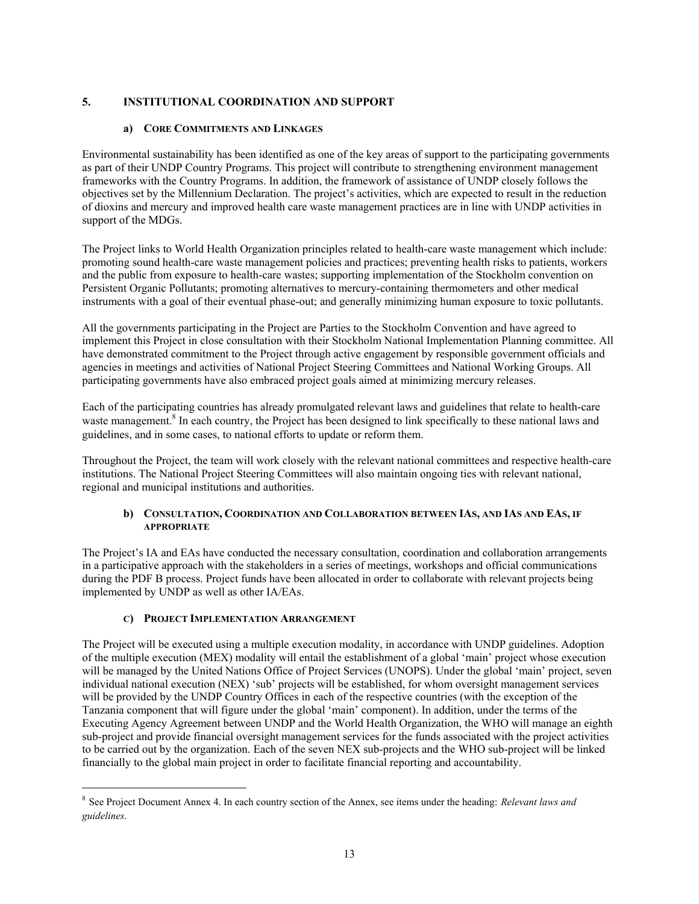## **5. INSTITUTIONAL COORDINATION AND SUPPORT**

### **a) CORE COMMITMENTS AND LINKAGES**

Environmental sustainability has been identified as one of the key areas of support to the participating governments as part of their UNDP Country Programs. This project will contribute to strengthening environment management frameworks with the Country Programs. In addition, the framework of assistance of UNDP closely follows the objectives set by the Millennium Declaration. The project's activities, which are expected to result in the reduction of dioxins and mercury and improved health care waste management practices are in line with UNDP activities in support of the MDGs.

The Project links to World Health Organization principles related to health-care waste management which include: promoting sound health-care waste management policies and practices; preventing health risks to patients, workers and the public from exposure to health-care wastes; supporting implementation of the Stockholm convention on Persistent Organic Pollutants; promoting alternatives to mercury-containing thermometers and other medical instruments with a goal of their eventual phase-out; and generally minimizing human exposure to toxic pollutants.

All the governments participating in the Project are Parties to the Stockholm Convention and have agreed to implement this Project in close consultation with their Stockholm National Implementation Planning committee. All have demonstrated commitment to the Project through active engagement by responsible government officials and agencies in meetings and activities of National Project Steering Committees and National Working Groups. All participating governments have also embraced project goals aimed at minimizing mercury releases.

Each of the participating countries has already promulgated relevant laws and guidelines that relate to health-care waste management.<sup>8</sup> In each country, the Project has been designed to link specifically to these national laws and guidelines, and in some cases, to national efforts to update or reform them.

Throughout the Project, the team will work closely with the relevant national committees and respective health-care institutions. The National Project Steering Committees will also maintain ongoing ties with relevant national, regional and municipal institutions and authorities.

### **b) CONSULTATION, COORDINATION AND COLLABORATION BETWEEN IAS, AND IAS AND EAS, IF APPROPRIATE**

The Project's IA and EAs have conducted the necessary consultation, coordination and collaboration arrangements in a participative approach with the stakeholders in a series of meetings, workshops and official communications during the PDF B process. Project funds have been allocated in order to collaborate with relevant projects being implemented by UNDP as well as other IA/EAs.

### **C) PROJECT IMPLEMENTATION ARRANGEMENT**

 $\overline{a}$ 

The Project will be executed using a multiple execution modality, in accordance with UNDP guidelines. Adoption of the multiple execution (MEX) modality will entail the establishment of a global 'main' project whose execution will be managed by the United Nations Office of Project Services (UNOPS). Under the global 'main' project, seven individual national execution (NEX) 'sub' projects will be established, for whom oversight management services will be provided by the UNDP Country Offices in each of the respective countries (with the exception of the Tanzania component that will figure under the global 'main' component). In addition, under the terms of the Executing Agency Agreement between UNDP and the World Health Organization, the WHO will manage an eighth sub-project and provide financial oversight management services for the funds associated with the project activities to be carried out by the organization. Each of the seven NEX sub-projects and the WHO sub-project will be linked financially to the global main project in order to facilitate financial reporting and accountability.

<sup>8</sup> See Project Document Annex 4. In each country section of the Annex, see items under the heading: *Relevant laws and guidelines*.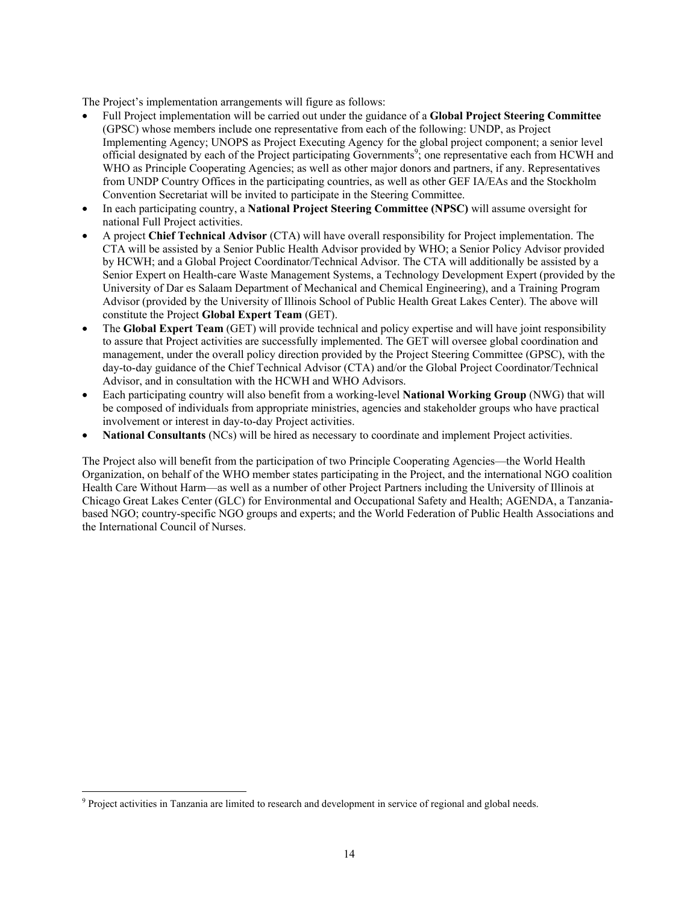The Project's implementation arrangements will figure as follows:

- Full Project implementation will be carried out under the guidance of a **Global Project Steering Committee**  (GPSC) whose members include one representative from each of the following: UNDP, as Project Implementing Agency; UNOPS as Project Executing Agency for the global project component; a senior level official designated by each of the Project participating Governments<sup>9</sup>; one representative each from HCWH and WHO as Principle Cooperating Agencies; as well as other major donors and partners, if any. Representatives from UNDP Country Offices in the participating countries, as well as other GEF IA/EAs and the Stockholm Convention Secretariat will be invited to participate in the Steering Committee.
- In each participating country, a **National Project Steering Committee (NPSC)** will assume oversight for national Full Project activities.
- A project **Chief Technical Advisor** (CTA) will have overall responsibility for Project implementation. The CTA will be assisted by a Senior Public Health Advisor provided by WHO; a Senior Policy Advisor provided by HCWH; and a Global Project Coordinator/Technical Advisor. The CTA will additionally be assisted by a Senior Expert on Health-care Waste Management Systems, a Technology Development Expert (provided by the University of Dar es Salaam Department of Mechanical and Chemical Engineering), and a Training Program Advisor (provided by the University of Illinois School of Public Health Great Lakes Center). The above will constitute the Project **Global Expert Team** (GET).
- The **Global Expert Team** (GET) will provide technical and policy expertise and will have joint responsibility to assure that Project activities are successfully implemented. The GET will oversee global coordination and management, under the overall policy direction provided by the Project Steering Committee (GPSC), with the day-to-day guidance of the Chief Technical Advisor (CTA) and/or the Global Project Coordinator/Technical Advisor, and in consultation with the HCWH and WHO Advisors.
- Each participating country will also benefit from a working-level **National Working Group** (NWG) that will be composed of individuals from appropriate ministries, agencies and stakeholder groups who have practical involvement or interest in day-to-day Project activities.
- **National Consultants** (NCs) will be hired as necessary to coordinate and implement Project activities.

The Project also will benefit from the participation of two Principle Cooperating Agencies—the World Health Organization, on behalf of the WHO member states participating in the Project, and the international NGO coalition Health Care Without Harm—as well as a number of other Project Partners including the University of Illinois at Chicago Great Lakes Center (GLC) for Environmental and Occupational Safety and Health; AGENDA, a Tanzaniabased NGO; country-specific NGO groups and experts; and the World Federation of Public Health Associations and the International Council of Nurses.

 $\overline{a}$ <sup>9</sup> Project activities in Tanzania are limited to research and development in service of regional and global needs.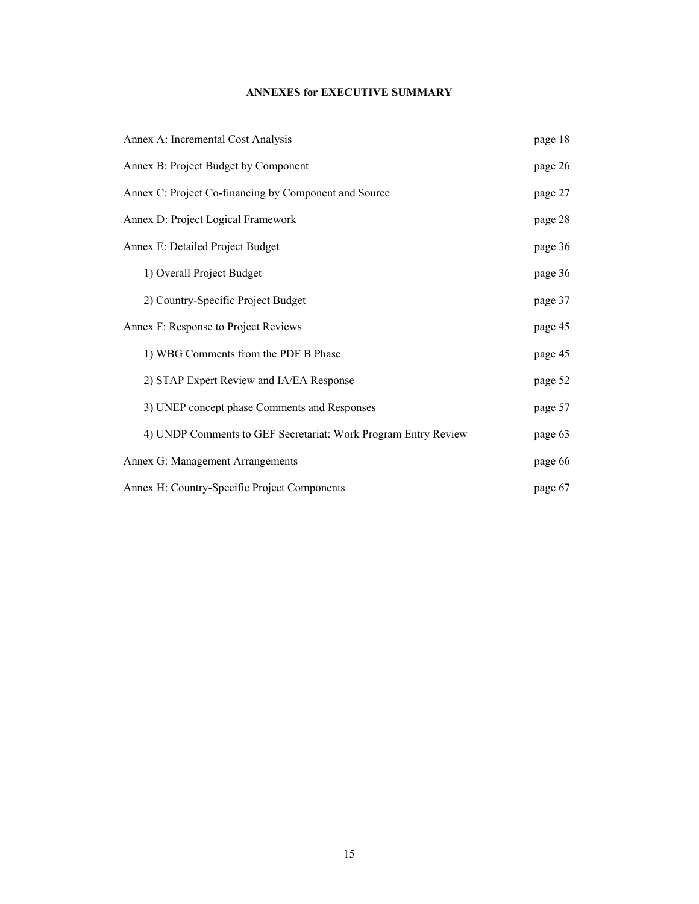# **ANNEXES for EXECUTIVE SUMMARY**

| Annex A: Incremental Cost Analysis                             | page 18 |
|----------------------------------------------------------------|---------|
| Annex B: Project Budget by Component                           | page 26 |
| Annex C: Project Co-financing by Component and Source          | page 27 |
| Annex D: Project Logical Framework                             | page 28 |
| Annex E: Detailed Project Budget                               | page 36 |
| 1) Overall Project Budget                                      | page 36 |
| 2) Country-Specific Project Budget                             | page 37 |
| Annex F: Response to Project Reviews                           | page 45 |
| 1) WBG Comments from the PDF B Phase                           | page 45 |
| 2) STAP Expert Review and IA/EA Response                       | page 52 |
| 3) UNEP concept phase Comments and Responses                   | page 57 |
| 4) UNDP Comments to GEF Secretariat: Work Program Entry Review | page 63 |
| Annex G: Management Arrangements                               | page 66 |
| Annex H: Country-Specific Project Components                   | page 67 |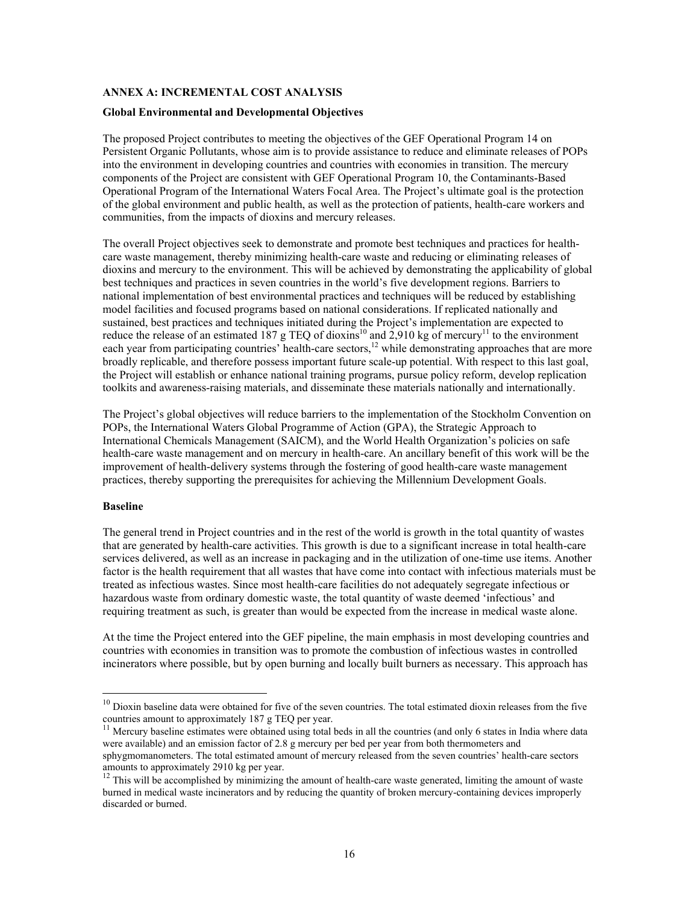### **ANNEX A: INCREMENTAL COST ANALYSIS**

### **Global Environmental and Developmental Objectives**

The proposed Project contributes to meeting the objectives of the GEF Operational Program 14 on Persistent Organic Pollutants, whose aim is to provide assistance to reduce and eliminate releases of POPs into the environment in developing countries and countries with economies in transition. The mercury components of the Project are consistent with GEF Operational Program 10, the Contaminants-Based Operational Program of the International Waters Focal Area. The Project's ultimate goal is the protection of the global environment and public health, as well as the protection of patients, health-care workers and communities, from the impacts of dioxins and mercury releases.

The overall Project objectives seek to demonstrate and promote best techniques and practices for healthcare waste management, thereby minimizing health-care waste and reducing or eliminating releases of dioxins and mercury to the environment. This will be achieved by demonstrating the applicability of global best techniques and practices in seven countries in the world's five development regions. Barriers to national implementation of best environmental practices and techniques will be reduced by establishing model facilities and focused programs based on national considerations. If replicated nationally and sustained, best practices and techniques initiated during the Project's implementation are expected to reduce the release of an estimated 187 g TEQ of dioxins<sup>10</sup> and 2,910 kg of mercury<sup>11</sup> to the environment each year from participating countries' health-care sectors,<sup>12</sup> while demonstrating approaches that are more broadly replicable, and therefore possess important future scale-up potential. With respect to this last goal, the Project will establish or enhance national training programs, pursue policy reform, develop replication toolkits and awareness-raising materials, and disseminate these materials nationally and internationally.

The Project's global objectives will reduce barriers to the implementation of the Stockholm Convention on POPs, the International Waters Global Programme of Action (GPA), the Strategic Approach to International Chemicals Management (SAICM), and the World Health Organization's policies on safe health-care waste management and on mercury in health-care. An ancillary benefit of this work will be the improvement of health-delivery systems through the fostering of good health-care waste management practices, thereby supporting the prerequisites for achieving the Millennium Development Goals.

#### **Baseline**

 $\overline{a}$ 

The general trend in Project countries and in the rest of the world is growth in the total quantity of wastes that are generated by health-care activities. This growth is due to a significant increase in total health-care services delivered, as well as an increase in packaging and in the utilization of one-time use items. Another factor is the health requirement that all wastes that have come into contact with infectious materials must be treated as infectious wastes. Since most health-care facilities do not adequately segregate infectious or hazardous waste from ordinary domestic waste, the total quantity of waste deemed 'infectious' and requiring treatment as such, is greater than would be expected from the increase in medical waste alone.

At the time the Project entered into the GEF pipeline, the main emphasis in most developing countries and countries with economies in transition was to promote the combustion of infectious wastes in controlled incinerators where possible, but by open burning and locally built burners as necessary. This approach has

 $10$  Dioxin baseline data were obtained for five of the seven countries. The total estimated dioxin releases from the five countries amount to approximately 187 g TEQ per year.<br> $^{11}$  Mercury baseline estimates were obtained using total beds in all the countries (and only 6 states in India where data

were available) and an emission factor of 2.8 g mercury per bed per year from both thermometers and sphygmomanometers. The total estimated amount of mercury released from the seven countries' health-care sectors amounts to approximately 2910 kg per year.

<sup>&</sup>lt;sup>12</sup> This will be accomplished by minimizing the amount of health-care waste generated, limiting the amount of waste burned in medical waste incinerators and by reducing the quantity of broken mercury-containing devices improperly discarded or burned.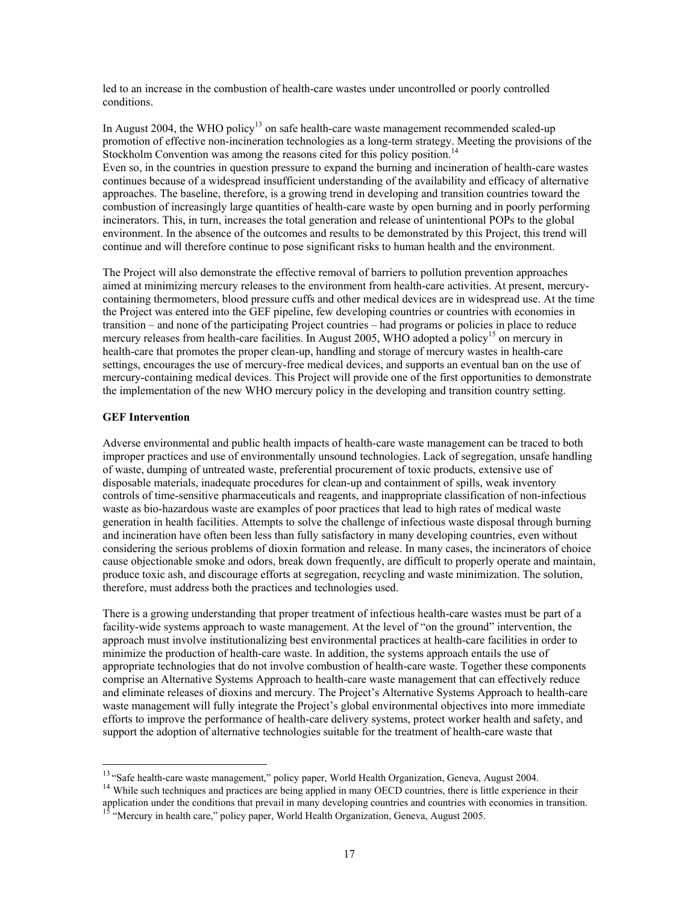led to an increase in the combustion of health-care wastes under uncontrolled or poorly controlled conditions.

In August 2004, the WHO policy<sup>13</sup> on safe health-care waste management recommended scaled-up promotion of effective non-incineration technologies as a long-term strategy. Meeting the provisions of the Stockholm Convention was among the reasons cited for this policy position.<sup>1</sup> Even so, in the countries in question pressure to expand the burning and incineration of health-care wastes continues because of a widespread insufficient understanding of the availability and efficacy of alternative approaches. The baseline, therefore, is a growing trend in developing and transition countries toward the combustion of increasingly large quantities of health-care waste by open burning and in poorly performing incinerators. This, in turn, increases the total generation and release of unintentional POPs to the global environment. In the absence of the outcomes and results to be demonstrated by this Project, this trend will continue and will therefore continue to pose significant risks to human health and the environment.

The Project will also demonstrate the effective removal of barriers to pollution prevention approaches aimed at minimizing mercury releases to the environment from health-care activities. At present, mercurycontaining thermometers, blood pressure cuffs and other medical devices are in widespread use. At the time the Project was entered into the GEF pipeline, few developing countries or countries with economies in transition – and none of the participating Project countries – had programs or policies in place to reduce mercury releases from health-care facilities. In August 2005, WHO adopted a policy<sup>15</sup> on mercury in health-care that promotes the proper clean-up, handling and storage of mercury wastes in health-care settings, encourages the use of mercury-free medical devices, and supports an eventual ban on the use of mercury-containing medical devices. This Project will provide one of the first opportunities to demonstrate the implementation of the new WHO mercury policy in the developing and transition country setting.

### **GEF Intervention**

Adverse environmental and public health impacts of health-care waste management can be traced to both improper practices and use of environmentally unsound technologies. Lack of segregation, unsafe handling of waste, dumping of untreated waste, preferential procurement of toxic products, extensive use of disposable materials, inadequate procedures for clean-up and containment of spills, weak inventory controls of time-sensitive pharmaceuticals and reagents, and inappropriate classification of non-infectious waste as bio-hazardous waste are examples of poor practices that lead to high rates of medical waste generation in health facilities. Attempts to solve the challenge of infectious waste disposal through burning and incineration have often been less than fully satisfactory in many developing countries, even without considering the serious problems of dioxin formation and release. In many cases, the incinerators of choice cause objectionable smoke and odors, break down frequently, are difficult to properly operate and maintain, produce toxic ash, and discourage efforts at segregation, recycling and waste minimization. The solution, therefore, must address both the practices and technologies used.

There is a growing understanding that proper treatment of infectious health-care wastes must be part of a facility-wide systems approach to waste management. At the level of "on the ground" intervention, the approach must involve institutionalizing best environmental practices at health-care facilities in order to minimize the production of health-care waste. In addition, the systems approach entails the use of appropriate technologies that do not involve combustion of health-care waste. Together these components comprise an Alternative Systems Approach to health-care waste management that can effectively reduce and eliminate releases of dioxins and mercury. The Project's Alternative Systems Approach to health-care waste management will fully integrate the Project's global environmental objectives into more immediate efforts to improve the performance of health-care delivery systems, protect worker health and safety, and support the adoption of alternative technologies suitable for the treatment of health-care waste that

<sup>&</sup>lt;sup>13</sup> "Safe health-care waste management," policy paper, World Health Organization, Geneva, August 2004.

<sup>&</sup>lt;sup>14</sup> While such techniques and practices are being applied in many OECD countries, there is little experience in their application under the conditions that prevail in many developing countries and countries with economies in transition.<br><sup>15</sup> "Mercury in health care," policy paper, World Health Organization, Geneva, August 2005.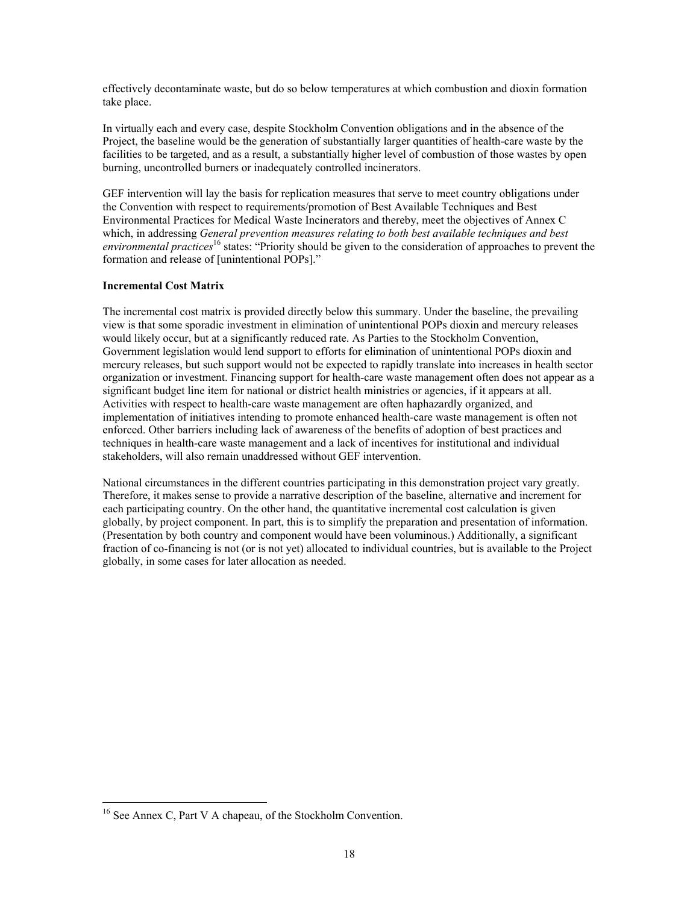effectively decontaminate waste, but do so below temperatures at which combustion and dioxin formation take place.

In virtually each and every case, despite Stockholm Convention obligations and in the absence of the Project, the baseline would be the generation of substantially larger quantities of health-care waste by the facilities to be targeted, and as a result, a substantially higher level of combustion of those wastes by open burning, uncontrolled burners or inadequately controlled incinerators.

GEF intervention will lay the basis for replication measures that serve to meet country obligations under the Convention with respect to requirements/promotion of Best Available Techniques and Best Environmental Practices for Medical Waste Incinerators and thereby, meet the objectives of Annex C which, in addressing *General prevention measures relating to both best available techniques and best environmental practices*16 states: "Priority should be given to the consideration of approaches to prevent the formation and release of [unintentional POPs]."

## **Incremental Cost Matrix**

The incremental cost matrix is provided directly below this summary. Under the baseline, the prevailing view is that some sporadic investment in elimination of unintentional POPs dioxin and mercury releases would likely occur, but at a significantly reduced rate. As Parties to the Stockholm Convention, Government legislation would lend support to efforts for elimination of unintentional POPs dioxin and mercury releases, but such support would not be expected to rapidly translate into increases in health sector organization or investment. Financing support for health-care waste management often does not appear as a significant budget line item for national or district health ministries or agencies, if it appears at all. Activities with respect to health-care waste management are often haphazardly organized, and implementation of initiatives intending to promote enhanced health-care waste management is often not enforced. Other barriers including lack of awareness of the benefits of adoption of best practices and techniques in health-care waste management and a lack of incentives for institutional and individual stakeholders, will also remain unaddressed without GEF intervention.

National circumstances in the different countries participating in this demonstration project vary greatly. Therefore, it makes sense to provide a narrative description of the baseline, alternative and increment for each participating country. On the other hand, the quantitative incremental cost calculation is given globally, by project component. In part, this is to simplify the preparation and presentation of information. (Presentation by both country and component would have been voluminous.) Additionally, a significant fraction of co-financing is not (or is not yet) allocated to individual countries, but is available to the Project globally, in some cases for later allocation as needed.

 $\overline{a}$ 

<sup>&</sup>lt;sup>16</sup> See Annex C, Part V A chapeau, of the Stockholm Convention.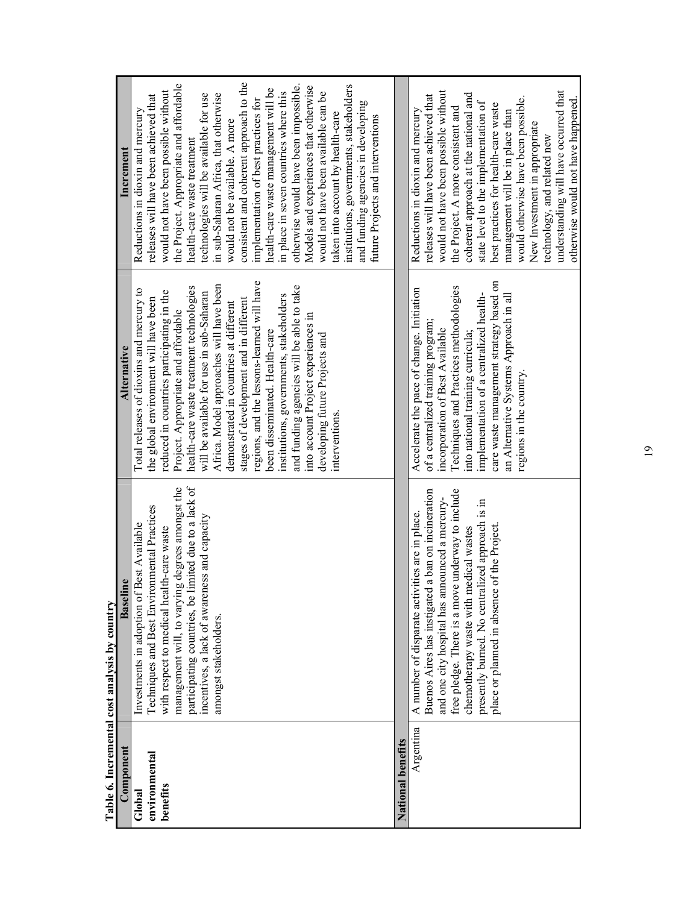| Component                           | <b>Baseline</b>                                                                                                                                                                                                                                                                                                                                      | <b>Alternative</b>                                                                                                                                                                                                                                                                                                                                                                                                                                                                                                                                                                                                                                              | Increment                                                                                                                                                                                                                                                                                                                                                                                                                                                                                                                                                                                                                                                                                                                                                                  |
|-------------------------------------|------------------------------------------------------------------------------------------------------------------------------------------------------------------------------------------------------------------------------------------------------------------------------------------------------------------------------------------------------|-----------------------------------------------------------------------------------------------------------------------------------------------------------------------------------------------------------------------------------------------------------------------------------------------------------------------------------------------------------------------------------------------------------------------------------------------------------------------------------------------------------------------------------------------------------------------------------------------------------------------------------------------------------------|----------------------------------------------------------------------------------------------------------------------------------------------------------------------------------------------------------------------------------------------------------------------------------------------------------------------------------------------------------------------------------------------------------------------------------------------------------------------------------------------------------------------------------------------------------------------------------------------------------------------------------------------------------------------------------------------------------------------------------------------------------------------------|
| environmental<br>benefits<br>Global | participating countries, be limited due to a lack of<br>incentives, a lack of awareness and capacity<br>management will, to varying degrees amongst the<br>Techniques and Best Environmental Practices<br>Best Available<br>with respect to medical health-care waste<br>Investments in adoption of<br>amongst stakeholders.                         | regions, and the lessons-learned will have<br>Africa. Model approaches will have been<br>and funding agencies will be able to take<br>health-care waste treatment technologies<br>Total releases of dioxins and mercury to<br>reduced in countries participating in the<br>will be available for use in sub-Saharan<br>institutions, governments, stakeholders<br>stages of development and in different<br>the global environment will have been<br>demonstrated in countries at different<br>Project. Appropriate and affordable<br>into account Project experiences in<br>been disseminated. Health-care<br>developing future Projects and<br>interventions. | consistent and coherent approach to the<br>the Project. Appropriate and affordable<br>institutions, governments, stakeholders<br>otherwise would have been impossible.<br>Models and experiences that otherwise<br>health-care waste management will be<br>would not have been possible without<br>in place in seven countries where this<br>would not have been available can be<br>in sub-Saharan Africa, that otherwise<br>technologies will be available for use<br>releases will have been achieved that<br>implementation of best practices for<br>and funding agencies in developing<br>Reductions in dioxin and mercury<br>taken into account by health-care<br>future Projects and interventions<br>would not be available. A more<br>health-care waste treatment |
| National benefits                   |                                                                                                                                                                                                                                                                                                                                                      |                                                                                                                                                                                                                                                                                                                                                                                                                                                                                                                                                                                                                                                                 |                                                                                                                                                                                                                                                                                                                                                                                                                                                                                                                                                                                                                                                                                                                                                                            |
| Argentina                           | free pledge. There is a move underway to include<br>Buenos Aires has instigated a ban on incineration<br>and one city hospital has announced a mercury-<br>presently burned. No centralized approach is in<br>A number of disparate activities are in place.<br>place or planned in absence of the Project<br>chemotherapy waste with medical wastes | care waste management strategy based on<br>Techniques and Practices methodologies<br>Accelerate the pace of change. Initiation<br>implementation of a centralized health-<br>an Alternative Systems Approach in all<br>of a centralized training program;<br>incorporation of Best Available<br>into national training curricula;<br>regions in the country.                                                                                                                                                                                                                                                                                                    | would not have been possible without<br>understanding will have occurred that<br>coherent approach at the national and<br>releases will have been achieved that<br>would otherwise have been possible.<br>otherwise would not have happened.<br>state level to the implementation of<br>best practices for health-care waste<br>the Project. A more consistent and<br>Reductions in dioxin and mercury<br>management will be in place than<br>New Investment in appropriate<br>technology, and related new                                                                                                                                                                                                                                                                 |

Table 6. Incremental cost analysis by country **Table 6. Incremental cost analysis by country** 

19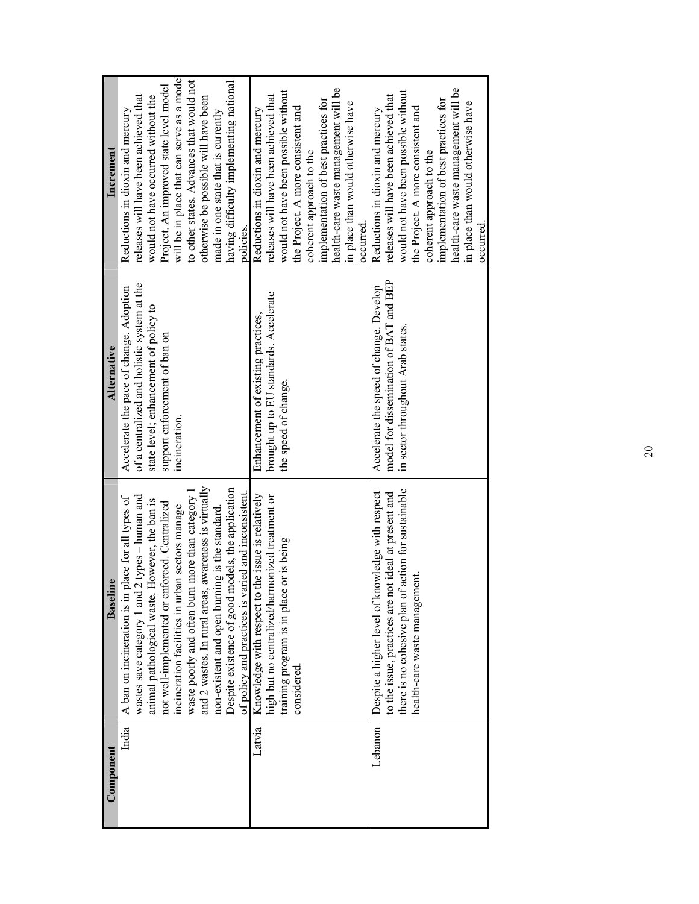| Component | <b>Baseline</b>                                                                                                                                                                                                                                                                                                                                                                                                                                                                                                                             | <b>Alternative</b>                                                                                                                                                                | Increment                                                                                                                                                                                                                                                                                                                                                                                   |
|-----------|---------------------------------------------------------------------------------------------------------------------------------------------------------------------------------------------------------------------------------------------------------------------------------------------------------------------------------------------------------------------------------------------------------------------------------------------------------------------------------------------------------------------------------------------|-----------------------------------------------------------------------------------------------------------------------------------------------------------------------------------|---------------------------------------------------------------------------------------------------------------------------------------------------------------------------------------------------------------------------------------------------------------------------------------------------------------------------------------------------------------------------------------------|
| India     | and 2 wastes. In rural areas, awareness is virtually<br>Despite existence of good models, the application<br>of policy and practices is varied and inconsistent.<br>waste poorly and often burn more than category<br>wastes save category 1 and 2 types - human and<br>place for all types of<br>However, the ban is<br>not well-implemented or enforced. Centralized<br>incineration facilities in urban sectors manage<br>ing is the standard<br>non-existent and open burn<br>A ban on incineration is in<br>animal pathological waste. | of a centralized and holistic system at the<br>Accelerate the pace of change. Adoption<br>state level; enhancement of policy to<br>support enforcement of ban on<br>incineration. | will be in place that can serve as a model<br>to other states. Advances that would not<br>having difficulty implementing national<br>Project. An improved state level model<br>releases will have been achieved that<br>would not have occurred without the<br>otherwise be possible will have been<br>Reductions in dioxin and mercury<br>made in one state that is currently<br>policies. |
| Latvia    | the issue is relatively<br>high but no centralized/harmonized treatment or<br>training program is in place or is being<br>Knowledge with respect to<br>considered.                                                                                                                                                                                                                                                                                                                                                                          | brought up to EU standards. Accelerate<br>Enhancement of existing practices,<br>the speed of change.                                                                              | health-care waste management will be<br>would not have been possible without<br>releases will have been achieved that<br>implementation of best practices for<br>in place than would otherwise have<br>the Project. A more consistent and<br>Reductions in dioxin and mercury<br>coherent approach to the<br>occurred.                                                                      |
| Lebanon   | action for sustainable<br>Despite a higher level of knowledge with respect<br>to the issue, practices are not ideal at present and<br>ıent.<br>there is no cohesive plan of<br>health-care waste managem                                                                                                                                                                                                                                                                                                                                    | model for dissemination of BAT and BEP<br>Accelerate the speed of change. Develop<br>in sector throughout Arab states.                                                            | health-care waste management will be<br>would not have been possible without<br>releases will have been achieved that<br>implementation of best practices for<br>in place than would otherwise have<br>the Project. A more consistent and<br>Reductions in dioxin and mercury<br>coherent approach to the<br>occurred.                                                                      |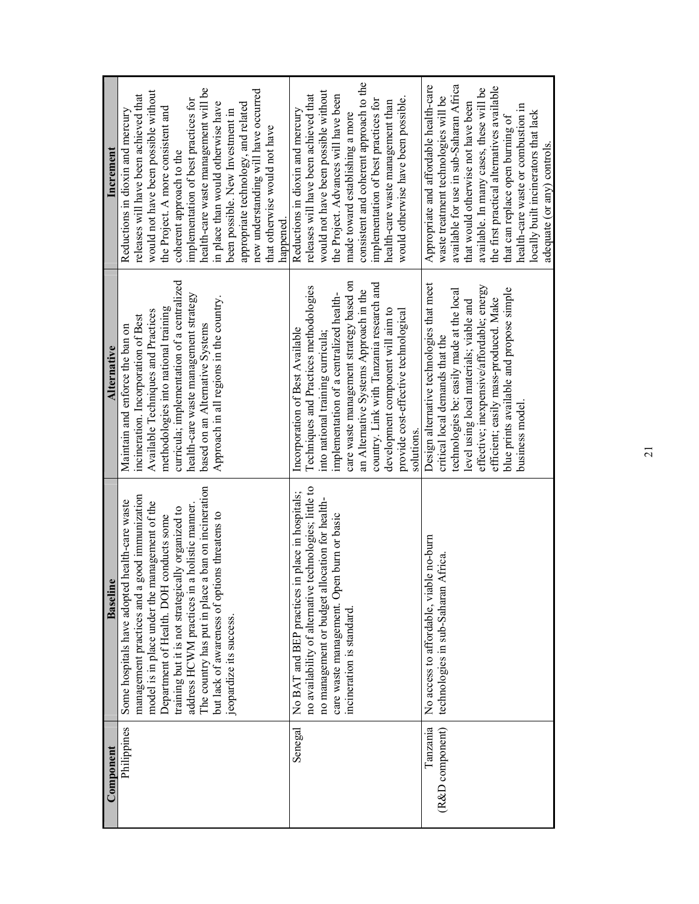|                                                      | The country has put in place a ban on incineration<br>a good immunization<br>Some hospitals have adopted health-care waste<br>model is in place under the management of the<br>address HCWM practices in a holistic manner.<br>training but it is not strategically organized to<br>but lack of awareness of options threatens to<br>H conducts some<br>ine<br>management practices and<br>Department of Health. DO<br>Baseli<br>eopardize its success. | curricula; implementation of a centralized<br>health-care waste management strategy<br>Approach in all regions in the country.<br>methodologies into national training<br>Available Techniques and Practices<br>incineration. Incorporation of Best<br>based on an Alternative Systems<br>Maintain and enforce the ban on<br><b>Alternative</b>      | health-care waste management will be<br>would not have been possible without<br>releases will have been achieved that<br>implementation of best practices for<br>in place than would otherwise have<br>the Project. A more consistent and<br>Reductions in dioxin and mercury<br>been possible. New Investment in<br>Increment<br>coherent approach to the |
|------------------------------------------------------|---------------------------------------------------------------------------------------------------------------------------------------------------------------------------------------------------------------------------------------------------------------------------------------------------------------------------------------------------------------------------------------------------------------------------------------------------------|------------------------------------------------------------------------------------------------------------------------------------------------------------------------------------------------------------------------------------------------------------------------------------------------------------------------------------------------------|------------------------------------------------------------------------------------------------------------------------------------------------------------------------------------------------------------------------------------------------------------------------------------------------------------------------------------------------------------|
| no management or budget<br>incineration is standard. | no availability of alternative technologies; little to<br>No BAT and BEP practices in place in hospitals;<br>allocation for health-<br>care waste management. Open burn or basic                                                                                                                                                                                                                                                                        | care waste management strategy based on<br>Techniques and Practices methodologies<br>implementation of a centralized health-<br>Incorporation of Best Available<br>into national training curricula;                                                                                                                                                 | new understanding will have occurred<br>would not have been possible without<br>releases will have been achieved that<br>the Project. Advances will have been<br>appropriate technology, and related<br>Reductions in dioxin and mercury<br>made toward establishing a more<br>that otherwise would not have<br>happened.                                  |
|                                                      | No access to affordable, viable no-burn<br>technologies in sub-Saharan Africa                                                                                                                                                                                                                                                                                                                                                                           | Design alternative technologies that meet<br>country. Link with Tanzania research and<br>technologies be: easily made at the local<br>an Alternative Systems Approach in the<br>evel using local materials; viable and<br>development component will aim to<br>provide cost-effective technological<br>critical local demands that the<br>solutions. | consistent and coherent approach to the<br>available for use in sub-Saharan Africa<br>Appropriate and affordable health-care<br>waste treatment technologies will be<br>would otherwise have been possible.<br>implementation of best practices for<br>health-care waste management than<br>that would otherwise not have been                             |
|                                                      |                                                                                                                                                                                                                                                                                                                                                                                                                                                         | effective; inexpensive/affordable; energy<br>blue prints available and propose simple<br>efficient; easily mass-produced. Make<br>business model                                                                                                                                                                                                     | the first practical alternatives available<br>available. In many cases, these will be<br>health-care waste or combustion in<br>locally built incinerators that lack<br>that can replace open burning of<br>adequate (or any) controls.                                                                                                                     |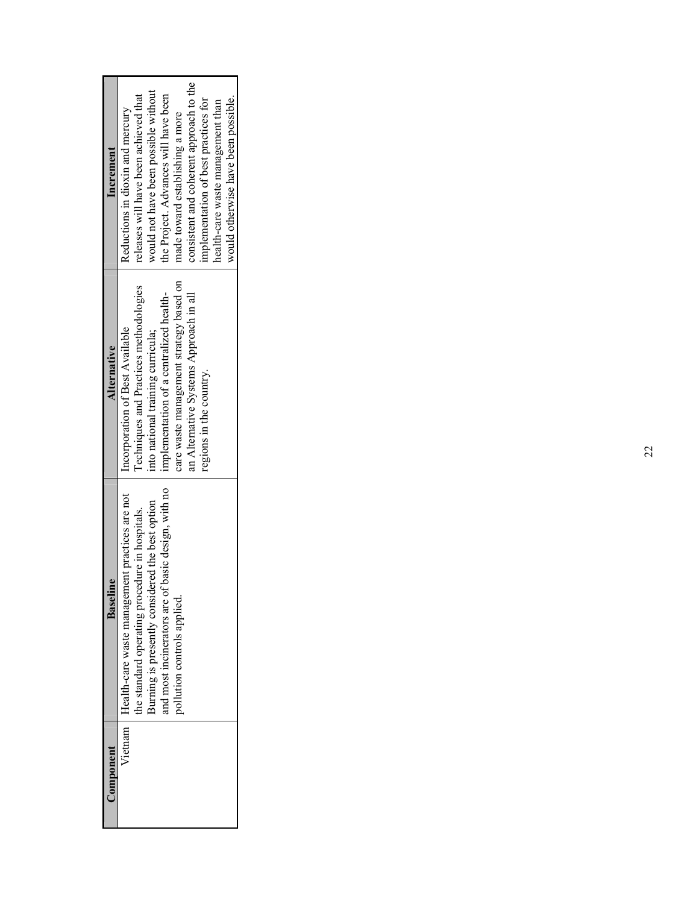| Component | Baseline                                                 | <b>Alternative</b>                      | Increment                               |
|-----------|----------------------------------------------------------|-----------------------------------------|-----------------------------------------|
|           | Vietnam   Health-care waste management practices are not | Incorporation of Best Available         | Reductions in dioxin and mercury        |
|           | the standard operating procedure in hospitals.           | Techniques and Practices methodologies  | releases will have been achieved that   |
|           | Burning is presently considered the best option          | into national training curricula;       | would not have been possible without    |
|           | and most incinerators are of basic design, with no       | implementation of a centralized health- | the Project. Advances will have been    |
|           | pollution controls applied.                              | care waste management strategy based on | made toward establishing a more         |
|           |                                                          | an Alternative Systems Approach in all  | consistent and coherent approach to the |
|           |                                                          | regions in the country.                 | implementation of best practices for    |
|           |                                                          |                                         | health-care waste management than       |
|           |                                                          |                                         | would otherwise have been possible.     |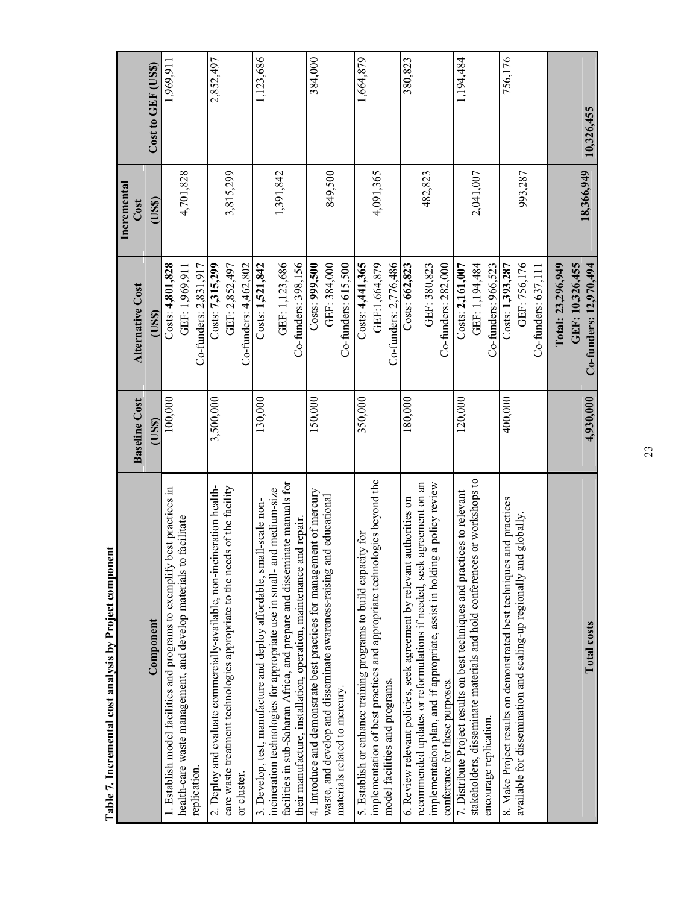| Table 7. Incremental cost analysis by Project component                                                                                              |                      |                         |                     |                    |
|------------------------------------------------------------------------------------------------------------------------------------------------------|----------------------|-------------------------|---------------------|--------------------|
|                                                                                                                                                      | <b>Baseline Cost</b> | <b>Alternative Cost</b> | Incremental<br>Cost |                    |
| Component                                                                                                                                            | (US\$)               | (USS)                   | (USS)               | Cost to GEF (US\$) |
| best practices in<br>I. Establish model facilities and programs to exemplify                                                                         | 100,000              | Costs: 4,801,828        |                     | 1,969,911          |
| health-care waste management, and develop materials to facilitate                                                                                    |                      | GEF: 1,969,911          | 4,701,828           |                    |
| replication.                                                                                                                                         |                      | Co-funders: 2,831,917   |                     |                    |
| 2. Deploy and evaluate commercially-available, non-incineration health-                                                                              | 3,500,000            | $\cos: 7,315,299$       |                     | 2,852,497          |
| care waste treatment technologies appropriate to the needs of the facility                                                                           |                      | GEF: 2,852,497          | 3,815,299           |                    |
| or cluster.                                                                                                                                          |                      | Co-funders: 4,462,802   |                     |                    |
| 3. Develop, test, manufacture and deploy affordable, small-scale non-                                                                                | 130,000              | Costs: 1,521,842        |                     | 1,123,686          |
| facilities in sub-Saharan Africa, and prepare and disseminate manuals for<br>incineration technologies for appropriate use in small- and medium-size |                      | GEF: 1,123,686          | 1,391,842           |                    |
| their manufacture, installation, operation, maintenance and repair.                                                                                  |                      | Co-funders: 398,156     |                     |                    |
| 4. Introduce and demonstrate best practices for management of mercury                                                                                | 150,000              | Costs: 999,500          |                     | 384,000            |
| waste, and develop and disseminate awareness-raising and educational                                                                                 |                      | GEF: 384,000            | 849,500             |                    |
| materials related to mercury.                                                                                                                        |                      | Co-funders: 615,500     |                     |                    |
| 5. Establish or enhance training programs to build capacity for                                                                                      | 350,000              | Costs: 4,441,365        |                     | 1,664,879          |
| implementation of best practices and appropriate technologies beyond the                                                                             |                      | GEF:1,664,879           | 4,091,365           |                    |
| model facilities and programs.                                                                                                                       |                      | Co-funders: 2,776,486   |                     |                    |
| authorities on<br>6. Review relevant policies, seek agreement by relevant                                                                            | 180,000              | Costs: 662,823          |                     | 380,823            |
| recommended updates or reformulations if needed, seek agreement on an                                                                                |                      | GEF: 380,823            | 482,823             |                    |
| implementation plan, and if appropriate, assist in holding a policy review<br>conference for these purposes.                                         |                      | Co-funders: 282,000     |                     |                    |
| 7. Distribute Project results on best techniques and practices to relevant                                                                           | 120,000              | Costs: 2,161,007        |                     | 1,194,484          |
| stakeholders, disseminate materials and hold conferences or workshops to                                                                             |                      | GEF: 1,194,484          | 2,041,007           |                    |
| encourage replication.                                                                                                                               |                      | Co-funders: 966,523     |                     |                    |
| and practices<br>8. Make Project results on demonstrated best techniques                                                                             | 400,000              | Costs: 1,393,287        |                     | 756,176            |
| available for dissemination and scaling-up regionally and globally.                                                                                  |                      | GEF: 756,176            | 993,287             |                    |
|                                                                                                                                                      |                      | Co-funders: 637,111     |                     |                    |
|                                                                                                                                                      |                      | Total: 23,296,949       |                     |                    |
|                                                                                                                                                      |                      | GEF: 10,326,455         | 18,366,949          |                    |
| Total costs                                                                                                                                          | 4,930,000            | Co-funders: 12,970,494  |                     | 10,326,455         |

23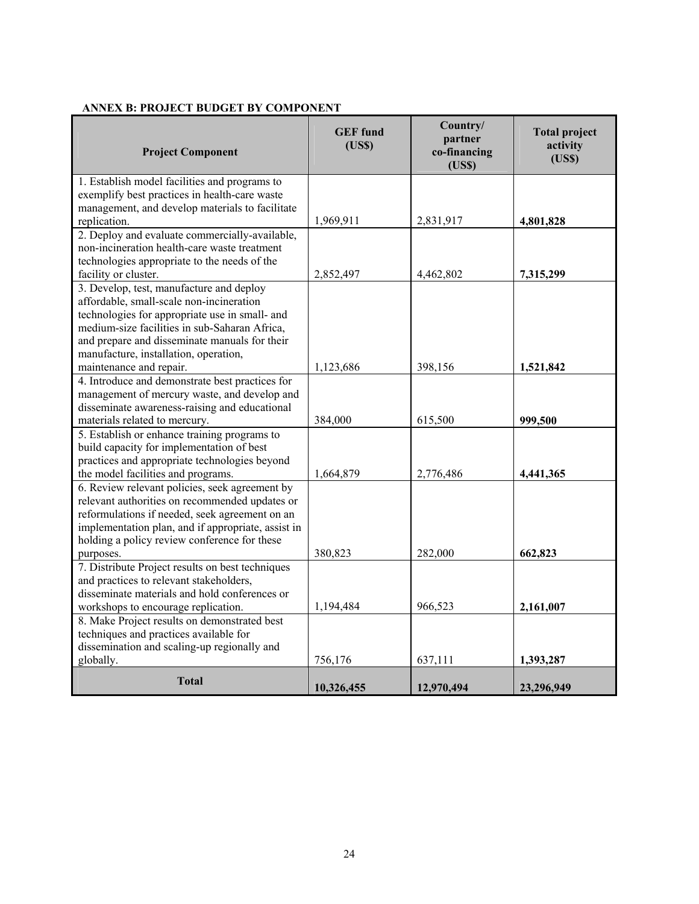| <b>Project Component</b>                                                             | <b>GEF</b> fund<br>(USS) | Country/<br>partner<br>co-financing<br>(USS) | <b>Total project</b><br>activity<br>(USS) |
|--------------------------------------------------------------------------------------|--------------------------|----------------------------------------------|-------------------------------------------|
| 1. Establish model facilities and programs to                                        |                          |                                              |                                           |
| exemplify best practices in health-care waste                                        |                          |                                              |                                           |
| management, and develop materials to facilitate                                      |                          |                                              |                                           |
| replication.                                                                         | 1,969,911                | 2,831,917                                    | 4,801,828                                 |
| 2. Deploy and evaluate commercially-available,                                       |                          |                                              |                                           |
| non-incineration health-care waste treatment                                         |                          |                                              |                                           |
| technologies appropriate to the needs of the                                         |                          |                                              |                                           |
| facility or cluster.                                                                 | 2,852,497                | 4,462,802                                    | 7,315,299                                 |
| 3. Develop, test, manufacture and deploy                                             |                          |                                              |                                           |
| affordable, small-scale non-incineration                                             |                          |                                              |                                           |
| technologies for appropriate use in small- and                                       |                          |                                              |                                           |
| medium-size facilities in sub-Saharan Africa,                                        |                          |                                              |                                           |
| and prepare and disseminate manuals for their                                        |                          |                                              |                                           |
| manufacture, installation, operation,                                                |                          |                                              |                                           |
| maintenance and repair.                                                              | 1,123,686                | 398,156                                      | 1,521,842                                 |
| 4. Introduce and demonstrate best practices for                                      |                          |                                              |                                           |
| management of mercury waste, and develop and                                         |                          |                                              |                                           |
| disseminate awareness-raising and educational                                        |                          |                                              |                                           |
| materials related to mercury.                                                        | 384,000                  | 615,500                                      | 999,500                                   |
| 5. Establish or enhance training programs to                                         |                          |                                              |                                           |
| build capacity for implementation of best                                            |                          |                                              |                                           |
| practices and appropriate technologies beyond                                        |                          |                                              |                                           |
| the model facilities and programs.<br>6. Review relevant policies, seek agreement by | 1,664,879                | 2,776,486                                    | 4,441,365                                 |
| relevant authorities on recommended updates or                                       |                          |                                              |                                           |
| reformulations if needed, seek agreement on an                                       |                          |                                              |                                           |
| implementation plan, and if appropriate, assist in                                   |                          |                                              |                                           |
| holding a policy review conference for these                                         |                          |                                              |                                           |
| purposes.                                                                            | 380,823                  | 282,000                                      | 662,823                                   |
| 7. Distribute Project results on best techniques                                     |                          |                                              |                                           |
| and practices to relevant stakeholders,                                              |                          |                                              |                                           |
| disseminate materials and hold conferences or                                        |                          |                                              |                                           |
| workshops to encourage replication.                                                  | 1,194,484                | 966,523                                      | 2,161,007                                 |
| 8. Make Project results on demonstrated best                                         |                          |                                              |                                           |
| techniques and practices available for                                               |                          |                                              |                                           |
| dissemination and scaling-up regionally and                                          |                          |                                              |                                           |
| globally.                                                                            | 756,176                  | 637,111                                      | 1,393,287                                 |
|                                                                                      |                          |                                              |                                           |
| <b>Total</b>                                                                         | 10,326,455               | 12,970,494                                   | 23,296,949                                |

# **ANNEX B: PROJECT BUDGET BY COMPONENT**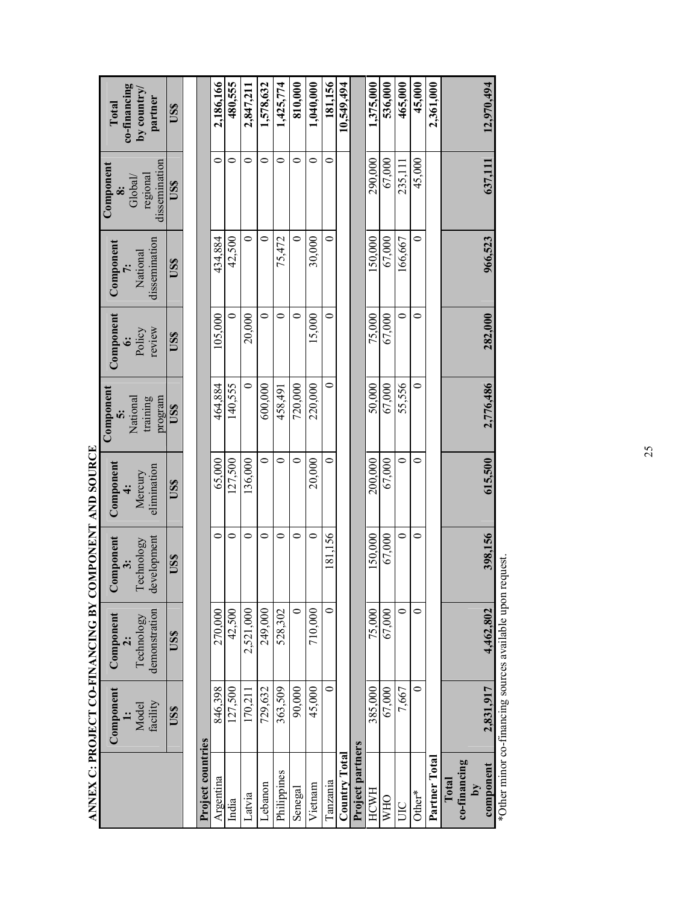|                                      | Component         | Component                   | Component<br>$\ddot{\cdot}$ | Component<br>$\ddot{ }$ | Component<br>$\ddot{\bm{v}}$    | Component<br>نخ  | Component                 | Component<br>$\ddot{\bm{x}}$         | co-financing<br>Total  |
|--------------------------------------|-------------------|-----------------------------|-----------------------------|-------------------------|---------------------------------|------------------|---------------------------|--------------------------------------|------------------------|
|                                      | facility<br>Model | demonstration<br>Technology | development<br>Technology   | elimination<br>Mercury  | training<br>program<br>National | review<br>Policy | dissemination<br>National | dissemination<br>regional<br>Global/ | by country/<br>partner |
|                                      | USS               | USS                         | USS                         | US\$                    | USS                             | US\$             | US\$                      | USS                                  | US\$                   |
|                                      |                   |                             |                             |                         |                                 |                  |                           |                                      |                        |
| Project countries                    |                   |                             |                             |                         |                                 |                  |                           |                                      |                        |
| Argentina                            | 846.398           | 270,000                     | 0                           | 65.000                  | 464.884                         | 105,000          | 434,884                   | 0                                    | 2,186,166              |
| India                                | 127,500           | 42,500                      | 0                           | 127,500                 | 140,555                         | 0                | 42,500                    | 0                                    | 480,555                |
| Latvia                               | 170,211           | 2,521,000                   | 0                           | 136,000                 | $\circ$                         | 20,000           | 0                         | 0                                    | 2,847,211              |
| Lebanon                              | 729,632           | 249,000                     | 0                           | $\bullet$               | 600,000                         | $\circ$          | $\circ$                   | 0                                    | 1,578,632              |
| Philippines                          | 363,509           | 528,302                     | 0                           | $\bullet$               | 458,491                         | $\circ$          | 75,472                    | 0                                    | 1,425,774              |
| Senegal                              | 90,000            | $\circ$                     | $\circ$                     | 0                       | 720,000                         | 0                | 0                         | 0                                    | 810,000                |
| Vietnam                              | 45,000            | 710,000                     | $\circ$                     | 20,000                  | 220,000                         | 15,000           | 30,000                    | 0                                    | 1,040,000              |
| Tanzania                             | 0                 | $\circ$                     | 181,156                     | 0                       | 0                               | 0                | 0                         | 0                                    | 181,156                |
| <b>Country Total</b>                 |                   |                             |                             |                         |                                 |                  |                           |                                      | 10,549,494             |
| Project partners                     |                   |                             |                             |                         |                                 |                  |                           |                                      |                        |
| <b>HCWH</b>                          | 385,000           | 75,000                      | 150,000                     | 200,000                 | 50,000                          | 75,000           | 150,000                   | 290,000                              | 1,375,000              |
| <b>WHO</b>                           | 67,000            | 67,000                      | 67,000                      | 67,000                  | 67,000                          | 67,000           | 67,000                    | 67.000                               | 536,000                |
| BU                                   | 7,667             | $\circ$                     | $\circ$                     | $\bullet$               | 55,556                          | $\bullet$        | 166,667                   | 235,111                              | 465,000                |
| Other*                               | 0                 | $\circ$                     | 0                           | 0                       | 0                               | 0                | 0                         | 45,000                               | 45.000                 |
| Partner Total                        |                   |                             |                             |                         |                                 |                  |                           |                                      | 2,361,000              |
| co-financing<br>Total<br>$\lambda$ q |                   |                             |                             |                         |                                 |                  |                           |                                      |                        |
| component                            | 2,831,917         | 4,462,802                   | 398,156                     | 615,500                 | 2,776,486                       | 282,000          | 966,523                   | 637,111                              | 12,970,494             |
| $*$ Othor minor                      | financino         | $\frac{1}{2}$               | $\sim$                      |                         |                                 |                  |                           |                                      |                        |

ANNEX C: PROJECT CO-FINANCING BY COMPONENT AND SOURCE **ANNEX C: PROJECT CO-FINANCING BY COMPONENT AND SOURCE** 

Other minor co-financing sources available upon request. \*Other minor co-financing sources available upon request.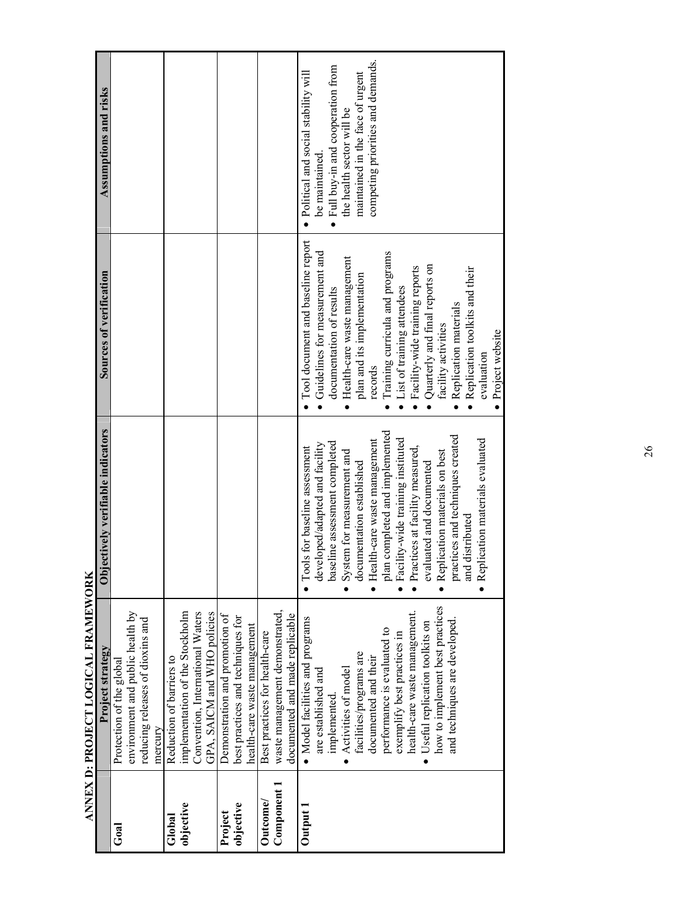|                | ANTEA D. FROJECTIVALE NATIONAL<br>Project strategy | Objectively verifiable indicators | Sources of verification                     | Assumptions and risks                 |
|----------------|----------------------------------------------------|-----------------------------------|---------------------------------------------|---------------------------------------|
| Goal           | Protection of the global                           |                                   |                                             |                                       |
|                | environment and public health by                   |                                   |                                             |                                       |
|                | reducing releases of dioxins and                   |                                   |                                             |                                       |
|                | mercury                                            |                                   |                                             |                                       |
| Global         | Reduction of barriers to                           |                                   |                                             |                                       |
| objective      | implementation of the Stockholm                    |                                   |                                             |                                       |
|                | Convention, International Waters                   |                                   |                                             |                                       |
|                | GPA, SAICM and WHO policies                        |                                   |                                             |                                       |
| Project        | Demonstration and promotion of                     |                                   |                                             |                                       |
| objective      | best practices and techniques for                  |                                   |                                             |                                       |
|                | health-care waste management                       |                                   |                                             |                                       |
| <b>Outcome</b> | Best practices for health-care                     |                                   |                                             |                                       |
| Component 1    | waste management demonstrated,                     |                                   |                                             |                                       |
|                | documented and made replicable                     |                                   |                                             |                                       |
| Output 1       | · Model facilities and programs                    | • Tools for baseline assessment   | Tool document and baseline report           | • Political and social stability will |
|                | are established and                                | developed/adapted and facility    | Guidelines for measurement and<br>$\bullet$ | be maintained.                        |
|                | implemented.                                       | baseline assessment completed     | documentation of results                    | Full buy-in and cooperation from      |
|                | Activities of model                                | • System for measurement and      | Health-care waste management                | the health sector will be             |
|                | facilities/programs are                            | documentation established         | plan and its implementation                 | maintained in the face of urgent      |
|                | documented and their                               | · Health-care waste management    | records                                     | competing priorities and demands.     |
|                | performance is evaluated to                        | plan completed and implemented    | Training curricula and programs             |                                       |
|                | exemplify best practices in                        | Facility-wide training instituted | List of training attendees                  |                                       |
|                | health-care waste management.                      | · Practices at facility measured, | Facility-wide training reports              |                                       |
|                | Useful replication toolkits on                     | evaluated and documented          | Quarterly and final reports on              |                                       |
|                | how to implement best practices                    | • Replication materials on best   | facility activities                         |                                       |
|                | and techniques are developed.                      | practices and techniques created  | Replication materials                       |                                       |
|                |                                                    | and distributed                   | Replication toolkits and their              |                                       |
|                |                                                    | · Replication materials evaluated | evaluation                                  |                                       |
|                |                                                    |                                   | Project website                             |                                       |

ANNEX D: PROJECT LOGICAL FRAMEWORK **ANNEX D: PROJECT LOGICAL FRAMEWORK**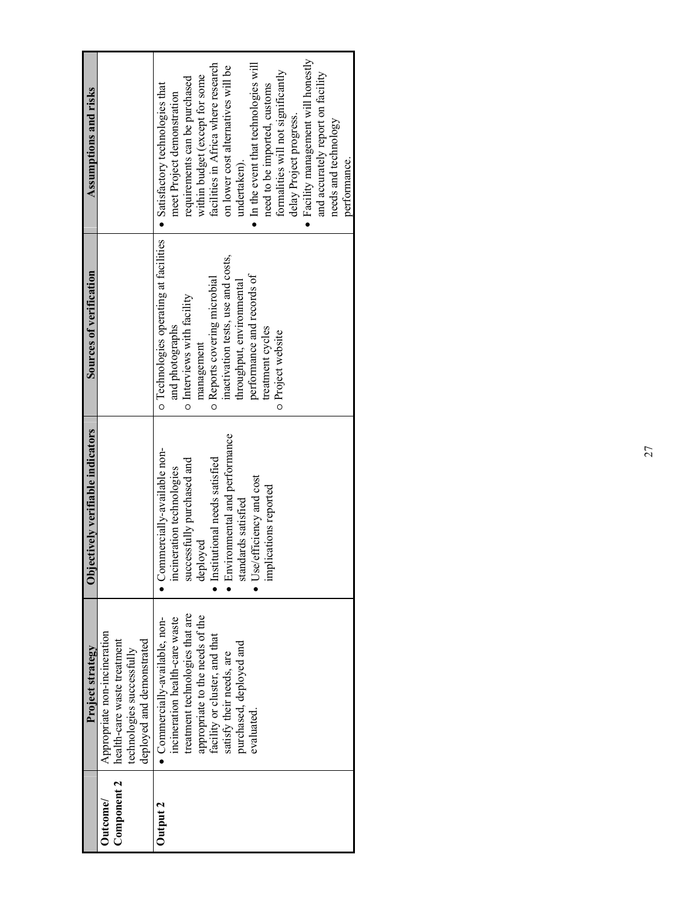|             | Project strategy                | Objectively verifiable indicators | Sources of verification                | Assumptions and risks                         |
|-------------|---------------------------------|-----------------------------------|----------------------------------------|-----------------------------------------------|
| Outcome/    | Appropriate non-incineration    |                                   |                                        |                                               |
| Component 2 | health-care waste treatment     |                                   |                                        |                                               |
|             | technologies successfully       |                                   |                                        |                                               |
|             | deployed and demonstrated       |                                   |                                        |                                               |
| Dutput 2    | Commercially-available, non-    | Commercially-available non-       | o Technologies operating at facilities | $\bullet$ Satisfactory technologies that      |
|             | incineration health-care waste  | incineration technologies         | and photographs                        | meet Project demonstration                    |
|             | treatment technologies that are | successfully purchased and        | o Interviews with facility             | requirements can be purchased                 |
|             | appropriate to the needs of the | deployed                          | management                             | within budget (except for some                |
|             | facility or cluster, and that   | · Institutional needs satisfied   | o Reports covering microbial           | facilities in Africa where research           |
|             | satisfy their needs, are        | • Environmental and performance   | inactivation tests, use and costs,     | on lower cost alternatives will be            |
|             | purchased, deployed and         | standards satisfied               | throughput, environmental              | undertaken).                                  |
|             | evaluated.                      | $\bullet$ Use/efficiency and cost | performance and records of             | $\bullet$ In the event that technologies will |
|             |                                 | implications reported             | treatment cycles                       | need to be imported, customs                  |
|             |                                 |                                   | o Project website                      | formalities will not significantly            |
|             |                                 |                                   |                                        | delay Project progress.                       |
|             |                                 |                                   |                                        | · Facility management will honestly           |
|             |                                 |                                   |                                        | and accurately report on facility             |
|             |                                 |                                   |                                        | needs and technology                          |
|             |                                 |                                   |                                        | performance.                                  |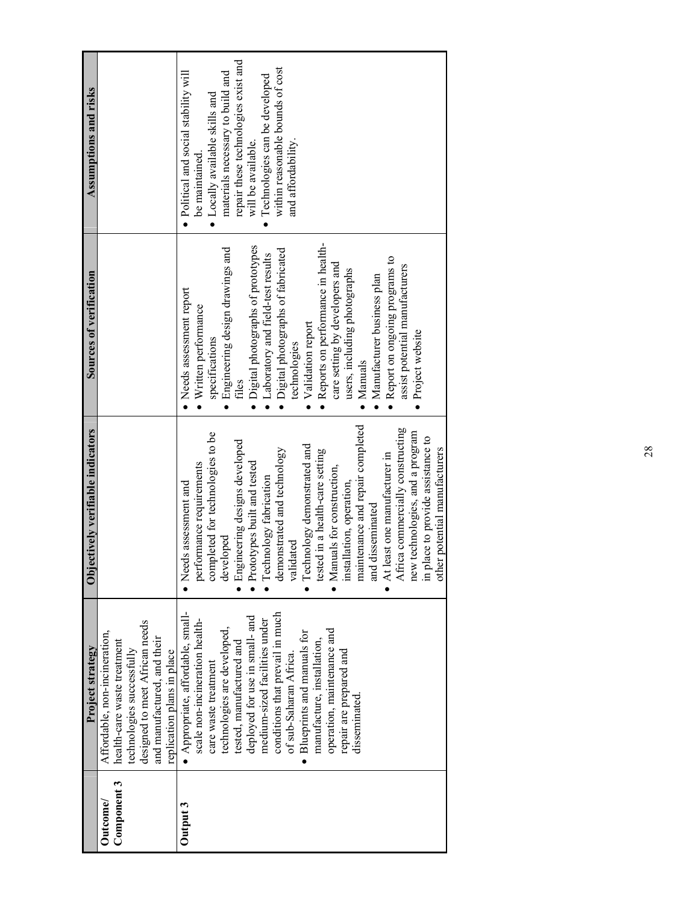| Assumptions and risks                                     |                                                                                                                                                                                          | repair these technologies exist and<br>within reasonable bounds of cost<br>materials necessary to build and<br>• Political and social stability will<br>Technologies can be developed<br>$\bullet$ Locally available skills and<br>and affordability.<br>will be available.<br>be maintained.                                                                                                                                                                                                                                                                                                               |
|-----------------------------------------------------------|------------------------------------------------------------------------------------------------------------------------------------------------------------------------------------------|-------------------------------------------------------------------------------------------------------------------------------------------------------------------------------------------------------------------------------------------------------------------------------------------------------------------------------------------------------------------------------------------------------------------------------------------------------------------------------------------------------------------------------------------------------------------------------------------------------------|
| Sources of verification                                   |                                                                                                                                                                                          | • Reports on performance in health-<br>• Digital photographs of prototypes<br>Engineering design drawings and<br>· Digital photographs of fabricated<br>Laboratory and field-test results<br>• Report on ongoing programs to<br>care setting by developers and<br>assist potential manufacturers<br>users, including photographs<br>Manufacturer business plan<br>Needs assessment report<br>Written performance<br>Validation report<br>· Project website<br>specifications<br>technologies<br>Manuals<br>files                                                                                            |
| ectively verifiable indicators<br>$\overline{\text{obj}}$ |                                                                                                                                                                                          | maintenance and repair completed<br>Africa commercially constructing<br>new technologies, and a program<br>completed for technologies to be<br>in place to provide assistance to<br>Engineering designs developed<br>Technology demonstrated and<br>other potential manufacturers<br>demonstrated and technology<br>tested in a health-care setting<br>• At least one manufacturer in<br>Prototypes built and tested<br>performance requirements<br>• Manuals for construction,<br>Technology fabrication<br>installation, operation,<br>Needs assessment and<br>and disseminated<br>developed<br>validated |
| Project strategy                                          | designed to meet African needs<br>Affordable, non-incineration,<br>and manufactured, and their<br>health-care waste treatment<br>technologies successfully<br>replication plans in place | · Appropriate, affordable, small-<br>conditions that prevail in much<br>deployed for use in small- and<br>medium-sized facilities under<br>scale non-incineration health-<br>technologies are developed,<br>operation, maintenance and<br>• Blueprints and manuals for<br>manufacture, installation,<br>tested, manufactured and<br>repair are prepared and<br>of sub-Saharan Africa.<br>care waste treatment<br>disseminated.                                                                                                                                                                              |
|                                                           | Component 3<br><b>Outcome</b>                                                                                                                                                            | Output 3                                                                                                                                                                                                                                                                                                                                                                                                                                                                                                                                                                                                    |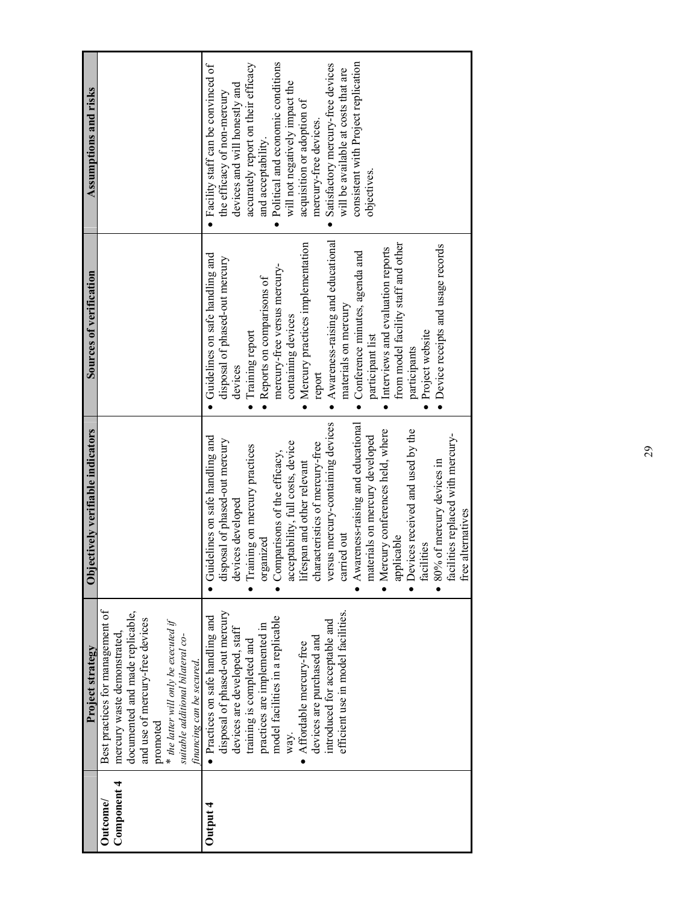| Best practices for management of<br>documented and made replicable,<br>and use of mercury-free devices<br>* the latter will only be executed if<br>mercury waste demonstrated,<br>suitable additional bilateral co-<br>promoted<br>Component 4<br>Outcome/                                                                                                                                             |                                                                                                                                                                                                                                                                                                                                                                                                                                                                                                                                                                                 |                                                                                                                                                                                                                                                                                                                                                                                                                                                                                                                            | Assumptions and risks                                                                                                                                                                                                                                                                                                                                                                                                             |
|--------------------------------------------------------------------------------------------------------------------------------------------------------------------------------------------------------------------------------------------------------------------------------------------------------------------------------------------------------------------------------------------------------|---------------------------------------------------------------------------------------------------------------------------------------------------------------------------------------------------------------------------------------------------------------------------------------------------------------------------------------------------------------------------------------------------------------------------------------------------------------------------------------------------------------------------------------------------------------------------------|----------------------------------------------------------------------------------------------------------------------------------------------------------------------------------------------------------------------------------------------------------------------------------------------------------------------------------------------------------------------------------------------------------------------------------------------------------------------------------------------------------------------------|-----------------------------------------------------------------------------------------------------------------------------------------------------------------------------------------------------------------------------------------------------------------------------------------------------------------------------------------------------------------------------------------------------------------------------------|
| financing can be secured.                                                                                                                                                                                                                                                                                                                                                                              |                                                                                                                                                                                                                                                                                                                                                                                                                                                                                                                                                                                 |                                                                                                                                                                                                                                                                                                                                                                                                                                                                                                                            |                                                                                                                                                                                                                                                                                                                                                                                                                                   |
| facilities<br>free<br>$\bullet$<br>disposal of phased-out mercury<br>efficient use in model facilities.<br>• Practices on safe handling and<br>model facilities in a replicable<br>introduced for acceptable and<br>practices are implemented in<br>devices are developed, staff<br>devices are purchased and<br>training is completed and<br>Affordable mercury-free<br>way.<br>$\bullet$<br>Output 4 | versus mercury-containing devices<br>Awareness-raising and educational<br>• Mercury conferences held, where<br>Devices received and used by the<br>facilities replaced with mercury-<br>Guidelines on safe handling and<br>materials on mercury developed<br>disposal of phased-out mercury<br>acceptability, full costs, device<br>characteristics of mercury-free<br>Training on mercury practices<br>Comparisons of the efficacy,<br>80% of mercury devices in<br>lifespan and other relevant<br>devices developed<br>alternatives<br>carried out<br>applicable<br>organized | Awareness-raising and educational<br>· Mercury practices implementation<br>from model facility staff and other<br>• Device receipts and usage records<br>Interviews and evaluation reports<br>• Conference minutes, agenda and<br>Guidelines on safe handling and<br>disposal of phased-out mercury<br>mercury-free versus mercury-<br>Reports on comparisons of<br>materials on mercury<br>containing devices<br>Training report<br>Project website<br>participant list<br>participants<br>devices<br>report<br>$\bullet$ | Political and economic conditions<br>consistent with Project replication<br>accurately report on their efficacy<br>Satisfactory mercury-free devices<br>• Facility staff can be convinced of<br>will be available at costs that are<br>will not negatively impact the<br>devices and will honestly and<br>the efficacy of non-mercury<br>acquisition or adoption of<br>mercury-free devices.<br>and acceptability.<br>objectives. |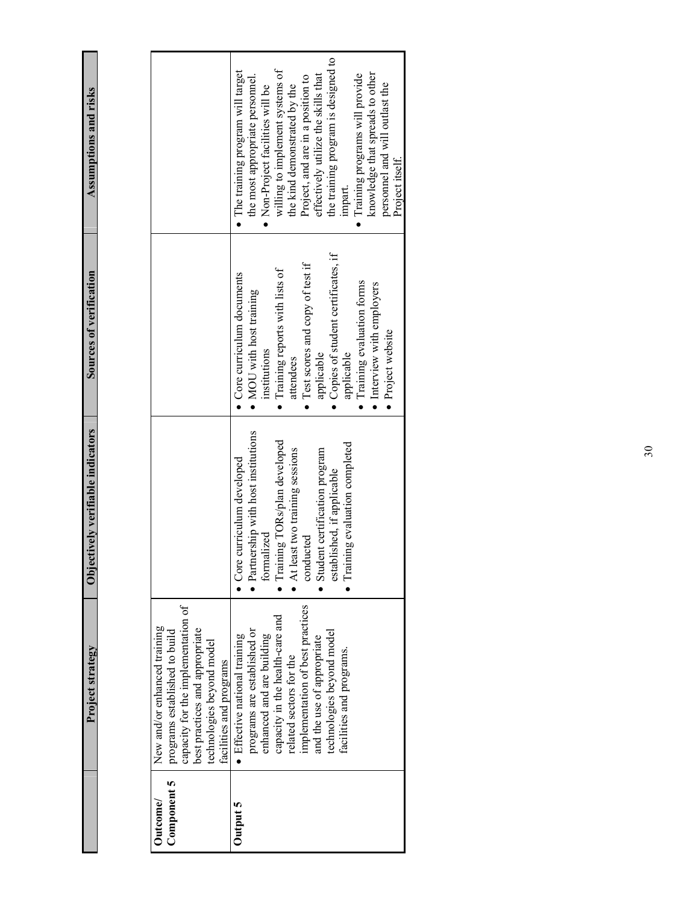Assumptions and risks **Project strategy Objectively verifiable indicators Sources of verification Assumptions and risks**  Sources of verification Objectively verifiable indicators Project strategy

| Outcome/        | New and/or enhanced training       |                                    |                                      |                                     |
|-----------------|------------------------------------|------------------------------------|--------------------------------------|-------------------------------------|
| Component 5     | programs established to build      |                                    |                                      |                                     |
|                 | capacity for the implementation of |                                    |                                      |                                     |
|                 | best practices and appropriate     |                                    |                                      |                                     |
|                 | technologies beyond model          |                                    |                                      |                                     |
|                 | facilities and programs            |                                    |                                      |                                     |
| <b>Jutput 5</b> | · Effective national training      | Core curriculum developed          | $\bullet$ Core curriculum documents  | • The training program will target  |
|                 | programs are established or        | Partnership with host institutions | • MOU with host training             | the most appropriate personnel.     |
|                 | enhanced and are building          | formalized                         | institutions                         | • Non-Project facilities will be    |
|                 | capacity in the health-care and    | · Training TORs/plan developed     | • Training reports with lists of     | willing to implement systems of     |
|                 | related sectors for the            | At least two training sessions     | attendees                            | the kind demonstrated by the        |
|                 | implementation of best practices   | conducted                          | • Test scores and copy of test if    | Project, and are in a position to   |
|                 | and the use of appropriate         | Student certification program      | applicable                           | effectively utilize the skills that |
|                 | technologies beyond model          | established, if applicable         | • Copies of student certificates, if | the training program is designed to |
|                 | facilities and programs.           | Training evaluation completed      | applicable                           | impart.                             |
|                 |                                    |                                    | Training evaluation forms            | Training programs will provide      |
|                 |                                    |                                    | • Interview with employers           | knowledge that spreads to other     |
|                 |                                    |                                    | Project website                      | personnel and will outlast the      |
|                 |                                    |                                    |                                      | Project itself.                     |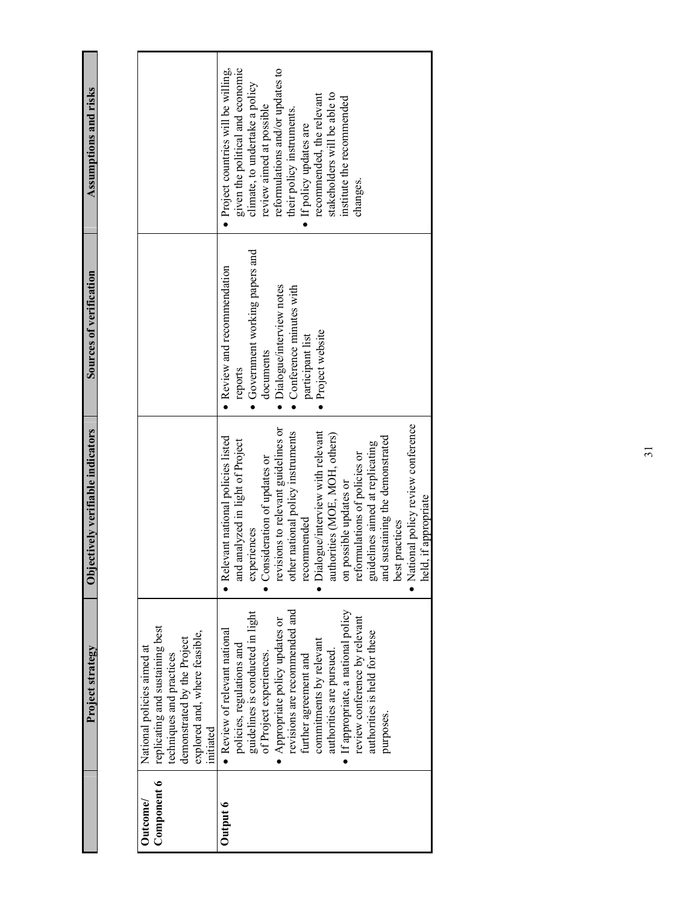Assumptions and risks **Project strategy Objectively verifiable indicators Sources of verification Assumptions and risks**  Sources of verification Objectively verifiable indicators Project strategy

| Component 6<br>Outcome/                                                                                                                                                | Output 6                                                                                                                                                                                                                                                                                                                                                                                                                                                                                                    |
|------------------------------------------------------------------------------------------------------------------------------------------------------------------------|-------------------------------------------------------------------------------------------------------------------------------------------------------------------------------------------------------------------------------------------------------------------------------------------------------------------------------------------------------------------------------------------------------------------------------------------------------------------------------------------------------------|
| replicating and sustaining best<br>explored and, where feasible,<br>demonstrated by the Project<br>National policies aimed at<br>techniques and practices<br>initiated | If appropriate, a national policy<br>revisions are recommended and<br>guidelines is conducted in light<br>review conference by relevant<br>Appropriate policy updates or<br>• Review of relevant national<br>authorities is held for these<br>commitments by relevant<br>policies, regulations and<br>authorities are pursued.<br>of Project experiences.<br>further agreement and<br>purposes.                                                                                                             |
|                                                                                                                                                                        | · National policy review conference<br>revisions to relevant guidelines or<br>Dialogue/interview with relevant<br>other national policy instruments<br>authorities (MOE, MOH, others)<br>sustaining the demonstrated<br>· Relevant national policies listed<br>and analyzed in light of Project<br>guidelines aimed at replicating<br>reformulations of policies or<br>Consideration of updates or<br>on possible updates or<br>held, if appropriate<br>recommended<br>best practices<br>experiences<br>and |
|                                                                                                                                                                        | • Government working papers and<br>• Review and recommendation<br>· Dialogue/interview notes<br>$\bullet$ Conference minutes with<br>· Project website<br>participant list<br>documents<br>reports                                                                                                                                                                                                                                                                                                          |
|                                                                                                                                                                        | given the political and economic<br>reformulations and/or updates to<br>Project countries will be willing,<br>climate, to undertake a policy<br>stakeholders will be able to<br>recommended, the relevant<br>institute the recommended<br>review aimed at possible<br>their policy instruments.<br>· If policy updates are<br>changes.                                                                                                                                                                      |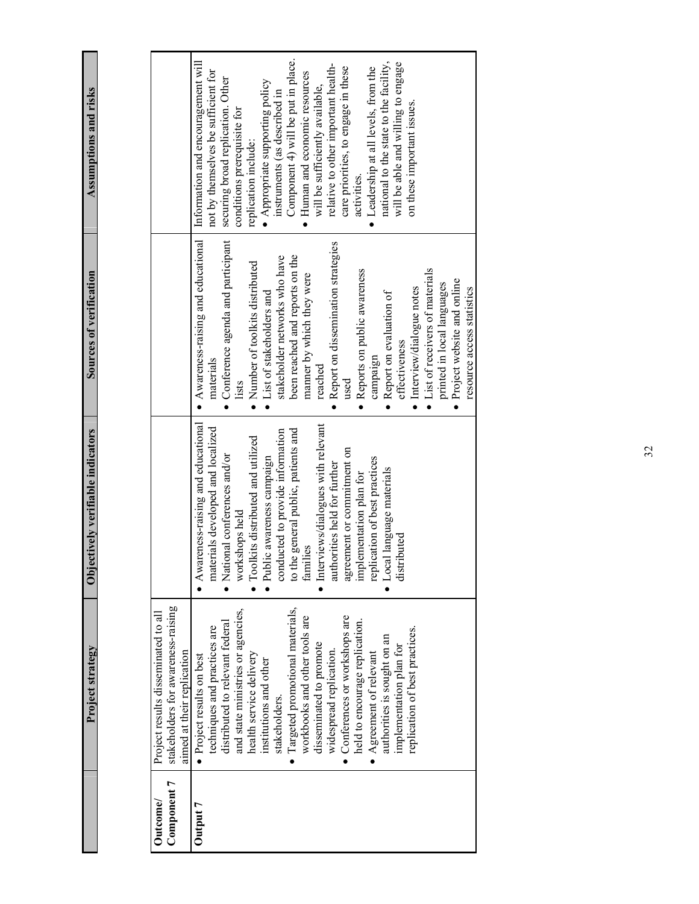**Project strategy Objectively verifiable indicators Sources of verification Assumptions and risks**  Sources of verification Objectively verifiable indicators

Project strategy

Assumptions and risks

| Outcome/    | Project results disseminated to all |                                      |                                             |                                         |
|-------------|-------------------------------------|--------------------------------------|---------------------------------------------|-----------------------------------------|
| Component 7 | stakeholders for awareness-raising  |                                      |                                             |                                         |
|             | aimed at their replication          |                                      |                                             |                                         |
| Output 7    | • Project results on best           | • Awareness-raising and educational  | $\bullet$ Awareness-raising and educational | Information and encouragement will      |
|             | techniques and practices are        | materials developed and localized    | materials                                   | not by themselves be sufficient for     |
|             | distributed to relevant federal     | • National conferences and/or        | • Conference agenda and participant         | securing broad replication. Other       |
|             | and state ministries or agencies,   | workshops held                       | lists                                       | conditions prerequisite for             |
|             | health service delivery             | Toolkits distributed and utilized    | · Number of toolkits distributed            | replication include:                    |
|             | institutions and other              | Public awareness campaign            | • List of stakeholders and                  | $\bullet$ Appropriate supporting policy |
|             | stakeholders.                       | conducted to provide information     | stakeholder networks who have               | instruments (as described in            |
|             | Targeted promotional materials,     | to the general public, patients and  | been reached and reports on the             | Component 4) will be put in place.      |
|             | workbooks and other tools are       | families                             | manner by which they were                   | Human and economic resources            |
|             | disseminated to promote             | • Interviews/dialogues with relevant | reached                                     | will be sufficiently available,         |
|             | widespread replication.             | authorities held for further         | • Report on dissemination strategies        | relative to other important health-     |
|             | Conferences or workshops are        | agreement or commitment on           | used                                        | care priorities, to engage in these     |
|             | held to encourage replication.      | implementation plan for              | • Reports on public awareness               | activities.                             |
|             | $\bullet$ Agreement of relevant     | replication of best practices        | campaign                                    | Leadership at all levels, from the      |
|             | authorities is sought on an         | Local language materials             | • Report on evaluation of                   | national to the state to the facility,  |
|             | implementation plan for             | distributed                          | effectiveness                               | will be able and willing to engage      |
|             | replication of best practices.      |                                      | · Interview/dialogue notes                  | on these important issues.              |
|             |                                     |                                      | • List of receivers of materials            |                                         |
|             |                                     |                                      | printed in local languages                  |                                         |
|             |                                     |                                      | • Project website and online                |                                         |
|             |                                     |                                      | resource access statistics                  |                                         |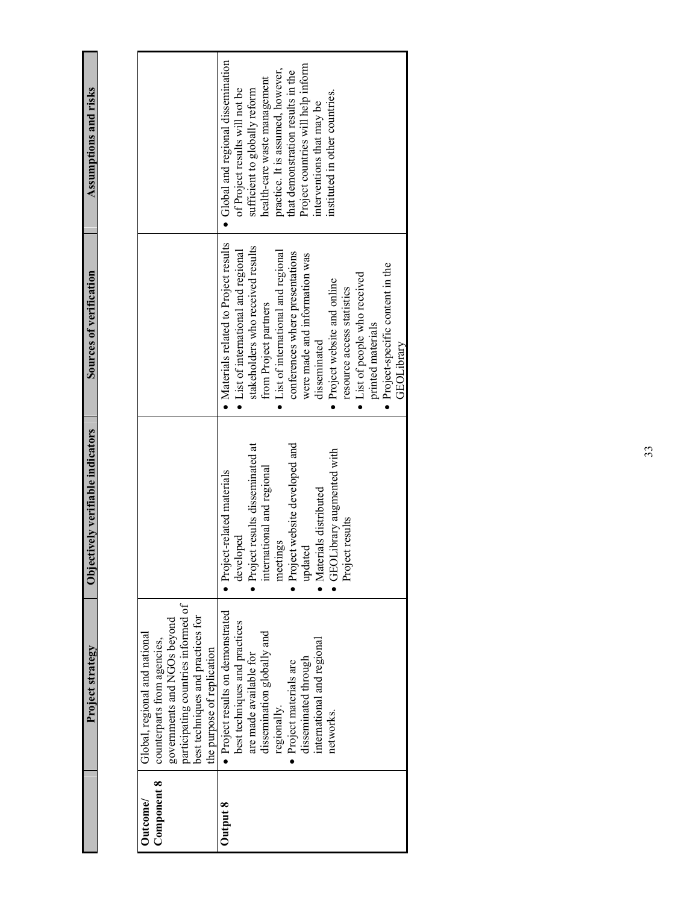Assumptions and risks **Project strategy Objectively verifiable indicators Sources of verification Assumptions and risks**  Sources of verification Objectively verifiable indicators Project strategy

| Outcome/    | Global, regional and national       |                                   |                                              |                                     |
|-------------|-------------------------------------|-----------------------------------|----------------------------------------------|-------------------------------------|
| Component 8 | counterparts from agencies,         |                                   |                                              |                                     |
|             | governments and NGOs beyond         |                                   |                                              |                                     |
|             | participating countries informed of |                                   |                                              |                                     |
|             | best techniques and practices for   |                                   |                                              |                                     |
|             | the purpose of replication          |                                   |                                              |                                     |
| Output 8    | • Project results on demonstrated   | · Project-related materials       | • Materials related to Project results       | • Global and regional dissemination |
|             | best techniques and practices       | developed                         | List of international and regional           | of Project results will not be      |
|             | are made available for              | · Project results disseminated at | stakeholders who received results            | sufficient to globally reform       |
|             | dissemination globally and          | international and regional        | from Project partners                        | health-care waste management        |
|             | regionally.                         | meetings                          | List of international and regional           | practice. It is assumed, however,   |
|             | · Project materials are             | · Project website developed and   | conferences where presentations              | that demonstration results in the   |
|             | disseminated through                | updated                           | were made and information was                | Project countries will help inform  |
|             | international and regional          | · Materials distributed           | disseminated                                 | interventions that may be           |
|             | networks.                           | GEOLibrary augmented with         | Project website and online                   | instituted in other countries.      |
|             |                                     | Project results                   | resource access statistics                   |                                     |
|             |                                     |                                   | • List of people who received                |                                     |
|             |                                     |                                   | printed materials                            |                                     |
|             |                                     |                                   | Project-specific content in the<br>$\bullet$ |                                     |
|             |                                     |                                   | <b>GEOL</b> ibrary                           |                                     |
|             |                                     |                                   |                                              |                                     |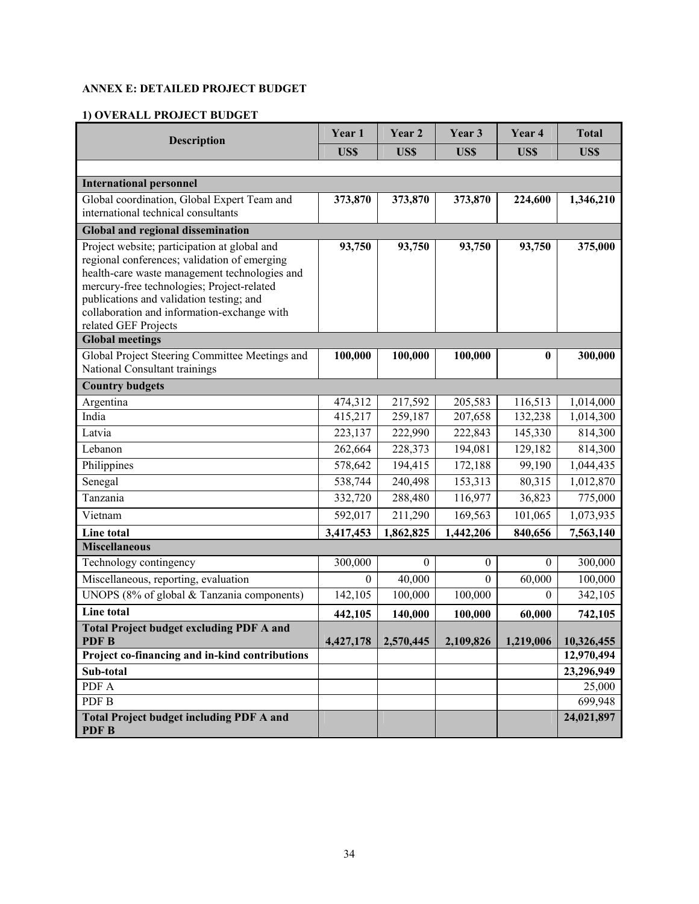# **ANNEX E: DETAILED PROJECT BUDGET**

# **1) OVERALL PROJECT BUDGET**

| <b>Description</b>                                                                                                                                                                                                                                                                                             | Year 1                     | Year 2       | Year 3           | Year 4    | <b>Total</b> |
|----------------------------------------------------------------------------------------------------------------------------------------------------------------------------------------------------------------------------------------------------------------------------------------------------------------|----------------------------|--------------|------------------|-----------|--------------|
|                                                                                                                                                                                                                                                                                                                | US\$<br><b>USS</b><br>US\$ |              |                  | US\$      | US\$         |
|                                                                                                                                                                                                                                                                                                                |                            |              |                  |           |              |
| <b>International personnel</b>                                                                                                                                                                                                                                                                                 |                            |              |                  |           |              |
| Global coordination, Global Expert Team and<br>international technical consultants                                                                                                                                                                                                                             | 373,870                    | 373,870      | 373,870          | 224,600   | 1,346,210    |
| Global and regional dissemination                                                                                                                                                                                                                                                                              |                            |              |                  |           |              |
| Project website; participation at global and<br>regional conferences; validation of emerging<br>health-care waste management technologies and<br>mercury-free technologies; Project-related<br>publications and validation testing; and<br>collaboration and information-exchange with<br>related GEF Projects | 93,750                     | 93,750       | 93,750           | 93,750    | 375,000      |
| <b>Global meetings</b>                                                                                                                                                                                                                                                                                         |                            |              |                  |           |              |
| Global Project Steering Committee Meetings and<br>National Consultant trainings                                                                                                                                                                                                                                | 100,000                    | 100,000      | 100,000          | $\bf{0}$  | 300,000      |
| <b>Country budgets</b>                                                                                                                                                                                                                                                                                         |                            |              |                  |           |              |
| Argentina                                                                                                                                                                                                                                                                                                      | 474,312                    | 217,592      | 205,583          | 116,513   | 1,014,000    |
| India                                                                                                                                                                                                                                                                                                          | 415,217                    | 259,187      | 207,658          | 132,238   | 1,014,300    |
| Latvia                                                                                                                                                                                                                                                                                                         | 223,137                    | 222,990      | 222,843          | 145,330   | 814,300      |
| Lebanon                                                                                                                                                                                                                                                                                                        | 262,664                    | 228,373      | 194,081          | 129,182   | 814,300      |
| Philippines                                                                                                                                                                                                                                                                                                    | 578,642                    | 194,415      | 172,188          | 99,190    | 1,044,435    |
| Senegal                                                                                                                                                                                                                                                                                                        | 538,744                    | 240,498      | 153,313          | 80,315    | 1,012,870    |
| Tanzania                                                                                                                                                                                                                                                                                                       | 332,720                    | 288,480      | 116,977          | 36,823    | 775,000      |
| Vietnam                                                                                                                                                                                                                                                                                                        | 592,017                    | 211,290      | 169,563          | 101,065   | 1,073,935    |
| Line total                                                                                                                                                                                                                                                                                                     | 3,417,453                  | 1,862,825    | 1,442,206        | 840,656   | 7,563,140    |
| <b>Miscellaneous</b>                                                                                                                                                                                                                                                                                           |                            |              |                  |           |              |
| Technology contingency                                                                                                                                                                                                                                                                                         | 300,000                    | $\mathbf{0}$ | $\boldsymbol{0}$ | $\theta$  | 300,000      |
| Miscellaneous, reporting, evaluation                                                                                                                                                                                                                                                                           | $\theta$                   | 40,000       | $\theta$         | 60,000    | 100,000      |
| UNOPS (8% of global & Tanzania components)                                                                                                                                                                                                                                                                     | 142,105                    | 100,000      | 100,000          | $\theta$  | 342,105      |
| Line total                                                                                                                                                                                                                                                                                                     | 442,105                    | 140,000      | 100,000          | 60,000    | 742,105      |
| <b>Total Project budget excluding PDF A and</b><br>PDF B                                                                                                                                                                                                                                                       | 4,427,178                  | 2,570,445    | 2,109,826        | 1,219,006 | 10,326,455   |
| Project co-financing and in-kind contributions                                                                                                                                                                                                                                                                 |                            |              |                  |           | 12,970,494   |
| Sub-total                                                                                                                                                                                                                                                                                                      |                            |              |                  |           | 23,296,949   |
| PDF A                                                                                                                                                                                                                                                                                                          |                            |              |                  |           | 25,000       |
| PDF B                                                                                                                                                                                                                                                                                                          |                            |              |                  |           | 699,948      |
| <b>Total Project budget including PDF A and</b><br>PDF B                                                                                                                                                                                                                                                       |                            |              |                  |           | 24,021,897   |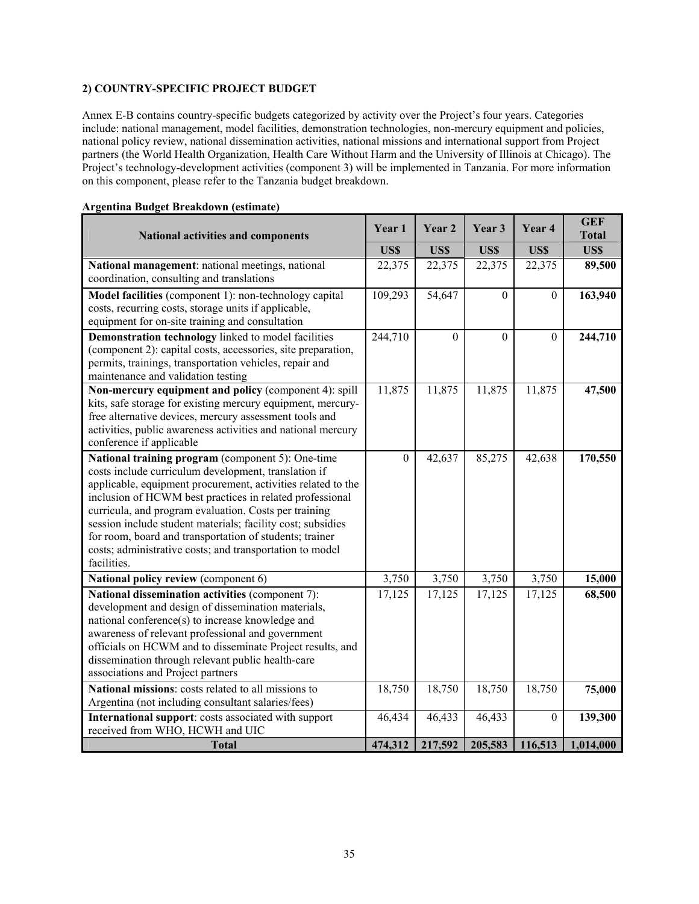# **2) COUNTRY-SPECIFIC PROJECT BUDGET**

Annex E-B contains country-specific budgets categorized by activity over the Project's four years. Categories include: national management, model facilities, demonstration technologies, non-mercury equipment and policies, national policy review, national dissemination activities, national missions and international support from Project partners (the World Health Organization, Health Care Without Harm and the University of Illinois at Chicago). The Project's technology-development activities (component 3) will be implemented in Tanzania. For more information on this component, please refer to the Tanzania budget breakdown.

| <b>National activities and components</b>                                                                                                                                                                                                                                                                                                                                                                                                                                                           | Year <sub>1</sub> | Year 2   | Year 3           | Year 4           | <b>GEF</b><br><b>Total</b> |
|-----------------------------------------------------------------------------------------------------------------------------------------------------------------------------------------------------------------------------------------------------------------------------------------------------------------------------------------------------------------------------------------------------------------------------------------------------------------------------------------------------|-------------------|----------|------------------|------------------|----------------------------|
|                                                                                                                                                                                                                                                                                                                                                                                                                                                                                                     | US\$              | US\$     | US\$             | US\$             | US\$                       |
| National management: national meetings, national<br>coordination, consulting and translations                                                                                                                                                                                                                                                                                                                                                                                                       | 22,375            | 22,375   | 22,375           | 22,375           | 89,500                     |
| Model facilities (component 1): non-technology capital<br>costs, recurring costs, storage units if applicable,<br>equipment for on-site training and consultation                                                                                                                                                                                                                                                                                                                                   | 109,293           | 54,647   | $\mathbf{0}$     | $\mathbf{0}$     | 163,940                    |
| Demonstration technology linked to model facilities<br>(component 2): capital costs, accessories, site preparation,<br>permits, trainings, transportation vehicles, repair and<br>maintenance and validation testing                                                                                                                                                                                                                                                                                | 244,710           | $\Omega$ | $\boldsymbol{0}$ | $\boldsymbol{0}$ | 244,710                    |
| Non-mercury equipment and policy (component 4): spill<br>kits, safe storage for existing mercury equipment, mercury-<br>free alternative devices, mercury assessment tools and<br>activities, public awareness activities and national mercury<br>conference if applicable                                                                                                                                                                                                                          | 11,875            | 11,875   | 11,875           | 11,875           | 47,500                     |
| National training program (component 5): One-time<br>costs include curriculum development, translation if<br>applicable, equipment procurement, activities related to the<br>inclusion of HCWM best practices in related professional<br>curricula, and program evaluation. Costs per training<br>session include student materials; facility cost; subsidies<br>for room, board and transportation of students; trainer<br>costs; administrative costs; and transportation to model<br>facilities. | $\mathbf{0}$      | 42,637   | 85,275           | 42,638           | 170,550                    |
| National policy review (component 6)                                                                                                                                                                                                                                                                                                                                                                                                                                                                | 3,750             | 3,750    | 3,750            | 3,750            | 15,000                     |
| National dissemination activities (component 7):<br>development and design of dissemination materials,<br>national conference(s) to increase knowledge and<br>awareness of relevant professional and government<br>officials on HCWM and to disseminate Project results, and<br>dissemination through relevant public health-care<br>associations and Project partners                                                                                                                              | 17,125            | 17,125   | 17,125           | 17,125           | 68,500                     |
| National missions: costs related to all missions to<br>Argentina (not including consultant salaries/fees)                                                                                                                                                                                                                                                                                                                                                                                           | 18,750            | 18,750   | 18,750           | 18,750           | 75,000                     |
| International support: costs associated with support<br>received from WHO, HCWH and UIC                                                                                                                                                                                                                                                                                                                                                                                                             | 46,434            | 46,433   | 46,433           | $\theta$         | 139,300                    |
| <b>Total</b>                                                                                                                                                                                                                                                                                                                                                                                                                                                                                        | 474,312           | 217,592  | 205,583          | 116,513          | 1,014,000                  |

### **Argentina Budget Breakdown (estimate)**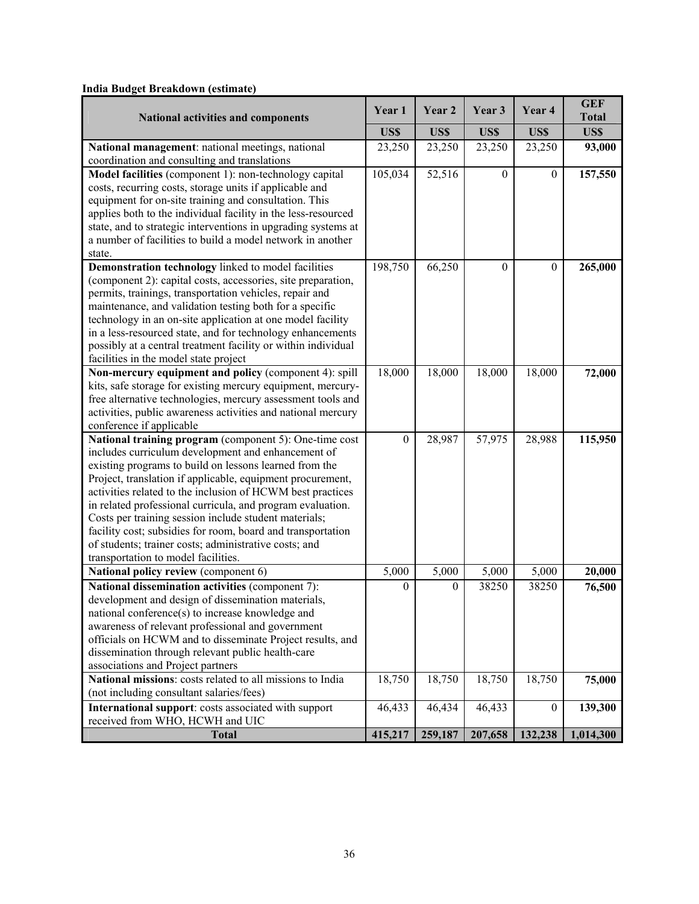| num Duuget Dreakuown (estimate)                                                                        | Year 1       | Year 2           | Year 3           | Year <sub>4</sub> | <b>GEF</b>           |
|--------------------------------------------------------------------------------------------------------|--------------|------------------|------------------|-------------------|----------------------|
| <b>National activities and components</b>                                                              | US\$         | US\$             | US\$             | US\$              | <b>Total</b><br>US\$ |
| National management: national meetings, national                                                       | 23,250       | 23,250           | 23,250           | 23,250            | 93,000               |
| coordination and consulting and translations                                                           |              |                  |                  |                   |                      |
| Model facilities (component 1): non-technology capital                                                 | 105,034      | 52,516           | $\mathbf{0}$     | $\boldsymbol{0}$  | 157,550              |
| costs, recurring costs, storage units if applicable and                                                |              |                  |                  |                   |                      |
| equipment for on-site training and consultation. This                                                  |              |                  |                  |                   |                      |
| applies both to the individual facility in the less-resourced                                          |              |                  |                  |                   |                      |
| state, and to strategic interventions in upgrading systems at                                          |              |                  |                  |                   |                      |
| a number of facilities to build a model network in another<br>state.                                   |              |                  |                  |                   |                      |
| Demonstration technology linked to model facilities                                                    | 198,750      | 66,250           | $\boldsymbol{0}$ | $\mathbf{0}$      | 265,000              |
| (component 2): capital costs, accessories, site preparation,                                           |              |                  |                  |                   |                      |
| permits, trainings, transportation vehicles, repair and                                                |              |                  |                  |                   |                      |
| maintenance, and validation testing both for a specific                                                |              |                  |                  |                   |                      |
| technology in an on-site application at one model facility                                             |              |                  |                  |                   |                      |
| in a less-resourced state, and for technology enhancements                                             |              |                  |                  |                   |                      |
| possibly at a central treatment facility or within individual                                          |              |                  |                  |                   |                      |
| facilities in the model state project                                                                  |              |                  |                  |                   |                      |
| Non-mercury equipment and policy (component 4): spill                                                  | 18,000       | 18,000           | 18,000           | 18,000            | 72,000               |
| kits, safe storage for existing mercury equipment, mercury-                                            |              |                  |                  |                   |                      |
| free alternative technologies, mercury assessment tools and                                            |              |                  |                  |                   |                      |
| activities, public awareness activities and national mercury<br>conference if applicable               |              |                  |                  |                   |                      |
| National training program (component 5): One-time cost                                                 | $\mathbf{0}$ | 28,987           | 57,975           | 28,988            | 115,950              |
| includes curriculum development and enhancement of                                                     |              |                  |                  |                   |                      |
| existing programs to build on lessons learned from the                                                 |              |                  |                  |                   |                      |
| Project, translation if applicable, equipment procurement,                                             |              |                  |                  |                   |                      |
| activities related to the inclusion of HCWM best practices                                             |              |                  |                  |                   |                      |
| in related professional curricula, and program evaluation.                                             |              |                  |                  |                   |                      |
| Costs per training session include student materials;                                                  |              |                  |                  |                   |                      |
| facility cost; subsidies for room, board and transportation                                            |              |                  |                  |                   |                      |
| of students; trainer costs; administrative costs; and                                                  |              |                  |                  |                   |                      |
| transportation to model facilities.                                                                    |              |                  |                  |                   |                      |
| National policy review (component 6)                                                                   | 5,000        | 5,000            | 5,000            | 5,000             | 20,000               |
| National dissemination activities (component 7):                                                       | $\theta$     | $\boldsymbol{0}$ | 38250            | 38250             | 76,500               |
| development and design of dissemination materials,<br>national conference(s) to increase knowledge and |              |                  |                  |                   |                      |
| awareness of relevant professional and government                                                      |              |                  |                  |                   |                      |
| officials on HCWM and to disseminate Project results, and                                              |              |                  |                  |                   |                      |
| dissemination through relevant public health-care                                                      |              |                  |                  |                   |                      |
| associations and Project partners                                                                      |              |                  |                  |                   |                      |
| National missions: costs related to all missions to India                                              | 18,750       | 18,750           | 18,750           | 18,750            | 75,000               |
| (not including consultant salaries/fees)                                                               |              |                  |                  |                   |                      |
| International support: costs associated with support                                                   | 46,433       | 46,434           | 46,433           | $\boldsymbol{0}$  | 139,300              |
| received from WHO, HCWH and UIC                                                                        |              |                  |                  |                   |                      |
| <b>Total</b>                                                                                           | 415,217      | 259,187          | 207,658          | 132,238           | 1,014,300            |

# **India Budget Breakdown (estimate)**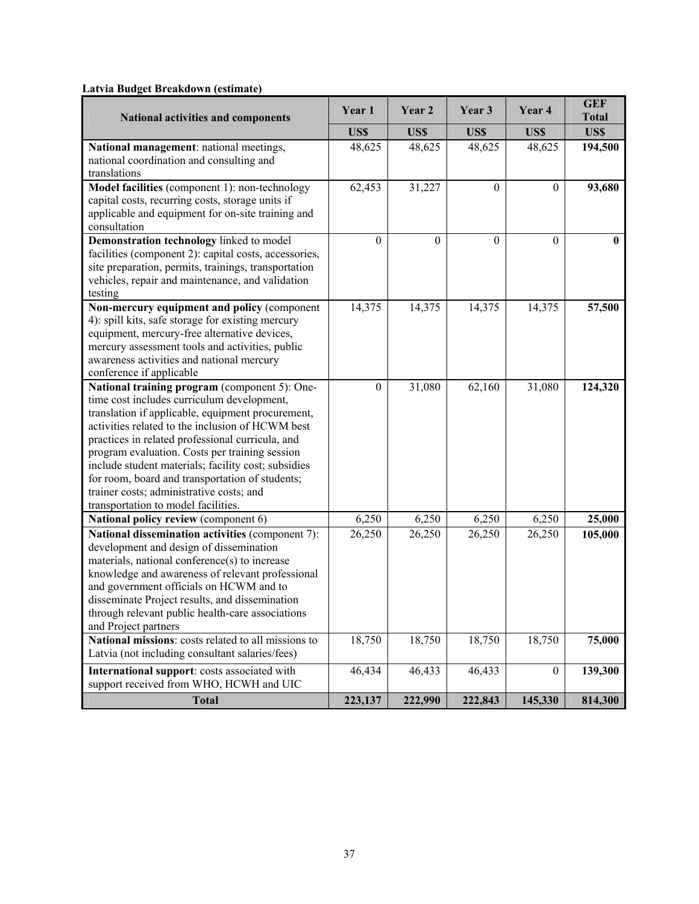# **Latvia Budget Breakdown (estimate)**

| Latvia Duuget Di cakuuwii (cstiinate)                                                                 |          |          |              |              | <b>GEF</b>   |
|-------------------------------------------------------------------------------------------------------|----------|----------|--------------|--------------|--------------|
| <b>National activities and components</b>                                                             | Year 1   | Year 2   | Year 3       | Year 4       | <b>Total</b> |
|                                                                                                       | US\$     | US\$     | US\$         | US\$         | US\$         |
| National management: national meetings,                                                               | 48,625   | 48,625   | 48,625       | 48,625       | 194,500      |
| national coordination and consulting and                                                              |          |          |              |              |              |
| translations                                                                                          |          |          |              |              |              |
| Model facilities (component 1): non-technology                                                        | 62,453   | 31,227   | $\theta$     | $\theta$     | 93,680       |
| capital costs, recurring costs, storage units if                                                      |          |          |              |              |              |
| applicable and equipment for on-site training and                                                     |          |          |              |              |              |
| consultation<br>Demonstration technology linked to model                                              | $\theta$ | $\theta$ | $\mathbf{0}$ | $\mathbf{0}$ |              |
| facilities (component 2): capital costs, accessories,                                                 |          |          |              |              | 0            |
| site preparation, permits, trainings, transportation                                                  |          |          |              |              |              |
| vehicles, repair and maintenance, and validation                                                      |          |          |              |              |              |
| testing                                                                                               |          |          |              |              |              |
| Non-mercury equipment and policy (component                                                           | 14,375   | 14,375   | 14,375       | 14,375       | 57,500       |
| 4): spill kits, safe storage for existing mercury                                                     |          |          |              |              |              |
| equipment, mercury-free alternative devices,                                                          |          |          |              |              |              |
| mercury assessment tools and activities, public                                                       |          |          |              |              |              |
| awareness activities and national mercury                                                             |          |          |              |              |              |
| conference if applicable                                                                              |          |          |              |              |              |
| National training program (component 5): One-                                                         | $\theta$ | 31,080   | 62,160       | 31,080       | 124,320      |
| time cost includes curriculum development,                                                            |          |          |              |              |              |
| translation if applicable, equipment procurement,                                                     |          |          |              |              |              |
| activities related to the inclusion of HCWM best                                                      |          |          |              |              |              |
| practices in related professional curricula, and                                                      |          |          |              |              |              |
| program evaluation. Costs per training session<br>include student materials; facility cost; subsidies |          |          |              |              |              |
| for room, board and transportation of students;                                                       |          |          |              |              |              |
| trainer costs; administrative costs; and                                                              |          |          |              |              |              |
| transportation to model facilities.                                                                   |          |          |              |              |              |
| National policy review (component 6)                                                                  | 6,250    | 6,250    | 6,250        | 6,250        | 25,000       |
| National dissemination activities (component 7):                                                      | 26,250   | 26,250   | 26,250       | 26,250       | 105,000      |
| development and design of dissemination                                                               |          |          |              |              |              |
| materials, national conference(s) to increase                                                         |          |          |              |              |              |
| knowledge and awareness of relevant professional                                                      |          |          |              |              |              |
| and government officials on HCWM and to                                                               |          |          |              |              |              |
| disseminate Project results, and dissemination                                                        |          |          |              |              |              |
| through relevant public health-care associations                                                      |          |          |              |              |              |
| and Project partners                                                                                  |          |          |              |              |              |
| National missions: costs related to all missions to                                                   | 18,750   | 18,750   | 18,750       | 18,750       | 75,000       |
| Latvia (not including consultant salaries/fees)                                                       |          |          |              |              |              |
| International support: costs associated with                                                          | 46,434   | 46,433   | 46,433       | $\theta$     | 139,300      |
| support received from WHO, HCWH and UIC                                                               |          |          |              |              |              |
| <b>Total</b>                                                                                          | 223,137  | 222,990  | 222,843      | 145,330      | 814,300      |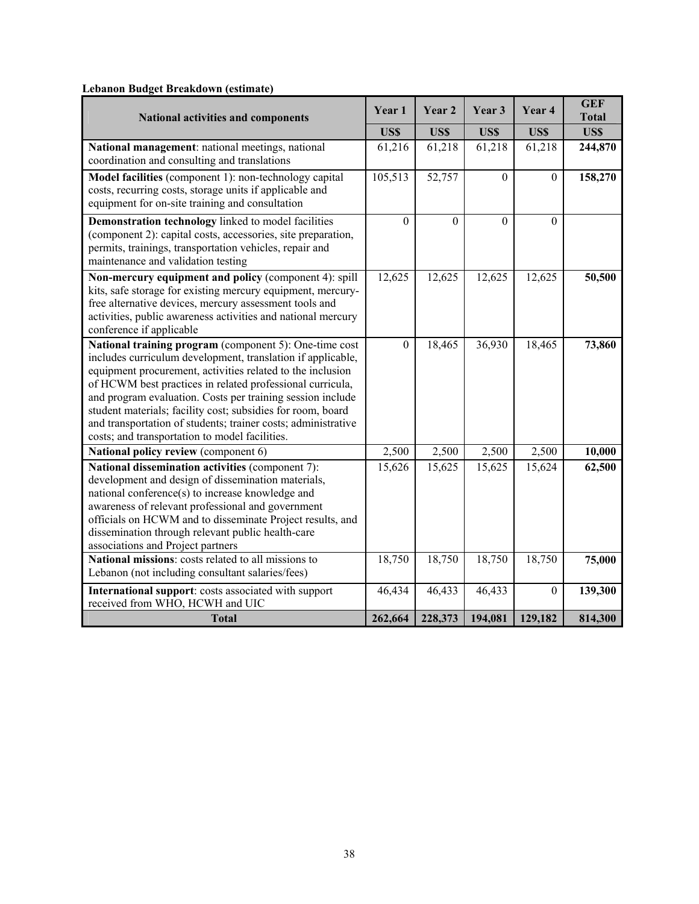| $\alpha$ , $\alpha$ , $\alpha$ , $\alpha$ , $\alpha$ , $\alpha$ , $\alpha$ , $\alpha$ , $\alpha$ , $\alpha$ , $\alpha$ , $\alpha$<br><b>National activities and components</b>                                                                                                                                                                                                                                                                                                                   |                   | Year 2            | Year 3            | Year 4                  | <b>GEF</b><br><b>Total</b> |
|--------------------------------------------------------------------------------------------------------------------------------------------------------------------------------------------------------------------------------------------------------------------------------------------------------------------------------------------------------------------------------------------------------------------------------------------------------------------------------------------------|-------------------|-------------------|-------------------|-------------------------|----------------------------|
|                                                                                                                                                                                                                                                                                                                                                                                                                                                                                                  |                   | US\$              | US\$              | US\$                    | US\$                       |
| National management: national meetings, national<br>coordination and consulting and translations                                                                                                                                                                                                                                                                                                                                                                                                 | 61,216            | 61,218            | 61,218            | 61,218                  | 244,870                    |
| Model facilities (component 1): non-technology capital<br>costs, recurring costs, storage units if applicable and<br>equipment for on-site training and consultation                                                                                                                                                                                                                                                                                                                             | 105,513           | 52,757            | $\boldsymbol{0}$  | $\boldsymbol{0}$        | 158,270                    |
| Demonstration technology linked to model facilities<br>(component 2): capital costs, accessories, site preparation,<br>permits, trainings, transportation vehicles, repair and<br>maintenance and validation testing                                                                                                                                                                                                                                                                             | $\mathbf{0}$      | $\theta$          | $\boldsymbol{0}$  | $\theta$                |                            |
| Non-mercury equipment and policy (component 4): spill<br>kits, safe storage for existing mercury equipment, mercury-<br>free alternative devices, mercury assessment tools and<br>activities, public awareness activities and national mercury<br>conference if applicable                                                                                                                                                                                                                       | 12,625            | 12,625            | 12,625            | 12,625                  | 50,500                     |
| National training program (component 5): One-time cost<br>includes curriculum development, translation if applicable,<br>equipment procurement, activities related to the inclusion<br>of HCWM best practices in related professional curricula,<br>and program evaluation. Costs per training session include<br>student materials; facility cost; subsidies for room, board<br>and transportation of students; trainer costs; administrative<br>costs; and transportation to model facilities. | $\mathbf{0}$      | 18,465            | 36,930            | 18,465                  | 73,860                     |
| National policy review (component 6)                                                                                                                                                                                                                                                                                                                                                                                                                                                             | 2,500             | 2,500             | 2,500             | 2,500                   | 10,000                     |
| National dissemination activities (component 7):<br>development and design of dissemination materials,<br>national conference(s) to increase knowledge and<br>awareness of relevant professional and government<br>officials on HCWM and to disseminate Project results, and<br>dissemination through relevant public health-care<br>associations and Project partners                                                                                                                           | 15,626            | 15,625            | 15,625            | 15,624                  | 62,500                     |
| National missions: costs related to all missions to<br>Lebanon (not including consultant salaries/fees)                                                                                                                                                                                                                                                                                                                                                                                          | 18,750            | 18,750            | 18,750            | 18,750                  | 75,000                     |
| International support: costs associated with support<br>received from WHO, HCWH and UIC<br><b>Total</b>                                                                                                                                                                                                                                                                                                                                                                                          | 46,434<br>262,664 | 46,433<br>228,373 | 46,433<br>194,081 | $\mathbf{0}$<br>129,182 | 139,300<br>814,300         |

# **Lebanon Budget Breakdown (estimate)**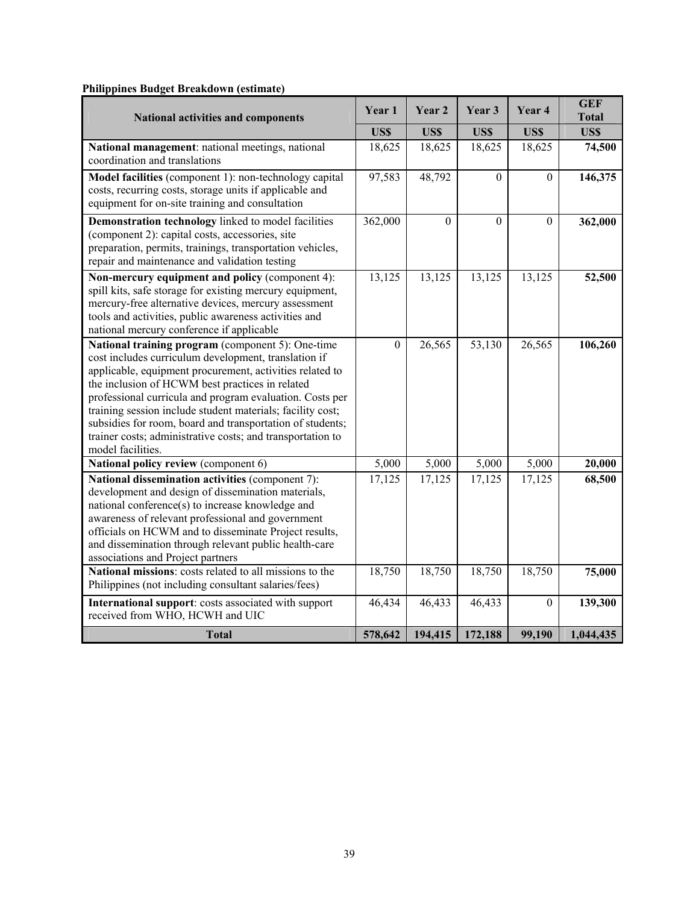| $\cdots$ $\cdots$<br>$\cdots$ Dividing $\cdots$                                                                                                                                                                                                                                                                                                                                                                                                                                                    | Year 1         | Year 2         | Year 3   | Year 4       | <b>GEF</b><br><b>Total</b> |
|----------------------------------------------------------------------------------------------------------------------------------------------------------------------------------------------------------------------------------------------------------------------------------------------------------------------------------------------------------------------------------------------------------------------------------------------------------------------------------------------------|----------------|----------------|----------|--------------|----------------------------|
| <b>National activities and components</b>                                                                                                                                                                                                                                                                                                                                                                                                                                                          |                | US\$           | US\$     | US\$         | US\$                       |
| National management: national meetings, national<br>coordination and translations                                                                                                                                                                                                                                                                                                                                                                                                                  | US\$<br>18,625 | 18,625         | 18,625   | 18,625       | 74,500                     |
| Model facilities (component 1): non-technology capital<br>costs, recurring costs, storage units if applicable and<br>equipment for on-site training and consultation                                                                                                                                                                                                                                                                                                                               | 97,583         | 48,792         | $\Omega$ | $\Omega$     | 146,375                    |
| Demonstration technology linked to model facilities<br>(component 2): capital costs, accessories, site<br>preparation, permits, trainings, transportation vehicles,<br>repair and maintenance and validation testing                                                                                                                                                                                                                                                                               | 362,000        | $\overline{0}$ | $\theta$ | $\theta$     | 362,000                    |
| Non-mercury equipment and policy (component 4):<br>spill kits, safe storage for existing mercury equipment,<br>mercury-free alternative devices, mercury assessment<br>tools and activities, public awareness activities and<br>national mercury conference if applicable                                                                                                                                                                                                                          | 13,125         | 13,125         | 13,125   | 13,125       | 52,500                     |
| National training program (component 5): One-time<br>cost includes curriculum development, translation if<br>applicable, equipment procurement, activities related to<br>the inclusion of HCWM best practices in related<br>professional curricula and program evaluation. Costs per<br>training session include student materials; facility cost;<br>subsidies for room, board and transportation of students;<br>trainer costs; administrative costs; and transportation to<br>model facilities. | $\mathbf{0}$   | 26,565         | 53,130   | 26,565       | 106,260                    |
| National policy review (component 6)                                                                                                                                                                                                                                                                                                                                                                                                                                                               | 5,000          | 5,000          | 5,000    | 5,000        | 20,000                     |
| National dissemination activities (component 7):<br>development and design of dissemination materials,<br>national conference(s) to increase knowledge and<br>awareness of relevant professional and government<br>officials on HCWM and to disseminate Project results,<br>and dissemination through relevant public health-care<br>associations and Project partners                                                                                                                             | 17,125         | 17,125         | 17,125   | 17,125       | 68,500                     |
| National missions: costs related to all missions to the<br>Philippines (not including consultant salaries/fees)                                                                                                                                                                                                                                                                                                                                                                                    | 18,750         | 18,750         | 18,750   | 18,750       | 75,000                     |
| International support: costs associated with support<br>received from WHO, HCWH and UIC                                                                                                                                                                                                                                                                                                                                                                                                            | 46,434         | 46,433         | 46,433   | $\mathbf{0}$ | 139,300                    |
| <b>Total</b>                                                                                                                                                                                                                                                                                                                                                                                                                                                                                       | 578,642        | 194,415        | 172,188  | 99,190       | 1,044,435                  |

# **Philippines Budget Breakdown (estimate)**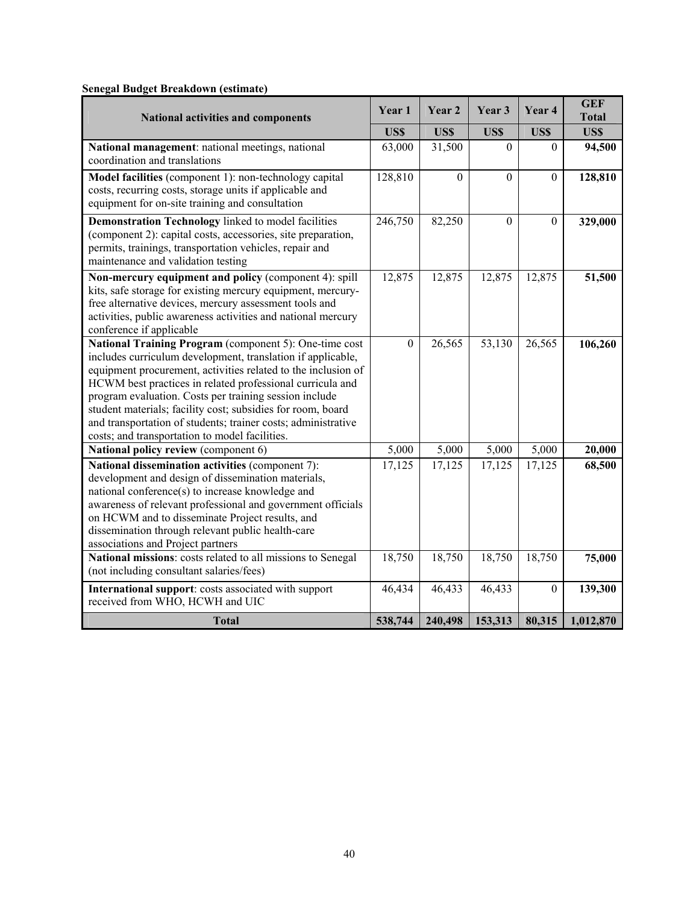| <b>National activities and components</b>                                                                                                                                                                                                                                                                                                                                                                                                                                                       |              | Year 2   | Year 3           | Year 4           | <b>GEF</b><br><b>Total</b> |
|-------------------------------------------------------------------------------------------------------------------------------------------------------------------------------------------------------------------------------------------------------------------------------------------------------------------------------------------------------------------------------------------------------------------------------------------------------------------------------------------------|--------------|----------|------------------|------------------|----------------------------|
|                                                                                                                                                                                                                                                                                                                                                                                                                                                                                                 | US\$         | US\$     | US\$             | US\$             | <b>US\$</b>                |
| National management: national meetings, national<br>coordination and translations                                                                                                                                                                                                                                                                                                                                                                                                               | 63,000       | 31,500   | $\Omega$         | $\theta$         | 94,500                     |
| Model facilities (component 1): non-technology capital<br>costs, recurring costs, storage units if applicable and<br>equipment for on-site training and consultation                                                                                                                                                                                                                                                                                                                            | 128,810      | $\theta$ | $\boldsymbol{0}$ | $\boldsymbol{0}$ | 128,810                    |
| Demonstration Technology linked to model facilities<br>(component 2): capital costs, accessories, site preparation,<br>permits, trainings, transportation vehicles, repair and<br>maintenance and validation testing                                                                                                                                                                                                                                                                            | 246,750      | 82,250   | $\mathbf{0}$     | $\mathbf{0}$     | 329,000                    |
| Non-mercury equipment and policy (component 4): spill<br>kits, safe storage for existing mercury equipment, mercury-<br>free alternative devices, mercury assessment tools and<br>activities, public awareness activities and national mercury<br>conference if applicable                                                                                                                                                                                                                      | 12,875       | 12,875   | 12,875           | 12,875           | 51,500                     |
| National Training Program (component 5): One-time cost<br>includes curriculum development, translation if applicable,<br>equipment procurement, activities related to the inclusion of<br>HCWM best practices in related professional curricula and<br>program evaluation. Costs per training session include<br>student materials; facility cost; subsidies for room, board<br>and transportation of students; trainer costs; administrative<br>costs; and transportation to model facilities. | $\mathbf{0}$ | 26,565   | 53,130           | 26,565           | 106,260                    |
| National policy review (component 6)                                                                                                                                                                                                                                                                                                                                                                                                                                                            | 5,000        | 5,000    | 5,000            | 5,000            | 20,000                     |
| National dissemination activities (component 7):<br>development and design of dissemination materials,<br>national conference(s) to increase knowledge and<br>awareness of relevant professional and government officials<br>on HCWM and to disseminate Project results, and<br>dissemination through relevant public health-care<br>associations and Project partners                                                                                                                          | 17,125       | 17,125   | 17,125           | 17,125           | 68,500                     |
| National missions: costs related to all missions to Senegal<br>(not including consultant salaries/fees)                                                                                                                                                                                                                                                                                                                                                                                         | 18,750       | 18,750   | 18,750           | 18,750           | 75,000                     |
| International support: costs associated with support<br>received from WHO, HCWH and UIC                                                                                                                                                                                                                                                                                                                                                                                                         | 46,434       | 46,433   | 46,433           | $\boldsymbol{0}$ | 139,300                    |
| <b>Total</b>                                                                                                                                                                                                                                                                                                                                                                                                                                                                                    | 538,744      | 240,498  | 153,313          | 80,315           | 1,012,870                  |

# **Senegal Budget Breakdown (estimate)**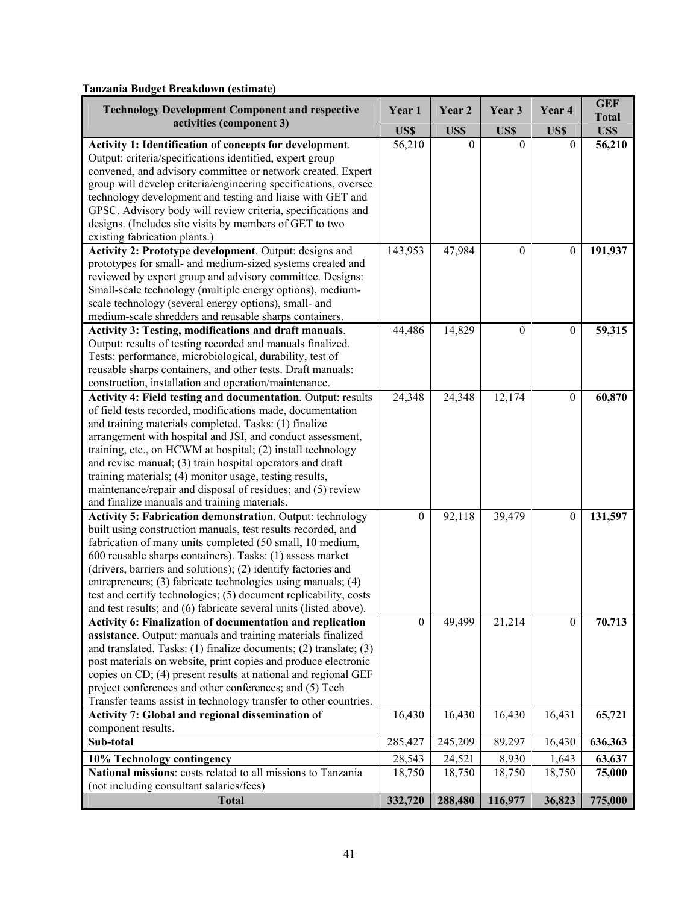# **Tanzania Budget Breakdown (estimate)**

| <b>Technology Development Component and respective</b><br>activities (component 3)                                                                                                                                                                                                                                                                                                                                                                                                                                                                      | Year 1           | Year 2   | Year 3           | Year 4           | <b>GEF</b><br><b>Total</b> |
|---------------------------------------------------------------------------------------------------------------------------------------------------------------------------------------------------------------------------------------------------------------------------------------------------------------------------------------------------------------------------------------------------------------------------------------------------------------------------------------------------------------------------------------------------------|------------------|----------|------------------|------------------|----------------------------|
|                                                                                                                                                                                                                                                                                                                                                                                                                                                                                                                                                         |                  | US\$     | US\$             | US\$             | US\$                       |
| <b>Activity 1: Identification of concepts for development.</b><br>Output: criteria/specifications identified, expert group<br>convened, and advisory committee or network created. Expert<br>group will develop criteria/engineering specifications, oversee<br>technology development and testing and liaise with GET and<br>GPSC. Advisory body will review criteria, specifications and<br>designs. (Includes site visits by members of GET to two<br>existing fabrication plants.)                                                                  | 56,210           | $\theta$ | $\Omega$         | $\Omega$         | 56,210                     |
| Activity 2: Prototype development. Output: designs and<br>prototypes for small- and medium-sized systems created and<br>reviewed by expert group and advisory committee. Designs:<br>Small-scale technology (multiple energy options), medium-<br>scale technology (several energy options), small- and<br>medium-scale shredders and reusable sharps containers.                                                                                                                                                                                       | 143,953          | 47,984   | $\theta$         | $\mathbf{0}$     | 191,937                    |
| <b>Activity 3: Testing, modifications and draft manuals.</b><br>Output: results of testing recorded and manuals finalized.<br>Tests: performance, microbiological, durability, test of<br>reusable sharps containers, and other tests. Draft manuals:<br>construction, installation and operation/maintenance.                                                                                                                                                                                                                                          | 44,486           | 14,829   | $\boldsymbol{0}$ | $\boldsymbol{0}$ | 59,315                     |
| Activity 4: Field testing and documentation. Output: results<br>of field tests recorded, modifications made, documentation<br>and training materials completed. Tasks: (1) finalize<br>arrangement with hospital and JSI, and conduct assessment,<br>training, etc., on HCWM at hospital; (2) install technology<br>and revise manual; (3) train hospital operators and draft<br>training materials; (4) monitor usage, testing results,<br>maintenance/repair and disposal of residues; and (5) review<br>and finalize manuals and training materials. | 24,348           | 24,348   | 12,174           | $\boldsymbol{0}$ | 60,870                     |
| <b>Activity 5: Fabrication demonstration</b> . Output: technology<br>built using construction manuals, test results recorded, and<br>fabrication of many units completed (50 small, 10 medium,<br>600 reusable sharps containers). Tasks: (1) assess market<br>(drivers, barriers and solutions); (2) identify factories and<br>entrepreneurs; (3) fabricate technologies using manuals; (4)<br>test and certify technologies; (5) document replicability, costs<br>and test results; and (6) fabricate several units (listed above).                   | $\boldsymbol{0}$ | 92,118   | 39,479           | $\boldsymbol{0}$ | 131,597                    |
| Activity 6: Finalization of documentation and replication<br>assistance. Output: manuals and training materials finalized<br>and translated. Tasks: $(1)$ finalize documents; $(2)$ translate; $(3)$<br>post materials on website, print copies and produce electronic<br>copies on CD; (4) present results at national and regional GEF<br>project conferences and other conferences; and (5) Tech<br>Transfer teams assist in technology transfer to other countries.                                                                                 | $\mathbf{0}$     | 49,499   | 21,214           | $\mathbf{0}$     | 70,713                     |
| Activity 7: Global and regional dissemination of<br>component results.                                                                                                                                                                                                                                                                                                                                                                                                                                                                                  | 16,430           | 16,430   | 16,430           | 16,431           | 65,721                     |
| Sub-total                                                                                                                                                                                                                                                                                                                                                                                                                                                                                                                                               | 285,427          | 245,209  | 89,297           | 16,430           | 636,363                    |
| 10% Technology contingency                                                                                                                                                                                                                                                                                                                                                                                                                                                                                                                              | 28,543           | 24,521   | 8,930            | 1,643            | 63,637                     |
| National missions: costs related to all missions to Tanzania<br>(not including consultant salaries/fees)                                                                                                                                                                                                                                                                                                                                                                                                                                                | 18,750           | 18,750   | 18,750           | 18,750           | 75,000                     |
| <b>Total</b>                                                                                                                                                                                                                                                                                                                                                                                                                                                                                                                                            | 332,720          | 288,480  | 116,977          | 36,823           | 775,000                    |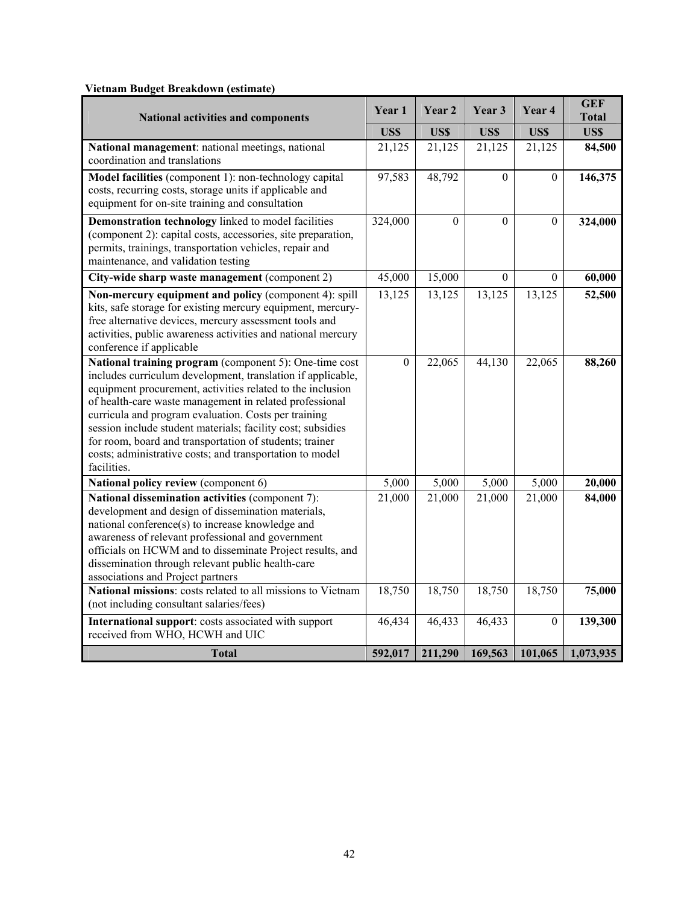| *************<br><b>National activities and components</b>                                                                                                                                                                                                                                                                                                                                                                                                                                                  |                    | Year 2   | Year 3              | Year 4         | <b>GEF</b><br><b>Total</b> |
|-------------------------------------------------------------------------------------------------------------------------------------------------------------------------------------------------------------------------------------------------------------------------------------------------------------------------------------------------------------------------------------------------------------------------------------------------------------------------------------------------------------|--------------------|----------|---------------------|----------------|----------------------------|
|                                                                                                                                                                                                                                                                                                                                                                                                                                                                                                             |                    | US\$     | <b>USS</b>          | US\$           | US\$                       |
| National management: national meetings, national<br>coordination and translations                                                                                                                                                                                                                                                                                                                                                                                                                           | 21,125             | 21,125   | 21,125              | 21,125         | 84,500                     |
| Model facilities (component 1): non-technology capital<br>costs, recurring costs, storage units if applicable and<br>equipment for on-site training and consultation                                                                                                                                                                                                                                                                                                                                        | 97,583             | 48,792   | $\theta$            | $\Omega$       | 146,375                    |
| Demonstration technology linked to model facilities<br>(component 2): capital costs, accessories, site preparation,<br>permits, trainings, transportation vehicles, repair and<br>maintenance, and validation testing                                                                                                                                                                                                                                                                                       | 324,000            | $\Omega$ | $\Omega$            | $\overline{0}$ | 324,000                    |
| City-wide sharp waste management (component 2)                                                                                                                                                                                                                                                                                                                                                                                                                                                              | 45,000             | 15,000   | $\theta$            | $\overline{0}$ | 60,000                     |
| Non-mercury equipment and policy (component 4): spill<br>kits, safe storage for existing mercury equipment, mercury-<br>free alternative devices, mercury assessment tools and<br>activities, public awareness activities and national mercury<br>conference if applicable                                                                                                                                                                                                                                  | 13,125             | 13,125   | 13,125              | 13,125         | 52,500                     |
| National training program (component 5): One-time cost<br>includes curriculum development, translation if applicable,<br>equipment procurement, activities related to the inclusion<br>of health-care waste management in related professional<br>curricula and program evaluation. Costs per training<br>session include student materials; facility cost; subsidies<br>for room, board and transportation of students; trainer<br>costs; administrative costs; and transportation to model<br>facilities. | $\overline{0}$     | 22,065   | 44,130              | 22,065         | 88,260                     |
| National policy review (component 6)                                                                                                                                                                                                                                                                                                                                                                                                                                                                        | $\overline{5,000}$ | 5,000    | 5,000               | 5,000          | 20,000                     |
| National dissemination activities (component 7):<br>development and design of dissemination materials,<br>national conference(s) to increase knowledge and<br>awareness of relevant professional and government<br>officials on HCWM and to disseminate Project results, and<br>dissemination through relevant public health-care<br>associations and Project partners                                                                                                                                      | 21,000             | 21,000   | $\overline{2}1,000$ | 21,000         | 84,000                     |
| National missions: costs related to all missions to Vietnam<br>(not including consultant salaries/fees)                                                                                                                                                                                                                                                                                                                                                                                                     | 18,750             | 18,750   | 18,750              | 18,750         | 75,000                     |
| International support: costs associated with support<br>received from WHO, HCWH and UIC                                                                                                                                                                                                                                                                                                                                                                                                                     | 46,434             | 46,433   | 46,433              | $\overline{0}$ | 139,300                    |
| <b>Total</b>                                                                                                                                                                                                                                                                                                                                                                                                                                                                                                | 592,017            | 211,290  | 169,563             | 101,065        | 1,073,935                  |

# **Vietnam Budget Breakdown (estimate)**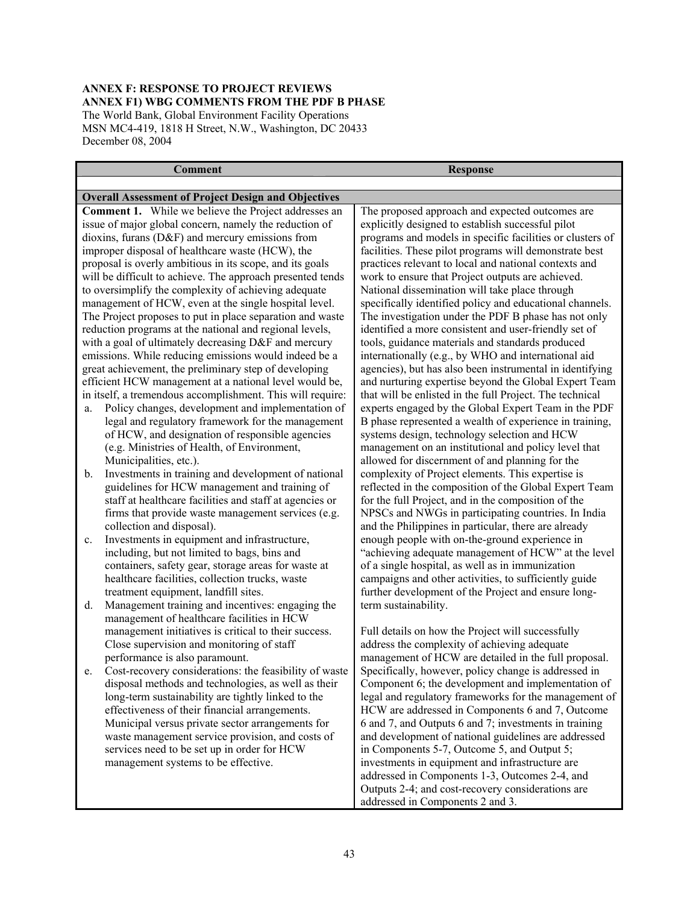# **ANNEX F: RESPONSE TO PROJECT REVIEWS ANNEX F1) WBG COMMENTS FROM THE PDF B PHASE**  The World Bank, Global Environment Facility Operations

MSN MC4-419, 1818 H Street, N.W., Washington, DC 20433 December 08, 2004

#### **Comment** Response

# **Overall Assessment of Project Design and Objectives**

**Comment 1.** While we believe the Project addresses an issue of major global concern, namely the reduction of dioxins, furans (D&F) and mercury emissions from improper disposal of healthcare waste (HCW), the proposal is overly ambitious in its scope, and its goals will be difficult to achieve. The approach presented tends to oversimplify the complexity of achieving adequate management of HCW, even at the single hospital level. The Project proposes to put in place separation and waste reduction programs at the national and regional levels, with a goal of ultimately decreasing D&F and mercury emissions. While reducing emissions would indeed be a great achievement, the preliminary step of developing efficient HCW management at a national level would be, in itself, a tremendous accomplishment. This will require:

- a. Policy changes, development and implementation of legal and regulatory framework for the management of HCW, and designation of responsible agencies (e.g. Ministries of Health, of Environment, Municipalities, etc.).
- b. Investments in training and development of national guidelines for HCW management and training of staff at healthcare facilities and staff at agencies or firms that provide waste management services (e.g. collection and disposal).
- c. Investments in equipment and infrastructure, including, but not limited to bags, bins and containers, safety gear, storage areas for waste at healthcare facilities, collection trucks, waste treatment equipment, landfill sites.
- d. Management training and incentives: engaging the management of healthcare facilities in HCW management initiatives is critical to their success. Close supervision and monitoring of staff performance is also paramount.
- e. Cost-recovery considerations: the feasibility of waste disposal methods and technologies, as well as their long-term sustainability are tightly linked to the effectiveness of their financial arrangements. Municipal versus private sector arrangements for waste management service provision, and costs of services need to be set up in order for HCW management systems to be effective.

The proposed approach and expected outcomes are explicitly designed to establish successful pilot programs and models in specific facilities or clusters of facilities. These pilot programs will demonstrate best practices relevant to local and national contexts and work to ensure that Project outputs are achieved. National dissemination will take place through specifically identified policy and educational channels. The investigation under the PDF B phase has not only identified a more consistent and user-friendly set of tools, guidance materials and standards produced internationally (e.g., by WHO and international aid agencies), but has also been instrumental in identifying and nurturing expertise beyond the Global Expert Team that will be enlisted in the full Project. The technical experts engaged by the Global Expert Team in the PDF B phase represented a wealth of experience in training, systems design, technology selection and HCW management on an institutional and policy level that allowed for discernment of and planning for the complexity of Project elements. This expertise is reflected in the composition of the Global Expert Team for the full Project, and in the composition of the NPSCs and NWGs in participating countries. In India and the Philippines in particular, there are already enough people with on-the-ground experience in "achieving adequate management of HCW" at the level of a single hospital, as well as in immunization campaigns and other activities, to sufficiently guide further development of the Project and ensure longterm sustainability.

Full details on how the Project will successfully address the complexity of achieving adequate management of HCW are detailed in the full proposal. Specifically, however, policy change is addressed in Component 6; the development and implementation of legal and regulatory frameworks for the management of HCW are addressed in Components 6 and 7, Outcome 6 and 7, and Outputs 6 and 7; investments in training and development of national guidelines are addressed in Components 5-7, Outcome 5, and Output 5; investments in equipment and infrastructure are addressed in Components 1-3, Outcomes 2-4, and Outputs 2-4; and cost-recovery considerations are addressed in Components 2 and 3.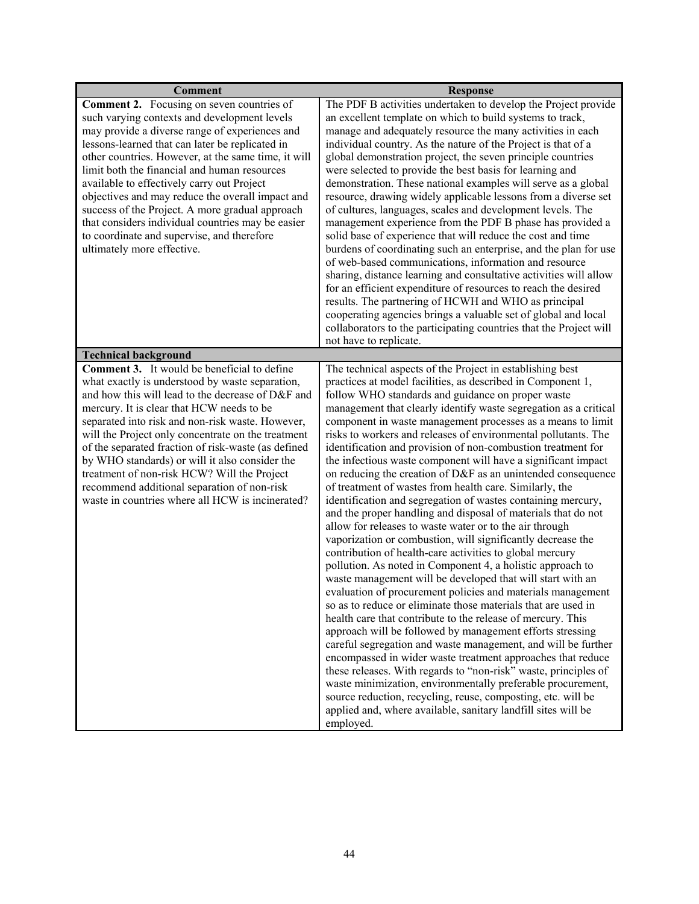| <b>Comment</b>                                                                                                                                                                                                                                                                                                                                                                                                                                                                                                                                                                                     | <b>Response</b>                                                                                                                                                                                                                                                                                                                                                                                                                                                                                                                                                                                                                                                                                                                                                                                                                                                                                                                                                                                                                                                                                                                                                                                                                                                                                                                                                                                                                                                                                                                                                                                                                                                                                                                                                               |
|----------------------------------------------------------------------------------------------------------------------------------------------------------------------------------------------------------------------------------------------------------------------------------------------------------------------------------------------------------------------------------------------------------------------------------------------------------------------------------------------------------------------------------------------------------------------------------------------------|-------------------------------------------------------------------------------------------------------------------------------------------------------------------------------------------------------------------------------------------------------------------------------------------------------------------------------------------------------------------------------------------------------------------------------------------------------------------------------------------------------------------------------------------------------------------------------------------------------------------------------------------------------------------------------------------------------------------------------------------------------------------------------------------------------------------------------------------------------------------------------------------------------------------------------------------------------------------------------------------------------------------------------------------------------------------------------------------------------------------------------------------------------------------------------------------------------------------------------------------------------------------------------------------------------------------------------------------------------------------------------------------------------------------------------------------------------------------------------------------------------------------------------------------------------------------------------------------------------------------------------------------------------------------------------------------------------------------------------------------------------------------------------|
| <b>Comment 2.</b> Focusing on seven countries of<br>such varying contexts and development levels<br>may provide a diverse range of experiences and<br>lessons-learned that can later be replicated in<br>other countries. However, at the same time, it will<br>limit both the financial and human resources<br>available to effectively carry out Project<br>objectives and may reduce the overall impact and<br>success of the Project. A more gradual approach<br>that considers individual countries may be easier<br>to coordinate and supervise, and therefore<br>ultimately more effective. | The PDF B activities undertaken to develop the Project provide<br>an excellent template on which to build systems to track,<br>manage and adequately resource the many activities in each<br>individual country. As the nature of the Project is that of a<br>global demonstration project, the seven principle countries<br>were selected to provide the best basis for learning and<br>demonstration. These national examples will serve as a global<br>resource, drawing widely applicable lessons from a diverse set<br>of cultures, languages, scales and development levels. The<br>management experience from the PDF B phase has provided a<br>solid base of experience that will reduce the cost and time<br>burdens of coordinating such an enterprise, and the plan for use<br>of web-based communications, information and resource<br>sharing, distance learning and consultative activities will allow<br>for an efficient expenditure of resources to reach the desired<br>results. The partnering of HCWH and WHO as principal<br>cooperating agencies brings a valuable set of global and local<br>collaborators to the participating countries that the Project will<br>not have to replicate.                                                                                                                                                                                                                                                                                                                                                                                                                                                                                                                                                              |
| <b>Technical background</b>                                                                                                                                                                                                                                                                                                                                                                                                                                                                                                                                                                        |                                                                                                                                                                                                                                                                                                                                                                                                                                                                                                                                                                                                                                                                                                                                                                                                                                                                                                                                                                                                                                                                                                                                                                                                                                                                                                                                                                                                                                                                                                                                                                                                                                                                                                                                                                               |
| <b>Comment 3.</b> It would be beneficial to define<br>what exactly is understood by waste separation,<br>and how this will lead to the decrease of D&F and<br>mercury. It is clear that HCW needs to be<br>separated into risk and non-risk waste. However,<br>will the Project only concentrate on the treatment<br>of the separated fraction of risk-waste (as defined<br>by WHO standards) or will it also consider the<br>treatment of non-risk HCW? Will the Project<br>recommend additional separation of non-risk<br>waste in countries where all HCW is incinerated?                       | The technical aspects of the Project in establishing best<br>practices at model facilities, as described in Component 1,<br>follow WHO standards and guidance on proper waste<br>management that clearly identify waste segregation as a critical<br>component in waste management processes as a means to limit<br>risks to workers and releases of environmental pollutants. The<br>identification and provision of non-combustion treatment for<br>the infectious waste component will have a significant impact<br>on reducing the creation of D&F as an unintended consequence<br>of treatment of wastes from health care. Similarly, the<br>identification and segregation of wastes containing mercury,<br>and the proper handling and disposal of materials that do not<br>allow for releases to waste water or to the air through<br>vaporization or combustion, will significantly decrease the<br>contribution of health-care activities to global mercury<br>pollution. As noted in Component 4, a holistic approach to<br>waste management will be developed that will start with an<br>evaluation of procurement policies and materials management<br>so as to reduce or eliminate those materials that are used in<br>health care that contribute to the release of mercury. This<br>approach will be followed by management efforts stressing<br>careful segregation and waste management, and will be further<br>encompassed in wider waste treatment approaches that reduce<br>these releases. With regards to "non-risk" waste, principles of<br>waste minimization, environmentally preferable procurement,<br>source reduction, recycling, reuse, composting, etc. will be<br>applied and, where available, sanitary landfill sites will be<br>employed. |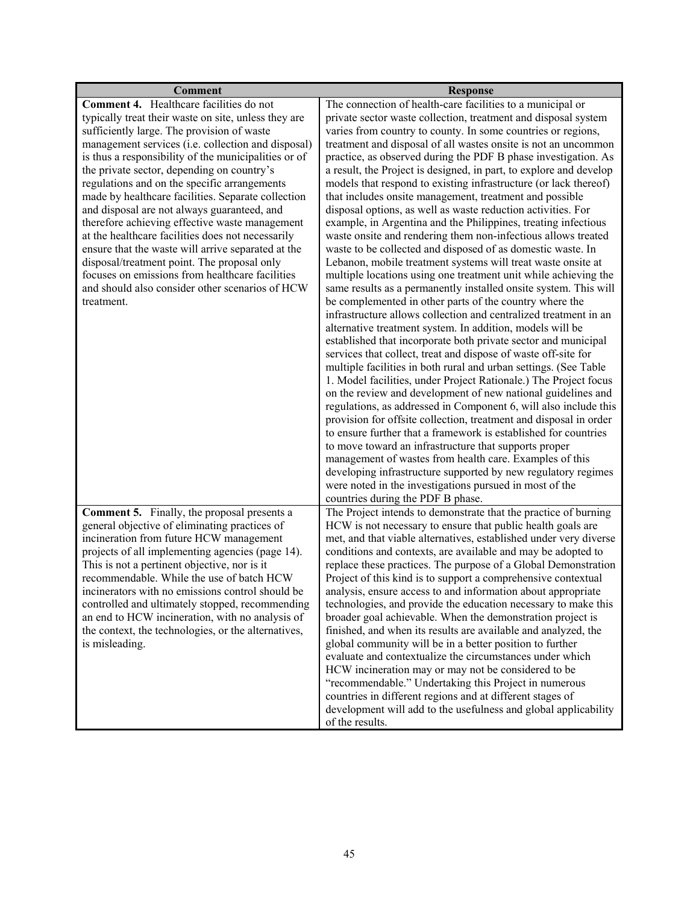| <b>Comment</b>                                                                                      | <b>Response</b>                                                                                                                                                                       |
|-----------------------------------------------------------------------------------------------------|---------------------------------------------------------------------------------------------------------------------------------------------------------------------------------------|
| Comment 4. Healthcare facilities do not                                                             | The connection of health-care facilities to a municipal or                                                                                                                            |
| typically treat their waste on site, unless they are                                                | private sector waste collection, treatment and disposal system                                                                                                                        |
| sufficiently large. The provision of waste                                                          | varies from country to county. In some countries or regions,                                                                                                                          |
| management services (i.e. collection and disposal)                                                  | treatment and disposal of all wastes onsite is not an uncommon                                                                                                                        |
| is thus a responsibility of the municipalities or of                                                | practice, as observed during the PDF B phase investigation. As                                                                                                                        |
| the private sector, depending on country's                                                          | a result, the Project is designed, in part, to explore and develop                                                                                                                    |
| regulations and on the specific arrangements                                                        | models that respond to existing infrastructure (or lack thereof)                                                                                                                      |
| made by healthcare facilities. Separate collection                                                  | that includes onsite management, treatment and possible                                                                                                                               |
| and disposal are not always guaranteed, and                                                         | disposal options, as well as waste reduction activities. For                                                                                                                          |
| therefore achieving effective waste management<br>at the healthcare facilities does not necessarily | example, in Argentina and the Philippines, treating infectious<br>waste onsite and rendering them non-infectious allows treated                                                       |
| ensure that the waste will arrive separated at the                                                  | waste to be collected and disposed of as domestic waste. In                                                                                                                           |
| disposal/treatment point. The proposal only                                                         | Lebanon, mobile treatment systems will treat waste onsite at                                                                                                                          |
| focuses on emissions from healthcare facilities                                                     | multiple locations using one treatment unit while achieving the                                                                                                                       |
| and should also consider other scenarios of HCW                                                     | same results as a permanently installed onsite system. This will                                                                                                                      |
| treatment.                                                                                          | be complemented in other parts of the country where the                                                                                                                               |
|                                                                                                     | infrastructure allows collection and centralized treatment in an                                                                                                                      |
|                                                                                                     | alternative treatment system. In addition, models will be                                                                                                                             |
|                                                                                                     | established that incorporate both private sector and municipal                                                                                                                        |
|                                                                                                     | services that collect, treat and dispose of waste off-site for                                                                                                                        |
|                                                                                                     | multiple facilities in both rural and urban settings. (See Table                                                                                                                      |
|                                                                                                     | 1. Model facilities, under Project Rationale.) The Project focus                                                                                                                      |
|                                                                                                     | on the review and development of new national guidelines and                                                                                                                          |
|                                                                                                     | regulations, as addressed in Component 6, will also include this                                                                                                                      |
|                                                                                                     | provision for offsite collection, treatment and disposal in order                                                                                                                     |
|                                                                                                     | to ensure further that a framework is established for countries<br>to move toward an infrastructure that supports proper                                                              |
|                                                                                                     | management of wastes from health care. Examples of this                                                                                                                               |
|                                                                                                     | developing infrastructure supported by new regulatory regimes                                                                                                                         |
|                                                                                                     | were noted in the investigations pursued in most of the                                                                                                                               |
|                                                                                                     | countries during the PDF B phase.                                                                                                                                                     |
| <b>Comment 5.</b> Finally, the proposal presents a                                                  | The Project intends to demonstrate that the practice of burning                                                                                                                       |
| general objective of eliminating practices of                                                       | HCW is not necessary to ensure that public health goals are                                                                                                                           |
| incineration from future HCW management                                                             | met, and that viable alternatives, established under very diverse                                                                                                                     |
| projects of all implementing agencies (page 14).                                                    | conditions and contexts, are available and may be adopted to                                                                                                                          |
| This is not a pertinent objective, nor is it                                                        | replace these practices. The purpose of a Global Demonstration                                                                                                                        |
| recommendable. While the use of batch HCW                                                           | Project of this kind is to support a comprehensive contextual                                                                                                                         |
| incinerators with no emissions control should be                                                    | analysis, ensure access to and information about appropriate                                                                                                                          |
| controlled and ultimately stopped, recommending                                                     | technologies, and provide the education necessary to make this                                                                                                                        |
| an end to HCW incineration, with no analysis of                                                     | broader goal achievable. When the demonstration project is                                                                                                                            |
| the context, the technologies, or the alternatives,                                                 | finished, and when its results are available and analyzed, the                                                                                                                        |
| is misleading.                                                                                      | global community will be in a better position to further<br>evaluate and contextualize the circumstances under which                                                                  |
|                                                                                                     | HCW incineration may or may not be considered to be                                                                                                                                   |
|                                                                                                     |                                                                                                                                                                                       |
|                                                                                                     |                                                                                                                                                                                       |
|                                                                                                     |                                                                                                                                                                                       |
|                                                                                                     | of the results.                                                                                                                                                                       |
|                                                                                                     | "recommendable." Undertaking this Project in numerous<br>countries in different regions and at different stages of<br>development will add to the usefulness and global applicability |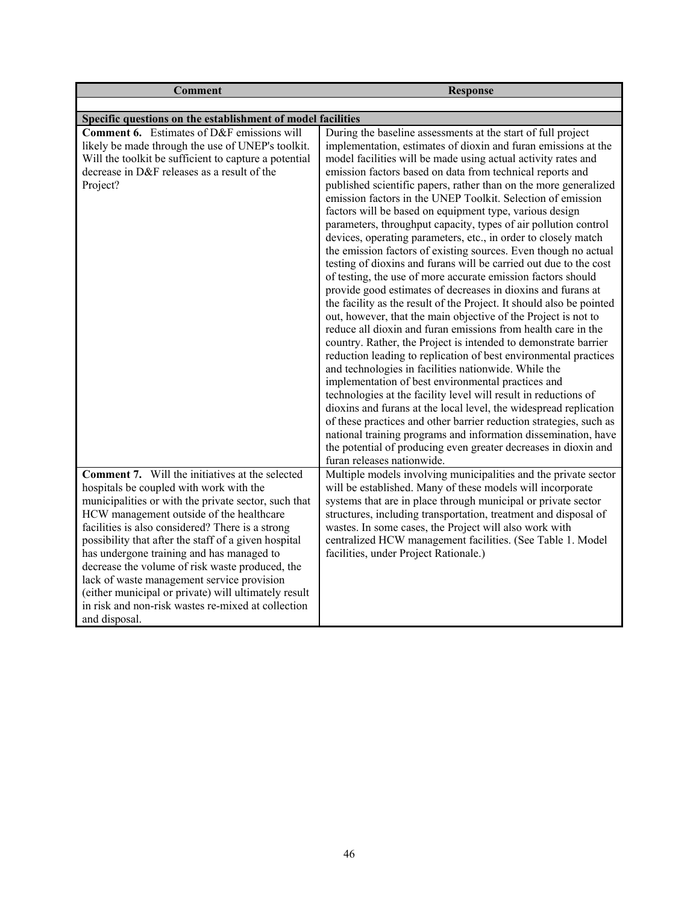| <b>Comment</b>                                                                                                                                                                                                                                                                                                                                                                                                                                                                                                                                                                                 | <b>Response</b>                                                                                                                                                                                                                                                                                                                                                                                                                                                                                                                                                                                                                                                                                                                                                                                                                                                                                                                                                                                                                                                                                                                                                                                                                                                                                                                                                                                                                                                                                                                                                                                                                                                                                                          |
|------------------------------------------------------------------------------------------------------------------------------------------------------------------------------------------------------------------------------------------------------------------------------------------------------------------------------------------------------------------------------------------------------------------------------------------------------------------------------------------------------------------------------------------------------------------------------------------------|--------------------------------------------------------------------------------------------------------------------------------------------------------------------------------------------------------------------------------------------------------------------------------------------------------------------------------------------------------------------------------------------------------------------------------------------------------------------------------------------------------------------------------------------------------------------------------------------------------------------------------------------------------------------------------------------------------------------------------------------------------------------------------------------------------------------------------------------------------------------------------------------------------------------------------------------------------------------------------------------------------------------------------------------------------------------------------------------------------------------------------------------------------------------------------------------------------------------------------------------------------------------------------------------------------------------------------------------------------------------------------------------------------------------------------------------------------------------------------------------------------------------------------------------------------------------------------------------------------------------------------------------------------------------------------------------------------------------------|
|                                                                                                                                                                                                                                                                                                                                                                                                                                                                                                                                                                                                |                                                                                                                                                                                                                                                                                                                                                                                                                                                                                                                                                                                                                                                                                                                                                                                                                                                                                                                                                                                                                                                                                                                                                                                                                                                                                                                                                                                                                                                                                                                                                                                                                                                                                                                          |
| Specific questions on the establishment of model facilities                                                                                                                                                                                                                                                                                                                                                                                                                                                                                                                                    |                                                                                                                                                                                                                                                                                                                                                                                                                                                                                                                                                                                                                                                                                                                                                                                                                                                                                                                                                                                                                                                                                                                                                                                                                                                                                                                                                                                                                                                                                                                                                                                                                                                                                                                          |
| Comment 6. Estimates of D&F emissions will<br>likely be made through the use of UNEP's toolkit.<br>Will the toolkit be sufficient to capture a potential<br>decrease in D&F releases as a result of the<br>Project?                                                                                                                                                                                                                                                                                                                                                                            | During the baseline assessments at the start of full project<br>implementation, estimates of dioxin and furan emissions at the<br>model facilities will be made using actual activity rates and<br>emission factors based on data from technical reports and<br>published scientific papers, rather than on the more generalized<br>emission factors in the UNEP Toolkit. Selection of emission<br>factors will be based on equipment type, various design<br>parameters, throughput capacity, types of air pollution control<br>devices, operating parameters, etc., in order to closely match<br>the emission factors of existing sources. Even though no actual<br>testing of dioxins and furans will be carried out due to the cost<br>of testing, the use of more accurate emission factors should<br>provide good estimates of decreases in dioxins and furans at<br>the facility as the result of the Project. It should also be pointed<br>out, however, that the main objective of the Project is not to<br>reduce all dioxin and furan emissions from health care in the<br>country. Rather, the Project is intended to demonstrate barrier<br>reduction leading to replication of best environmental practices<br>and technologies in facilities nationwide. While the<br>implementation of best environmental practices and<br>technologies at the facility level will result in reductions of<br>dioxins and furans at the local level, the widespread replication<br>of these practices and other barrier reduction strategies, such as<br>national training programs and information dissemination, have<br>the potential of producing even greater decreases in dioxin and<br>furan releases nationwide. |
| <b>Comment 7.</b> Will the initiatives at the selected<br>hospitals be coupled with work with the<br>municipalities or with the private sector, such that<br>HCW management outside of the healthcare<br>facilities is also considered? There is a strong<br>possibility that after the staff of a given hospital<br>has undergone training and has managed to<br>decrease the volume of risk waste produced, the<br>lack of waste management service provision<br>(either municipal or private) will ultimately result<br>in risk and non-risk wastes re-mixed at collection<br>and disposal. | Multiple models involving municipalities and the private sector<br>will be established. Many of these models will incorporate<br>systems that are in place through municipal or private sector<br>structures, including transportation, treatment and disposal of<br>wastes. In some cases, the Project will also work with<br>centralized HCW management facilities. (See Table 1. Model<br>facilities, under Project Rationale.)                                                                                                                                                                                                                                                                                                                                                                                                                                                                                                                                                                                                                                                                                                                                                                                                                                                                                                                                                                                                                                                                                                                                                                                                                                                                                       |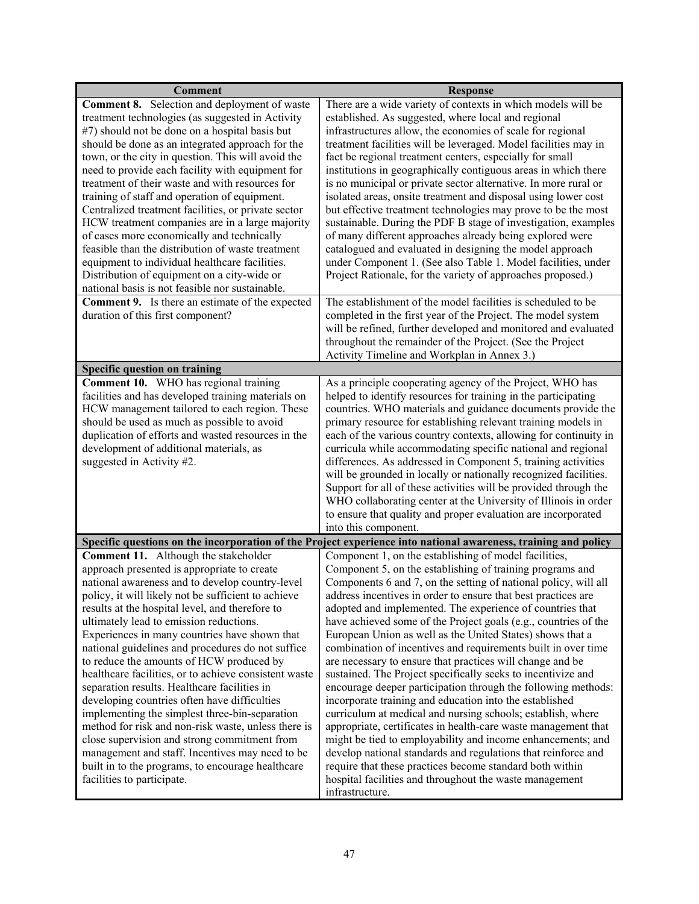| <b>Comment</b><br>Comment 8. Selection and deployment of waste<br>treatment technologies (as suggested in Activity<br>#7) should not be done on a hospital basis but<br>should be done as an integrated approach for the<br>town, or the city in question. This will avoid the<br>need to provide each facility with equipment for<br>treatment of their waste and with resources for<br>training of staff and operation of equipment.<br>Centralized treatment facilities, or private sector<br>HCW treatment companies are in a large majority<br>of cases more economically and technically<br>feasible than the distribution of waste treatment<br>equipment to individual healthcare facilities.<br>Distribution of equipment on a city-wide or<br>national basis is not feasible nor sustainable.<br><b>Comment 9.</b> Is there an estimate of the expected                                     | <b>Response</b><br>There are a wide variety of contexts in which models will be<br>established. As suggested, where local and regional<br>infrastructures allow, the economies of scale for regional<br>treatment facilities will be leveraged. Model facilities may in<br>fact be regional treatment centers, especially for small<br>institutions in geographically contiguous areas in which there<br>is no municipal or private sector alternative. In more rural or<br>isolated areas, onsite treatment and disposal using lower cost<br>but effective treatment technologies may prove to be the most<br>sustainable. During the PDF B stage of investigation, examples<br>of many different approaches already being explored were<br>catalogued and evaluated in designing the model approach<br>under Component 1. (See also Table 1. Model facilities, under<br>Project Rationale, for the variety of approaches proposed.)<br>The establishment of the model facilities is scheduled to be                                                                                                                                                                                    |
|-------------------------------------------------------------------------------------------------------------------------------------------------------------------------------------------------------------------------------------------------------------------------------------------------------------------------------------------------------------------------------------------------------------------------------------------------------------------------------------------------------------------------------------------------------------------------------------------------------------------------------------------------------------------------------------------------------------------------------------------------------------------------------------------------------------------------------------------------------------------------------------------------------|------------------------------------------------------------------------------------------------------------------------------------------------------------------------------------------------------------------------------------------------------------------------------------------------------------------------------------------------------------------------------------------------------------------------------------------------------------------------------------------------------------------------------------------------------------------------------------------------------------------------------------------------------------------------------------------------------------------------------------------------------------------------------------------------------------------------------------------------------------------------------------------------------------------------------------------------------------------------------------------------------------------------------------------------------------------------------------------------------------------------------------------------------------------------------------------|
| duration of this first component?                                                                                                                                                                                                                                                                                                                                                                                                                                                                                                                                                                                                                                                                                                                                                                                                                                                                     | completed in the first year of the Project. The model system<br>will be refined, further developed and monitored and evaluated<br>throughout the remainder of the Project. (See the Project<br>Activity Timeline and Workplan in Annex 3.)                                                                                                                                                                                                                                                                                                                                                                                                                                                                                                                                                                                                                                                                                                                                                                                                                                                                                                                                               |
| <b>Specific question on training</b>                                                                                                                                                                                                                                                                                                                                                                                                                                                                                                                                                                                                                                                                                                                                                                                                                                                                  |                                                                                                                                                                                                                                                                                                                                                                                                                                                                                                                                                                                                                                                                                                                                                                                                                                                                                                                                                                                                                                                                                                                                                                                          |
| Comment 10. WHO has regional training<br>facilities and has developed training materials on<br>HCW management tailored to each region. These<br>should be used as much as possible to avoid<br>duplication of efforts and wasted resources in the<br>development of additional materials, as<br>suggested in Activity #2.                                                                                                                                                                                                                                                                                                                                                                                                                                                                                                                                                                             | As a principle cooperating agency of the Project, WHO has<br>helped to identify resources for training in the participating<br>countries. WHO materials and guidance documents provide the<br>primary resource for establishing relevant training models in<br>each of the various country contexts, allowing for continuity in<br>curricula while accommodating specific national and regional<br>differences. As addressed in Component 5, training activities<br>will be grounded in locally or nationally recognized facilities.<br>Support for all of these activities will be provided through the<br>WHO collaborating center at the University of Illinois in order<br>to ensure that quality and proper evaluation are incorporated<br>into this component.                                                                                                                                                                                                                                                                                                                                                                                                                     |
|                                                                                                                                                                                                                                                                                                                                                                                                                                                                                                                                                                                                                                                                                                                                                                                                                                                                                                       | Specific questions on the incorporation of the Project experience into national awareness, training and policy                                                                                                                                                                                                                                                                                                                                                                                                                                                                                                                                                                                                                                                                                                                                                                                                                                                                                                                                                                                                                                                                           |
| Comment 11. Although the stakeholder<br>approach presented is appropriate to create<br>national awareness and to develop country-level<br>policy, it will likely not be sufficient to achieve<br>results at the hospital level, and therefore to<br>ultimately lead to emission reductions.<br>Experiences in many countries have shown that<br>national guidelines and procedures do not suffice<br>to reduce the amounts of HCW produced by<br>healthcare facilities, or to achieve consistent waste<br>separation results. Healthcare facilities in<br>developing countries often have difficulties<br>implementing the simplest three-bin-separation<br>method for risk and non-risk waste, unless there is<br>close supervision and strong commitment from<br>management and staff. Incentives may need to be<br>built in to the programs, to encourage healthcare<br>facilities to participate. | Component 1, on the establishing of model facilities,<br>Component 5, on the establishing of training programs and<br>Components 6 and 7, on the setting of national policy, will all<br>address incentives in order to ensure that best practices are<br>adopted and implemented. The experience of countries that<br>have achieved some of the Project goals (e.g., countries of the<br>European Union as well as the United States) shows that a<br>combination of incentives and requirements built in over time<br>are necessary to ensure that practices will change and be<br>sustained. The Project specifically seeks to incentivize and<br>encourage deeper participation through the following methods:<br>incorporate training and education into the established<br>curriculum at medical and nursing schools; establish, where<br>appropriate, certificates in health-care waste management that<br>might be tied to employability and income enhancements; and<br>develop national standards and regulations that reinforce and<br>require that these practices become standard both within<br>hospital facilities and throughout the waste management<br>infrastructure. |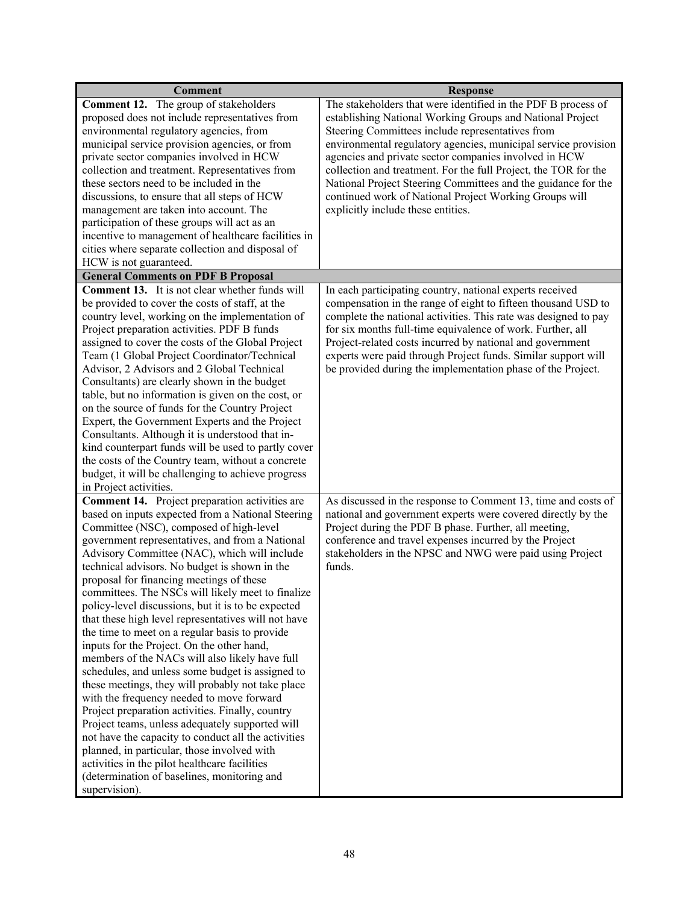| <b>Comment</b>                                                                                     | <b>Response</b>                                                                                                                  |
|----------------------------------------------------------------------------------------------------|----------------------------------------------------------------------------------------------------------------------------------|
| <b>Comment 12.</b> The group of stakeholders                                                       | The stakeholders that were identified in the PDF B process of                                                                    |
| proposed does not include representatives from                                                     | establishing National Working Groups and National Project                                                                        |
| environmental regulatory agencies, from                                                            | Steering Committees include representatives from                                                                                 |
| municipal service provision agencies, or from                                                      | environmental regulatory agencies, municipal service provision                                                                   |
| private sector companies involved in HCW                                                           | agencies and private sector companies involved in HCW                                                                            |
| collection and treatment. Representatives from                                                     | collection and treatment. For the full Project, the TOR for the                                                                  |
| these sectors need to be included in the                                                           | National Project Steering Committees and the guidance for the                                                                    |
| discussions, to ensure that all steps of HCW                                                       | continued work of National Project Working Groups will                                                                           |
| management are taken into account. The                                                             | explicitly include these entities.                                                                                               |
| participation of these groups will act as an                                                       |                                                                                                                                  |
| incentive to management of healthcare facilities in                                                |                                                                                                                                  |
| cities where separate collection and disposal of                                                   |                                                                                                                                  |
| HCW is not guaranteed.                                                                             |                                                                                                                                  |
| <b>General Comments on PDF B Proposal</b><br><b>Comment 13.</b> It is not clear whether funds will |                                                                                                                                  |
| be provided to cover the costs of staff, at the                                                    | In each participating country, national experts received                                                                         |
| country level, working on the implementation of                                                    | compensation in the range of eight to fifteen thousand USD to<br>complete the national activities. This rate was designed to pay |
| Project preparation activities. PDF B funds                                                        | for six months full-time equivalence of work. Further, all                                                                       |
| assigned to cover the costs of the Global Project                                                  | Project-related costs incurred by national and government                                                                        |
| Team (1 Global Project Coordinator/Technical                                                       | experts were paid through Project funds. Similar support will                                                                    |
| Advisor, 2 Advisors and 2 Global Technical                                                         | be provided during the implementation phase of the Project.                                                                      |
| Consultants) are clearly shown in the budget                                                       |                                                                                                                                  |
| table, but no information is given on the cost, or                                                 |                                                                                                                                  |
| on the source of funds for the Country Project                                                     |                                                                                                                                  |
| Expert, the Government Experts and the Project                                                     |                                                                                                                                  |
| Consultants. Although it is understood that in-                                                    |                                                                                                                                  |
| kind counterpart funds will be used to partly cover                                                |                                                                                                                                  |
| the costs of the Country team, without a concrete                                                  |                                                                                                                                  |
| budget, it will be challenging to achieve progress                                                 |                                                                                                                                  |
| in Project activities.                                                                             |                                                                                                                                  |
| <b>Comment 14.</b> Project preparation activities are                                              | As discussed in the response to Comment 13, time and costs of                                                                    |
| based on inputs expected from a National Steering                                                  | national and government experts were covered directly by the                                                                     |
| Committee (NSC), composed of high-level                                                            | Project during the PDF B phase. Further, all meeting,                                                                            |
| government representatives, and from a National                                                    | conference and travel expenses incurred by the Project                                                                           |
| Advisory Committee (NAC), which will include                                                       | stakeholders in the NPSC and NWG were paid using Project<br>funds.                                                               |
| technical advisors. No budget is shown in the<br>proposal for financing meetings of these          |                                                                                                                                  |
| committees. The NSCs will likely meet to finalize                                                  |                                                                                                                                  |
| policy-level discussions, but it is to be expected                                                 |                                                                                                                                  |
| that these high level representatives will not have                                                |                                                                                                                                  |
| the time to meet on a regular basis to provide                                                     |                                                                                                                                  |
| inputs for the Project. On the other hand,                                                         |                                                                                                                                  |
| members of the NACs will also likely have full                                                     |                                                                                                                                  |
| schedules, and unless some budget is assigned to                                                   |                                                                                                                                  |
| these meetings, they will probably not take place                                                  |                                                                                                                                  |
| with the frequency needed to move forward                                                          |                                                                                                                                  |
| Project preparation activities. Finally, country                                                   |                                                                                                                                  |
| Project teams, unless adequately supported will                                                    |                                                                                                                                  |
| not have the capacity to conduct all the activities                                                |                                                                                                                                  |
| planned, in particular, those involved with                                                        |                                                                                                                                  |
| activities in the pilot healthcare facilities                                                      |                                                                                                                                  |
| (determination of baselines, monitoring and                                                        |                                                                                                                                  |
| supervision).                                                                                      |                                                                                                                                  |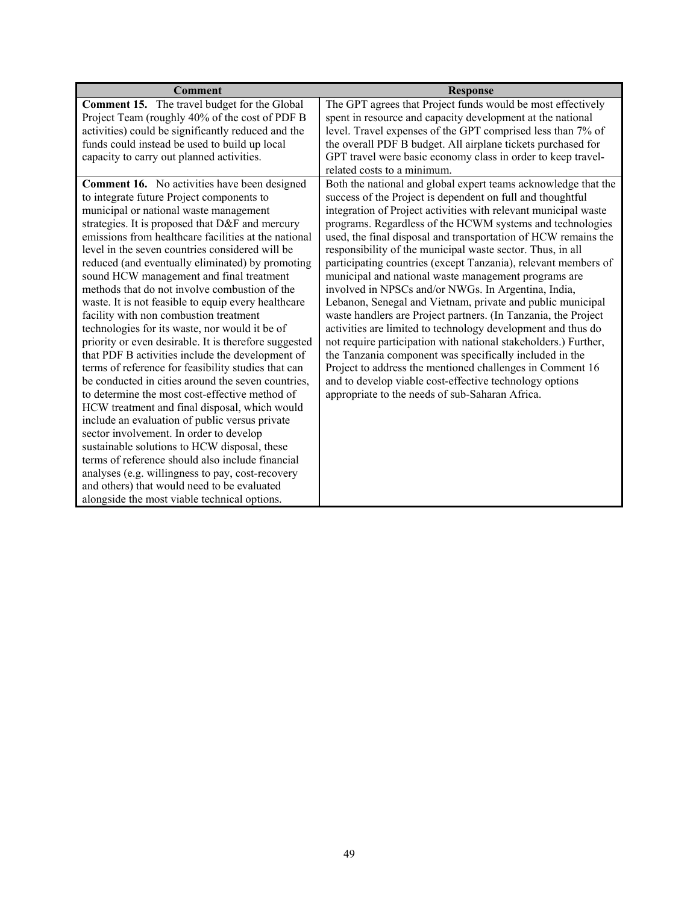| Comment                                                                                             | <b>Response</b>                                                                                                              |
|-----------------------------------------------------------------------------------------------------|------------------------------------------------------------------------------------------------------------------------------|
| <b>Comment 15.</b> The travel budget for the Global                                                 | The GPT agrees that Project funds would be most effectively                                                                  |
| Project Team (roughly 40% of the cost of PDF B                                                      | spent in resource and capacity development at the national                                                                   |
| activities) could be significantly reduced and the                                                  | level. Travel expenses of the GPT comprised less than 7% of                                                                  |
| funds could instead be used to build up local                                                       | the overall PDF B budget. All airplane tickets purchased for                                                                 |
| capacity to carry out planned activities.                                                           | GPT travel were basic economy class in order to keep travel-                                                                 |
|                                                                                                     | related costs to a minimum.                                                                                                  |
| <b>Comment 16.</b> No activities have been designed<br>to integrate future Project components to    | Both the national and global expert teams acknowledge that the<br>success of the Project is dependent on full and thoughtful |
| municipal or national waste management                                                              | integration of Project activities with relevant municipal waste                                                              |
| strategies. It is proposed that D&F and mercury                                                     | programs. Regardless of the HCWM systems and technologies                                                                    |
| emissions from healthcare facilities at the national                                                | used, the final disposal and transportation of HCW remains the                                                               |
| level in the seven countries considered will be<br>reduced (and eventually eliminated) by promoting | responsibility of the municipal waste sector. Thus, in all<br>participating countries (except Tanzania), relevant members of |
| sound HCW management and final treatment                                                            | municipal and national waste management programs are                                                                         |
| methods that do not involve combustion of the                                                       | involved in NPSCs and/or NWGs. In Argentina, India,                                                                          |
| waste. It is not feasible to equip every healthcare                                                 | Lebanon, Senegal and Vietnam, private and public municipal                                                                   |
| facility with non combustion treatment                                                              | waste handlers are Project partners. (In Tanzania, the Project                                                               |
| technologies for its waste, nor would it be of                                                      | activities are limited to technology development and thus do                                                                 |
| priority or even desirable. It is therefore suggested                                               | not require participation with national stakeholders.) Further,                                                              |
| that PDF B activities include the development of                                                    | the Tanzania component was specifically included in the                                                                      |
| terms of reference for feasibility studies that can                                                 | Project to address the mentioned challenges in Comment 16                                                                    |
| be conducted in cities around the seven countries,                                                  | and to develop viable cost-effective technology options                                                                      |
| to determine the most cost-effective method of                                                      | appropriate to the needs of sub-Saharan Africa.                                                                              |
| HCW treatment and final disposal, which would                                                       |                                                                                                                              |
| include an evaluation of public versus private                                                      |                                                                                                                              |
| sector involvement. In order to develop                                                             |                                                                                                                              |
| sustainable solutions to HCW disposal, these                                                        |                                                                                                                              |
| terms of reference should also include financial                                                    |                                                                                                                              |
| analyses (e.g. willingness to pay, cost-recovery                                                    |                                                                                                                              |
| and others) that would need to be evaluated                                                         |                                                                                                                              |
| alongside the most viable technical options.                                                        |                                                                                                                              |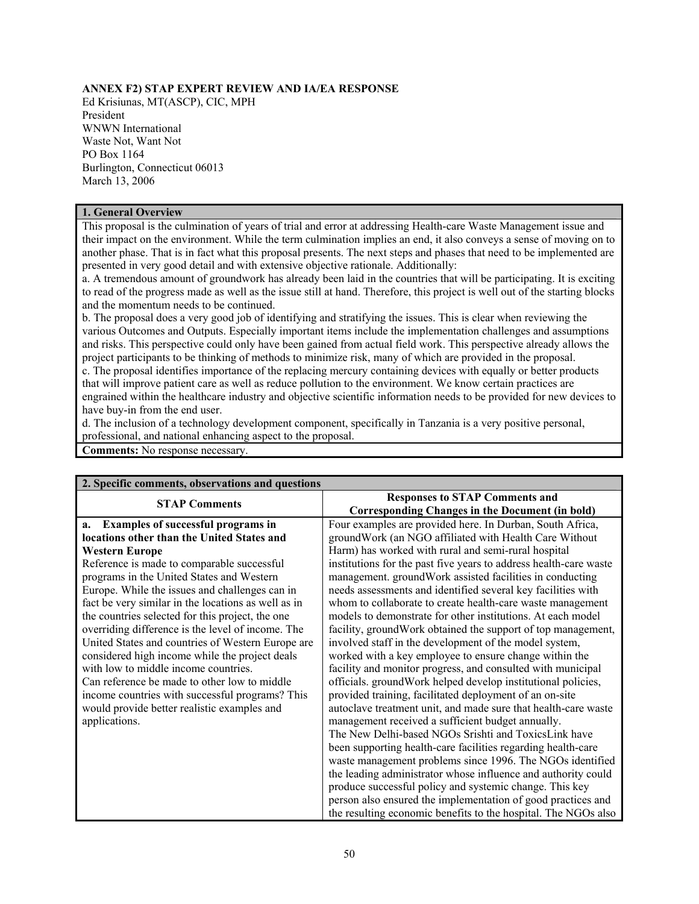## **ANNEX F2) STAP EXPERT REVIEW AND IA/EA RESPONSE**

Ed Krisiunas, MT(ASCP), CIC, MPH President WNWN International Waste Not, Want Not PO Box 1164 Burlington, Connecticut 06013 March 13, 2006

#### **1. General Overview**

This proposal is the culmination of years of trial and error at addressing Health-care Waste Management issue and their impact on the environment. While the term culmination implies an end, it also conveys a sense of moving on to another phase. That is in fact what this proposal presents. The next steps and phases that need to be implemented are presented in very good detail and with extensive objective rationale. Additionally:

a. A tremendous amount of groundwork has already been laid in the countries that will be participating. It is exciting to read of the progress made as well as the issue still at hand. Therefore, this project is well out of the starting blocks and the momentum needs to be continued.

b. The proposal does a very good job of identifying and stratifying the issues. This is clear when reviewing the various Outcomes and Outputs. Especially important items include the implementation challenges and assumptions and risks. This perspective could only have been gained from actual field work. This perspective already allows the project participants to be thinking of methods to minimize risk, many of which are provided in the proposal. c. The proposal identifies importance of the replacing mercury containing devices with equally or better products that will improve patient care as well as reduce pollution to the environment. We know certain practices are engrained within the healthcare industry and objective scientific information needs to be provided for new devices to have buy-in from the end user.

d. The inclusion of a technology development component, specifically in Tanzania is a very positive personal, professional, and national enhancing aspect to the proposal.

**Comments:** No response necessary.

| 2. Specific comments, observations and questions    |                                                                   |
|-----------------------------------------------------|-------------------------------------------------------------------|
| <b>STAP Comments</b>                                | <b>Responses to STAP Comments and</b>                             |
|                                                     | <b>Corresponding Changes in the Document (in bold)</b>            |
| <b>Examples of successful programs in</b><br>a.     | Four examples are provided here. In Durban, South Africa,         |
| locations other than the United States and          | ground Work (an NGO affiliated with Health Care Without           |
| <b>Western Europe</b>                               | Harm) has worked with rural and semi-rural hospital               |
| Reference is made to comparable successful          | institutions for the past five years to address health-care waste |
| programs in the United States and Western           | management. ground Work assisted facilities in conducting         |
| Europe. While the issues and challenges can in      | needs assessments and identified several key facilities with      |
| fact be very similar in the locations as well as in | whom to collaborate to create health-care waste management        |
| the countries selected for this project, the one    | models to demonstrate for other institutions. At each model       |
| overriding difference is the level of income. The   | facility, ground Work obtained the support of top management,     |
| United States and countries of Western Europe are   | involved staff in the development of the model system,            |
| considered high income while the project deals      | worked with a key employee to ensure change within the            |
| with low to middle income countries.                | facility and monitor progress, and consulted with municipal       |
| Can reference be made to other low to middle        | officials. ground Work helped develop institutional policies,     |
| income countries with successful programs? This     | provided training, facilitated deployment of an on-site           |
| would provide better realistic examples and         | autoclave treatment unit, and made sure that health-care waste    |
| applications.                                       | management received a sufficient budget annually.                 |
|                                                     | The New Delhi-based NGOs Srishti and ToxicsLink have              |
|                                                     | been supporting health-care facilities regarding health-care      |
|                                                     | waste management problems since 1996. The NGOs identified         |
|                                                     | the leading administrator whose influence and authority could     |
|                                                     | produce successful policy and systemic change. This key           |
|                                                     | person also ensured the implementation of good practices and      |
|                                                     | the resulting economic benefits to the hospital. The NGOs also    |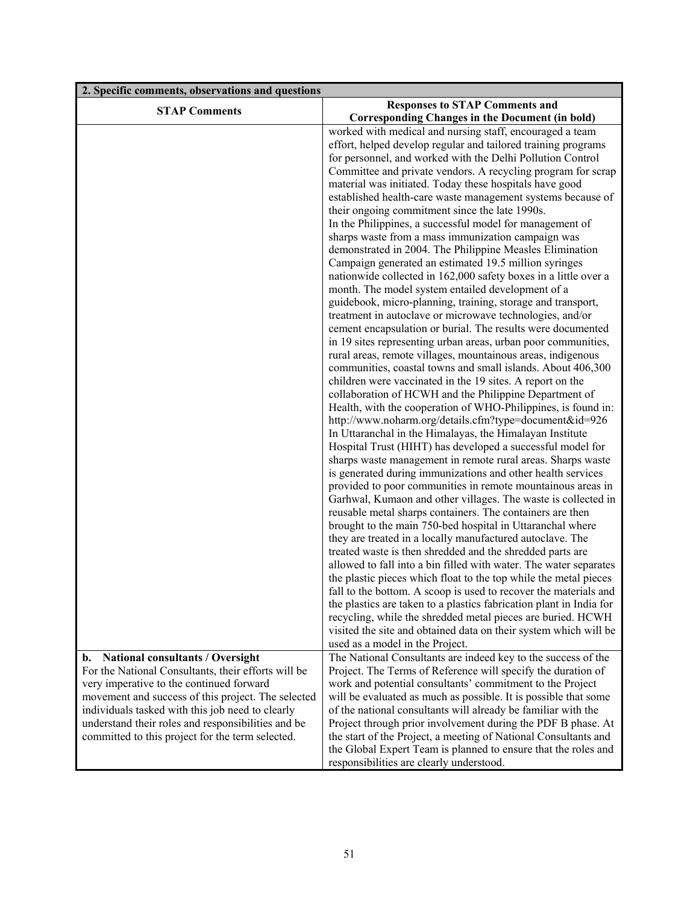| 2. Specific comments, observations and questions    |                                                                                                                                    |
|-----------------------------------------------------|------------------------------------------------------------------------------------------------------------------------------------|
| <b>STAP Comments</b>                                | <b>Responses to STAP Comments and</b><br><b>Corresponding Changes in the Document (in bold)</b>                                    |
|                                                     | worked with medical and nursing staff, encouraged a team                                                                           |
|                                                     | effort, helped develop regular and tailored training programs                                                                      |
|                                                     | for personnel, and worked with the Delhi Pollution Control                                                                         |
|                                                     | Committee and private vendors. A recycling program for scrap                                                                       |
|                                                     | material was initiated. Today these hospitals have good                                                                            |
|                                                     | established health-care waste management systems because of<br>their ongoing commitment since the late 1990s.                      |
|                                                     | In the Philippines, a successful model for management of                                                                           |
|                                                     | sharps waste from a mass immunization campaign was                                                                                 |
|                                                     | demonstrated in 2004. The Philippine Measles Elimination                                                                           |
|                                                     | Campaign generated an estimated 19.5 million syringes                                                                              |
|                                                     | nationwide collected in 162,000 safety boxes in a little over a                                                                    |
|                                                     | month. The model system entailed development of a                                                                                  |
|                                                     | guidebook, micro-planning, training, storage and transport,                                                                        |
|                                                     | treatment in autoclave or microwave technologies, and/or                                                                           |
|                                                     | cement encapsulation or burial. The results were documented                                                                        |
|                                                     | in 19 sites representing urban areas, urban poor communities,                                                                      |
|                                                     | rural areas, remote villages, mountainous areas, indigenous                                                                        |
|                                                     | communities, coastal towns and small islands. About 406,300                                                                        |
|                                                     | children were vaccinated in the 19 sites. A report on the                                                                          |
|                                                     | collaboration of HCWH and the Philippine Department of                                                                             |
|                                                     | Health, with the cooperation of WHO-Philippines, is found in:<br>http://www.noharm.org/details.cfm?type=document&id=926            |
|                                                     | In Uttaranchal in the Himalayas, the Himalayan Institute                                                                           |
|                                                     | Hospital Trust (HIHT) has developed a successful model for                                                                         |
|                                                     | sharps waste management in remote rural areas. Sharps waste                                                                        |
|                                                     | is generated during immunizations and other health services                                                                        |
|                                                     | provided to poor communities in remote mountainous areas in                                                                        |
|                                                     | Garhwal, Kumaon and other villages. The waste is collected in                                                                      |
|                                                     | reusable metal sharps containers. The containers are then                                                                          |
|                                                     | brought to the main 750-bed hospital in Uttaranchal where                                                                          |
|                                                     | they are treated in a locally manufactured autoclave. The                                                                          |
|                                                     | treated waste is then shredded and the shredded parts are                                                                          |
|                                                     | allowed to fall into a bin filled with water. The water separates                                                                  |
|                                                     | the plastic pieces which float to the top while the metal pieces                                                                   |
|                                                     | fall to the bottom. A scoop is used to recover the materials and                                                                   |
|                                                     | the plastics are taken to a plastics fabrication plant in India for<br>recycling, while the shredded metal pieces are buried. HCWH |
|                                                     | visited the site and obtained data on their system which will be                                                                   |
|                                                     | used as a model in the Project.                                                                                                    |
| National consultants / Oversight<br>b.              | The National Consultants are indeed key to the success of the                                                                      |
| For the National Consultants, their efforts will be | Project. The Terms of Reference will specify the duration of                                                                       |
| very imperative to the continued forward            | work and potential consultants' commitment to the Project                                                                          |
| movement and success of this project. The selected  | will be evaluated as much as possible. It is possible that some                                                                    |
| individuals tasked with this job need to clearly    | of the national consultants will already be familiar with the                                                                      |
| understand their roles and responsibilities and be  | Project through prior involvement during the PDF B phase. At                                                                       |
| committed to this project for the term selected.    | the start of the Project, a meeting of National Consultants and                                                                    |
|                                                     | the Global Expert Team is planned to ensure that the roles and                                                                     |
|                                                     | responsibilities are clearly understood.                                                                                           |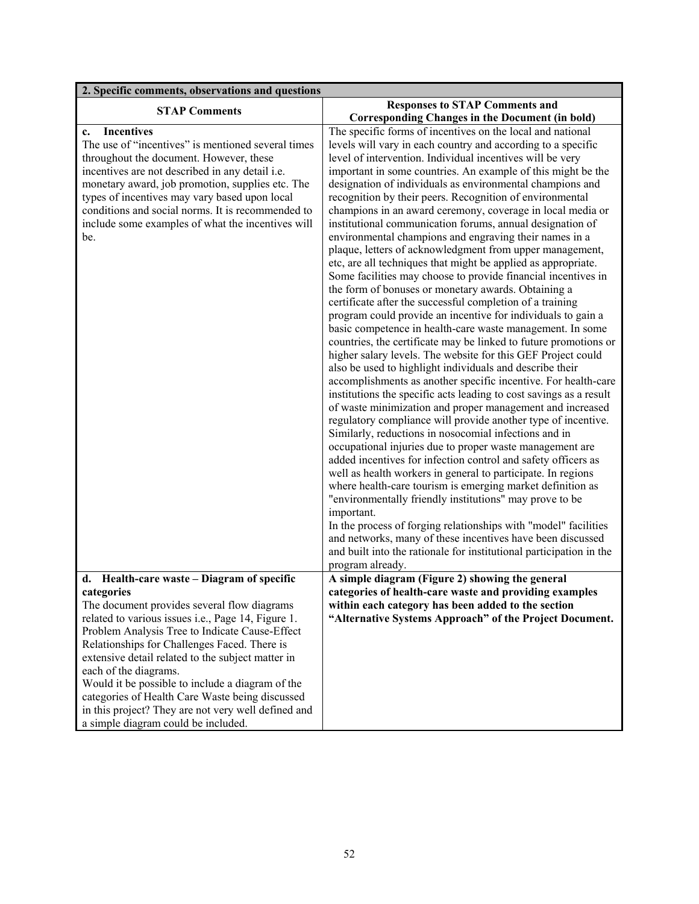| 2. Specific comments, observations and questions           |                                                                                                                  |
|------------------------------------------------------------|------------------------------------------------------------------------------------------------------------------|
| <b>STAP Comments</b>                                       | <b>Responses to STAP Comments and</b>                                                                            |
|                                                            | <b>Corresponding Changes in the Document (in bold)</b>                                                           |
| <b>Incentives</b><br>$c_{\cdot}$                           | The specific forms of incentives on the local and national                                                       |
| The use of "incentives" is mentioned several times         | levels will vary in each country and according to a specific                                                     |
| throughout the document. However, these                    | level of intervention. Individual incentives will be very                                                        |
| incentives are not described in any detail i.e.            | important in some countries. An example of this might be the                                                     |
| monetary award, job promotion, supplies etc. The           | designation of individuals as environmental champions and                                                        |
| types of incentives may vary based upon local              | recognition by their peers. Recognition of environmental                                                         |
| conditions and social norms. It is recommended to          | champions in an award ceremony, coverage in local media or                                                       |
| include some examples of what the incentives will          | institutional communication forums, annual designation of                                                        |
| be.                                                        | environmental champions and engraving their names in a                                                           |
|                                                            | plaque, letters of acknowledgment from upper management,                                                         |
|                                                            | etc, are all techniques that might be applied as appropriate.                                                    |
|                                                            | Some facilities may choose to provide financial incentives in                                                    |
|                                                            | the form of bonuses or monetary awards. Obtaining a<br>certificate after the successful completion of a training |
|                                                            | program could provide an incentive for individuals to gain a                                                     |
|                                                            | basic competence in health-care waste management. In some                                                        |
|                                                            | countries, the certificate may be linked to future promotions or                                                 |
|                                                            | higher salary levels. The website for this GEF Project could                                                     |
|                                                            | also be used to highlight individuals and describe their                                                         |
|                                                            | accomplishments as another specific incentive. For health-care                                                   |
|                                                            | institutions the specific acts leading to cost savings as a result                                               |
|                                                            | of waste minimization and proper management and increased                                                        |
|                                                            | regulatory compliance will provide another type of incentive.                                                    |
|                                                            | Similarly, reductions in nosocomial infections and in                                                            |
|                                                            | occupational injuries due to proper waste management are                                                         |
|                                                            | added incentives for infection control and safety officers as                                                    |
|                                                            | well as health workers in general to participate. In regions                                                     |
|                                                            | where health-care tourism is emerging market definition as                                                       |
|                                                            | "environmentally friendly institutions" may prove to be                                                          |
|                                                            | important.                                                                                                       |
|                                                            | In the process of forging relationships with "model" facilities                                                  |
|                                                            | and networks, many of these incentives have been discussed                                                       |
|                                                            | and built into the rationale for institutional participation in the                                              |
|                                                            | program already.                                                                                                 |
| d. Health-care waste – Diagram of specific                 | A simple diagram (Figure 2) showing the general                                                                  |
| categories                                                 | categories of health-care waste and providing examples                                                           |
| The document provides several flow diagrams                | within each category has been added to the section                                                               |
| related to various issues <i>i.e.</i> , Page 14, Figure 1. | "Alternative Systems Approach" of the Project Document.                                                          |
| Problem Analysis Tree to Indicate Cause-Effect             |                                                                                                                  |
| Relationships for Challenges Faced. There is               |                                                                                                                  |
| extensive detail related to the subject matter in          |                                                                                                                  |
| each of the diagrams.                                      |                                                                                                                  |
| Would it be possible to include a diagram of the           |                                                                                                                  |
| categories of Health Care Waste being discussed            |                                                                                                                  |
| in this project? They are not very well defined and        |                                                                                                                  |
| a simple diagram could be included.                        |                                                                                                                  |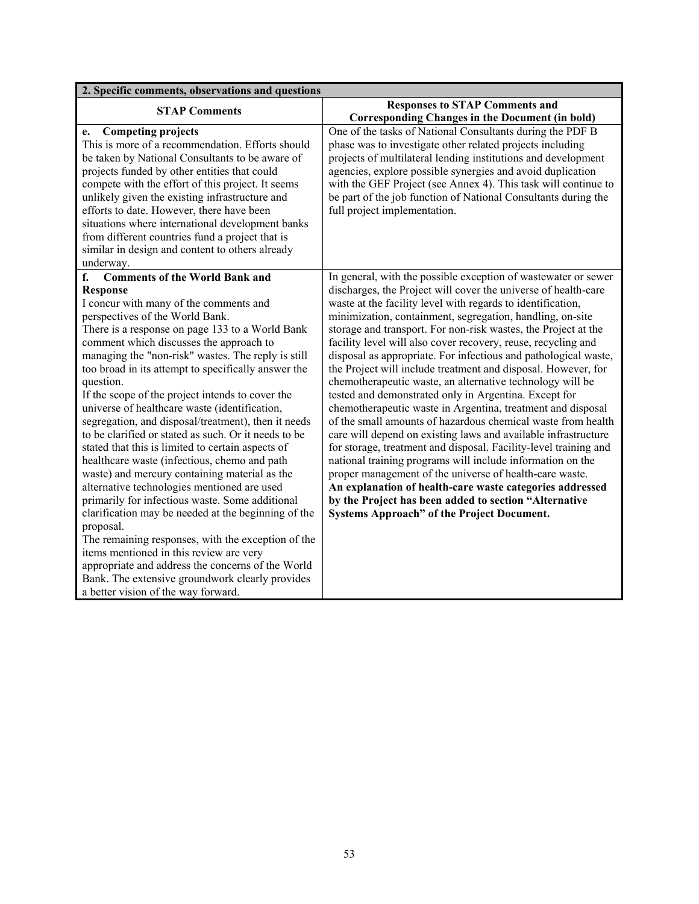| 2. Specific comments, observations and questions                                                                                                                                                                                                                                                                                                                                                                                                                                                                                                                                                                                                                                                                                                                                                                                                                                                                                                                                                                                                                                                                                                                    |                                                                                                                                                                                                                                                                                                                                                                                                                                                                                                                                                                                                                                                                                                                                                                                                                                                                                                                                                                                                                                                                                                                                                                                                                                   |
|---------------------------------------------------------------------------------------------------------------------------------------------------------------------------------------------------------------------------------------------------------------------------------------------------------------------------------------------------------------------------------------------------------------------------------------------------------------------------------------------------------------------------------------------------------------------------------------------------------------------------------------------------------------------------------------------------------------------------------------------------------------------------------------------------------------------------------------------------------------------------------------------------------------------------------------------------------------------------------------------------------------------------------------------------------------------------------------------------------------------------------------------------------------------|-----------------------------------------------------------------------------------------------------------------------------------------------------------------------------------------------------------------------------------------------------------------------------------------------------------------------------------------------------------------------------------------------------------------------------------------------------------------------------------------------------------------------------------------------------------------------------------------------------------------------------------------------------------------------------------------------------------------------------------------------------------------------------------------------------------------------------------------------------------------------------------------------------------------------------------------------------------------------------------------------------------------------------------------------------------------------------------------------------------------------------------------------------------------------------------------------------------------------------------|
| <b>STAP Comments</b>                                                                                                                                                                                                                                                                                                                                                                                                                                                                                                                                                                                                                                                                                                                                                                                                                                                                                                                                                                                                                                                                                                                                                | <b>Responses to STAP Comments and</b><br><b>Corresponding Changes in the Document (in bold)</b>                                                                                                                                                                                                                                                                                                                                                                                                                                                                                                                                                                                                                                                                                                                                                                                                                                                                                                                                                                                                                                                                                                                                   |
| <b>Competing projects</b><br>e.<br>This is more of a recommendation. Efforts should<br>be taken by National Consultants to be aware of<br>projects funded by other entities that could<br>compete with the effort of this project. It seems<br>unlikely given the existing infrastructure and<br>efforts to date. However, there have been<br>situations where international development banks<br>from different countries fund a project that is<br>similar in design and content to others already<br>underway.                                                                                                                                                                                                                                                                                                                                                                                                                                                                                                                                                                                                                                                   | One of the tasks of National Consultants during the PDF B<br>phase was to investigate other related projects including<br>projects of multilateral lending institutions and development<br>agencies, explore possible synergies and avoid duplication<br>with the GEF Project (see Annex 4). This task will continue to<br>be part of the job function of National Consultants during the<br>full project implementation.                                                                                                                                                                                                                                                                                                                                                                                                                                                                                                                                                                                                                                                                                                                                                                                                         |
| <b>Comments of the World Bank and</b><br>f.<br><b>Response</b><br>I concur with many of the comments and<br>perspectives of the World Bank.<br>There is a response on page 133 to a World Bank<br>comment which discusses the approach to<br>managing the "non-risk" wastes. The reply is still<br>too broad in its attempt to specifically answer the<br>question.<br>If the scope of the project intends to cover the<br>universe of healthcare waste (identification,<br>segregation, and disposal/treatment), then it needs<br>to be clarified or stated as such. Or it needs to be<br>stated that this is limited to certain aspects of<br>healthcare waste (infectious, chemo and path<br>waste) and mercury containing material as the<br>alternative technologies mentioned are used<br>primarily for infectious waste. Some additional<br>clarification may be needed at the beginning of the<br>proposal.<br>The remaining responses, with the exception of the<br>items mentioned in this review are very<br>appropriate and address the concerns of the World<br>Bank. The extensive groundwork clearly provides<br>a better vision of the way forward. | In general, with the possible exception of wastewater or sewer<br>discharges, the Project will cover the universe of health-care<br>waste at the facility level with regards to identification,<br>minimization, containment, segregation, handling, on-site<br>storage and transport. For non-risk wastes, the Project at the<br>facility level will also cover recovery, reuse, recycling and<br>disposal as appropriate. For infectious and pathological waste,<br>the Project will include treatment and disposal. However, for<br>chemotherapeutic waste, an alternative technology will be<br>tested and demonstrated only in Argentina. Except for<br>chemotherapeutic waste in Argentina, treatment and disposal<br>of the small amounts of hazardous chemical waste from health<br>care will depend on existing laws and available infrastructure<br>for storage, treatment and disposal. Facility-level training and<br>national training programs will include information on the<br>proper management of the universe of health-care waste.<br>An explanation of health-care waste categories addressed<br>by the Project has been added to section "Alternative<br><b>Systems Approach" of the Project Document.</b> |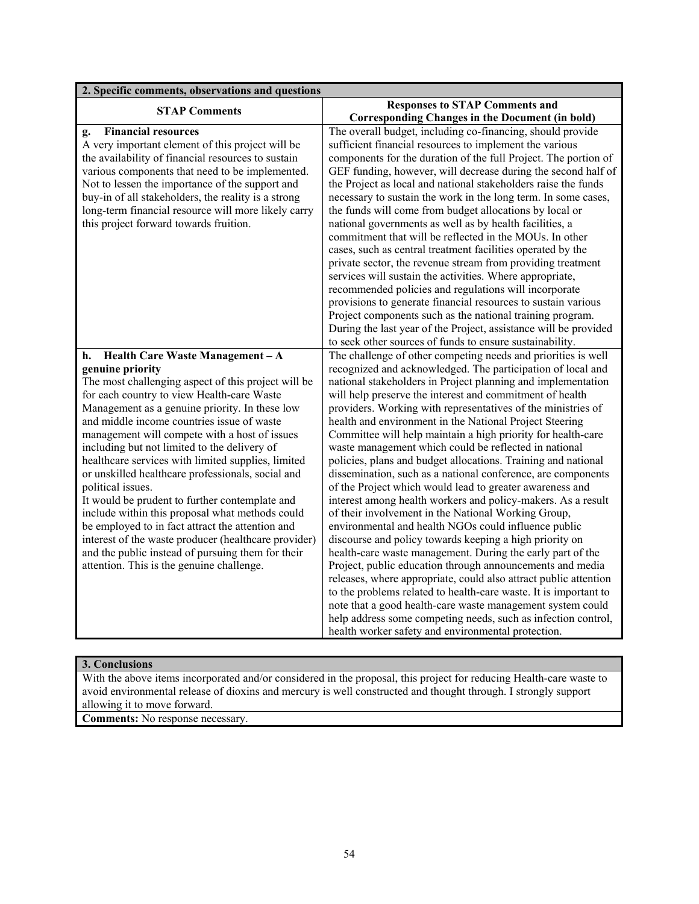| 2. Specific comments, observations and questions                                                       |                                                                                                                                      |
|--------------------------------------------------------------------------------------------------------|--------------------------------------------------------------------------------------------------------------------------------------|
| <b>STAP Comments</b>                                                                                   | <b>Responses to STAP Comments and</b>                                                                                                |
|                                                                                                        | <b>Corresponding Changes in the Document (in bold)</b>                                                                               |
| <b>Financial resources</b><br>g.                                                                       | The overall budget, including co-financing, should provide                                                                           |
| A very important element of this project will be                                                       | sufficient financial resources to implement the various                                                                              |
| the availability of financial resources to sustain                                                     | components for the duration of the full Project. The portion of                                                                      |
| various components that need to be implemented.                                                        | GEF funding, however, will decrease during the second half of                                                                        |
| Not to lessen the importance of the support and<br>buy-in of all stakeholders, the reality is a strong | the Project as local and national stakeholders raise the funds<br>necessary to sustain the work in the long term. In some cases,     |
| long-term financial resource will more likely carry                                                    | the funds will come from budget allocations by local or                                                                              |
| this project forward towards fruition.                                                                 | national governments as well as by health facilities, a                                                                              |
|                                                                                                        | commitment that will be reflected in the MOUs. In other                                                                              |
|                                                                                                        | cases, such as central treatment facilities operated by the                                                                          |
|                                                                                                        | private sector, the revenue stream from providing treatment                                                                          |
|                                                                                                        | services will sustain the activities. Where appropriate,                                                                             |
|                                                                                                        | recommended policies and regulations will incorporate                                                                                |
|                                                                                                        | provisions to generate financial resources to sustain various                                                                        |
|                                                                                                        | Project components such as the national training program.                                                                            |
|                                                                                                        | During the last year of the Project, assistance will be provided                                                                     |
|                                                                                                        | to seek other sources of funds to ensure sustainability.                                                                             |
| Health Care Waste Management - A<br>h.                                                                 | The challenge of other competing needs and priorities is well                                                                        |
| genuine priority                                                                                       | recognized and acknowledged. The participation of local and                                                                          |
| The most challenging aspect of this project will be                                                    | national stakeholders in Project planning and implementation                                                                         |
| for each country to view Health-care Waste<br>Management as a genuine priority. In these low           | will help preserve the interest and commitment of health<br>providers. Working with representatives of the ministries of             |
| and middle income countries issue of waste                                                             | health and environment in the National Project Steering                                                                              |
| management will compete with a host of issues                                                          | Committee will help maintain a high priority for health-care                                                                         |
| including but not limited to the delivery of                                                           | waste management which could be reflected in national                                                                                |
| healthcare services with limited supplies, limited                                                     | policies, plans and budget allocations. Training and national                                                                        |
| or unskilled healthcare professionals, social and                                                      | dissemination, such as a national conference, are components                                                                         |
| political issues.                                                                                      | of the Project which would lead to greater awareness and                                                                             |
| It would be prudent to further contemplate and                                                         | interest among health workers and policy-makers. As a result                                                                         |
| include within this proposal what methods could                                                        | of their involvement in the National Working Group,                                                                                  |
| be employed to in fact attract the attention and                                                       | environmental and health NGOs could influence public                                                                                 |
| interest of the waste producer (healthcare provider)                                                   | discourse and policy towards keeping a high priority on                                                                              |
| and the public instead of pursuing them for their                                                      | health-care waste management. During the early part of the                                                                           |
| attention. This is the genuine challenge.                                                              | Project, public education through announcements and media                                                                            |
|                                                                                                        | releases, where appropriate, could also attract public attention<br>to the problems related to health-care waste. It is important to |
|                                                                                                        | note that a good health-care waste management system could                                                                           |
|                                                                                                        | help address some competing needs, such as infection control,                                                                        |
|                                                                                                        | health worker safety and environmental protection.                                                                                   |
|                                                                                                        |                                                                                                                                      |

# **3. Conclusions**

With the above items incorporated and/or considered in the proposal, this project for reducing Health-care waste to avoid environmental release of dioxins and mercury is well constructed and thought through. I strongly support allowing it to move forward.

**Comments:** No response necessary.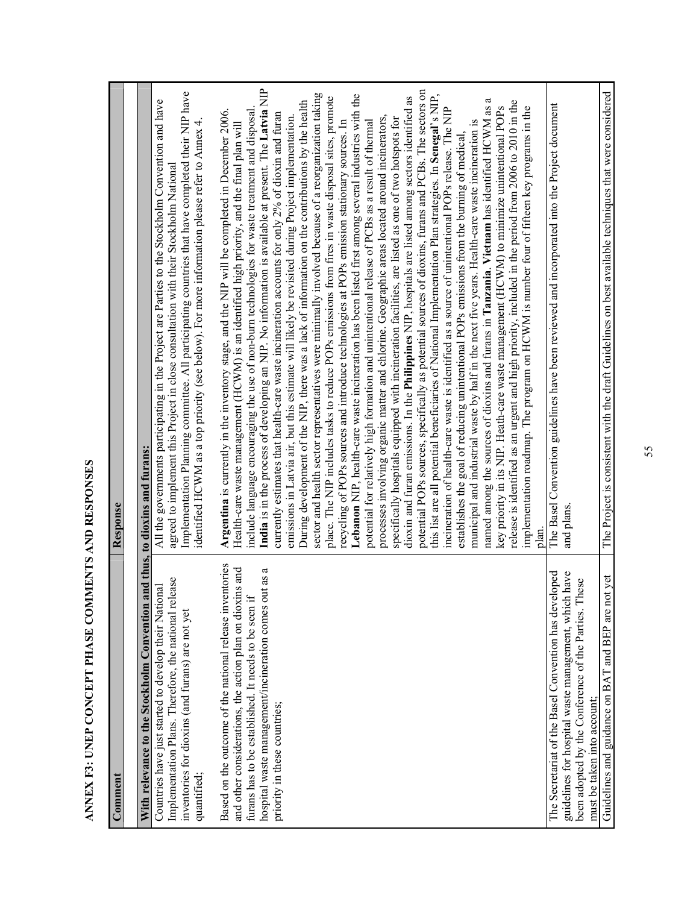| ĺ<br>くりし<br>ו<br>ו                       | ۱      |
|------------------------------------------|--------|
| j                                        | l      |
| l<br>ļ<br>j<br> <br> <br> <br> <br> <br> | l      |
| ו<br>ו<br>ו                              |        |
| ļ<br>י<br>ו                              | י      |
|                                          |        |
| Ì                                        | l<br>l |

| ANNEX F3: UNEP CONCEPT PHASE COMMENTS AND RESPONSES                                                                                                                                                                                                                        |                                                                                                                                                                                                                                                                                                                                                                                                                                                                                                                                                                                                                                                                                                                                                                                                                                                                                                                                                                                                                                                                                                                                                                                                                                                                                                                                                                                                                                                                                                                                                                                                                                                                                                                                                                                                                                                                                                                                                                                                                                                                                                                                                                                                                                                                                                                                                                                                                                                                                                               |
|----------------------------------------------------------------------------------------------------------------------------------------------------------------------------------------------------------------------------------------------------------------------------|---------------------------------------------------------------------------------------------------------------------------------------------------------------------------------------------------------------------------------------------------------------------------------------------------------------------------------------------------------------------------------------------------------------------------------------------------------------------------------------------------------------------------------------------------------------------------------------------------------------------------------------------------------------------------------------------------------------------------------------------------------------------------------------------------------------------------------------------------------------------------------------------------------------------------------------------------------------------------------------------------------------------------------------------------------------------------------------------------------------------------------------------------------------------------------------------------------------------------------------------------------------------------------------------------------------------------------------------------------------------------------------------------------------------------------------------------------------------------------------------------------------------------------------------------------------------------------------------------------------------------------------------------------------------------------------------------------------------------------------------------------------------------------------------------------------------------------------------------------------------------------------------------------------------------------------------------------------------------------------------------------------------------------------------------------------------------------------------------------------------------------------------------------------------------------------------------------------------------------------------------------------------------------------------------------------------------------------------------------------------------------------------------------------------------------------------------------------------------------------------------------------|
| Comment                                                                                                                                                                                                                                                                    | Response                                                                                                                                                                                                                                                                                                                                                                                                                                                                                                                                                                                                                                                                                                                                                                                                                                                                                                                                                                                                                                                                                                                                                                                                                                                                                                                                                                                                                                                                                                                                                                                                                                                                                                                                                                                                                                                                                                                                                                                                                                                                                                                                                                                                                                                                                                                                                                                                                                                                                                      |
| With relevance to the Stockholm Convention and thus, to dioxins and furans:                                                                                                                                                                                                |                                                                                                                                                                                                                                                                                                                                                                                                                                                                                                                                                                                                                                                                                                                                                                                                                                                                                                                                                                                                                                                                                                                                                                                                                                                                                                                                                                                                                                                                                                                                                                                                                                                                                                                                                                                                                                                                                                                                                                                                                                                                                                                                                                                                                                                                                                                                                                                                                                                                                                               |
| Implementation Plans. Therefore, the national release<br>Countries have just started to develop their National<br>inventories for dioxins (and furans) are not yet<br>quantified;                                                                                          | Implementation Planning committee. All participating countries that have completed their NIP have<br>All the governments participating in the Project are Parties to the Stockholm Convention and have<br>identified HCWM as a top priority (see below). For more information please refer to Annex 4.<br>agreed to implement this Project in close consultation with their Stockholm National                                                                                                                                                                                                                                                                                                                                                                                                                                                                                                                                                                                                                                                                                                                                                                                                                                                                                                                                                                                                                                                                                                                                                                                                                                                                                                                                                                                                                                                                                                                                                                                                                                                                                                                                                                                                                                                                                                                                                                                                                                                                                                                |
| Based on the outcome of the national release inventories<br>is and<br>hospital waste management/incineration comes out as a<br>and other considerations, the action plan on dioxin<br>furans has to be established. It needs to be seen if<br>priority in these countries; | India is in the process of developing an NIP. No information is available at present. The Latvia NIP<br>potential POPs sources, specifically as potential sources of dioxins, furans and PCBs. The sectors on<br>sector and health sector representatives were minimally involved because of a reorganization taking<br>this list are all potential beneficiaries of National Implementation Plan strategies. In Senegal's NIP,<br>Lebanon NIP, health-care waste incineration has been listed first among several industries with the<br>dioxin and furan emissions. In the Philippines NIP, hospitals are listed among sectors identified as<br>place. The NIP includes tasks to reduce POPs emissions from fires in waste disposal sites, promote<br>ß<br>During development of the NIP, there was a lack of information on the contributions by the health<br>release is identified as an urgent and high priority, included in the period from 2006 to 2010 in the<br>named among the sources of dioxins and furans in Tanzania. Vietnam has identified HCWM as<br>key priority in its NIP. Heath-care waste management (HCWM) to minimize unintentional POPs<br>implementation roadmap. The program on HCWM is number four of fifteen key programs in the<br>incineration of health-care waste is identified as a source of unintentional POPs release. The NIP<br>Argentina is currently in the inventory stage, and the NIP will be completed in December 2006.<br>include language encouraging the use of non-burn technologies for waste treatment and disposal<br>currently estimates that health-care waste incineration accounts for only $2\%$ of dioxin and furan<br>emissions in Latvia air, but this estimate will likely be revisited during Project implementation.<br>processes involving organic matter and chlorine. Geographic areas located around incinerators,<br>specifically hospitals equipped with incineration facilities, are listed as one of two hotspots for<br>potential for relatively high formation and unintentional release of PCBs as a result of thermal<br>recycling of POPs sources and introduce technologies at POPs emission stationary sources. In<br>municipal and industrial waste by half in the next five years. Health-care waste incineration is<br>Health-care waste management (HCWM) is an identified high priority, and the final plan will<br>establishes the goal of reducing unintentional POPs emissions from the burning of medical,<br>plan. |
| The Secretariat of the Basel Convention has developed<br>have<br>been adopted by the Conference of the Parties. These<br>guidelines for hospital waste management, which<br>must be taken into account;                                                                    | The Basel Convention guidelines have been reviewed and incorporated into the Project document<br>and plans                                                                                                                                                                                                                                                                                                                                                                                                                                                                                                                                                                                                                                                                                                                                                                                                                                                                                                                                                                                                                                                                                                                                                                                                                                                                                                                                                                                                                                                                                                                                                                                                                                                                                                                                                                                                                                                                                                                                                                                                                                                                                                                                                                                                                                                                                                                                                                                                    |
| Guidelines and guidance on BAT and BEP are not yet                                                                                                                                                                                                                         | The Project is consistent with the draft Guidelines on best available techniques that were considered                                                                                                                                                                                                                                                                                                                                                                                                                                                                                                                                                                                                                                                                                                                                                                                                                                                                                                                                                                                                                                                                                                                                                                                                                                                                                                                                                                                                                                                                                                                                                                                                                                                                                                                                                                                                                                                                                                                                                                                                                                                                                                                                                                                                                                                                                                                                                                                                         |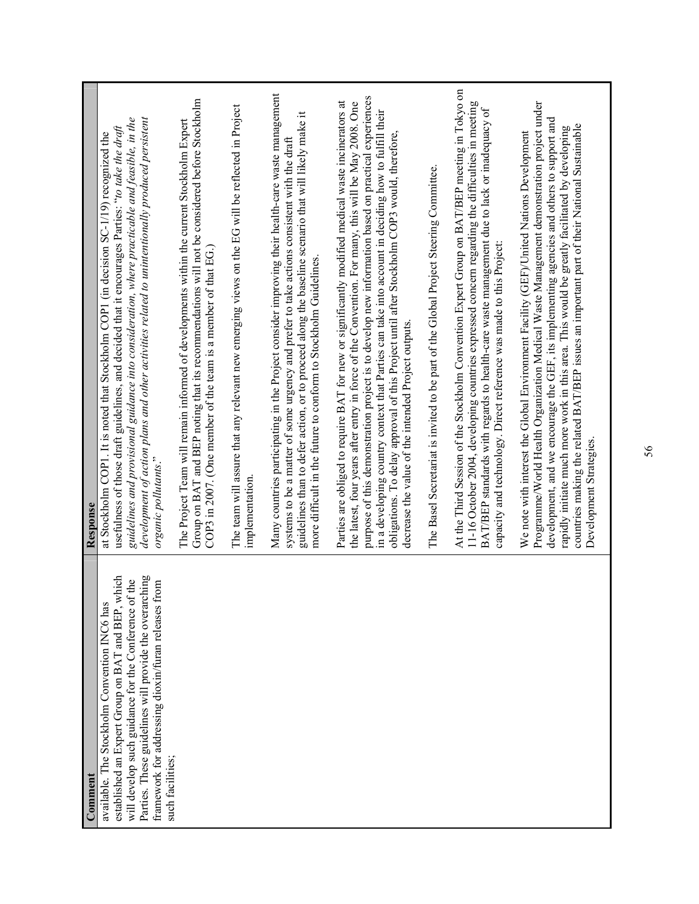| established an Expert Group on BAT and BEP, which<br>Parties. These guidelines will provide the overarching<br>will develop such guidance for the Conference of the<br>framework for addressing dioxin/furan releases from<br>available. The Stockholm Convention INC6 has<br>such facilities;<br>Comment | At the Third Session of the Stockholm Convention Expert Group on BAT/BEP meeting in Tokyo on<br>Many countries participating in the Project consider improving their health-care waste management<br>purpose of this demonstration project is to develop new information based on practical experiences<br>Group on BAT and BEP noting that its recommendations will not be considered before Stockholm<br>Parties are obliged to require BAT for new or significantly modified medical waste incinerators at<br>the latest, four years after entry in force of the Convention. For many, this will be May 2008. One<br>11-16 October 2004, developing countries expressed concern regarding the difficulties in meeting<br>The team will assure that any relevant new emerging views on the EG will be reflected in Project<br>BAT/BEP standards with regards to health-care waste management due to lack or inadequacy of<br>in a developing country context that Parties can take into account in deciding how to fulfill their<br>guidelines than to defer action, or to proceed along the baseline scenario that will likely make it<br>development of action plans and other activities related to unintentionally produced persistent<br>guidelines and provisional guidance into consideration, where practicable and feasible, in the<br>The Project Team will remain informed of developments within the current Stockholm Expert<br>usefulness of those draft guidelines, and decided that it encourages Parties: "to take the draft<br>obligations. To delay approval of this Project until after Stockholm COP3 would, therefore,<br>at Stockholm COP1. It is noted that Stockholm COP1 (in decision SC-1/19) recognized the<br>systems to be a matter of some urgency and prefer to take actions consistent with the draft<br>The Basel Secretariat is invited to be part of the Global Project Steering Committee.<br>capacity and technology. Direct reference was made to this Project:<br>COP3 in 2007. (One member of the team is a member of that EG.)<br>more difficult in the future to conform to Stockholm Guidelines.<br>decrease the value of the intended Project outputs.<br>organic pollutants."<br>implementation.<br>Response |
|-----------------------------------------------------------------------------------------------------------------------------------------------------------------------------------------------------------------------------------------------------------------------------------------------------------|--------------------------------------------------------------------------------------------------------------------------------------------------------------------------------------------------------------------------------------------------------------------------------------------------------------------------------------------------------------------------------------------------------------------------------------------------------------------------------------------------------------------------------------------------------------------------------------------------------------------------------------------------------------------------------------------------------------------------------------------------------------------------------------------------------------------------------------------------------------------------------------------------------------------------------------------------------------------------------------------------------------------------------------------------------------------------------------------------------------------------------------------------------------------------------------------------------------------------------------------------------------------------------------------------------------------------------------------------------------------------------------------------------------------------------------------------------------------------------------------------------------------------------------------------------------------------------------------------------------------------------------------------------------------------------------------------------------------------------------------------------------------------------------------------------------------------------------------------------------------------------------------------------------------------------------------------------------------------------------------------------------------------------------------------------------------------------------------------------------------------------------------------------------------------------------------------------------------------------------------------------------|
|                                                                                                                                                                                                                                                                                                           | Programme/World Health Organization Medical Waste Management demonstration project under<br>development, and we encourage the GEF, its implementing agencies and others to support and<br>countries making the related BAT/BEP issues an important part of their National Sustainable<br>rapidly initiate much more work in this area. This would be greatly facilitated by developing<br>We note with interest the Global Environment Facility (GEF)/United Nations Development<br>Development Strategies.                                                                                                                                                                                                                                                                                                                                                                                                                                                                                                                                                                                                                                                                                                                                                                                                                                                                                                                                                                                                                                                                                                                                                                                                                                                                                                                                                                                                                                                                                                                                                                                                                                                                                                                                                  |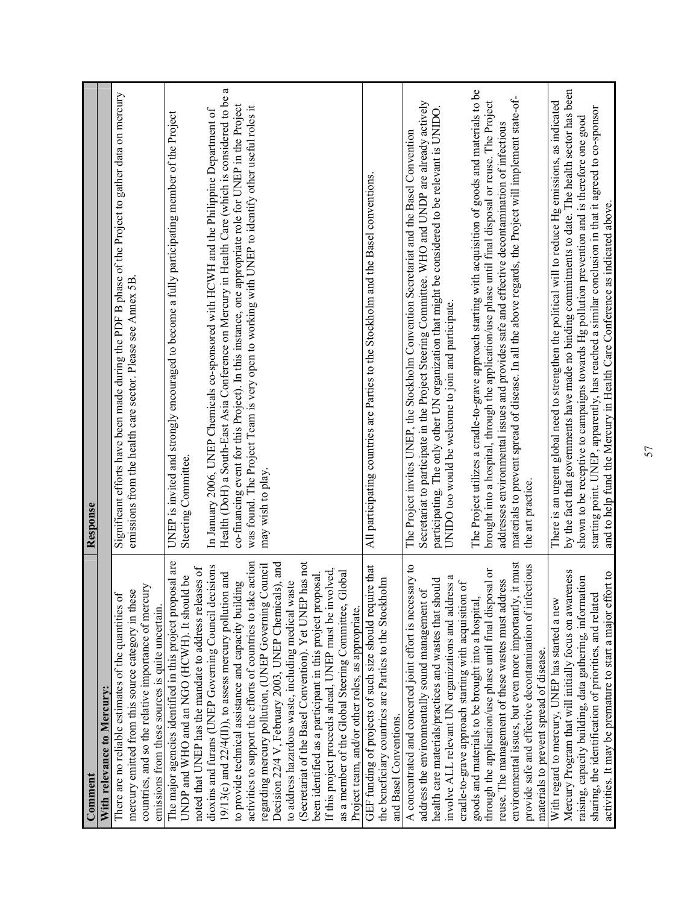| Comment                                                                                                                                                                                                                | Response                                                                                                                                                                                                                                                 |
|------------------------------------------------------------------------------------------------------------------------------------------------------------------------------------------------------------------------|----------------------------------------------------------------------------------------------------------------------------------------------------------------------------------------------------------------------------------------------------------|
| With relevance to Mercury:                                                                                                                                                                                             |                                                                                                                                                                                                                                                          |
| countries, and so the relative importance of mercury<br>mercury emitted from this source category in these<br>There are no reliable estimates of the quantities of<br>emissions from these sources is quite uncertain. | Significant efforts have been made during the PDF B phase of the Project to gather data on mercury<br>emissions from the health care sector. Please see Annex 5B                                                                                         |
| The major agencies identified in this project proposal are<br>noted that UNEP has the mandate to address releases of<br>UNDP and WHO and an NGO (HCWH). It should be                                                   | UNEP is invited and strongly encouraged to become a fully participating member of the Project<br>Steering Committee.                                                                                                                                     |
| dioxins and furans (UNEP Governing Council decisions<br>19/13(c) and $22/4$ (II)), to assess mercury pollution and                                                                                                     | ß<br>Health (DoH) a South-East Asia Conference on Mercury in Health Care (which is considered to be<br>In January 2006, UNEP Chemicals co-sponsored with HCWH and the Philippine Department of                                                           |
| activities to support the efforts of countries to take action<br>regarding mercury pollution, (UNEP Governing Council<br>to provide technical assistance and capacity building                                         | co-financing event for this Project). In this instance, one appropriate role for UNEP in the Project<br>was found. The Project Team is very open to working with UNEP to identify other useful roles it<br>may wish to play.                             |
| (Secretariat of the Basel Convention). Yet UNEP has not<br>Decision 22/4 V, February 2003, UNEP Chemicals), and<br>to address hazardous waste, including medical waste                                                 |                                                                                                                                                                                                                                                          |
| If this project proceeds ahead, UNEP must be involved,<br>as a member of the Global Steering Committee, Global<br>been identified as a participant in this project proposal.                                           |                                                                                                                                                                                                                                                          |
| Project team, and/or other roles, as appropriate.                                                                                                                                                                      |                                                                                                                                                                                                                                                          |
| GEF funding of projects of such size should require that<br>the beneficiary countries are Parties to the Stockholm<br>and Basel Conventions.                                                                           | All participating countries are Parties to the Stockholm and the Basel conventions.                                                                                                                                                                      |
| A concentrated and concerted joint effort is necessary to                                                                                                                                                              | The Project invites UNEP, the Stockholm Convention Secretariat and the Basel Convention                                                                                                                                                                  |
| involve ALL relevant UN organizations and address a<br>health care materials/practices and wastes that should<br>address the environmentally sound management of                                                       | Secretariat to participate in the Project Steering Committee. WHO and UNDP are already actively<br>participating. The only other UN organization that might be considered to be relevant is UNIDO<br>UNIDO too would be welcome to join and participate. |
| cradle-to-grave approach starting with acquisition of                                                                                                                                                                  |                                                                                                                                                                                                                                                          |
| through the application/use phase until final disposal or<br>goods and materials to be brought into a hospital,                                                                                                        | The Project utilizes a cradle-to-grave approach starting with acquisition of goods and materials to be<br>brought into a hospital, through the application/use phase until final disposal or reuse. The Project                                          |
| $\dot{t}$ must<br>reuse. The management of these wastes must address<br>environmental issues, but even more importantly,                                                                                               | materials to prevent spread of disease. In all the above regards, the Project will implement state-of-<br>addresses environmental issues and provides safe and effective decontamination of infectious                                                   |
| provide safe and effective decontamination of infectious<br>materials to prevent spread of disease.                                                                                                                    | the art practice.                                                                                                                                                                                                                                        |
| Mercury Program that will initially focus on awareness<br>With regard to mercury, UNEP has started a new                                                                                                               | by the fact that governments have made no binding commitments to date. The health sector has been<br>There is an urgent global need to strengthen the political will to reduce Hg emissions, as indicated                                                |
| raising, capacity building, data gathering, information<br>sharing, the identification of priorities, and related                                                                                                      | starting point. UNEP, apparently, has reached a similar conclusion in that it agreed to co-sponsor<br>shown to be receptive to campaigns towards Hg pollution prevention and is therefore one good                                                       |
| activities. It may be premature to start a major effort to                                                                                                                                                             | and to help fund the Mercury in Health Care Conference as indicated above.                                                                                                                                                                               |
|                                                                                                                                                                                                                        |                                                                                                                                                                                                                                                          |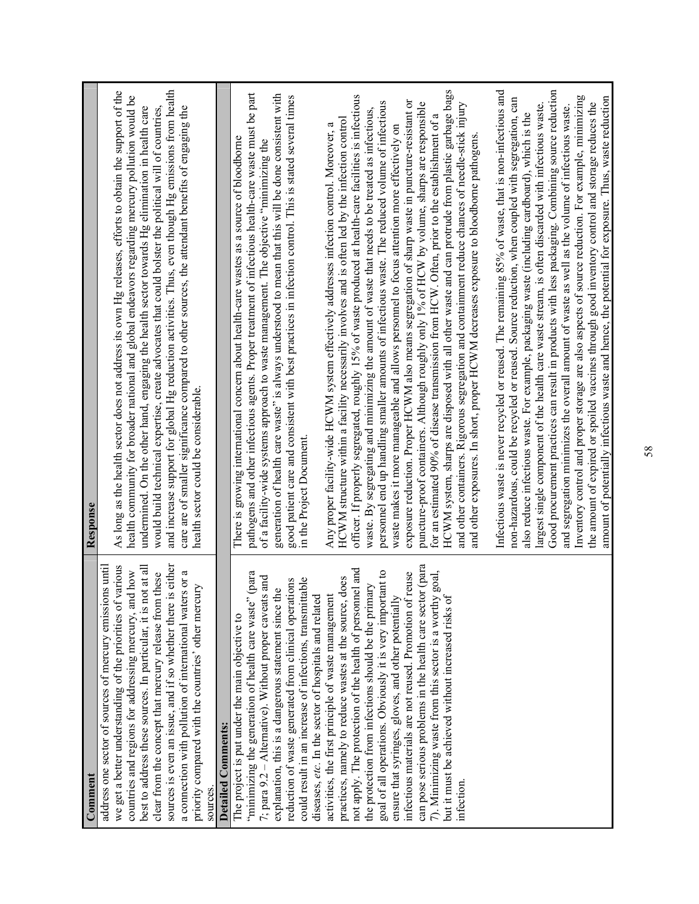| Comment                                                                                                                                                                                                                                                                                                                                                                                                                                                                                                                                                                                                     | Response                                                                                                                                                                                                                                                                                                                                                                                                                                                                                                                                                                                                                                                                                                                                                                                                                                                                                                                                                                                                                                                                                                                                                                                                                                                                                                                                                                                                                                                                                                                                                                                                                              |
|-------------------------------------------------------------------------------------------------------------------------------------------------------------------------------------------------------------------------------------------------------------------------------------------------------------------------------------------------------------------------------------------------------------------------------------------------------------------------------------------------------------------------------------------------------------------------------------------------------------|---------------------------------------------------------------------------------------------------------------------------------------------------------------------------------------------------------------------------------------------------------------------------------------------------------------------------------------------------------------------------------------------------------------------------------------------------------------------------------------------------------------------------------------------------------------------------------------------------------------------------------------------------------------------------------------------------------------------------------------------------------------------------------------------------------------------------------------------------------------------------------------------------------------------------------------------------------------------------------------------------------------------------------------------------------------------------------------------------------------------------------------------------------------------------------------------------------------------------------------------------------------------------------------------------------------------------------------------------------------------------------------------------------------------------------------------------------------------------------------------------------------------------------------------------------------------------------------------------------------------------------------|
| sources is even an issue, and if so whether there is either<br>various<br>address one sector of sources of mercury emissions until<br>best to address these sources. In particular, it is not at all<br>countries and regions for addressing mercury, and how<br>clear from the concept that mercury release from these<br>a connection with pollution of international waters or a<br>priority compared with the countries' other mercury<br>we get a better understanding of the priorities of<br>sources                                                                                                 | and increase support for global Hg reduction activities. Thus, even though Hg emissions from health<br>As long as the health sector does not address its own Hg releases, efforts to obtain the support of the<br>health community for broader national and global endeavors regarding mercury pollution would be<br>undermined. On the other hand, engaging the health sector towards Hg elimination in health care<br>would build technical expertise, create advocates that could bolster the political will of countries,<br>care are of smaller significance compared to other sources, the attendant benefits of engaging the<br>health sector could be considerable.                                                                                                                                                                                                                                                                                                                                                                                                                                                                                                                                                                                                                                                                                                                                                                                                                                                                                                                                                           |
| <b>Detailed Comments:</b>                                                                                                                                                                                                                                                                                                                                                                                                                                                                                                                                                                                   |                                                                                                                                                                                                                                                                                                                                                                                                                                                                                                                                                                                                                                                                                                                                                                                                                                                                                                                                                                                                                                                                                                                                                                                                                                                                                                                                                                                                                                                                                                                                                                                                                                       |
| "minimizing the generation of health care waste" (para<br>7; para $9.2 -$ Alternative). Without proper caveats and<br>could result in an increase of infections, transmittable<br>reduction of waste generated from clinical operations<br>explanation, this is a dangerous statement since the<br>diseases, etc. In the sector of hospitals and related<br>The project is put under the main objective to                                                                                                                                                                                                  | pathogens and other infectious agents. Proper treatment of infectious health-care waste must be part<br>generation of health care waste" is always understood to mean that this will be done consistent with<br>good patient care and consistent with best practices in infection control. This is stated several times in the Project Document.<br>There is growing international concern about health-care wastes as a source of bloodborne<br>of a facility-wide systems approach to waste management. The objective "minimizing the                                                                                                                                                                                                                                                                                                                                                                                                                                                                                                                                                                                                                                                                                                                                                                                                                                                                                                                                                                                                                                                                                               |
| can pose serious problems in the health care sector (para<br>not apply. The protection of the health of personnel and<br>goal of all operations. Obviously it is very important to<br>7). Minimizing waste from this sector is a worthy goal, but it must be achieved without increased risks of<br>infectious materials are not reused. Promotion of reuse<br>does<br>the protection from infections should be the primary<br>activities, the first principle of waste management<br>ensure that syringes, gloves, and other potentially<br>practices, namely to reduce wastes at the source,<br>infection | Infectious waste is never recycled or reused. The remaining 85% of waste, that is non-infectious and<br>HCWM system, sharps are disposed with all other waste and can protrude from plastic garbage bags<br>officer. If properly segregated, roughly 15% of waste produced at health-care facilities is infectious<br>non-hazardous, could be recycled or reused. Source reduction, when coupled with segregation, can<br>exposure reduction. Proper HCWM also means segregation of sharp waste in puncture-resistant or<br>personnel end up handling smaller amounts of infectious waste. The reduced volume of infectious<br>puncture-proof containers. Although roughly only 1% of HCW by volume, sharps are responsible<br>and other containers. Rigorous segregation and containment reduce chances of needle-stick injury<br>largest single component of the health care waste stream, is often discarded with infectious waste.<br>waste. By segregating and minimizing the amount of waste that needs to be treated as infectious,<br>also reduce infectious waste. For example, packaging waste (including cardboard), which is the<br>for an estimated 90% of disease transmission from HCW. Often, prior to the establishment of a<br>HCWM structure within a facility necessarily involves and is often led by the infection control<br>Any proper facility-wide HCWM system effectively addresses infection control. Moreover, a<br>waste makes it more manageable and allows personnel to focus attention more effectively on<br>and other exposures. In short, proper HCWM decreases exposure to bloodborne pathogens. |
|                                                                                                                                                                                                                                                                                                                                                                                                                                                                                                                                                                                                             | Good procurement practices can result in products with less packaging. Combining source reduction<br>Inventory control and proper storage are also aspects of source reduction. For example, minimizing<br>amount of potentially infectious waste and hence, the potential for exposure. Thus, waste reduction<br>the amount of expired or spoiled vaccines through good inventory control and storage reduces the<br>and segregation minimizes the overall amount of waste as well as the volume of infectious waste.                                                                                                                                                                                                                                                                                                                                                                                                                                                                                                                                                                                                                                                                                                                                                                                                                                                                                                                                                                                                                                                                                                                |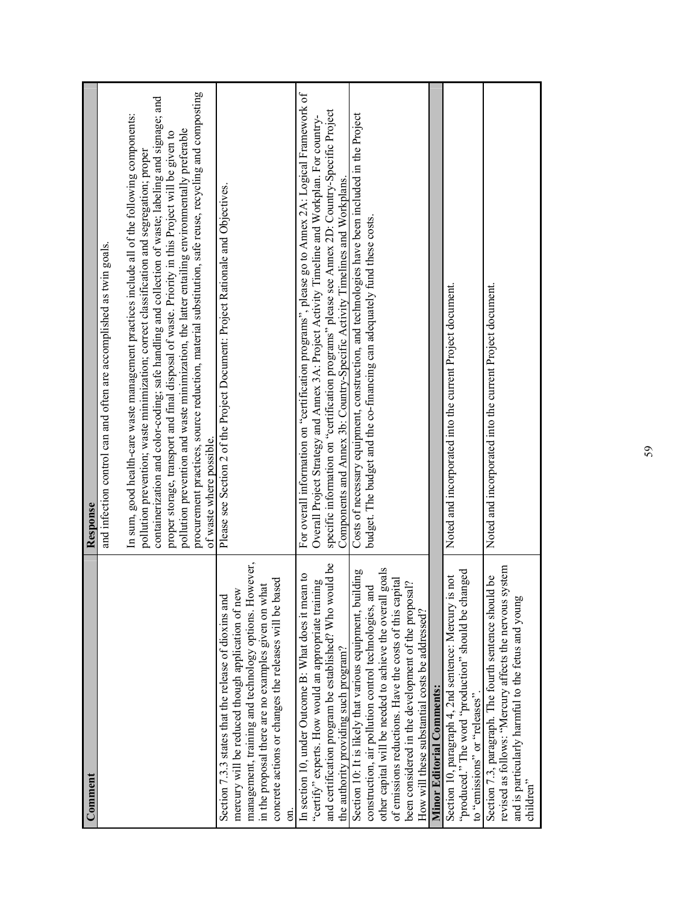| Comment                                                                                                                                                                                                                                                                                                                                                  | Response                                                                                                                                                                                                                                                                                                                                                                                                                                                                                                                                                                                                                                |
|----------------------------------------------------------------------------------------------------------------------------------------------------------------------------------------------------------------------------------------------------------------------------------------------------------------------------------------------------------|-----------------------------------------------------------------------------------------------------------------------------------------------------------------------------------------------------------------------------------------------------------------------------------------------------------------------------------------------------------------------------------------------------------------------------------------------------------------------------------------------------------------------------------------------------------------------------------------------------------------------------------------|
|                                                                                                                                                                                                                                                                                                                                                          | and infection control can and often are accomplished as twin goals.                                                                                                                                                                                                                                                                                                                                                                                                                                                                                                                                                                     |
|                                                                                                                                                                                                                                                                                                                                                          | procurement practices, source reduction, material substitution, safe reuse, recycling and composting<br>containerization and color-coding; safe handling and collection of waste; labeling and signage; and<br>In sum, good health-care waste management practices include all of the following components:<br>pollution prevention and waste minimization, the latter entailing environmentally preferable<br>proper storage, transport and final disposal of waste. Priority in this Project will be given to<br>pollution prevention; waste minimization; correct classification and segregation; proper<br>of waste where possible. |
| management, training and technology options. However,<br>concrete actions or changes the releases will be based<br>in the proposal there are no examples given on what<br>mercury will be reduced though application of new<br>Section 7.3.3 states that the release of dioxins and                                                                      | Please see Section 2 of the Project Document: Project Rationale and Objectives.                                                                                                                                                                                                                                                                                                                                                                                                                                                                                                                                                         |
| and certification program be established? Who would be<br>In section 10, under Outcome B: What does it mean to<br>"certify" experts. How would an appropriate training<br>the authority providing such program?                                                                                                                                          | For overall information on "certification programs", please go to Annex 2A: Logical Framework of<br>specific information on "certification programs" please see Annex 2D: Country-Specific Project<br>Overall Project Strategy and Annex 3A: Project Activity Timeline and Workplan. For country-<br>Components and Annex 3b: Country-Specific Activity Timelines and Workplans.                                                                                                                                                                                                                                                        |
| l goals<br>Section 10: It is likely that various equipment, building<br>of emissions reductions. Have the costs of this capital<br>construction, air pollution control technologies, and<br>been considered in the development of the proposal?<br>other capital will be needed to achieve the overall<br>How will these substantial costs be addressed? | Costs of necessary equipment, construction, and technologies have been included in the Project<br>budget. The budget and the co-financing can adequately fund these costs.                                                                                                                                                                                                                                                                                                                                                                                                                                                              |
| <b>Minor Editorial Comments:</b>                                                                                                                                                                                                                                                                                                                         |                                                                                                                                                                                                                                                                                                                                                                                                                                                                                                                                                                                                                                         |
| "produced." The word "production" should be changed<br>is not<br>Section 10, paragraph 4, 2nd sentence: Mercury is<br>to "emissions" or "releases".                                                                                                                                                                                                      | Noted and incorporated into the current Project document.                                                                                                                                                                                                                                                                                                                                                                                                                                                                                                                                                                               |
| system<br>Section 7.3, paragraph. The fourth sentence should be<br>and is particularly harmful to the fetus and young<br>revised as follows: "Mercury affects the nervous<br>children"                                                                                                                                                                   | Noted and incorporated into the current Project document.                                                                                                                                                                                                                                                                                                                                                                                                                                                                                                                                                                               |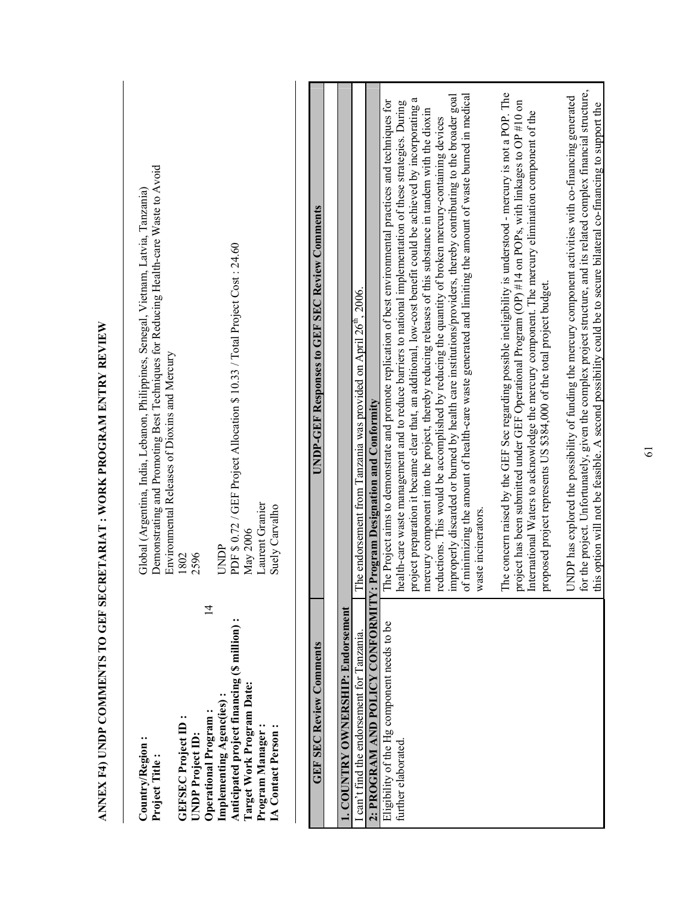|                                                                                                                                                                                                                                                                              | ANNEX F4) UNDP COMMENTS TO GEF SECRETARIAT : WORK PROGRAM ENTRY REVIEW                                                                                                                                                                                                                                                                                                                                                                                                                                                                                                                                                                                                                                                                                                                                                 |
|------------------------------------------------------------------------------------------------------------------------------------------------------------------------------------------------------------------------------------------------------------------------------|------------------------------------------------------------------------------------------------------------------------------------------------------------------------------------------------------------------------------------------------------------------------------------------------------------------------------------------------------------------------------------------------------------------------------------------------------------------------------------------------------------------------------------------------------------------------------------------------------------------------------------------------------------------------------------------------------------------------------------------------------------------------------------------------------------------------|
| $\overline{1}$<br>Anticipated project financing (\$ million):<br>Target Work Program Date:<br>Implementing Agenc(ies):<br>Operational Program:<br>GEFSEC Project ID:<br>Program Manager<br><b>IA</b> Contact Person<br>UNDP Project ID:<br>Country/Region:<br>Project Title: | Demonstrating and Promoting Best Techniques for Reducing Health-care Waste to Avoid<br>Global (Argentina, India, Lebanon, Philippines, Senegal, Vietnam, Latvia, Tanzania)<br>PDF \$ 0.72 / GEF Project Allocation \$ 10.33 / Total Project Cost: 24.60<br>Environmental Releases of Dioxins and Mercury<br>Laurent Granier<br>Suely Carvalho<br>May 2006<br>UNDP<br>2596<br>1802                                                                                                                                                                                                                                                                                                                                                                                                                                      |
| <b>GEF SEC Review Comments</b>                                                                                                                                                                                                                                               | <b>UNDP-GEF Responses to GEF SEC Review Comments</b>                                                                                                                                                                                                                                                                                                                                                                                                                                                                                                                                                                                                                                                                                                                                                                   |
| . COUNTRY OWNERSHIP: Endorsement                                                                                                                                                                                                                                             |                                                                                                                                                                                                                                                                                                                                                                                                                                                                                                                                                                                                                                                                                                                                                                                                                        |
| can't find the endorsement for Tanzania.                                                                                                                                                                                                                                     | The endorsement from Tanzania was provided on April 26 <sup>th</sup> , 2006.                                                                                                                                                                                                                                                                                                                                                                                                                                                                                                                                                                                                                                                                                                                                           |
| 2: PROGRAM AND POLICY CONFORMITY: Program Designation and Conformity                                                                                                                                                                                                         |                                                                                                                                                                                                                                                                                                                                                                                                                                                                                                                                                                                                                                                                                                                                                                                                                        |
| Eligibility of the Hg component needs to be<br>further elaborated.                                                                                                                                                                                                           | of minimizing the amount of health-care waste generated and limiting the amount of waste burned in medical<br>mproperly discarded or burned by health care institutions/providers, thereby contributing to the broader goal<br>a<br>The Project aims to demonstrate and promote replication of best environmental practices and techniques for<br>health-care waste management and to reduce barriers to national implementation of these strategies. During<br>project preparation it became clear that, an additional, low-cost benefit could be achieved by incorporating<br>nercury component into the project, thereby reducing releases of this substance in tandem with the dioxin<br>eductions. This would be accomplished by reducing the quantity of broken mercury-containing devices<br>vaste incinerators |
|                                                                                                                                                                                                                                                                              | The concern raised by the GEF Sec regarding possible ineligibility is understood - mercury is not a POP. The<br>project has been submitted under GEF Operational Program (OP) #14 on POPs, with linkages to OP #10 on<br>nternational Waters to acknowledge the mercury component. The mercury elimination component of the<br>proposed project represents US \$384,000 of the total project budget.                                                                                                                                                                                                                                                                                                                                                                                                                   |
|                                                                                                                                                                                                                                                                              | or the project. Unfortunately, given the complex project structure, and its related complex financial structure,<br>JNDP has explored the possibility of funding the mercury component activities with co-financing generated<br>his option will not be feasible. A second possibility could be to secure bilateral co-financing to support the                                                                                                                                                                                                                                                                                                                                                                                                                                                                        |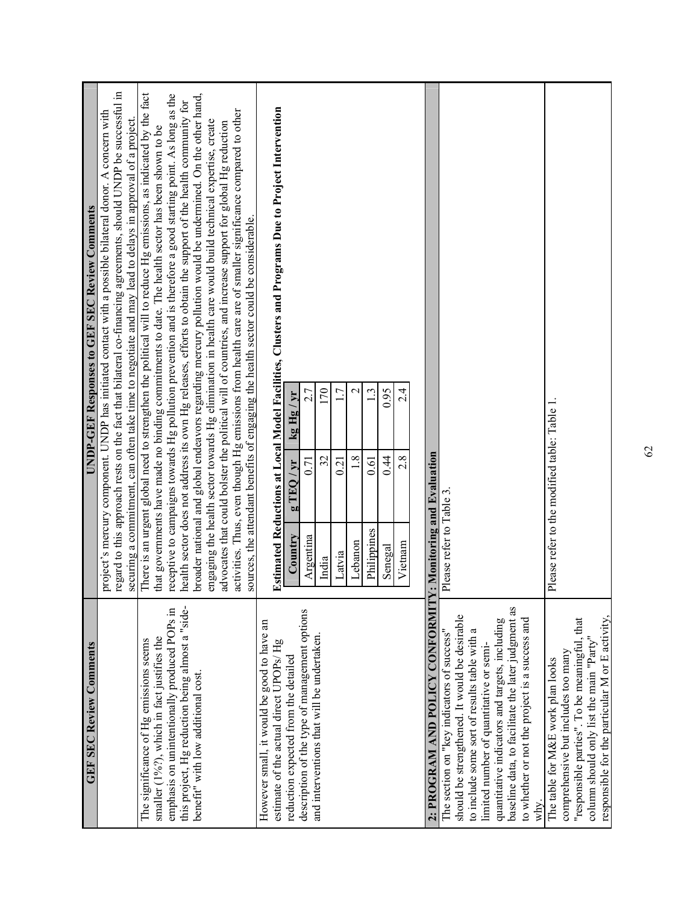| <b>GEF SEC Review Comments</b>                                                                                                                  |                                     |                                              |                          | UNDP-GEF Responses to GEF SEC Review Comments                                                                                                                                                                                                                                                                                          |
|-------------------------------------------------------------------------------------------------------------------------------------------------|-------------------------------------|----------------------------------------------|--------------------------|----------------------------------------------------------------------------------------------------------------------------------------------------------------------------------------------------------------------------------------------------------------------------------------------------------------------------------------|
|                                                                                                                                                 |                                     |                                              |                          | regard to this approach rests on the fact that bilateral co-financing agreements, should UNDP be successful in<br>project's mercury component. UNDP has initiated contact with a possible bilateral donor. A concern with<br>securing a commitment, can often take time to negotiate and may lead to delays in approval of a project.  |
| emphasis on unintentionally produced POPs in<br>smaller $(1\frac{9}{6}$ , which in fact justifies the<br>The significance of Hg emissions seems |                                     |                                              |                          | There is an urgent global need to strengthen the political will to reduce Hg emissions, as indicated by the fact<br>receptive to campaigns towards Hg pollution prevention and is therefore a good starting point. As long as the<br>that governments have made no binding commitments to date. The health sector has been shown to be |
| this project, Hg reduction being almost a "side-<br>benefit" with low additional cost.                                                          |                                     |                                              |                          | broader national and global endeavors regarding mercury pollution would be undermined. On the other hand,<br>health sector does not address its own Hg releases, efforts to obtain the support of the health community for                                                                                                             |
|                                                                                                                                                 |                                     |                                              |                          | engaging the health sector towards Hg elimination in health care would build technical expertise, create<br>advocates that could bolster the political will of countries, and increase support for global Hg reduction                                                                                                                 |
|                                                                                                                                                 |                                     |                                              |                          | activities. Thus, even though Hg emissions from health care are of smaller significance compared to other<br>sources, the attendant benefits of engaging the health sector could be considerable.                                                                                                                                      |
| However small, it would be good to have an<br>estimate of the actual direct UPOPs/Hg                                                            |                                     |                                              |                          | Estimated Reductions at Local Model Facilities, Clusters and Programs Due to Project Intervention                                                                                                                                                                                                                                      |
| reduction expected from the detailed                                                                                                            | Country                             | $\lambda$<br>$9\overline{11}$                | $\lambda$<br>kg Hg       |                                                                                                                                                                                                                                                                                                                                        |
| description of the type of management options<br>and interventions that will be undertaken.                                                     | Argentina                           | 0.71                                         | 2.7                      |                                                                                                                                                                                                                                                                                                                                        |
|                                                                                                                                                 | India                               | 32                                           | 170                      |                                                                                                                                                                                                                                                                                                                                        |
|                                                                                                                                                 | Latvia                              | $\overline{1}$                               | $\overline{\phantom{0}}$ |                                                                                                                                                                                                                                                                                                                                        |
|                                                                                                                                                 | Lebanon                             | 1.8                                          | $\mathrel{\sim}$         |                                                                                                                                                                                                                                                                                                                                        |
|                                                                                                                                                 | Philippines                         | 0.61                                         | 1 <sup>3</sup>           |                                                                                                                                                                                                                                                                                                                                        |
|                                                                                                                                                 | Senegal                             | 0.44                                         | 0.95                     |                                                                                                                                                                                                                                                                                                                                        |
|                                                                                                                                                 | Vietnam                             | 2.8                                          | $2\dot{4}$               |                                                                                                                                                                                                                                                                                                                                        |
|                                                                                                                                                 |                                     |                                              |                          |                                                                                                                                                                                                                                                                                                                                        |
| 2: PROGRAM AND POLICY CONFORMIT                                                                                                                 | <b>7: Monitoring and Evaluation</b> |                                              |                          |                                                                                                                                                                                                                                                                                                                                        |
| The section on "key indicators of success"                                                                                                      | Please refer to Table 3             |                                              |                          |                                                                                                                                                                                                                                                                                                                                        |
| should be strengthened. It would be desirable                                                                                                   |                                     |                                              |                          |                                                                                                                                                                                                                                                                                                                                        |
| to include some sort of results table with a<br>limited number of quantitative or semi-                                                         |                                     |                                              |                          |                                                                                                                                                                                                                                                                                                                                        |
| baseline data, to facilitate the later judgment as<br>quantitative indicators and targets, including                                            |                                     |                                              |                          |                                                                                                                                                                                                                                                                                                                                        |
| to whether or not the project is a success and                                                                                                  |                                     |                                              |                          |                                                                                                                                                                                                                                                                                                                                        |
| why.                                                                                                                                            |                                     |                                              |                          |                                                                                                                                                                                                                                                                                                                                        |
| The table for M&E work plan looks                                                                                                               |                                     | Please refer to the modified table: Table 1. |                          |                                                                                                                                                                                                                                                                                                                                        |
| comprehensive but includes too many                                                                                                             |                                     |                                              |                          |                                                                                                                                                                                                                                                                                                                                        |
| "responsible parties". To be meaningful, that                                                                                                   |                                     |                                              |                          |                                                                                                                                                                                                                                                                                                                                        |
| responsible for the particular M or E activity,<br>column should only list the main "Party"                                                     |                                     |                                              |                          |                                                                                                                                                                                                                                                                                                                                        |
|                                                                                                                                                 |                                     |                                              |                          |                                                                                                                                                                                                                                                                                                                                        |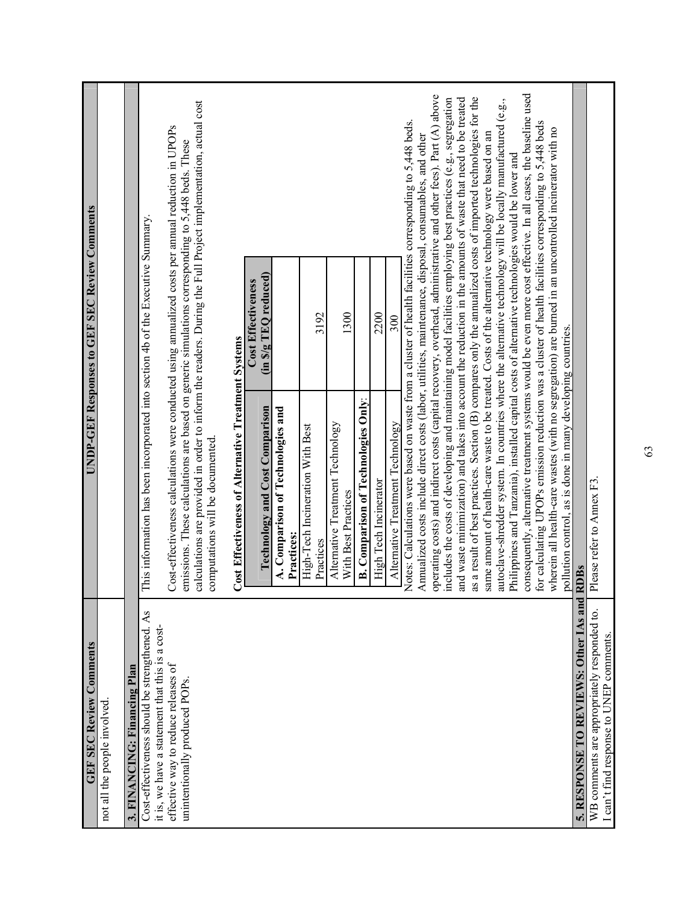| <b>UNDP-GEF Responses to GEF SEC Review Comments</b> |                             |                              |                                                                                                  |                                                                                                                                                                                                                                                                                                                                                              |                                                            | (in \$/g TEQ reduced)<br><b>Cost Effectiveness</b> |                                                 | 3192                                          | 1300                                                    |                                            | 2200                  | 300                              |                                                                                                                                                                                                                                                                                                                                                                                                                                                                                                                                                                                                                                                                                                                                                                                                                                                                                                                                                                                                                                                                                                                                                                                                                                                                                                                                                              |                                                             |                                       |                                                                                      |
|------------------------------------------------------|-----------------------------|------------------------------|--------------------------------------------------------------------------------------------------|--------------------------------------------------------------------------------------------------------------------------------------------------------------------------------------------------------------------------------------------------------------------------------------------------------------------------------------------------------------|------------------------------------------------------------|----------------------------------------------------|-------------------------------------------------|-----------------------------------------------|---------------------------------------------------------|--------------------------------------------|-----------------------|----------------------------------|--------------------------------------------------------------------------------------------------------------------------------------------------------------------------------------------------------------------------------------------------------------------------------------------------------------------------------------------------------------------------------------------------------------------------------------------------------------------------------------------------------------------------------------------------------------------------------------------------------------------------------------------------------------------------------------------------------------------------------------------------------------------------------------------------------------------------------------------------------------------------------------------------------------------------------------------------------------------------------------------------------------------------------------------------------------------------------------------------------------------------------------------------------------------------------------------------------------------------------------------------------------------------------------------------------------------------------------------------------------|-------------------------------------------------------------|---------------------------------------|--------------------------------------------------------------------------------------|
|                                                      |                             |                              | This information has been incorporated into section 4b of the Executive Summary.                 | calculations are provided in order to inform the readers. During the Full Project implementation, actual cost<br>Cost-effectiveness calculations were conducted using annualized costs per annual reduction in UPOPs<br>emissions. These calculations are based on generic simulations corresponding to 5,448 beds. These<br>computations will be documented | <b>Cost Effectiveness of Alternative Treatment Systems</b> | <b>Technology and Cost Comparison</b>              | A. Comparison of Technologies and<br>Practices: | High-Tech Incineration With Best<br>Practices | Alternative Treatment Technology<br>With Best Practices | <b>B.</b> Comparison of Technologies Only: | High Tech Incinerator | Alternative Treatment Technology | consequently, alternative treatment systems would be even more cost effective. In all cases, the baseline used<br>operating costs) and indirect costs (capital recovery, overhead, administrative and other fees). Part (A) above<br>includes the costs of developing and maintaining model facilities employing best practices (e.g., segregation<br>and waste minimization) and takes into account the reduction in the amounts of waste that need to be treated<br>as a result of best practices. Section (B) compares only the annualized costs of imported technologies for the<br>autoclave-shredder system. In countries where the alternative technology will be locally manufactured (e.g.,<br>Notes: Calculations were based on waste from a cluster of health facilities corresponding to 5,448 beds.<br>for calculating UPOPs emission reduction was a cluster of health facilities corresponding to 5,448 beds<br>wherein all health-care wastes (with no segregation) are burned in an uncontrolled incinerator with no<br>same amount of health-care waste to be treated. Costs of the alternative technology were based on an<br>Annualized costs include direct costs (labor, utilities, maintenance, disposal, consumables, and other<br>Philippines and Tanzania), installed capital costs of alternative technologies would be lower and | pollution control, as is done in many developing countries. | <b>RDB</b> s                          | Please refer to Annex F3.                                                            |
| <b>GEF SEC Review Comments</b>                       | not all the people involved | 3. FINANCING: Financing Plan | Cost-effectiveness should be strengthened. As<br>it is, we have a statement that this is a cost- | effective way to reduce releases of<br>unintentionally produced POPs.                                                                                                                                                                                                                                                                                        |                                                            |                                                    |                                                 |                                               |                                                         |                                            |                       |                                  |                                                                                                                                                                                                                                                                                                                                                                                                                                                                                                                                                                                                                                                                                                                                                                                                                                                                                                                                                                                                                                                                                                                                                                                                                                                                                                                                                              |                                                             | 5. RESPONSE TO REVIEWS: Other IAs and | WB comments are appropriately responded to<br>I can't find response to UNEP comments |

63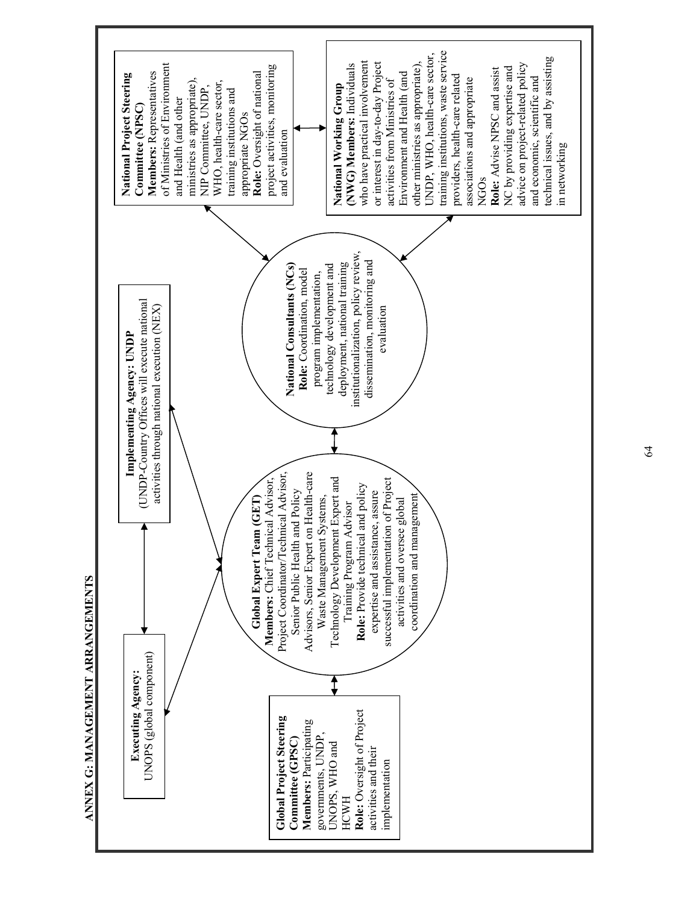

64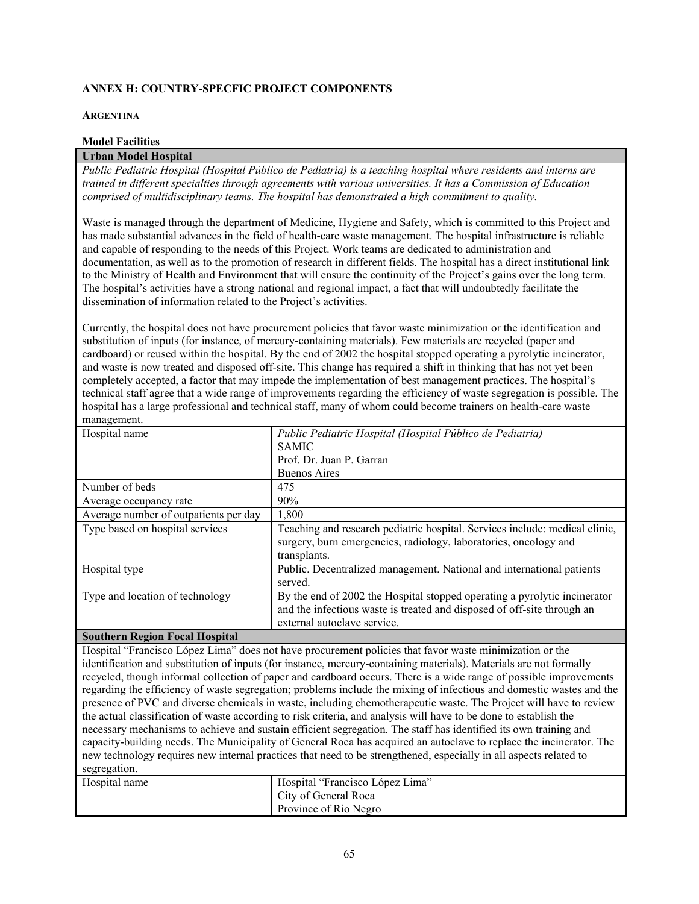## **ANNEX H: COUNTRY-SPECFIC PROJECT COMPONENTS**

#### **ARGENTINA**

## **Model Facilities**

## **Urban Model Hospital**

*Public Pediatric Hospital (Hospital Público de Pediatria) is a teaching hospital where residents and interns are trained in different specialties through agreements with various universities. It has a Commission of Education comprised of multidisciplinary teams. The hospital has demonstrated a high commitment to quality.* 

Waste is managed through the department of Medicine, Hygiene and Safety, which is committed to this Project and has made substantial advances in the field of health-care waste management. The hospital infrastructure is reliable and capable of responding to the needs of this Project. Work teams are dedicated to administration and documentation, as well as to the promotion of research in different fields. The hospital has a direct institutional link to the Ministry of Health and Environment that will ensure the continuity of the Project's gains over the long term. The hospital's activities have a strong national and regional impact, a fact that will undoubtedly facilitate the dissemination of information related to the Project's activities.

Currently, the hospital does not have procurement policies that favor waste minimization or the identification and substitution of inputs (for instance, of mercury-containing materials). Few materials are recycled (paper and cardboard) or reused within the hospital. By the end of 2002 the hospital stopped operating a pyrolytic incinerator, and waste is now treated and disposed off-site. This change has required a shift in thinking that has not yet been completely accepted, a factor that may impede the implementation of best management practices. The hospital's technical staff agree that a wide range of improvements regarding the efficiency of waste segregation is possible. The hospital has a large professional and technical staff, many of whom could become trainers on health-care waste management.

| Hospital name                         | Public Pediatric Hospital (Hospital Público de Pediatria)                   |
|---------------------------------------|-----------------------------------------------------------------------------|
|                                       | <b>SAMIC</b>                                                                |
|                                       | Prof. Dr. Juan P. Garran                                                    |
|                                       | <b>Buenos Aires</b>                                                         |
| Number of beds                        | 475                                                                         |
| Average occupancy rate                | 90%                                                                         |
| Average number of outpatients per day | 1,800                                                                       |
| Type based on hospital services       | Teaching and research pediatric hospital. Services include: medical clinic, |
|                                       | surgery, burn emergencies, radiology, laboratories, oncology and            |
|                                       | transplants.                                                                |
| Hospital type                         | Public. Decentralized management. National and international patients       |
|                                       | served.                                                                     |
| Type and location of technology       | By the end of 2002 the Hospital stopped operating a pyrolytic incinerator   |
|                                       | and the infectious waste is treated and disposed of off-site through an     |
|                                       | external autoclave service.                                                 |
|                                       |                                                                             |

## **Southern Region Focal Hospital**

Hospital "Francisco López Lima" does not have procurement policies that favor waste minimization or the identification and substitution of inputs (for instance, mercury-containing materials). Materials are not formally recycled, though informal collection of paper and cardboard occurs. There is a wide range of possible improvements regarding the efficiency of waste segregation; problems include the mixing of infectious and domestic wastes and the presence of PVC and diverse chemicals in waste, including chemotherapeutic waste. The Project will have to review the actual classification of waste according to risk criteria, and analysis will have to be done to establish the necessary mechanisms to achieve and sustain efficient segregation. The staff has identified its own training and capacity-building needs. The Municipality of General Roca has acquired an autoclave to replace the incinerator. The new technology requires new internal practices that need to be strengthened, especially in all aspects related to segregation.

| Hospital name | Hospital "Francisco López Lima" |
|---------------|---------------------------------|
|               | City of General Roca            |
|               | Province of Rio Negro           |
|               |                                 |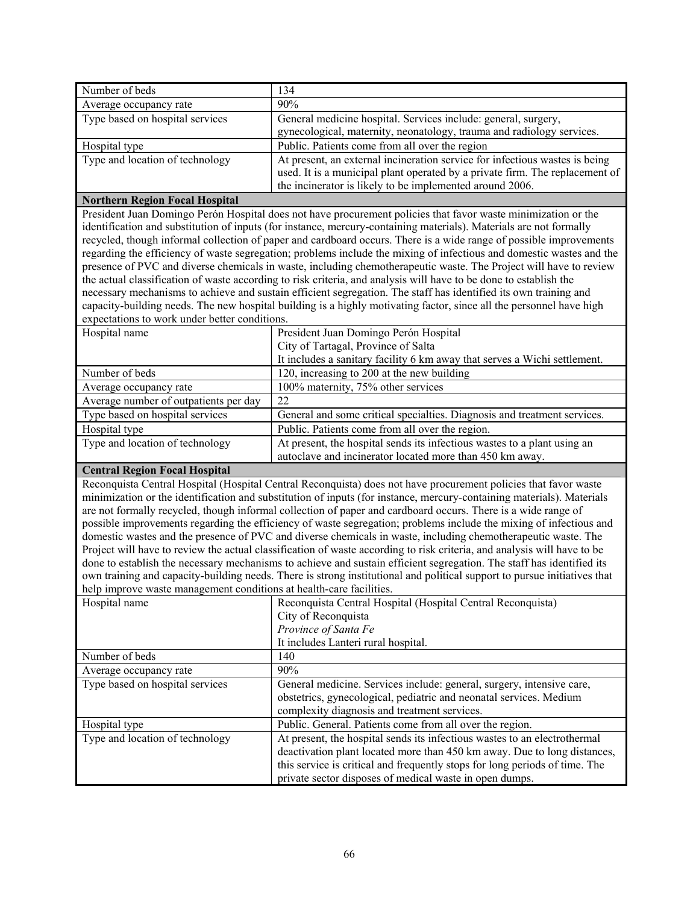| Number of beds                                                                                                                                                                                                                          | 134                                                                                                                                  |  |  |  |  |
|-----------------------------------------------------------------------------------------------------------------------------------------------------------------------------------------------------------------------------------------|--------------------------------------------------------------------------------------------------------------------------------------|--|--|--|--|
| Average occupancy rate                                                                                                                                                                                                                  | 90%                                                                                                                                  |  |  |  |  |
| Type based on hospital services                                                                                                                                                                                                         | General medicine hospital. Services include: general, surgery,                                                                       |  |  |  |  |
|                                                                                                                                                                                                                                         | gynecological, maternity, neonatology, trauma and radiology services.                                                                |  |  |  |  |
| Hospital type                                                                                                                                                                                                                           | Public. Patients come from all over the region                                                                                       |  |  |  |  |
| Type and location of technology                                                                                                                                                                                                         | At present, an external incineration service for infectious wastes is being                                                          |  |  |  |  |
|                                                                                                                                                                                                                                         | used. It is a municipal plant operated by a private firm. The replacement of                                                         |  |  |  |  |
|                                                                                                                                                                                                                                         | the incinerator is likely to be implemented around 2006.                                                                             |  |  |  |  |
| <b>Northern Region Focal Hospital</b>                                                                                                                                                                                                   |                                                                                                                                      |  |  |  |  |
|                                                                                                                                                                                                                                         | President Juan Domingo Perón Hospital does not have procurement policies that favor waste minimization or the                        |  |  |  |  |
|                                                                                                                                                                                                                                         | identification and substitution of inputs (for instance, mercury-containing materials). Materials are not formally                   |  |  |  |  |
|                                                                                                                                                                                                                                         | recycled, though informal collection of paper and cardboard occurs. There is a wide range of possible improvements                   |  |  |  |  |
|                                                                                                                                                                                                                                         | regarding the efficiency of waste segregation; problems include the mixing of infectious and domestic wastes and the                 |  |  |  |  |
|                                                                                                                                                                                                                                         | presence of PVC and diverse chemicals in waste, including chemotherapeutic waste. The Project will have to review                    |  |  |  |  |
|                                                                                                                                                                                                                                         | the actual classification of waste according to risk criteria, and analysis will have to be done to establish the                    |  |  |  |  |
| necessary mechanisms to achieve and sustain efficient segregation. The staff has identified its own training and<br>capacity-building needs. The new hospital building is a highly motivating factor, since all the personnel have high |                                                                                                                                      |  |  |  |  |
| expectations to work under better conditions.                                                                                                                                                                                           |                                                                                                                                      |  |  |  |  |
|                                                                                                                                                                                                                                         |                                                                                                                                      |  |  |  |  |
| Hospital name                                                                                                                                                                                                                           | President Juan Domingo Perón Hospital<br>City of Tartagal, Province of Salta                                                         |  |  |  |  |
|                                                                                                                                                                                                                                         | It includes a sanitary facility 6 km away that serves a Wichi settlement.                                                            |  |  |  |  |
| Number of beds                                                                                                                                                                                                                          | 120, increasing to 200 at the new building                                                                                           |  |  |  |  |
| Average occupancy rate                                                                                                                                                                                                                  | 100% maternity, 75% other services                                                                                                   |  |  |  |  |
|                                                                                                                                                                                                                                         | 22                                                                                                                                   |  |  |  |  |
| Average number of outpatients per day<br>Type based on hospital services                                                                                                                                                                |                                                                                                                                      |  |  |  |  |
| Hospital type                                                                                                                                                                                                                           | General and some critical specialties. Diagnosis and treatment services.<br>Public. Patients come from all over the region.          |  |  |  |  |
|                                                                                                                                                                                                                                         |                                                                                                                                      |  |  |  |  |
| Type and location of technology                                                                                                                                                                                                         | At present, the hospital sends its infectious wastes to a plant using an<br>autoclave and incinerator located more than 450 km away. |  |  |  |  |
|                                                                                                                                                                                                                                         |                                                                                                                                      |  |  |  |  |
| <b>Central Region Focal Hospital</b><br>Reconquista Central Hospital (Hospital Central Reconquista) does not have procurement policies that favor waste                                                                                 |                                                                                                                                      |  |  |  |  |
|                                                                                                                                                                                                                                         |                                                                                                                                      |  |  |  |  |
| minimization or the identification and substitution of inputs (for instance, mercury-containing materials). Materials<br>are not formally recycled, though informal collection of paper and cardboard occurs. There is a wide range of  |                                                                                                                                      |  |  |  |  |
|                                                                                                                                                                                                                                         | possible improvements regarding the efficiency of waste segregation; problems include the mixing of infectious and                   |  |  |  |  |
|                                                                                                                                                                                                                                         | domestic wastes and the presence of PVC and diverse chemicals in waste, including chemotherapeutic waste. The                        |  |  |  |  |
|                                                                                                                                                                                                                                         | Project will have to review the actual classification of waste according to risk criteria, and analysis will have to be              |  |  |  |  |
| done to establish the necessary mechanisms to achieve and sustain efficient segregation. The staff has identified its                                                                                                                   |                                                                                                                                      |  |  |  |  |
|                                                                                                                                                                                                                                         | own training and capacity-building needs. There is strong institutional and political support to pursue initiatives that             |  |  |  |  |
| help improve waste management conditions at health-care facilities.                                                                                                                                                                     |                                                                                                                                      |  |  |  |  |
| Hospital name                                                                                                                                                                                                                           | Reconquista Central Hospital (Hospital Central Reconquista)                                                                          |  |  |  |  |
|                                                                                                                                                                                                                                         | City of Reconquista                                                                                                                  |  |  |  |  |
|                                                                                                                                                                                                                                         | Province of Santa Fe                                                                                                                 |  |  |  |  |
|                                                                                                                                                                                                                                         | It includes Lanteri rural hospital.                                                                                                  |  |  |  |  |
| Number of beds                                                                                                                                                                                                                          | 140                                                                                                                                  |  |  |  |  |
| Average occupancy rate                                                                                                                                                                                                                  | 90%                                                                                                                                  |  |  |  |  |
| Type based on hospital services                                                                                                                                                                                                         | General medicine. Services include: general, surgery, intensive care,                                                                |  |  |  |  |
|                                                                                                                                                                                                                                         | obstetrics, gynecological, pediatric and neonatal services. Medium                                                                   |  |  |  |  |
|                                                                                                                                                                                                                                         | complexity diagnosis and treatment services.                                                                                         |  |  |  |  |
| Hospital type                                                                                                                                                                                                                           | Public. General. Patients come from all over the region.                                                                             |  |  |  |  |
| Type and location of technology                                                                                                                                                                                                         | At present, the hospital sends its infectious wastes to an electrothermal                                                            |  |  |  |  |
|                                                                                                                                                                                                                                         | deactivation plant located more than 450 km away. Due to long distances,                                                             |  |  |  |  |
|                                                                                                                                                                                                                                         | this service is critical and frequently stops for long periods of time. The                                                          |  |  |  |  |
|                                                                                                                                                                                                                                         | private sector disposes of medical waste in open dumps.                                                                              |  |  |  |  |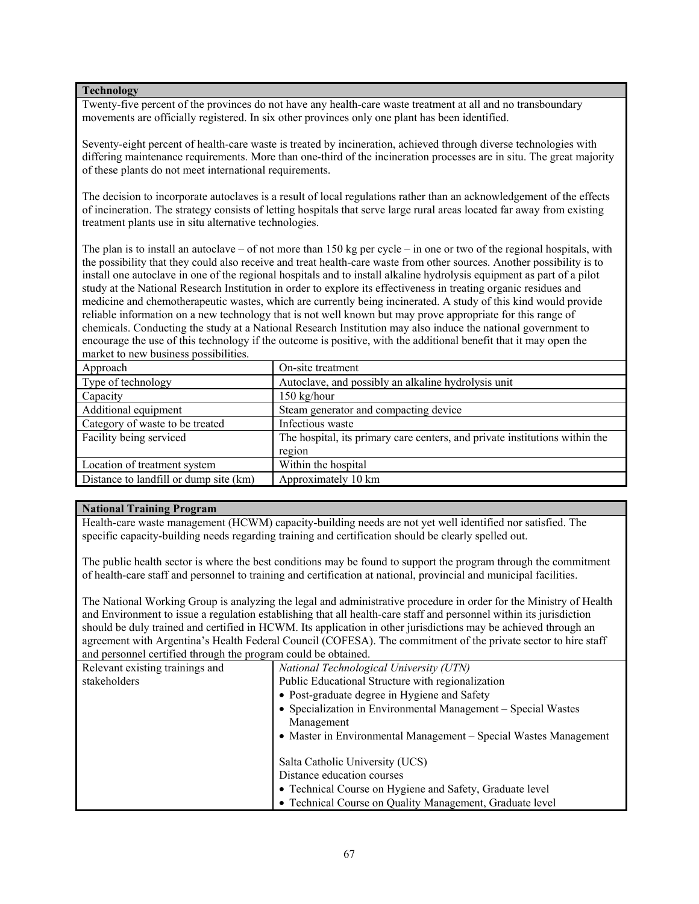### **Technology**

Twenty-five percent of the provinces do not have any health-care waste treatment at all and no transboundary movements are officially registered. In six other provinces only one plant has been identified.

Seventy-eight percent of health-care waste is treated by incineration, achieved through diverse technologies with differing maintenance requirements. More than one-third of the incineration processes are in situ. The great majority of these plants do not meet international requirements.

The decision to incorporate autoclaves is a result of local regulations rather than an acknowledgement of the effects of incineration. The strategy consists of letting hospitals that serve large rural areas located far away from existing treatment plants use in situ alternative technologies.

The plan is to install an autoclave – of not more than 150 kg per cycle – in one or two of the regional hospitals, with the possibility that they could also receive and treat health-care waste from other sources. Another possibility is to install one autoclave in one of the regional hospitals and to install alkaline hydrolysis equipment as part of a pilot study at the National Research Institution in order to explore its effectiveness in treating organic residues and medicine and chemotherapeutic wastes, which are currently being incinerated. A study of this kind would provide reliable information on a new technology that is not well known but may prove appropriate for this range of chemicals. Conducting the study at a National Research Institution may also induce the national government to encourage the use of this technology if the outcome is positive, with the additional benefit that it may open the market to new business possibilities.

| Approach                               | On-site treatment                                                           |
|----------------------------------------|-----------------------------------------------------------------------------|
| Type of technology                     | Autoclave, and possibly an alkaline hydrolysis unit                         |
| Capacity                               | $150$ kg/hour                                                               |
| Additional equipment                   | Steam generator and compacting device                                       |
| Category of waste to be treated        | Infectious waste                                                            |
| Facility being serviced                | The hospital, its primary care centers, and private institutions within the |
|                                        | region                                                                      |
| Location of treatment system           | Within the hospital                                                         |
| Distance to landfill or dump site (km) | Approximately 10 km                                                         |

## **National Training Program**

Health-care waste management (HCWM) capacity-building needs are not yet well identified nor satisfied. The specific capacity-building needs regarding training and certification should be clearly spelled out.

The public health sector is where the best conditions may be found to support the program through the commitment of health-care staff and personnel to training and certification at national, provincial and municipal facilities.

The National Working Group is analyzing the legal and administrative procedure in order for the Ministry of Health and Environment to issue a regulation establishing that all health-care staff and personnel within its jurisdiction should be duly trained and certified in HCWM. Its application in other jurisdictions may be achieved through an agreement with Argentina's Health Federal Council (COFESA). The commitment of the private sector to hire staff and personnel certified through the program could be obtained.

| Relevant existing trainings and | National Technological University (UTN)                          |
|---------------------------------|------------------------------------------------------------------|
| stakeholders                    | Public Educational Structure with regionalization                |
|                                 | • Post-graduate degree in Hygiene and Safety                     |
|                                 | • Specialization in Environmental Management – Special Wastes    |
|                                 | Management                                                       |
|                                 | • Master in Environmental Management – Special Wastes Management |
|                                 |                                                                  |
|                                 | Salta Catholic University (UCS)                                  |
|                                 | Distance education courses                                       |
|                                 | • Technical Course on Hygiene and Safety, Graduate level         |
|                                 | • Technical Course on Quality Management, Graduate level         |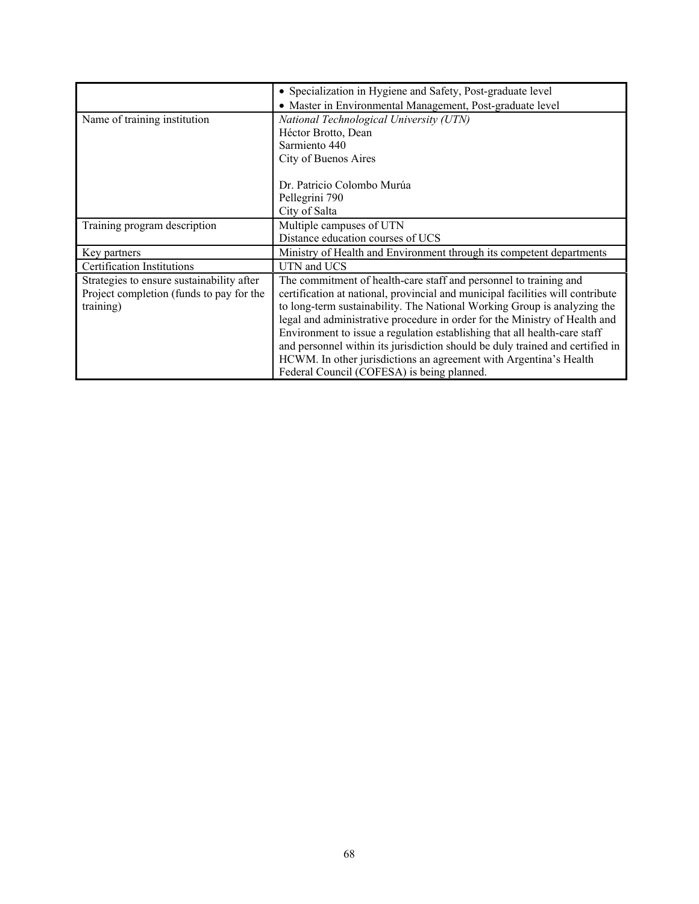|                                           | • Specialization in Hygiene and Safety, Post-graduate level                    |
|-------------------------------------------|--------------------------------------------------------------------------------|
|                                           | • Master in Environmental Management, Post-graduate level                      |
| Name of training institution              | National Technological University (UTN)                                        |
|                                           | Héctor Brotto, Dean                                                            |
|                                           | Sarmiento 440                                                                  |
|                                           | City of Buenos Aires                                                           |
|                                           | Dr. Patricio Colombo Murúa                                                     |
|                                           | Pellegrini 790                                                                 |
|                                           | City of Salta                                                                  |
|                                           |                                                                                |
| Training program description              | Multiple campuses of UTN                                                       |
|                                           | Distance education courses of UCS                                              |
| Key partners                              | Ministry of Health and Environment through its competent departments           |
| <b>Certification Institutions</b>         | UTN and UCS                                                                    |
| Strategies to ensure sustainability after | The commitment of health-care staff and personnel to training and              |
| Project completion (funds to pay for the  | certification at national, provincial and municipal facilities will contribute |
| training)                                 | to long-term sustainability. The National Working Group is analyzing the       |
|                                           | legal and administrative procedure in order for the Ministry of Health and     |
|                                           | Environment to issue a regulation establishing that all health-care staff      |
|                                           | and personnel within its jurisdiction should be duly trained and certified in  |
|                                           | HCWM. In other jurisdictions an agreement with Argentina's Health              |
|                                           | Federal Council (COFESA) is being planned.                                     |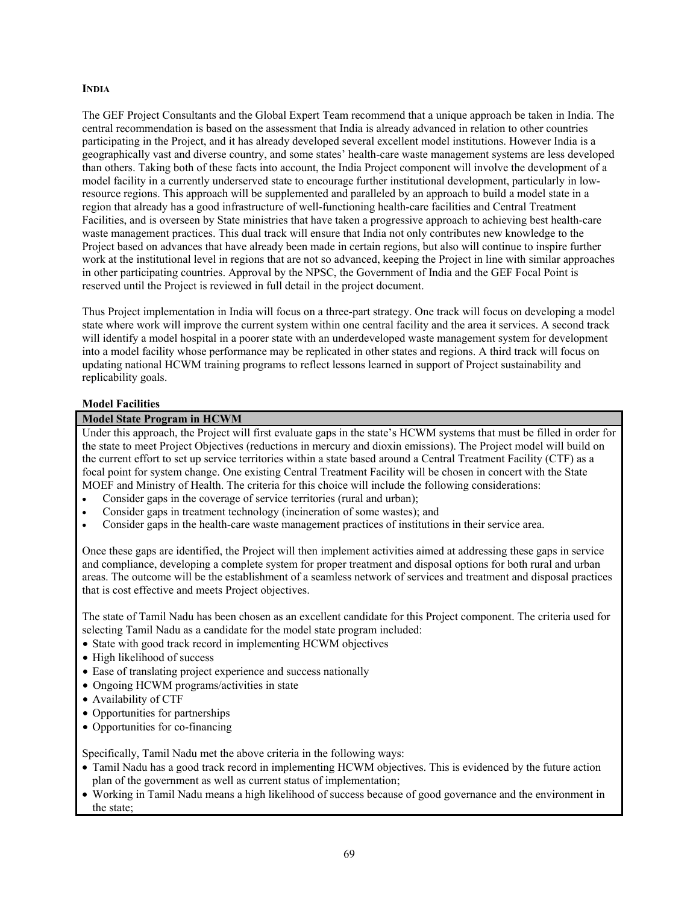#### **INDIA**

The GEF Project Consultants and the Global Expert Team recommend that a unique approach be taken in India. The central recommendation is based on the assessment that India is already advanced in relation to other countries participating in the Project, and it has already developed several excellent model institutions. However India is a geographically vast and diverse country, and some states' health-care waste management systems are less developed than others. Taking both of these facts into account, the India Project component will involve the development of a model facility in a currently underserved state to encourage further institutional development, particularly in lowresource regions. This approach will be supplemented and paralleled by an approach to build a model state in a region that already has a good infrastructure of well-functioning health-care facilities and Central Treatment Facilities, and is overseen by State ministries that have taken a progressive approach to achieving best health-care waste management practices. This dual track will ensure that India not only contributes new knowledge to the Project based on advances that have already been made in certain regions, but also will continue to inspire further work at the institutional level in regions that are not so advanced, keeping the Project in line with similar approaches in other participating countries. Approval by the NPSC, the Government of India and the GEF Focal Point is reserved until the Project is reviewed in full detail in the project document.

Thus Project implementation in India will focus on a three-part strategy. One track will focus on developing a model state where work will improve the current system within one central facility and the area it services. A second track will identify a model hospital in a poorer state with an underdeveloped waste management system for development into a model facility whose performance may be replicated in other states and regions. A third track will focus on updating national HCWM training programs to reflect lessons learned in support of Project sustainability and replicability goals.

#### **Model Facilities**

#### **Model State Program in HCWM**

Under this approach, the Project will first evaluate gaps in the state's HCWM systems that must be filled in order for the state to meet Project Objectives (reductions in mercury and dioxin emissions). The Project model will build on the current effort to set up service territories within a state based around a Central Treatment Facility (CTF) as a focal point for system change. One existing Central Treatment Facility will be chosen in concert with the State MOEF and Ministry of Health. The criteria for this choice will include the following considerations:

- Consider gaps in the coverage of service territories (rural and urban);
- Consider gaps in treatment technology (incineration of some wastes); and
- Consider gaps in the health-care waste management practices of institutions in their service area.

Once these gaps are identified, the Project will then implement activities aimed at addressing these gaps in service and compliance, developing a complete system for proper treatment and disposal options for both rural and urban areas. The outcome will be the establishment of a seamless network of services and treatment and disposal practices that is cost effective and meets Project objectives.

The state of Tamil Nadu has been chosen as an excellent candidate for this Project component. The criteria used for selecting Tamil Nadu as a candidate for the model state program included:

- State with good track record in implementing HCWM objectives
- High likelihood of success
- Ease of translating project experience and success nationally
- Ongoing HCWM programs/activities in state
- Availability of CTF
- Opportunities for partnerships
- Opportunities for co-financing

Specifically, Tamil Nadu met the above criteria in the following ways:

- Tamil Nadu has a good track record in implementing HCWM objectives. This is evidenced by the future action plan of the government as well as current status of implementation;
- Working in Tamil Nadu means a high likelihood of success because of good governance and the environment in the state;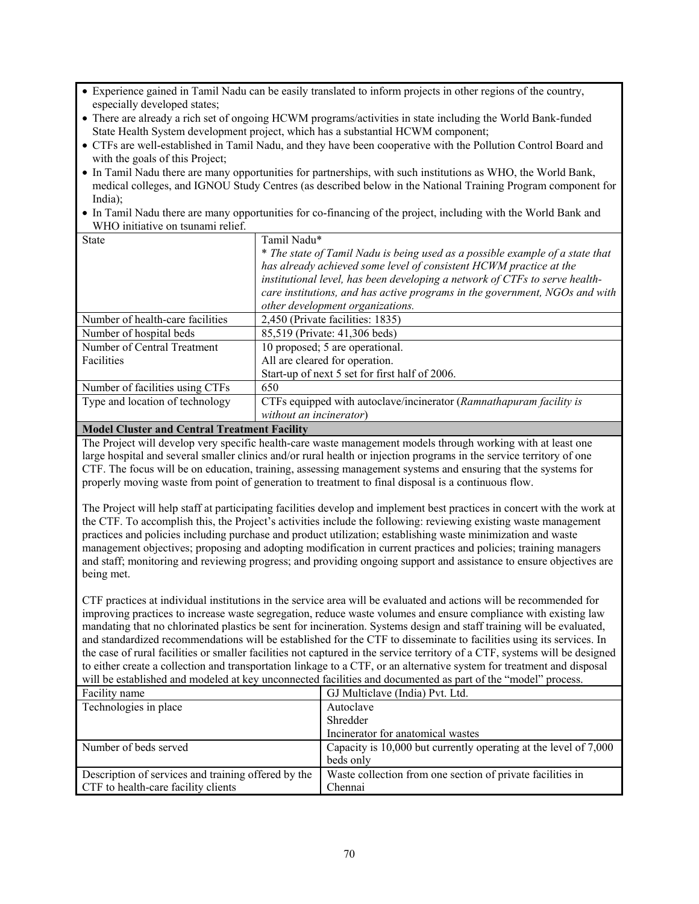- Experience gained in Tamil Nadu can be easily translated to inform projects in other regions of the country, especially developed states;
- There are already a rich set of ongoing HCWM programs/activities in state including the World Bank-funded State Health System development project, which has a substantial HCWM component;
- CTFs are well-established in Tamil Nadu, and they have been cooperative with the Pollution Control Board and with the goals of this Project:
- In Tamil Nadu there are many opportunities for partnerships, with such institutions as WHO, the World Bank, medical colleges, and IGNOU Study Centres (as described below in the National Training Program component for India);
- In Tamil Nadu there are many opportunities for co-financing of the project, including with the World Bank and WHO initiative on tsunami relief.

| <b>State</b>                     | Tamil Nadu*                                                                   |
|----------------------------------|-------------------------------------------------------------------------------|
|                                  | * The state of Tamil Nadu is being used as a possible example of a state that |
|                                  | has already achieved some level of consistent HCWM practice at the            |
|                                  | institutional level, has been developing a network of CTFs to serve health-   |
|                                  | care institutions, and has active programs in the government, NGOs and with   |
|                                  | other development organizations.                                              |
| Number of health-care facilities | 2,450 (Private facilities: 1835)                                              |
| Number of hospital beds          | 85,519 (Private: 41,306 beds)                                                 |
| Number of Central Treatment      | 10 proposed; 5 are operational.                                               |
| <b>Facilities</b>                | All are cleared for operation.                                                |
|                                  | Start-up of next 5 set for first half of 2006.                                |
| Number of facilities using CTFs  | 650                                                                           |
| Type and location of technology  | CTFs equipped with autoclave/incinerator (Ramnathapuram facility is           |
|                                  | without an incinerator)                                                       |

## **Model Cluster and Central Treatment Facility**

The Project will develop very specific health-care waste management models through working with at least one large hospital and several smaller clinics and/or rural health or injection programs in the service territory of one CTF. The focus will be on education, training, assessing management systems and ensuring that the systems for properly moving waste from point of generation to treatment to final disposal is a continuous flow.

The Project will help staff at participating facilities develop and implement best practices in concert with the work at the CTF. To accomplish this, the Project's activities include the following: reviewing existing waste management practices and policies including purchase and product utilization; establishing waste minimization and waste management objectives; proposing and adopting modification in current practices and policies; training managers and staff; monitoring and reviewing progress; and providing ongoing support and assistance to ensure objectives are being met.

CTF practices at individual institutions in the service area will be evaluated and actions will be recommended for improving practices to increase waste segregation, reduce waste volumes and ensure compliance with existing law mandating that no chlorinated plastics be sent for incineration. Systems design and staff training will be evaluated, and standardized recommendations will be established for the CTF to disseminate to facilities using its services. In the case of rural facilities or smaller facilities not captured in the service territory of a CTF, systems will be designed to either create a collection and transportation linkage to a CTF, or an alternative system for treatment and disposal will be established and modeled at key unconnected facilities and documented as part of the "model" process.

| Facility name                                       | GJ Multiclave (India) Pvt. Ltd.                                  |
|-----------------------------------------------------|------------------------------------------------------------------|
| Technologies in place                               | Autoclave                                                        |
|                                                     | Shredder                                                         |
|                                                     | Incinerator for anatomical wastes                                |
| Number of beds served                               | Capacity is 10,000 but currently operating at the level of 7,000 |
|                                                     | beds only                                                        |
| Description of services and training offered by the | Waste collection from one section of private facilities in       |
| CTF to health-care facility clients                 | Chennai                                                          |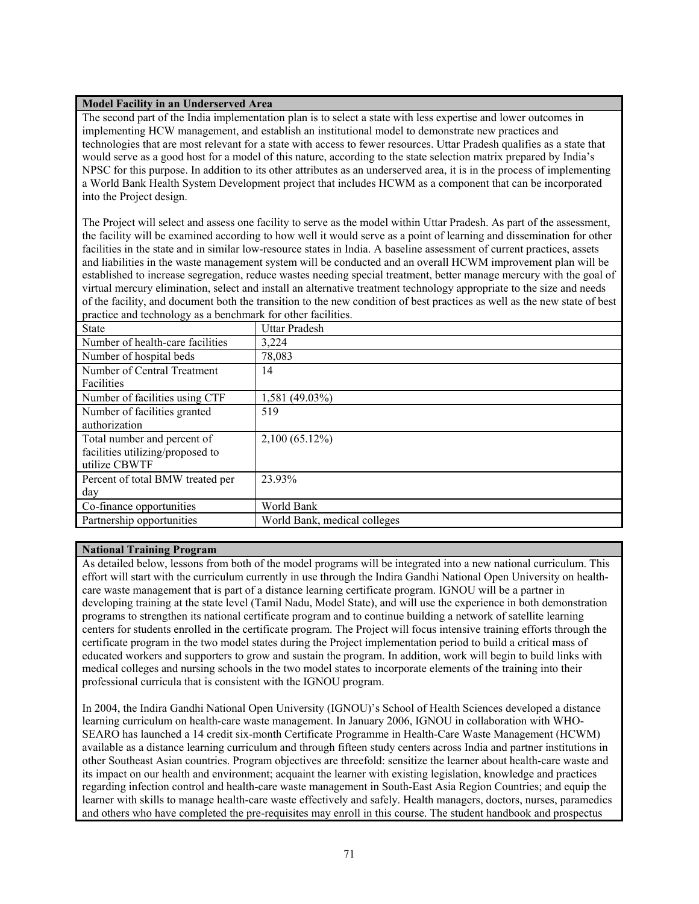### **Model Facility in an Underserved Area**

The second part of the India implementation plan is to select a state with less expertise and lower outcomes in implementing HCW management, and establish an institutional model to demonstrate new practices and technologies that are most relevant for a state with access to fewer resources. Uttar Pradesh qualifies as a state that would serve as a good host for a model of this nature, according to the state selection matrix prepared by India's NPSC for this purpose. In addition to its other attributes as an underserved area, it is in the process of implementing a World Bank Health System Development project that includes HCWM as a component that can be incorporated into the Project design.

The Project will select and assess one facility to serve as the model within Uttar Pradesh. As part of the assessment, the facility will be examined according to how well it would serve as a point of learning and dissemination for other facilities in the state and in similar low-resource states in India. A baseline assessment of current practices, assets and liabilities in the waste management system will be conducted and an overall HCWM improvement plan will be established to increase segregation, reduce wastes needing special treatment, better manage mercury with the goal of virtual mercury elimination, select and install an alternative treatment technology appropriate to the size and needs of the facility, and document both the transition to the new condition of best practices as well as the new state of best practice and technology as a benchmark for other facilities.

| <b>State</b>                     | <b>Uttar Pradesh</b>         |
|----------------------------------|------------------------------|
| Number of health-care facilities | 3,224                        |
| Number of hospital beds          | 78,083                       |
| Number of Central Treatment      | 14                           |
| Facilities                       |                              |
| Number of facilities using CTF   | 1,581 (49.03%)               |
| Number of facilities granted     | 519                          |
| authorization                    |                              |
| Total number and percent of      | 2,100 (65.12%)               |
| facilities utilizing/proposed to |                              |
| utilize CBWTF                    |                              |
| Percent of total BMW treated per | 23.93%                       |
| day                              |                              |
| Co-finance opportunities         | World Bank                   |
| Partnership opportunities        | World Bank, medical colleges |

## **National Training Program**

As detailed below, lessons from both of the model programs will be integrated into a new national curriculum. This effort will start with the curriculum currently in use through the Indira Gandhi National Open University on healthcare waste management that is part of a distance learning certificate program. IGNOU will be a partner in developing training at the state level (Tamil Nadu, Model State), and will use the experience in both demonstration programs to strengthen its national certificate program and to continue building a network of satellite learning centers for students enrolled in the certificate program. The Project will focus intensive training efforts through the certificate program in the two model states during the Project implementation period to build a critical mass of educated workers and supporters to grow and sustain the program. In addition, work will begin to build links with medical colleges and nursing schools in the two model states to incorporate elements of the training into their professional curricula that is consistent with the IGNOU program.

In 2004, the Indira Gandhi National Open University (IGNOU)'s School of Health Sciences developed a distance learning curriculum on health-care waste management. In January 2006, IGNOU in collaboration with WHO-SEARO has launched a 14 credit six-month Certificate Programme in Health-Care Waste Management (HCWM) available as a distance learning curriculum and through fifteen study centers across India and partner institutions in other Southeast Asian countries. Program objectives are threefold: sensitize the learner about health-care waste and its impact on our health and environment; acquaint the learner with existing legislation, knowledge and practices regarding infection control and health-care waste management in South-East Asia Region Countries; and equip the learner with skills to manage health-care waste effectively and safely. Health managers, doctors, nurses, paramedics and others who have completed the pre-requisites may enroll in this course. The student handbook and prospectus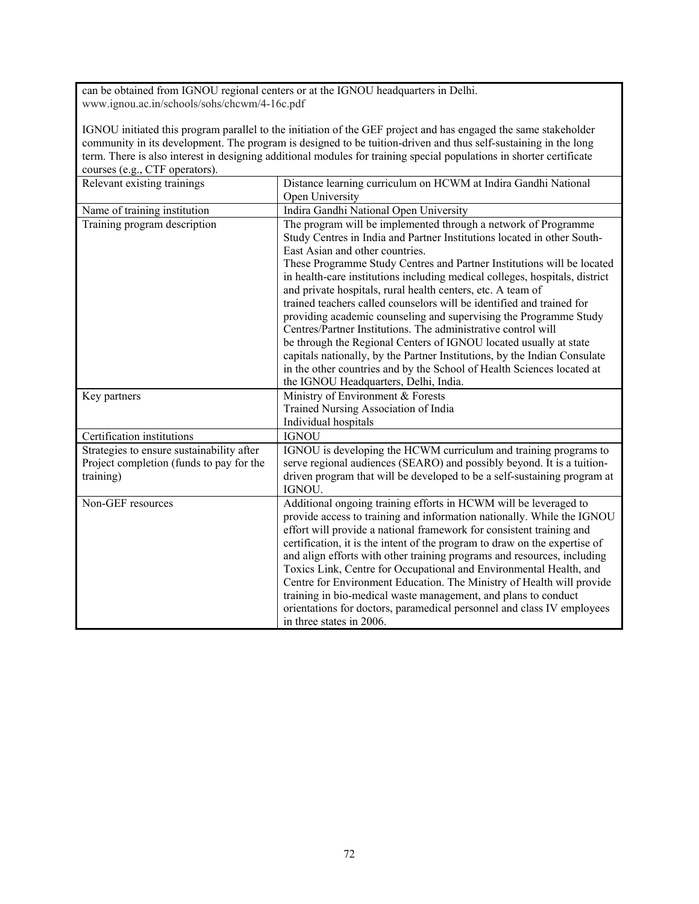can be obtained from IGNOU regional centers or at the IGNOU headquarters in Delhi. www.ignou.ac.in/schools/sohs/chcwm/4-16c.pdf

IGNOU initiated this program parallel to the initiation of the GEF project and has engaged the same stakeholder community in its development. The program is designed to be tuition-driven and thus self-sustaining in the long term. There is also interest in designing additional modules for training special populations in shorter certificate courses (e.g., CTF operators).

| Relevant existing trainings                                                                        | Distance learning curriculum on HCWM at Indira Gandhi National<br>Open University                                                                                                                                                                                                                                                                                                                                                                                                                                                                                                                                                                                                                                                                                                                                                               |
|----------------------------------------------------------------------------------------------------|-------------------------------------------------------------------------------------------------------------------------------------------------------------------------------------------------------------------------------------------------------------------------------------------------------------------------------------------------------------------------------------------------------------------------------------------------------------------------------------------------------------------------------------------------------------------------------------------------------------------------------------------------------------------------------------------------------------------------------------------------------------------------------------------------------------------------------------------------|
| Name of training institution                                                                       | Indira Gandhi National Open University                                                                                                                                                                                                                                                                                                                                                                                                                                                                                                                                                                                                                                                                                                                                                                                                          |
| Training program description                                                                       | The program will be implemented through a network of Programme<br>Study Centres in India and Partner Institutions located in other South-<br>East Asian and other countries.<br>These Programme Study Centres and Partner Institutions will be located<br>in health-care institutions including medical colleges, hospitals, district<br>and private hospitals, rural health centers, etc. A team of<br>trained teachers called counselors will be identified and trained for<br>providing academic counseling and supervising the Programme Study<br>Centres/Partner Institutions. The administrative control will<br>be through the Regional Centers of IGNOU located usually at state<br>capitals nationally, by the Partner Institutions, by the Indian Consulate<br>in the other countries and by the School of Health Sciences located at |
| Key partners                                                                                       | the IGNOU Headquarters, Delhi, India.<br>Ministry of Environment & Forests<br>Trained Nursing Association of India<br>Individual hospitals                                                                                                                                                                                                                                                                                                                                                                                                                                                                                                                                                                                                                                                                                                      |
| Certification institutions                                                                         | <b>IGNOU</b>                                                                                                                                                                                                                                                                                                                                                                                                                                                                                                                                                                                                                                                                                                                                                                                                                                    |
| Strategies to ensure sustainability after<br>Project completion (funds to pay for the<br>training) | IGNOU is developing the HCWM curriculum and training programs to<br>serve regional audiences (SEARO) and possibly beyond. It is a tuition-<br>driven program that will be developed to be a self-sustaining program at<br>IGNOU.                                                                                                                                                                                                                                                                                                                                                                                                                                                                                                                                                                                                                |
| Non-GEF resources                                                                                  | Additional ongoing training efforts in HCWM will be leveraged to<br>provide access to training and information nationally. While the IGNOU<br>effort will provide a national framework for consistent training and<br>certification, it is the intent of the program to draw on the expertise of<br>and align efforts with other training programs and resources, including<br>Toxics Link, Centre for Occupational and Environmental Health, and<br>Centre for Environment Education. The Ministry of Health will provide<br>training in bio-medical waste management, and plans to conduct<br>orientations for doctors, paramedical personnel and class IV employees<br>in three states in 2006.                                                                                                                                              |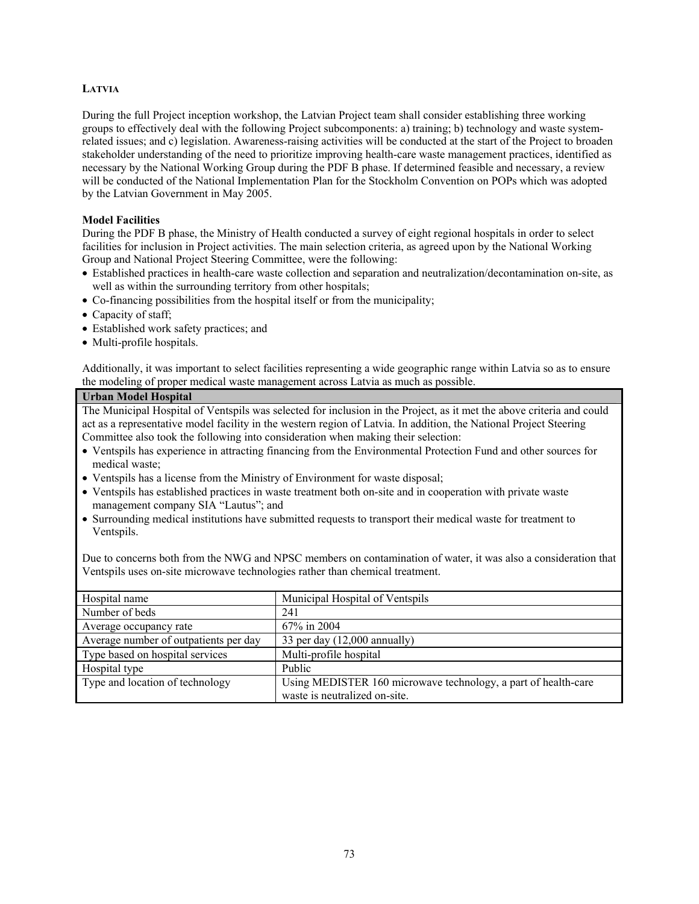# **LATVIA**

During the full Project inception workshop, the Latvian Project team shall consider establishing three working groups to effectively deal with the following Project subcomponents: a) training; b) technology and waste systemrelated issues; and c) legislation. Awareness-raising activities will be conducted at the start of the Project to broaden stakeholder understanding of the need to prioritize improving health-care waste management practices, identified as necessary by the National Working Group during the PDF B phase. If determined feasible and necessary, a review will be conducted of the National Implementation Plan for the Stockholm Convention on POPs which was adopted by the Latvian Government in May 2005.

# **Model Facilities**

During the PDF B phase, the Ministry of Health conducted a survey of eight regional hospitals in order to select facilities for inclusion in Project activities. The main selection criteria, as agreed upon by the National Working Group and National Project Steering Committee, were the following:

- Established practices in health-care waste collection and separation and neutralization/decontamination on-site, as well as within the surrounding territory from other hospitals;
- Co-financing possibilities from the hospital itself or from the municipality;
- Capacity of staff;
- Established work safety practices; and
- Multi-profile hospitals.

Additionally, it was important to select facilities representing a wide geographic range within Latvia so as to ensure the modeling of proper medical waste management across Latvia as much as possible.

#### **Urban Model Hospital**

The Municipal Hospital of Ventspils was selected for inclusion in the Project, as it met the above criteria and could act as a representative model facility in the western region of Latvia. In addition, the National Project Steering Committee also took the following into consideration when making their selection:

- Ventspils has experience in attracting financing from the Environmental Protection Fund and other sources for medical waste;
- Ventspils has a license from the Ministry of Environment for waste disposal;
- Ventspils has established practices in waste treatment both on-site and in cooperation with private waste management company SIA "Lautus"; and
- Surrounding medical institutions have submitted requests to transport their medical waste for treatment to Ventspils.

Due to concerns both from the NWG and NPSC members on contamination of water, it was also a consideration that Ventspils uses on-site microwave technologies rather than chemical treatment.

| Hospital name                         | Municipal Hospital of Ventspils                                |
|---------------------------------------|----------------------------------------------------------------|
| Number of beds                        | 241                                                            |
| Average occupancy rate                | 67% in 2004                                                    |
| Average number of outpatients per day | 33 per day $(12,000 \text{ annually})$                         |
| Type based on hospital services       | Multi-profile hospital                                         |
| Hospital type                         | Public                                                         |
| Type and location of technology       | Using MEDISTER 160 microwave technology, a part of health-care |
|                                       | waste is neutralized on-site.                                  |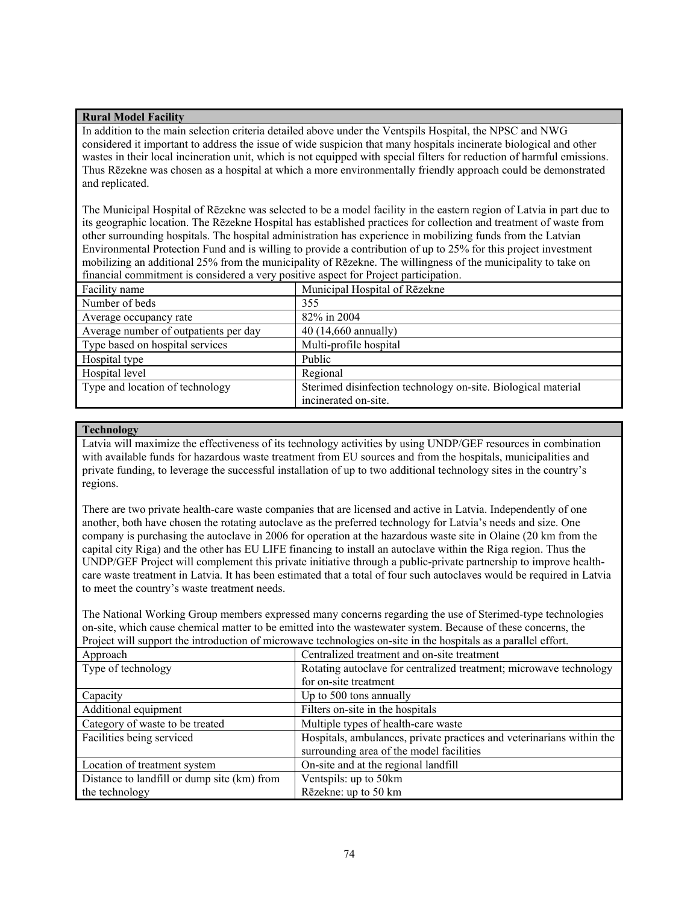## **Rural Model Facility**

In addition to the main selection criteria detailed above under the Ventspils Hospital, the NPSC and NWG considered it important to address the issue of wide suspicion that many hospitals incinerate biological and other wastes in their local incineration unit, which is not equipped with special filters for reduction of harmful emissions. Thus Rēzekne was chosen as a hospital at which a more environmentally friendly approach could be demonstrated and replicated.

The Municipal Hospital of Rēzekne was selected to be a model facility in the eastern region of Latvia in part due to its geographic location. The Rēzekne Hospital has established practices for collection and treatment of waste from other surrounding hospitals. The hospital administration has experience in mobilizing funds from the Latvian Environmental Protection Fund and is willing to provide a contribution of up to 25% for this project investment mobilizing an additional 25% from the municipality of Rēzekne. The willingness of the municipality to take on financial commitment is considered a very positive aspect for Project participation.

| Facility name                         | Municipal Hospital of Rēzekne                                 |
|---------------------------------------|---------------------------------------------------------------|
| Number of beds                        | 355                                                           |
| Average occupancy rate                | 82% in 2004                                                   |
| Average number of outpatients per day | 40 (14,660 annually)                                          |
| Type based on hospital services       | Multi-profile hospital                                        |
| Hospital type                         | Public                                                        |
| Hospital level                        | Regional                                                      |
| Type and location of technology       | Sterimed disinfection technology on-site. Biological material |
|                                       | incinerated on-site.                                          |

### **Technology**

Latvia will maximize the effectiveness of its technology activities by using UNDP/GEF resources in combination with available funds for hazardous waste treatment from EU sources and from the hospitals, municipalities and private funding, to leverage the successful installation of up to two additional technology sites in the country's regions.

There are two private health-care waste companies that are licensed and active in Latvia. Independently of one another, both have chosen the rotating autoclave as the preferred technology for Latvia's needs and size. One company is purchasing the autoclave in 2006 for operation at the hazardous waste site in Olaine (20 km from the capital city Riga) and the other has EU LIFE financing to install an autoclave within the Riga region. Thus the UNDP/GEF Project will complement this private initiative through a public-private partnership to improve healthcare waste treatment in Latvia. It has been estimated that a total of four such autoclaves would be required in Latvia to meet the country's waste treatment needs.

The National Working Group members expressed many concerns regarding the use of Sterimed-type technologies on-site, which cause chemical matter to be emitted into the wastewater system. Because of these concerns, the Project will support the introduction of microwave technologies on-site in the hospitals as a parallel effort.

| Approach                                    | Centralized treatment and on-site treatment                           |
|---------------------------------------------|-----------------------------------------------------------------------|
| Type of technology                          | Rotating autoclave for centralized treatment; microwave technology    |
|                                             | for on-site treatment                                                 |
| Capacity                                    | Up to 500 tons annually                                               |
| Additional equipment                        | Filters on-site in the hospitals                                      |
| Category of waste to be treated             | Multiple types of health-care waste                                   |
| Facilities being serviced                   | Hospitals, ambulances, private practices and veterinarians within the |
|                                             | surrounding area of the model facilities                              |
| Location of treatment system                | On-site and at the regional landfill                                  |
| Distance to landfill or dump site (km) from | Ventspils: up to 50km                                                 |
| the technology                              | Rēzekne: up to 50 km                                                  |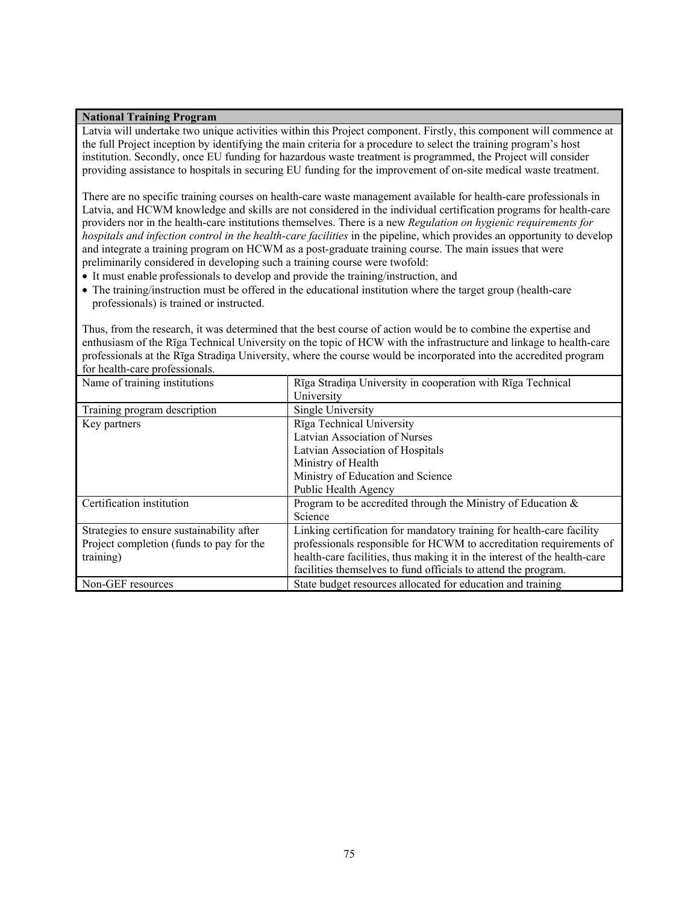#### **National Training Program**

Latvia will undertake two unique activities within this Project component. Firstly, this component will commence at the full Project inception by identifying the main criteria for a procedure to select the training program's host institution. Secondly, once EU funding for hazardous waste treatment is programmed, the Project will consider providing assistance to hospitals in securing EU funding for the improvement of on-site medical waste treatment.

There are no specific training courses on health-care waste management available for health-care professionals in Latvia, and HCWM knowledge and skills are not considered in the individual certification programs for health-care providers nor in the health-care institutions themselves. There is a new *Regulation on hygienic requirements for hospitals and infection control in the health-care facilities* in the pipeline, which provides an opportunity to develop and integrate a training program on HCWM as a post-graduate training course. The main issues that were preliminarily considered in developing such a training course were twofold:

- It must enable professionals to develop and provide the training/instruction, and
- The training/instruction must be offered in the educational institution where the target group (health-care professionals) is trained or instructed.

Thus, from the research, it was determined that the best course of action would be to combine the expertise and enthusiasm of the Rīga Technical University on the topic of HCW with the infrastructure and linkage to health-care professionals at the Rīga Stradiņa University, where the course would be incorporated into the accredited program for health-care professionals.

| Name of training institutions             | Rīga Stradiņa University in cooperation with Rīga Technical               |
|-------------------------------------------|---------------------------------------------------------------------------|
|                                           | University                                                                |
| Training program description              | Single University                                                         |
| Key partners                              | Rīga Technical University                                                 |
|                                           | Latvian Association of Nurses                                             |
|                                           | Latvian Association of Hospitals                                          |
|                                           | Ministry of Health                                                        |
|                                           | Ministry of Education and Science                                         |
|                                           | Public Health Agency                                                      |
| Certification institution                 | Program to be accredited through the Ministry of Education $\&$           |
|                                           | Science                                                                   |
| Strategies to ensure sustainability after | Linking certification for mandatory training for health-care facility     |
| Project completion (funds to pay for the  | professionals responsible for HCWM to accreditation requirements of       |
| training)                                 | health-care facilities, thus making it in the interest of the health-care |
|                                           | facilities themselves to fund officials to attend the program.            |
| Non-GEF resources                         | State budget resources allocated for education and training               |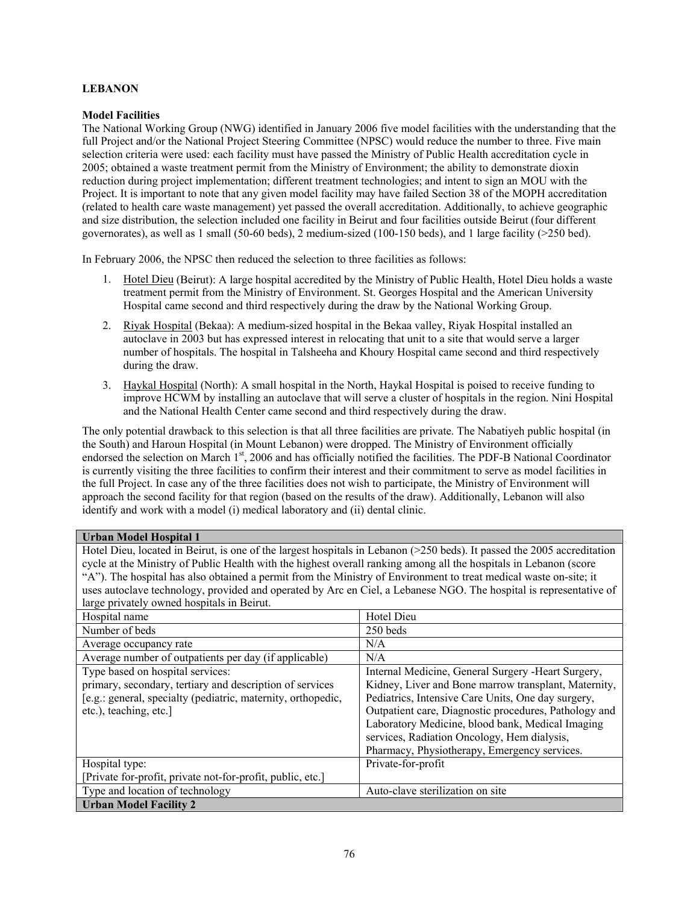# **LEBANON**

## **Model Facilities**

The National Working Group (NWG) identified in January 2006 five model facilities with the understanding that the full Project and/or the National Project Steering Committee (NPSC) would reduce the number to three. Five main selection criteria were used: each facility must have passed the Ministry of Public Health accreditation cycle in 2005; obtained a waste treatment permit from the Ministry of Environment; the ability to demonstrate dioxin reduction during project implementation; different treatment technologies; and intent to sign an MOU with the Project. It is important to note that any given model facility may have failed Section 38 of the MOPH accreditation (related to health care waste management) yet passed the overall accreditation. Additionally, to achieve geographic and size distribution, the selection included one facility in Beirut and four facilities outside Beirut (four different governorates), as well as 1 small (50-60 beds), 2 medium-sized (100-150 beds), and 1 large facility ( $>250$  bed).

In February 2006, the NPSC then reduced the selection to three facilities as follows:

- 1. Hotel Dieu (Beirut): A large hospital accredited by the Ministry of Public Health, Hotel Dieu holds a waste treatment permit from the Ministry of Environment. St. Georges Hospital and the American University Hospital came second and third respectively during the draw by the National Working Group.
- 2. Riyak Hospital (Bekaa): A medium-sized hospital in the Bekaa valley, Riyak Hospital installed an autoclave in 2003 but has expressed interest in relocating that unit to a site that would serve a larger number of hospitals. The hospital in Talsheeha and Khoury Hospital came second and third respectively during the draw.
- 3. Haykal Hospital (North): A small hospital in the North, Haykal Hospital is poised to receive funding to improve HCWM by installing an autoclave that will serve a cluster of hospitals in the region. Nini Hospital and the National Health Center came second and third respectively during the draw.

The only potential drawback to this selection is that all three facilities are private. The Nabatiyeh public hospital (in the South) and Haroun Hospital (in Mount Lebanon) were dropped. The Ministry of Environment officially endorsed the selection on March 1<sup>st</sup>, 2006 and has officially notified the facilities. The PDF-B National Coordinator is currently visiting the three facilities to confirm their interest and their commitment to serve as model facilities in the full Project. In case any of the three facilities does not wish to participate, the Ministry of Environment will approach the second facility for that region (based on the results of the draw). Additionally, Lebanon will also identify and work with a model (i) medical laboratory and (ii) dental clinic.

#### **Urban Model Hospital 1**

Hotel Dieu, located in Beirut, is one of the largest hospitals in Lebanon (>250 beds). It passed the 2005 accreditation cycle at the Ministry of Public Health with the highest overall ranking among all the hospitals in Lebanon (score "A"). The hospital has also obtained a permit from the Ministry of Environment to treat medical waste on-site; it uses autoclave technology, provided and operated by Arc en Ciel, a Lebanese NGO. The hospital is representative of large privately owned hospitals in Beirut.

| Hospital name                                                | Hotel Dieu                                            |
|--------------------------------------------------------------|-------------------------------------------------------|
| Number of beds                                               | 250 beds                                              |
|                                                              |                                                       |
| Average occupancy rate                                       | N/A                                                   |
| Average number of outpatients per day (if applicable)        | N/A                                                   |
| Type based on hospital services:                             | Internal Medicine, General Surgery - Heart Surgery,   |
| primary, secondary, tertiary and description of services     | Kidney, Liver and Bone marrow transplant, Maternity,  |
| [e.g.: general, specialty (pediatric, maternity, orthopedic, | Pediatrics, Intensive Care Units, One day surgery,    |
| etc.), teaching, etc.]                                       | Outpatient care, Diagnostic procedures, Pathology and |
|                                                              | Laboratory Medicine, blood bank, Medical Imaging      |
|                                                              | services, Radiation Oncology, Hem dialysis,           |
|                                                              | Pharmacy, Physiotherapy, Emergency services.          |
| Hospital type:                                               | Private-for-profit                                    |
| [Private for-profit, private not-for-profit, public, etc.]   |                                                       |
| Type and location of technology                              | Auto-clave sterilization on site                      |
| <b>Urban Model Facility 2</b>                                |                                                       |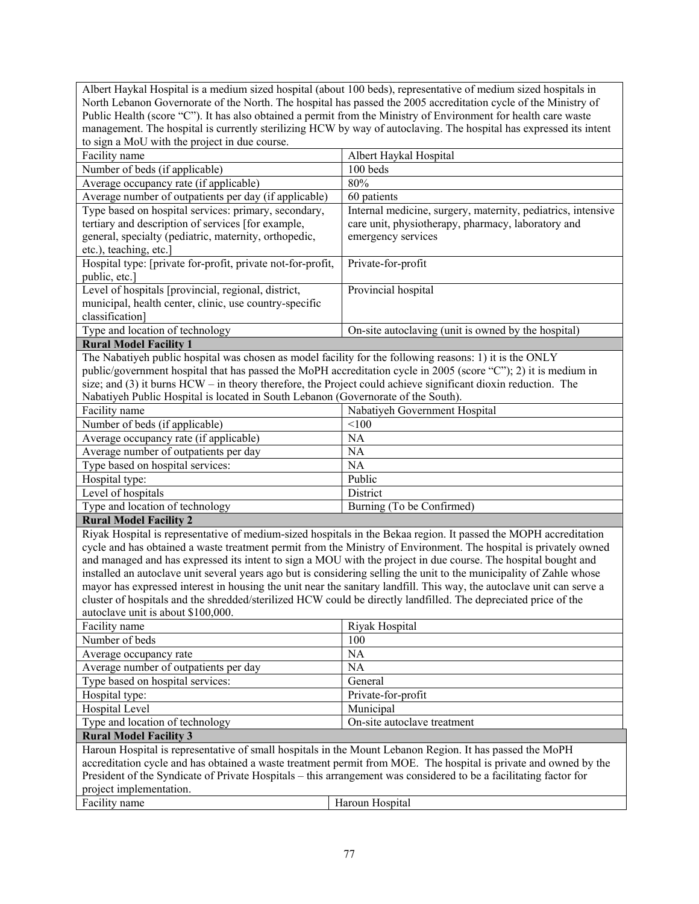| Albert Haykal Hospital is a medium sized hospital (about 100 beds), representative of medium sized hospitals in                                                                                                                       |                                                                                                                    |  |
|---------------------------------------------------------------------------------------------------------------------------------------------------------------------------------------------------------------------------------------|--------------------------------------------------------------------------------------------------------------------|--|
| North Lebanon Governorate of the North. The hospital has passed the 2005 accreditation cycle of the Ministry of                                                                                                                       |                                                                                                                    |  |
| Public Health (score "C"). It has also obtained a permit from the Ministry of Environment for health care waste                                                                                                                       |                                                                                                                    |  |
|                                                                                                                                                                                                                                       | management. The hospital is currently sterilizing HCW by way of autoclaving. The hospital has expressed its intent |  |
| to sign a MoU with the project in due course.                                                                                                                                                                                         |                                                                                                                    |  |
| Facility name                                                                                                                                                                                                                         | Albert Haykal Hospital                                                                                             |  |
| Number of beds (if applicable)                                                                                                                                                                                                        | 100 beds                                                                                                           |  |
| Average occupancy rate (if applicable)                                                                                                                                                                                                | 80%                                                                                                                |  |
| Average number of outpatients per day (if applicable)                                                                                                                                                                                 | 60 patients                                                                                                        |  |
| Type based on hospital services: primary, secondary,                                                                                                                                                                                  | Internal medicine, surgery, maternity, pediatrics, intensive                                                       |  |
| tertiary and description of services [for example,                                                                                                                                                                                    | care unit, physiotherapy, pharmacy, laboratory and                                                                 |  |
| general, specialty (pediatric, maternity, orthopedic,                                                                                                                                                                                 | emergency services                                                                                                 |  |
| etc.), teaching, etc.]                                                                                                                                                                                                                |                                                                                                                    |  |
| Hospital type: [private for-profit, private not-for-profit,                                                                                                                                                                           | Private-for-profit                                                                                                 |  |
| public, etc.]                                                                                                                                                                                                                         |                                                                                                                    |  |
| Level of hospitals [provincial, regional, district,                                                                                                                                                                                   | Provincial hospital                                                                                                |  |
| municipal, health center, clinic, use country-specific                                                                                                                                                                                |                                                                                                                    |  |
| classification]                                                                                                                                                                                                                       |                                                                                                                    |  |
| Type and location of technology                                                                                                                                                                                                       | On-site autoclaving (unit is owned by the hospital)                                                                |  |
| <b>Rural Model Facility 1</b>                                                                                                                                                                                                         |                                                                                                                    |  |
| The Nabatiyeh public hospital was chosen as model facility for the following reasons: 1) it is the ONLY                                                                                                                               |                                                                                                                    |  |
| public/government hospital that has passed the MoPH accreditation cycle in 2005 (score "C"); 2) it is medium in                                                                                                                       |                                                                                                                    |  |
| size; and (3) it burns HCW – in theory therefore, the Project could achieve significant dioxin reduction. The                                                                                                                         |                                                                                                                    |  |
| Nabatiyeh Public Hospital is located in South Lebanon (Governorate of the South).                                                                                                                                                     |                                                                                                                    |  |
| Facility name                                                                                                                                                                                                                         | Nabatiyeh Government Hospital                                                                                      |  |
| Number of beds (if applicable)                                                                                                                                                                                                        | < 100                                                                                                              |  |
| Average occupancy rate (if applicable)                                                                                                                                                                                                | <b>NA</b>                                                                                                          |  |
| Average number of outpatients per day                                                                                                                                                                                                 | <b>NA</b>                                                                                                          |  |
| Type based on hospital services:                                                                                                                                                                                                      | <b>NA</b>                                                                                                          |  |
| Hospital type:                                                                                                                                                                                                                        | Public                                                                                                             |  |
| Level of hospitals                                                                                                                                                                                                                    | District                                                                                                           |  |
| Type and location of technology                                                                                                                                                                                                       | Burning (To be Confirmed)                                                                                          |  |
| <b>Rural Model Facility 2</b>                                                                                                                                                                                                         |                                                                                                                    |  |
| Riyak Hospital is representative of medium-sized hospitals in the Bekaa region. It passed the MOPH accreditation                                                                                                                      |                                                                                                                    |  |
| cycle and has obtained a waste treatment permit from the Ministry of Environment. The hospital is privately owned<br>and managed and has expressed its intent to sign a MOU with the project in due course. The hospital bought and   |                                                                                                                    |  |
|                                                                                                                                                                                                                                       |                                                                                                                    |  |
| installed an autoclave unit several years ago but is considering selling the unit to the municipality of Zahle whose                                                                                                                  |                                                                                                                    |  |
| mayor has expressed interest in housing the unit near the sanitary landfill. This way, the autoclave unit can serve a                                                                                                                 |                                                                                                                    |  |
| cluster of hospitals and the shredded/sterilized HCW could be directly landfilled. The depreciated price of the                                                                                                                       |                                                                                                                    |  |
| autoclave unit is about \$100,000.<br>Facility name                                                                                                                                                                                   | Riyak Hospital                                                                                                     |  |
| Number of beds                                                                                                                                                                                                                        | 100                                                                                                                |  |
|                                                                                                                                                                                                                                       | NA                                                                                                                 |  |
| Average occupancy rate<br>Average number of outpatients per day                                                                                                                                                                       | <b>NA</b>                                                                                                          |  |
| Type based on hospital services:                                                                                                                                                                                                      | General                                                                                                            |  |
| Hospital type:                                                                                                                                                                                                                        | Private-for-profit                                                                                                 |  |
| Hospital Level                                                                                                                                                                                                                        | Municipal                                                                                                          |  |
| Type and location of technology                                                                                                                                                                                                       | On-site autoclave treatment                                                                                        |  |
| <b>Rural Model Facility 3</b>                                                                                                                                                                                                         |                                                                                                                    |  |
|                                                                                                                                                                                                                                       |                                                                                                                    |  |
| Haroun Hospital is representative of small hospitals in the Mount Lebanon Region. It has passed the MoPH                                                                                                                              |                                                                                                                    |  |
| accreditation cycle and has obtained a waste treatment permit from MOE. The hospital is private and owned by the<br>President of the Syndicate of Private Hospitals – this arrangement was considered to be a facilitating factor for |                                                                                                                    |  |
| project implementation.                                                                                                                                                                                                               |                                                                                                                    |  |
| Facility name                                                                                                                                                                                                                         | Haroun Hospital                                                                                                    |  |
|                                                                                                                                                                                                                                       |                                                                                                                    |  |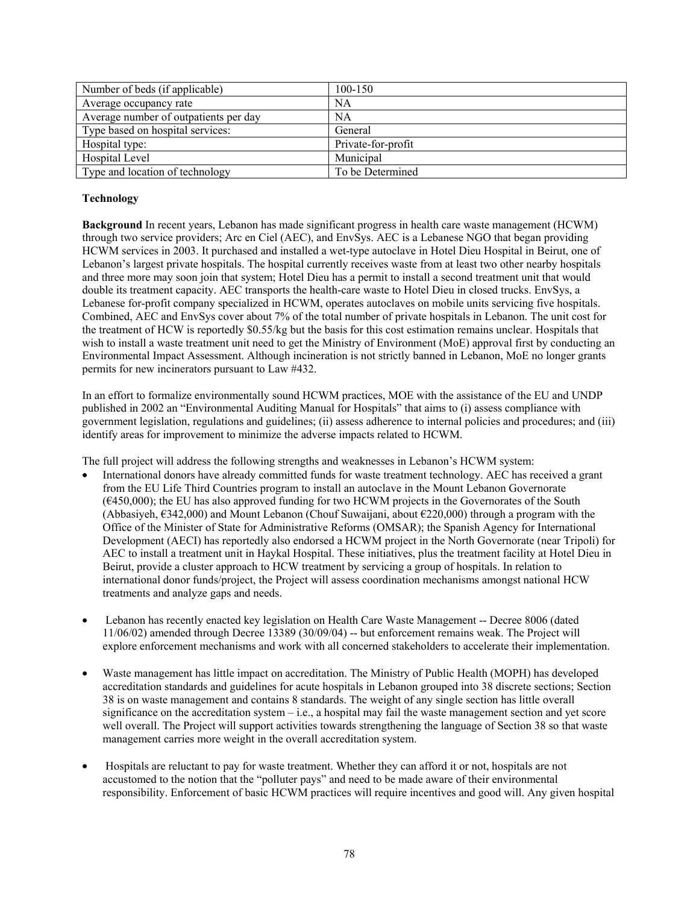| Number of beds (if applicable)        | 100-150            |
|---------------------------------------|--------------------|
| Average occupancy rate                | NA                 |
| Average number of outpatients per day | NA                 |
| Type based on hospital services:      | General            |
| Hospital type:                        | Private-for-profit |
| Hospital Level                        | Municipal          |
| Type and location of technology       | To be Determined   |

# **Technology**

**Background** In recent years, Lebanon has made significant progress in health care waste management (HCWM) through two service providers; Arc en Ciel (AEC), and EnvSys. AEC is a Lebanese NGO that began providing HCWM services in 2003. It purchased and installed a wet-type autoclave in Hotel Dieu Hospital in Beirut, one of Lebanon's largest private hospitals. The hospital currently receives waste from at least two other nearby hospitals and three more may soon join that system; Hotel Dieu has a permit to install a second treatment unit that would double its treatment capacity. AEC transports the health-care waste to Hotel Dieu in closed trucks. EnvSys, a Lebanese for-profit company specialized in HCWM, operates autoclaves on mobile units servicing five hospitals. Combined, AEC and EnvSys cover about 7% of the total number of private hospitals in Lebanon. The unit cost for the treatment of HCW is reportedly \$0.55/kg but the basis for this cost estimation remains unclear. Hospitals that wish to install a waste treatment unit need to get the Ministry of Environment (MoE) approval first by conducting an Environmental Impact Assessment. Although incineration is not strictly banned in Lebanon, MoE no longer grants permits for new incinerators pursuant to Law #432.

In an effort to formalize environmentally sound HCWM practices, MOE with the assistance of the EU and UNDP published in 2002 an "Environmental Auditing Manual for Hospitals" that aims to (i) assess compliance with government legislation, regulations and guidelines; (ii) assess adherence to internal policies and procedures; and (iii) identify areas for improvement to minimize the adverse impacts related to HCWM.

The full project will address the following strengths and weaknesses in Lebanon's HCWM system:

- International donors have already committed funds for waste treatment technology. AEC has received a grant from the EU Life Third Countries program to install an autoclave in the Mount Lebanon Governorate (€450,000); the EU has also approved funding for two HCWM projects in the Governorates of the South (Abbasiyeh, €342,000) and Mount Lebanon (Chouf Suwaijani, about €220,000) through a program with the Office of the Minister of State for Administrative Reforms (OMSAR); the Spanish Agency for International Development (AECI) has reportedly also endorsed a HCWM project in the North Governorate (near Tripoli) for AEC to install a treatment unit in Haykal Hospital. These initiatives, plus the treatment facility at Hotel Dieu in Beirut, provide a cluster approach to HCW treatment by servicing a group of hospitals. In relation to international donor funds/project, the Project will assess coordination mechanisms amongst national HCW treatments and analyze gaps and needs.
- Lebanon has recently enacted key legislation on Health Care Waste Management -- Decree 8006 (dated 11/06/02) amended through Decree 13389 (30/09/04) -- but enforcement remains weak. The Project will explore enforcement mechanisms and work with all concerned stakeholders to accelerate their implementation.
- Waste management has little impact on accreditation. The Ministry of Public Health (MOPH) has developed accreditation standards and guidelines for acute hospitals in Lebanon grouped into 38 discrete sections; Section 38 is on waste management and contains 8 standards. The weight of any single section has little overall significance on the accreditation system – i.e., a hospital may fail the waste management section and yet score well overall. The Project will support activities towards strengthening the language of Section 38 so that waste management carries more weight in the overall accreditation system.
- Hospitals are reluctant to pay for waste treatment. Whether they can afford it or not, hospitals are not accustomed to the notion that the "polluter pays" and need to be made aware of their environmental responsibility. Enforcement of basic HCWM practices will require incentives and good will. Any given hospital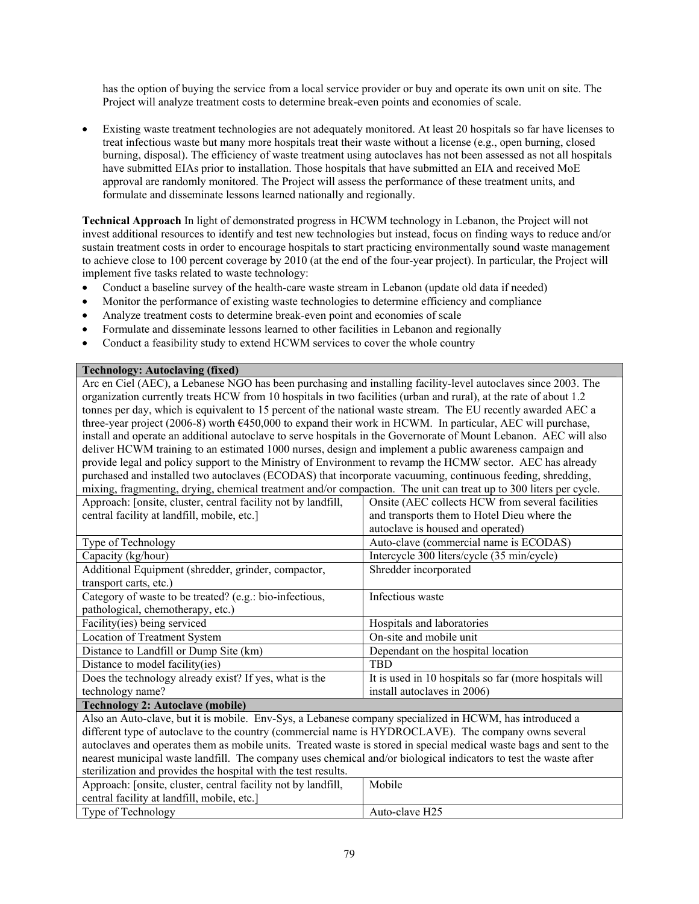has the option of buying the service from a local service provider or buy and operate its own unit on site. The Project will analyze treatment costs to determine break-even points and economies of scale.

• Existing waste treatment technologies are not adequately monitored. At least 20 hospitals so far have licenses to treat infectious waste but many more hospitals treat their waste without a license (e.g., open burning, closed burning, disposal). The efficiency of waste treatment using autoclaves has not been assessed as not all hospitals have submitted EIAs prior to installation. Those hospitals that have submitted an EIA and received MoE approval are randomly monitored. The Project will assess the performance of these treatment units, and formulate and disseminate lessons learned nationally and regionally.

**Technical Approach** In light of demonstrated progress in HCWM technology in Lebanon, the Project will not invest additional resources to identify and test new technologies but instead, focus on finding ways to reduce and/or sustain treatment costs in order to encourage hospitals to start practicing environmentally sound waste management to achieve close to 100 percent coverage by 2010 (at the end of the four-year project). In particular, the Project will implement five tasks related to waste technology:

- Conduct a baseline survey of the health-care waste stream in Lebanon (update old data if needed)
- Monitor the performance of existing waste technologies to determine efficiency and compliance
- Analyze treatment costs to determine break-even point and economies of scale
- Formulate and disseminate lessons learned to other facilities in Lebanon and regionally
- Conduct a feasibility study to extend HCWM services to cover the whole country

### **Technology: Autoclaving (fixed)**

| Arc en Ciel (AEC), a Lebanese NGO has been purchasing and installing facility-level autoclaves since 2003. The      |                                                        |  |
|---------------------------------------------------------------------------------------------------------------------|--------------------------------------------------------|--|
| organization currently treats HCW from 10 hospitals in two facilities (urban and rural), at the rate of about 1.2   |                                                        |  |
| tonnes per day, which is equivalent to 15 percent of the national waste stream. The EU recently awarded AEC a       |                                                        |  |
| three-year project (2006-8) worth €450,000 to expand their work in HCWM. In particular, AEC will purchase,          |                                                        |  |
| install and operate an additional autoclave to serve hospitals in the Governorate of Mount Lebanon. AEC will also   |                                                        |  |
| deliver HCWM training to an estimated 1000 nurses, design and implement a public awareness campaign and             |                                                        |  |
| provide legal and policy support to the Ministry of Environment to revamp the HCMW sector. AEC has already          |                                                        |  |
| purchased and installed two autoclaves (ECODAS) that incorporate vacuuming, continuous feeding, shredding,          |                                                        |  |
| mixing, fragmenting, drying, chemical treatment and/or compaction. The unit can treat up to 300 liters per cycle.   |                                                        |  |
| Approach: [onsite, cluster, central facility not by landfill,                                                       | Onsite (AEC collects HCW from several facilities       |  |
| central facility at landfill, mobile, etc.]                                                                         | and transports them to Hotel Dieu where the            |  |
|                                                                                                                     | autoclave is housed and operated)                      |  |
| Auto-clave (commercial name is ECODAS)<br>Type of Technology                                                        |                                                        |  |
| Intercycle 300 liters/cycle (35 min/cycle)<br>Capacity (kg/hour)                                                    |                                                        |  |
| Additional Equipment (shredder, grinder, compactor,<br>Shredder incorporated                                        |                                                        |  |
| transport carts, etc.)                                                                                              |                                                        |  |
| Category of waste to be treated? (e.g.: bio-infectious,<br>Infectious waste                                         |                                                        |  |
| pathological, chemotherapy, etc.)                                                                                   |                                                        |  |
| Facility(ies) being serviced<br>Hospitals and laboratories                                                          |                                                        |  |
| <b>Location of Treatment System</b>                                                                                 | On-site and mobile unit                                |  |
| Distance to Landfill or Dump Site (km)                                                                              | Dependant on the hospital location                     |  |
| Distance to model facility(ies)                                                                                     | <b>TBD</b>                                             |  |
| Does the technology already exist? If yes, what is the                                                              | It is used in 10 hospitals so far (more hospitals will |  |
| technology name?                                                                                                    | install autoclaves in 2006)                            |  |
| <b>Technology 2: Autoclave (mobile)</b>                                                                             |                                                        |  |
| Also an Auto-clave, but it is mobile. Env-Sys, a Lebanese company specialized in HCWM, has introduced a             |                                                        |  |
| different type of autoclave to the country (commercial name is HYDROCLAVE). The company owns several                |                                                        |  |
| autoclaves and operates them as mobile units. Treated waste is stored in special medical waste bags and sent to the |                                                        |  |
| nearest municipal waste landfill. The company uses chemical and/or biological indicators to test the waste after    |                                                        |  |
| sterilization and provides the hospital with the test results.                                                      |                                                        |  |
| Approach: [onsite, cluster, central facility not by landfill,<br>Mobile                                             |                                                        |  |
| central facility at landfill, mobile, etc.]                                                                         |                                                        |  |
| Type of Technology<br>Auto-clave H25                                                                                |                                                        |  |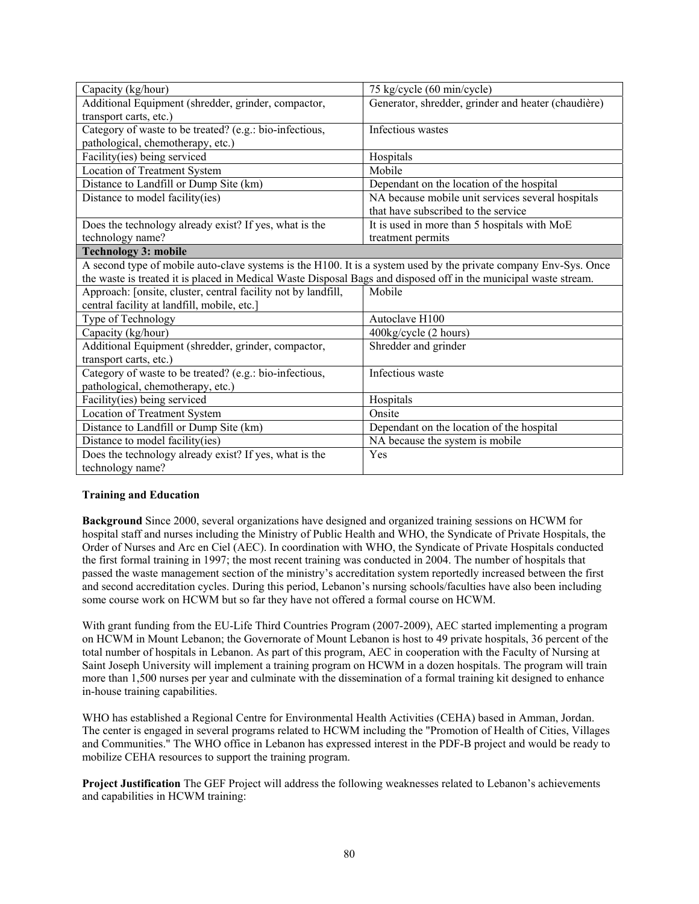| Capacity (kg/hour)                                                                                               | 75 kg/cycle (60 min/cycle)                          |
|------------------------------------------------------------------------------------------------------------------|-----------------------------------------------------|
| Additional Equipment (shredder, grinder, compactor,                                                              | Generator, shredder, grinder and heater (chaudière) |
| transport carts, etc.)                                                                                           |                                                     |
| Category of waste to be treated? (e.g.: bio-infectious,                                                          | Infectious wastes                                   |
| pathological, chemotherapy, etc.)                                                                                |                                                     |
| Facility(ies) being serviced                                                                                     | Hospitals                                           |
| <b>Location of Treatment System</b>                                                                              | Mobile                                              |
| Distance to Landfill or Dump Site (km)                                                                           | Dependant on the location of the hospital           |
| Distance to model facility(ies)                                                                                  | NA because mobile unit services several hospitals   |
|                                                                                                                  | that have subscribed to the service                 |
| Does the technology already exist? If yes, what is the                                                           | It is used in more than 5 hospitals with MoE        |
| technology name?                                                                                                 | treatment permits                                   |
| <b>Technology 3: mobile</b>                                                                                      |                                                     |
| A second type of mobile auto-clave systems is the H100. It is a system used by the private company Env-Sys. Once |                                                     |
| the waste is treated it is placed in Medical Waste Disposal Bags and disposed off in the municipal waste stream. |                                                     |
| Approach: [onsite, cluster, central facility not by landfill,                                                    | Mobile                                              |
| central facility at landfill, mobile, etc.]                                                                      |                                                     |
| Type of Technology                                                                                               | Autoclave H100                                      |
| Capacity (kg/hour)                                                                                               | 400kg/cycle (2 hours)                               |
| Additional Equipment (shredder, grinder, compactor,                                                              | Shredder and grinder                                |
| transport carts, etc.)                                                                                           |                                                     |
| Category of waste to be treated? (e.g.: bio-infectious,                                                          | Infectious waste                                    |
| pathological, chemotherapy, etc.)                                                                                |                                                     |
| Facility(ies) being serviced                                                                                     | Hospitals                                           |
| Location of Treatment System                                                                                     | Onsite                                              |
| Distance to Landfill or Dump Site (km)                                                                           | Dependant on the location of the hospital           |
| Distance to model facility(ies)                                                                                  | NA because the system is mobile                     |
| Does the technology already exist? If yes, what is the                                                           | Yes                                                 |
| technology name?                                                                                                 |                                                     |

# **Training and Education**

**Background** Since 2000, several organizations have designed and organized training sessions on HCWM for hospital staff and nurses including the Ministry of Public Health and WHO, the Syndicate of Private Hospitals, the Order of Nurses and Arc en Ciel (AEC). In coordination with WHO, the Syndicate of Private Hospitals conducted the first formal training in 1997; the most recent training was conducted in 2004. The number of hospitals that passed the waste management section of the ministry's accreditation system reportedly increased between the first and second accreditation cycles. During this period, Lebanon's nursing schools/faculties have also been including some course work on HCWM but so far they have not offered a formal course on HCWM.

With grant funding from the EU-Life Third Countries Program (2007-2009), AEC started implementing a program on HCWM in Mount Lebanon; the Governorate of Mount Lebanon is host to 49 private hospitals, 36 percent of the total number of hospitals in Lebanon. As part of this program, AEC in cooperation with the Faculty of Nursing at Saint Joseph University will implement a training program on HCWM in a dozen hospitals. The program will train more than 1,500 nurses per year and culminate with the dissemination of a formal training kit designed to enhance in-house training capabilities.

WHO has established a Regional Centre for Environmental Health Activities (CEHA) based in Amman, Jordan. The center is engaged in several programs related to HCWM including the "Promotion of Health of Cities, Villages and Communities." The WHO office in Lebanon has expressed interest in the PDF-B project and would be ready to mobilize CEHA resources to support the training program.

**Project Justification** The GEF Project will address the following weaknesses related to Lebanon's achievements and capabilities in HCWM training: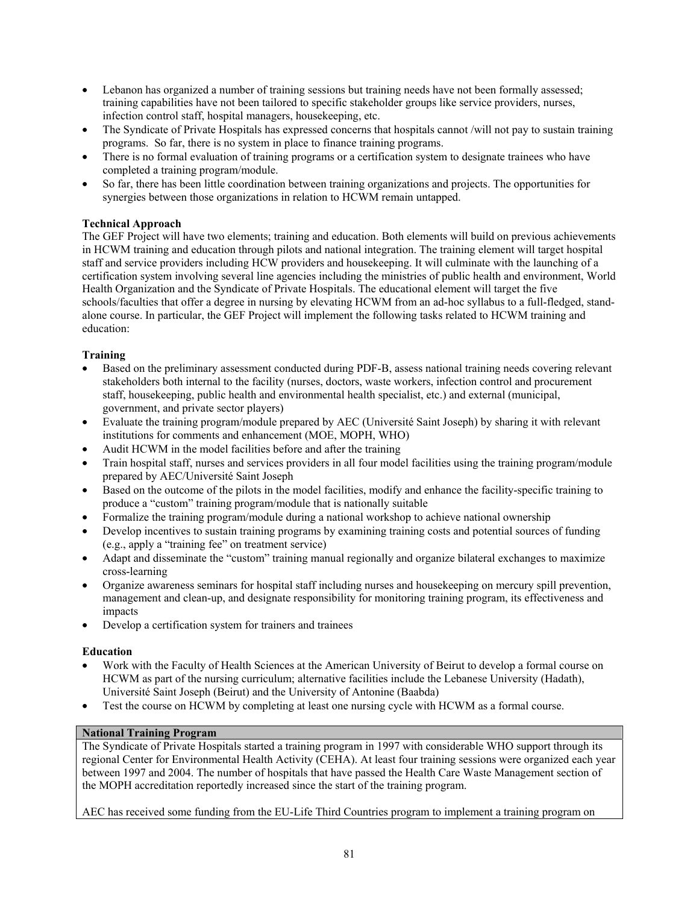- Lebanon has organized a number of training sessions but training needs have not been formally assessed; training capabilities have not been tailored to specific stakeholder groups like service providers, nurses, infection control staff, hospital managers, housekeeping, etc.
- The Syndicate of Private Hospitals has expressed concerns that hospitals cannot /will not pay to sustain training programs. So far, there is no system in place to finance training programs.
- There is no formal evaluation of training programs or a certification system to designate trainees who have completed a training program/module.
- So far, there has been little coordination between training organizations and projects. The opportunities for synergies between those organizations in relation to HCWM remain untapped.

# **Technical Approach**

The GEF Project will have two elements; training and education. Both elements will build on previous achievements in HCWM training and education through pilots and national integration. The training element will target hospital staff and service providers including HCW providers and housekeeping. It will culminate with the launching of a certification system involving several line agencies including the ministries of public health and environment, World Health Organization and the Syndicate of Private Hospitals. The educational element will target the five schools/faculties that offer a degree in nursing by elevating HCWM from an ad-hoc syllabus to a full-fledged, standalone course. In particular, the GEF Project will implement the following tasks related to HCWM training and education:

# **Training**

- Based on the preliminary assessment conducted during PDF-B, assess national training needs covering relevant stakeholders both internal to the facility (nurses, doctors, waste workers, infection control and procurement staff, housekeeping, public health and environmental health specialist, etc.) and external (municipal, government, and private sector players)
- Evaluate the training program/module prepared by AEC (Université Saint Joseph) by sharing it with relevant institutions for comments and enhancement (MOE, MOPH, WHO)
- Audit HCWM in the model facilities before and after the training
- Train hospital staff, nurses and services providers in all four model facilities using the training program/module prepared by AEC/Université Saint Joseph
- Based on the outcome of the pilots in the model facilities, modify and enhance the facility-specific training to produce a "custom" training program/module that is nationally suitable
- Formalize the training program/module during a national workshop to achieve national ownership
- Develop incentives to sustain training programs by examining training costs and potential sources of funding (e.g., apply a "training fee" on treatment service)
- Adapt and disseminate the "custom" training manual regionally and organize bilateral exchanges to maximize cross-learning
- Organize awareness seminars for hospital staff including nurses and housekeeping on mercury spill prevention, management and clean-up, and designate responsibility for monitoring training program, its effectiveness and impacts
- Develop a certification system for trainers and trainees

# **Education**

- Work with the Faculty of Health Sciences at the American University of Beirut to develop a formal course on HCWM as part of the nursing curriculum; alternative facilities include the Lebanese University (Hadath), Université Saint Joseph (Beirut) and the University of Antonine (Baabda)
- Test the course on HCWM by completing at least one nursing cycle with HCWM as a formal course.

# **National Training Program**

The Syndicate of Private Hospitals started a training program in 1997 with considerable WHO support through its regional Center for Environmental Health Activity (CEHA). At least four training sessions were organized each year between 1997 and 2004. The number of hospitals that have passed the Health Care Waste Management section of the MOPH accreditation reportedly increased since the start of the training program.

AEC has received some funding from the EU-Life Third Countries program to implement a training program on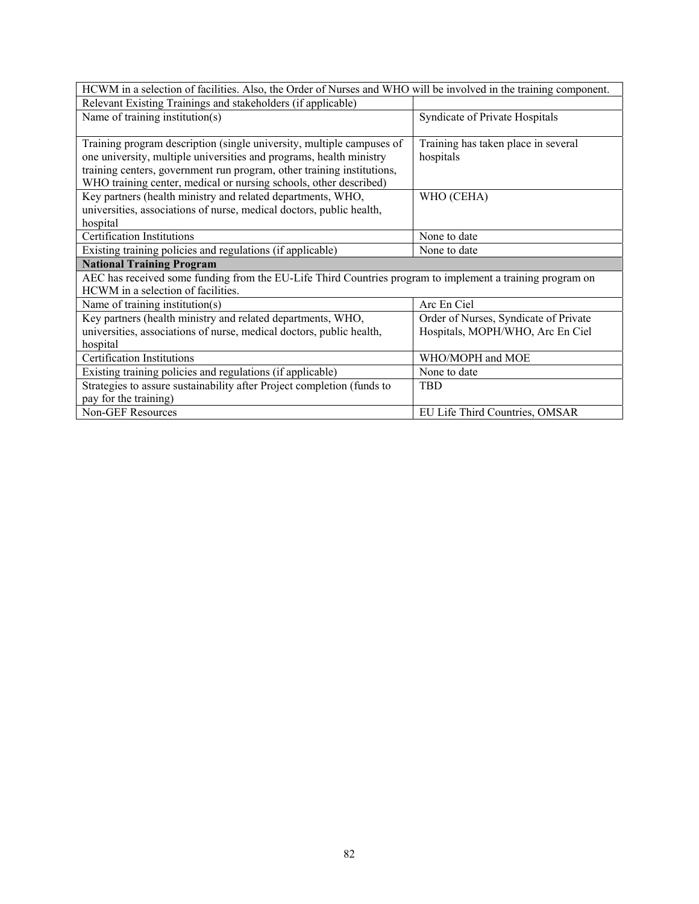| HCWM in a selection of facilities. Also, the Order of Nurses and WHO will be involved in the training component. |                                       |  |
|------------------------------------------------------------------------------------------------------------------|---------------------------------------|--|
| Relevant Existing Trainings and stakeholders (if applicable)                                                     |                                       |  |
| Name of training institution(s)                                                                                  | Syndicate of Private Hospitals        |  |
|                                                                                                                  |                                       |  |
| Training program description (single university, multiple campuses of                                            | Training has taken place in several   |  |
| one university, multiple universities and programs, health ministry                                              | hospitals                             |  |
| training centers, government run program, other training institutions,                                           |                                       |  |
| WHO training center, medical or nursing schools, other described)                                                |                                       |  |
| Key partners (health ministry and related departments, WHO,                                                      | WHO (CEHA)                            |  |
| universities, associations of nurse, medical doctors, public health,                                             |                                       |  |
| hospital                                                                                                         |                                       |  |
| Certification Institutions                                                                                       | None to date                          |  |
| Existing training policies and regulations (if applicable)                                                       | None to date                          |  |
| <b>National Training Program</b>                                                                                 |                                       |  |
| AEC has received some funding from the EU-Life Third Countries program to implement a training program on        |                                       |  |
| HCWM in a selection of facilities.                                                                               |                                       |  |
| Name of training institution(s)                                                                                  | Arc En Ciel                           |  |
| Key partners (health ministry and related departments, WHO,                                                      | Order of Nurses, Syndicate of Private |  |
| universities, associations of nurse, medical doctors, public health,                                             | Hospitals, MOPH/WHO, Arc En Ciel      |  |
| hospital                                                                                                         |                                       |  |
| <b>Certification Institutions</b>                                                                                | WHO/MOPH and MOE                      |  |
| Existing training policies and regulations (if applicable)                                                       | None to date                          |  |
| Strategies to assure sustainability after Project completion (funds to                                           | TBD                                   |  |
| pay for the training)                                                                                            |                                       |  |
| <b>Non-GEF Resources</b>                                                                                         | EU Life Third Countries, OMSAR        |  |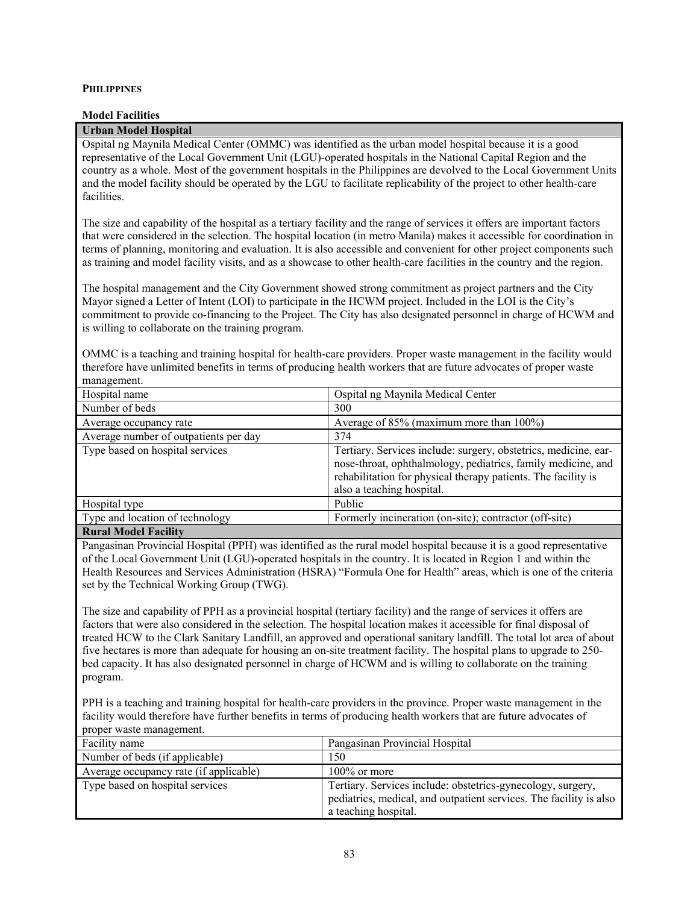## **PHILIPPINES**

### **Model Facilities**

### **Urban Model Hospital**

Ospital ng Maynila Medical Center (OMMC) was identified as the urban model hospital because it is a good representative of the Local Government Unit (LGU)-operated hospitals in the National Capital Region and the country as a whole. Most of the government hospitals in the Philippines are devolved to the Local Government Units and the model facility should be operated by the LGU to facilitate replicability of the project to other health-care facilities.

The size and capability of the hospital as a tertiary facility and the range of services it offers are important factors that were considered in the selection. The hospital location (in metro Manila) makes it accessible for coordination in terms of planning, monitoring and evaluation. It is also accessible and convenient for other project components such as training and model facility visits, and as a showcase to other health-care facilities in the country and the region.

The hospital management and the City Government showed strong commitment as project partners and the City Mayor signed a Letter of Intent (LOI) to participate in the HCWM project. Included in the LOI is the City's commitment to provide co-financing to the Project. The City has also designated personnel in charge of HCWM and is willing to collaborate on the training program.

OMMC is a teaching and training hospital for health-care providers. Proper waste management in the facility would therefore have unlimited benefits in terms of producing health workers that are future advocates of proper waste management.

| Hospital name                         | Ospital ng Maynila Medical Center                                                                                                                                                                                             |
|---------------------------------------|-------------------------------------------------------------------------------------------------------------------------------------------------------------------------------------------------------------------------------|
| Number of beds                        | 300                                                                                                                                                                                                                           |
| Average occupancy rate                | Average of 85% (maximum more than 100%)                                                                                                                                                                                       |
| Average number of outpatients per day | 374                                                                                                                                                                                                                           |
| Type based on hospital services       | Tertiary. Services include: surgery, obstetrics, medicine, ear-<br>nose-throat, ophthalmology, pediatrics, family medicine, and<br>rehabilitation for physical therapy patients. The facility is<br>also a teaching hospital. |
| Hospital type                         | Public                                                                                                                                                                                                                        |
| Type and location of technology       | Formerly incineration (on-site); contractor (off-site)                                                                                                                                                                        |
| _______________                       |                                                                                                                                                                                                                               |

**Rural Model Facility** 

Pangasinan Provincial Hospital (PPH) was identified as the rural model hospital because it is a good representative of the Local Government Unit (LGU)-operated hospitals in the country. It is located in Region 1 and within the Health Resources and Services Administration (HSRA) "Formula One for Health" areas, which is one of the criteria set by the Technical Working Group (TWG).

The size and capability of PPH as a provincial hospital (tertiary facility) and the range of services it offers are factors that were also considered in the selection. The hospital location makes it accessible for final disposal of treated HCW to the Clark Sanitary Landfill, an approved and operational sanitary landfill. The total lot area of about five hectares is more than adequate for housing an on-site treatment facility. The hospital plans to upgrade to 250 bed capacity. It has also designated personnel in charge of HCWM and is willing to collaborate on the training program.

PPH is a teaching and training hospital for health-care providers in the province. Proper waste management in the facility would therefore have further benefits in terms of producing health workers that are future advocates of proper waste management.

| Facility name                          | Pangasinan Provincial Hospital                                                                                                                            |
|----------------------------------------|-----------------------------------------------------------------------------------------------------------------------------------------------------------|
| Number of beds (if applicable)         | 150                                                                                                                                                       |
| Average occupancy rate (if applicable) | $100\%$ or more                                                                                                                                           |
| Type based on hospital services        | Tertiary. Services include: obstetrics-gynecology, surgery,<br>pediatrics, medical, and outpatient services. The facility is also<br>a teaching hospital. |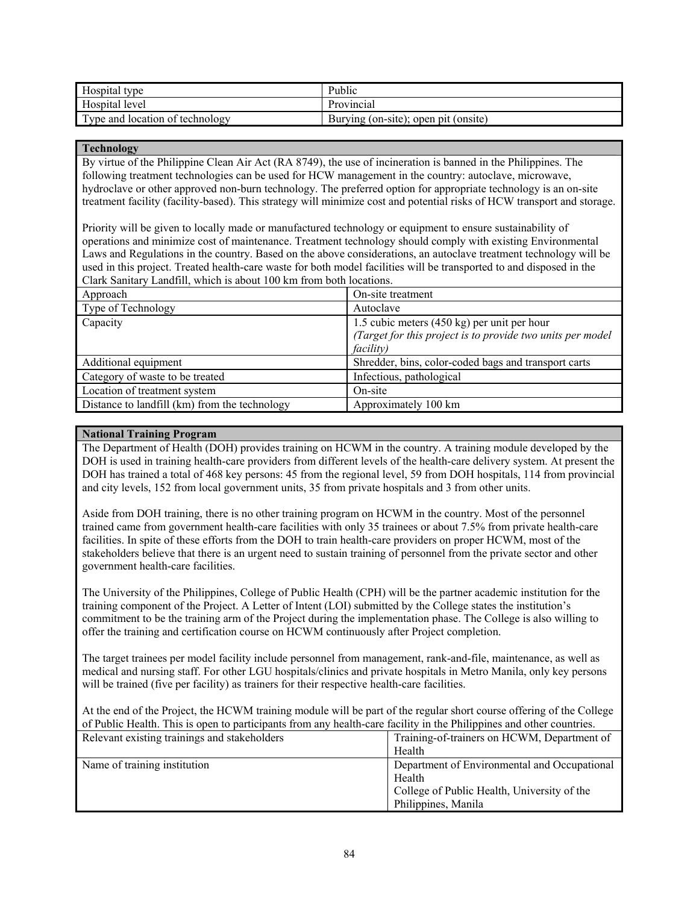| Hospital type                   | Public                               |
|---------------------------------|--------------------------------------|
| Hospital level                  | Provincial                           |
| Type and location of technology | Burying (on-site); open pit (onsite) |

## **Technology**

By virtue of the Philippine Clean Air Act (RA 8749), the use of incineration is banned in the Philippines. The following treatment technologies can be used for HCW management in the country: autoclave, microwave, hydroclave or other approved non-burn technology. The preferred option for appropriate technology is an on-site treatment facility (facility-based). This strategy will minimize cost and potential risks of HCW transport and storage.

Priority will be given to locally made or manufactured technology or equipment to ensure sustainability of operations and minimize cost of maintenance. Treatment technology should comply with existing Environmental Laws and Regulations in the country. Based on the above considerations, an autoclave treatment technology will be used in this project. Treated health-care waste for both model facilities will be transported to and disposed in the Clark Sanitary Landfill, which is about 100 km from both locations.

| Approach                                      | On-site treatment                                          |  |
|-----------------------------------------------|------------------------------------------------------------|--|
| Type of Technology                            | Autoclave                                                  |  |
| Capacity                                      | 1.5 cubic meters (450 kg) per unit per hour                |  |
|                                               | (Target for this project is to provide two units per model |  |
|                                               | <i>facility</i> )                                          |  |
| Additional equipment                          | Shredder, bins, color-coded bags and transport carts       |  |
| Category of waste to be treated               | Infectious, pathological                                   |  |
| Location of treatment system                  | On-site                                                    |  |
| Distance to landfill (km) from the technology | Approximately 100 km                                       |  |

# **National Training Program**

The Department of Health (DOH) provides training on HCWM in the country. A training module developed by the DOH is used in training health-care providers from different levels of the health-care delivery system. At present the DOH has trained a total of 468 key persons: 45 from the regional level, 59 from DOH hospitals, 114 from provincial and city levels, 152 from local government units, 35 from private hospitals and 3 from other units.

Aside from DOH training, there is no other training program on HCWM in the country. Most of the personnel trained came from government health-care facilities with only 35 trainees or about 7.5% from private health-care facilities. In spite of these efforts from the DOH to train health-care providers on proper HCWM, most of the stakeholders believe that there is an urgent need to sustain training of personnel from the private sector and other government health-care facilities.

The University of the Philippines, College of Public Health (CPH) will be the partner academic institution for the training component of the Project. A Letter of Intent (LOI) submitted by the College states the institution's commitment to be the training arm of the Project during the implementation phase. The College is also willing to offer the training and certification course on HCWM continuously after Project completion.

The target trainees per model facility include personnel from management, rank-and-file, maintenance, as well as medical and nursing staff. For other LGU hospitals/clinics and private hospitals in Metro Manila, only key persons will be trained (five per facility) as trainers for their respective health-care facilities.

At the end of the Project, the HCWM training module will be part of the regular short course offering of the College of Public Health. This is open to participants from any health-care facility in the Philippines and other countries.

| Relevant existing trainings and stakeholders | Training-of-trainers on HCWM, Department of  |
|----------------------------------------------|----------------------------------------------|
|                                              | Health                                       |
| Name of training institution                 | Department of Environmental and Occupational |
|                                              | Health                                       |
|                                              | College of Public Health, University of the  |
|                                              | Philippines, Manila                          |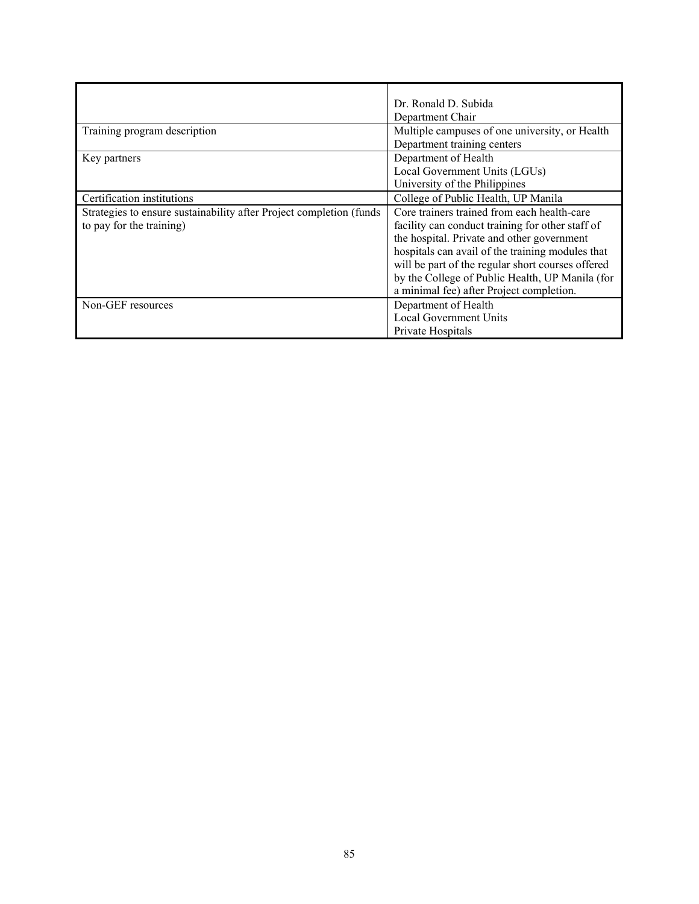|                                                                     | Dr. Ronald D. Subida                              |  |
|---------------------------------------------------------------------|---------------------------------------------------|--|
|                                                                     | Department Chair                                  |  |
| Training program description                                        | Multiple campuses of one university, or Health    |  |
|                                                                     | Department training centers                       |  |
| Key partners                                                        | Department of Health                              |  |
|                                                                     | Local Government Units (LGUs)                     |  |
|                                                                     | University of the Philippines                     |  |
| Certification institutions                                          | College of Public Health, UP Manila               |  |
| Strategies to ensure sustainability after Project completion (funds | Core trainers trained from each health-care       |  |
| to pay for the training)                                            | facility can conduct training for other staff of  |  |
|                                                                     | the hospital. Private and other government        |  |
|                                                                     | hospitals can avail of the training modules that  |  |
|                                                                     | will be part of the regular short courses offered |  |
|                                                                     | by the College of Public Health, UP Manila (for   |  |
|                                                                     | a minimal fee) after Project completion.          |  |
| Non-GEF resources                                                   | Department of Health                              |  |
|                                                                     | <b>Local Government Units</b>                     |  |
|                                                                     | Private Hospitals                                 |  |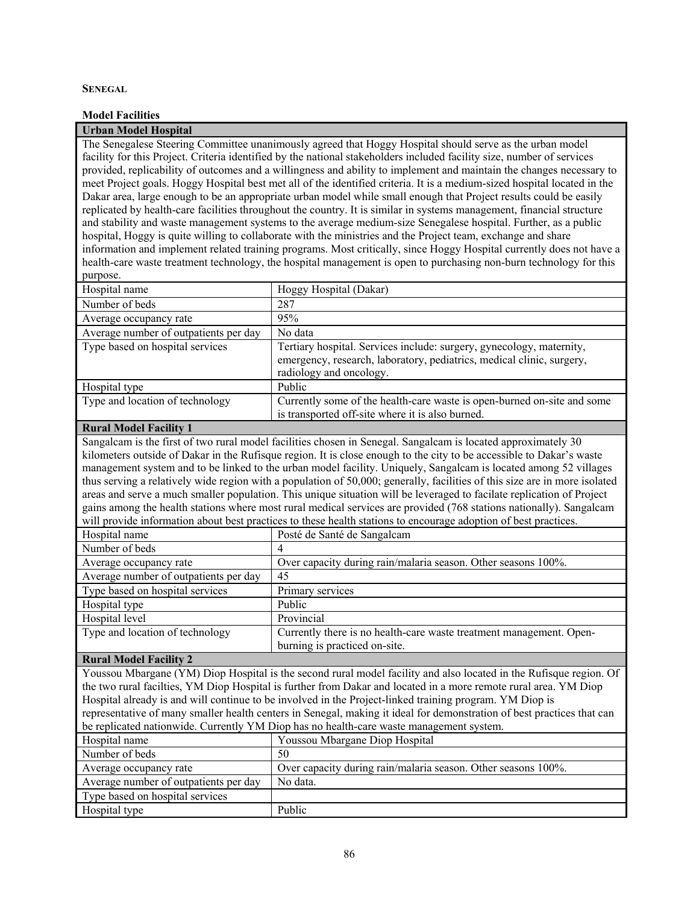### **SENEGAL**

### **Model Facilities**

### **Urban Model Hospital**

The Senegalese Steering Committee unanimously agreed that Hoggy Hospital should serve as the urban model facility for this Project. Criteria identified by the national stakeholders included facility size, number of services provided, replicability of outcomes and a willingness and ability to implement and maintain the changes necessary to meet Project goals. Hoggy Hospital best met all of the identified criteria. It is a medium-sized hospital located in the Dakar area, large enough to be an appropriate urban model while small enough that Project results could be easily replicated by health-care facilities throughout the country. It is similar in systems management, financial structure and stability and waste management systems to the average medium-size Senegalese hospital. Further, as a public hospital, Hoggy is quite willing to collaborate with the ministries and the Project team, exchange and share information and implement related training programs. Most critically, since Hoggy Hospital currently does not have a health-care waste treatment technology, the hospital management is open to purchasing non-burn technology for this purpose.

| Hospital name                         | Hoggy Hospital (Dakar)                                                                                                                                                   |
|---------------------------------------|--------------------------------------------------------------------------------------------------------------------------------------------------------------------------|
| Number of beds                        | 287                                                                                                                                                                      |
| Average occupancy rate                | 95%                                                                                                                                                                      |
| Average number of outpatients per day | No data                                                                                                                                                                  |
| Type based on hospital services       | Tertiary hospital. Services include: surgery, gynecology, maternity,<br>emergency, research, laboratory, pediatrics, medical clinic, surgery,<br>radiology and oncology. |
| Hospital type                         | Public                                                                                                                                                                   |
| Type and location of technology       | Currently some of the health-care waste is open-burned on-site and some<br>is transported off-site where it is also burned.                                              |

### **Rural Model Facility 1**

Sangalcam is the first of two rural model facilities chosen in Senegal. Sangalcam is located approximately 30 kilometers outside of Dakar in the Rufisque region. It is close enough to the city to be accessible to Dakar's waste management system and to be linked to the urban model facility. Uniquely, Sangalcam is located among 52 villages thus serving a relatively wide region with a population of 50,000; generally, facilities of this size are in more isolated areas and serve a much smaller population. This unique situation will be leveraged to facilate replication of Project gains among the health stations where most rural medical services are provided (768 stations nationally). Sangalcam will provide information about best practices to these health stations to encourage adoption of best practices.

| Hospital name                         | Posté de Santé de Sangalcam                                         |
|---------------------------------------|---------------------------------------------------------------------|
| Number of beds                        |                                                                     |
| Average occupancy rate                | Over capacity during rain/malaria season. Other seasons 100%.       |
| Average number of outpatients per day | 45                                                                  |
| Type based on hospital services       | Primary services                                                    |
| Hospital type                         | Public                                                              |
| Hospital level                        | Provincial                                                          |
| Type and location of technology       | Currently there is no health-care waste treatment management. Open- |
|                                       | burning is practiced on-site.                                       |

# **Rural Model Facility 2**

Youssou Mbargane (YM) Diop Hospital is the second rural model facility and also located in the Rufisque region. Of the two rural facilties, YM Diop Hospital is further from Dakar and located in a more remote rural area. YM Diop Hospital already is and will continue to be involved in the Project-linked training program. YM Diop is representative of many smaller health centers in Senegal, making it ideal for demonstration of best practices that can be replicated nationwide. Currently YM Diop has no health-care waste management system.

| of represence mation where. Currently The Drop mas no nearent early waste management system. |                                                               |  |
|----------------------------------------------------------------------------------------------|---------------------------------------------------------------|--|
| Hospital name                                                                                | Youssou Mbargane Diop Hospital                                |  |
| Number of beds                                                                               | 50                                                            |  |
| Average occupancy rate                                                                       | Over capacity during rain/malaria season. Other seasons 100%. |  |
| Average number of outpatients per day                                                        | No data.                                                      |  |
| Type based on hospital services                                                              |                                                               |  |
| Hospital type                                                                                | Public                                                        |  |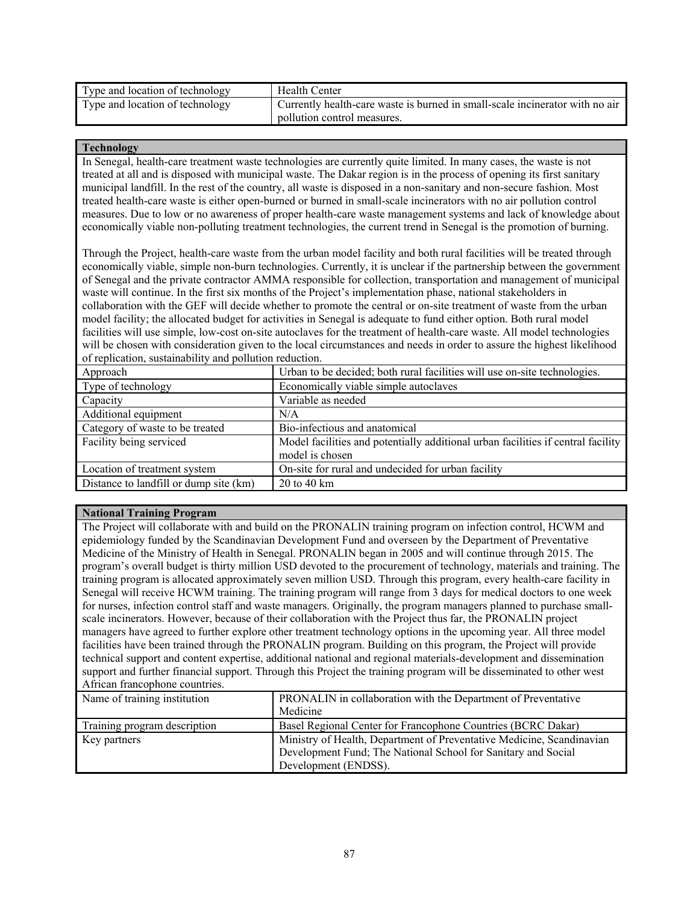| Type and location of technology | <b>Health Center</b>                                                         |
|---------------------------------|------------------------------------------------------------------------------|
| Type and location of technology | Currently health-care waste is burned in small-scale incinerator with no air |
|                                 | pollution control measures.                                                  |

### **Technology**

In Senegal, health-care treatment waste technologies are currently quite limited. In many cases, the waste is not treated at all and is disposed with municipal waste. The Dakar region is in the process of opening its first sanitary municipal landfill. In the rest of the country, all waste is disposed in a non-sanitary and non-secure fashion. Most treated health-care waste is either open-burned or burned in small-scale incinerators with no air pollution control measures. Due to low or no awareness of proper health-care waste management systems and lack of knowledge about economically viable non-polluting treatment technologies, the current trend in Senegal is the promotion of burning.

Through the Project, health-care waste from the urban model facility and both rural facilities will be treated through economically viable, simple non-burn technologies. Currently, it is unclear if the partnership between the government of Senegal and the private contractor AMMA responsible for collection, transportation and management of municipal waste will continue. In the first six months of the Project's implementation phase, national stakeholders in collaboration with the GEF will decide whether to promote the central or on-site treatment of waste from the urban model facility; the allocated budget for activities in Senegal is adequate to fund either option. Both rural model facilities will use simple, low-cost on-site autoclaves for the treatment of health-care waste. All model technologies will be chosen with consideration given to the local circumstances and needs in order to assure the highest likelihood of replication, sustainability and pollution reduction.

| Urban to be decided; both rural facilities will use on-site technologies.        |  |
|----------------------------------------------------------------------------------|--|
| Economically viable simple autoclaves                                            |  |
| Variable as needed                                                               |  |
| N/A                                                                              |  |
| Bio-infectious and anatomical                                                    |  |
| Model facilities and potentially additional urban facilities if central facility |  |
| model is chosen                                                                  |  |
| On-site for rural and undecided for urban facility                               |  |
| 20 to 40 km                                                                      |  |
|                                                                                  |  |

# **National Training Program**

The Project will collaborate with and build on the PRONALIN training program on infection control, HCWM and epidemiology funded by the Scandinavian Development Fund and overseen by the Department of Preventative Medicine of the Ministry of Health in Senegal. PRONALIN began in 2005 and will continue through 2015. The program's overall budget is thirty million USD devoted to the procurement of technology, materials and training. The training program is allocated approximately seven million USD. Through this program, every health-care facility in Senegal will receive HCWM training. The training program will range from 3 days for medical doctors to one week for nurses, infection control staff and waste managers. Originally, the program managers planned to purchase smallscale incinerators. However, because of their collaboration with the Project thus far, the PRONALIN project managers have agreed to further explore other treatment technology options in the upcoming year. All three model facilities have been trained through the PRONALIN program. Building on this program, the Project will provide technical support and content expertise, additional national and regional materials-development and dissemination support and further financial support. Through this Project the training program will be disseminated to other west African francophone countries.

| Name of training institution | PRONALIN in collaboration with the Department of Preventative         |  |
|------------------------------|-----------------------------------------------------------------------|--|
|                              | Medicine                                                              |  |
| Training program description | Basel Regional Center for Francophone Countries (BCRC Dakar)          |  |
| Key partners                 | Ministry of Health, Department of Preventative Medicine, Scandinavian |  |
|                              | Development Fund; The National School for Sanitary and Social         |  |
|                              | Development (ENDSS).                                                  |  |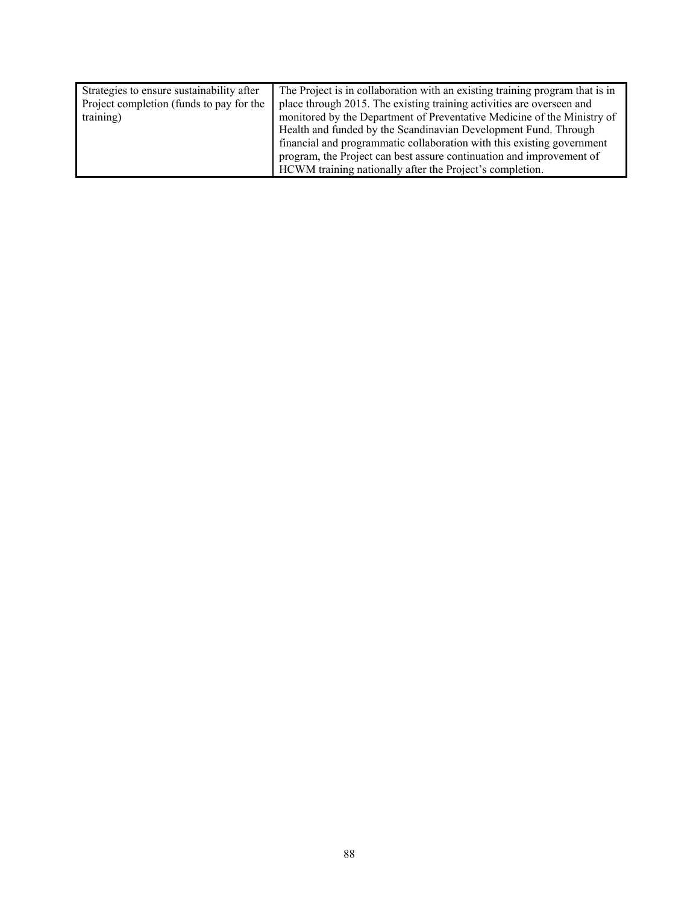| Strategies to ensure sustainability after | The Project is in collaboration with an existing training program that is in |
|-------------------------------------------|------------------------------------------------------------------------------|
| Project completion (funds to pay for the  | place through 2015. The existing training activities are overseen and        |
| training)                                 | monitored by the Department of Preventative Medicine of the Ministry of      |
|                                           | Health and funded by the Scandinavian Development Fund. Through              |
|                                           | financial and programmatic collaboration with this existing government       |
|                                           | program, the Project can best assure continuation and improvement of         |
|                                           | HCWM training nationally after the Project's completion.                     |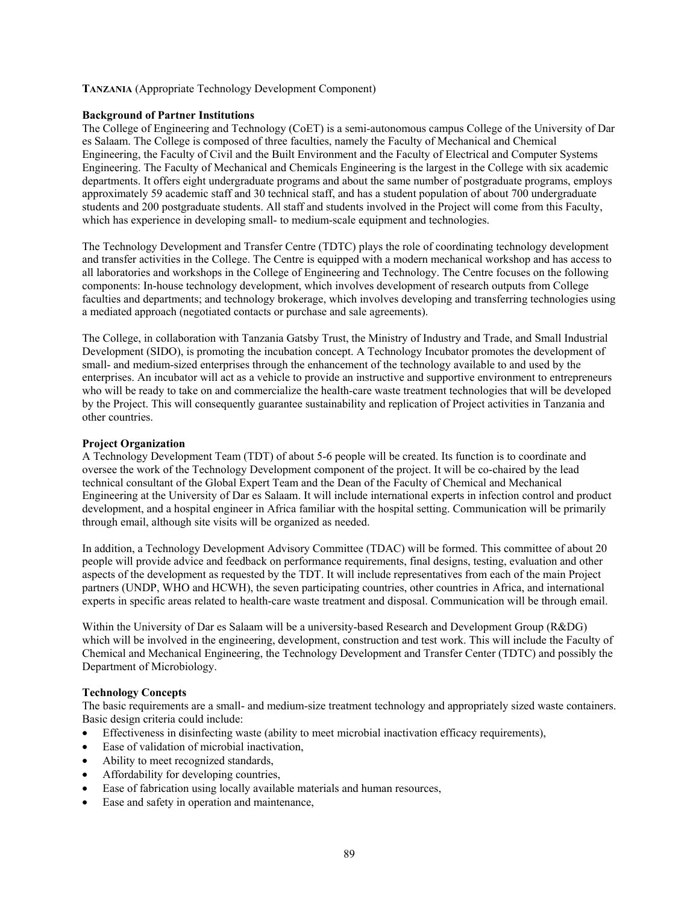## **TANZANIA** (Appropriate Technology Development Component)

#### **Background of Partner Institutions**

The College of Engineering and Technology (CoET) is a semi-autonomous campus College of the University of Dar es Salaam. The College is composed of three faculties, namely the Faculty of Mechanical and Chemical Engineering, the Faculty of Civil and the Built Environment and the Faculty of Electrical and Computer Systems Engineering. The Faculty of Mechanical and Chemicals Engineering is the largest in the College with six academic departments. It offers eight undergraduate programs and about the same number of postgraduate programs, employs approximately 59 academic staff and 30 technical staff, and has a student population of about 700 undergraduate students and 200 postgraduate students. All staff and students involved in the Project will come from this Faculty, which has experience in developing small- to medium-scale equipment and technologies.

The Technology Development and Transfer Centre (TDTC) plays the role of coordinating technology development and transfer activities in the College. The Centre is equipped with a modern mechanical workshop and has access to all laboratories and workshops in the College of Engineering and Technology. The Centre focuses on the following components: In-house technology development, which involves development of research outputs from College faculties and departments; and technology brokerage, which involves developing and transferring technologies using a mediated approach (negotiated contacts or purchase and sale agreements).

The College, in collaboration with Tanzania Gatsby Trust, the Ministry of Industry and Trade, and Small Industrial Development (SIDO), is promoting the incubation concept. A Technology Incubator promotes the development of small- and medium-sized enterprises through the enhancement of the technology available to and used by the enterprises. An incubator will act as a vehicle to provide an instructive and supportive environment to entrepreneurs who will be ready to take on and commercialize the health-care waste treatment technologies that will be developed by the Project. This will consequently guarantee sustainability and replication of Project activities in Tanzania and other countries.

### **Project Organization**

A Technology Development Team (TDT) of about 5-6 people will be created. Its function is to coordinate and oversee the work of the Technology Development component of the project. It will be co-chaired by the lead technical consultant of the Global Expert Team and the Dean of the Faculty of Chemical and Mechanical Engineering at the University of Dar es Salaam. It will include international experts in infection control and product development, and a hospital engineer in Africa familiar with the hospital setting. Communication will be primarily through email, although site visits will be organized as needed.

In addition, a Technology Development Advisory Committee (TDAC) will be formed. This committee of about 20 people will provide advice and feedback on performance requirements, final designs, testing, evaluation and other aspects of the development as requested by the TDT. It will include representatives from each of the main Project partners (UNDP, WHO and HCWH), the seven participating countries, other countries in Africa, and international experts in specific areas related to health-care waste treatment and disposal. Communication will be through email.

Within the University of Dar es Salaam will be a university-based Research and Development Group (R&DG) which will be involved in the engineering, development, construction and test work. This will include the Faculty of Chemical and Mechanical Engineering, the Technology Development and Transfer Center (TDTC) and possibly the Department of Microbiology.

#### **Technology Concepts**

The basic requirements are a small- and medium-size treatment technology and appropriately sized waste containers. Basic design criteria could include:

- Effectiveness in disinfecting waste (ability to meet microbial inactivation efficacy requirements),
- Ease of validation of microbial inactivation,
- Ability to meet recognized standards,
- Affordability for developing countries,
- Ease of fabrication using locally available materials and human resources,
- Ease and safety in operation and maintenance,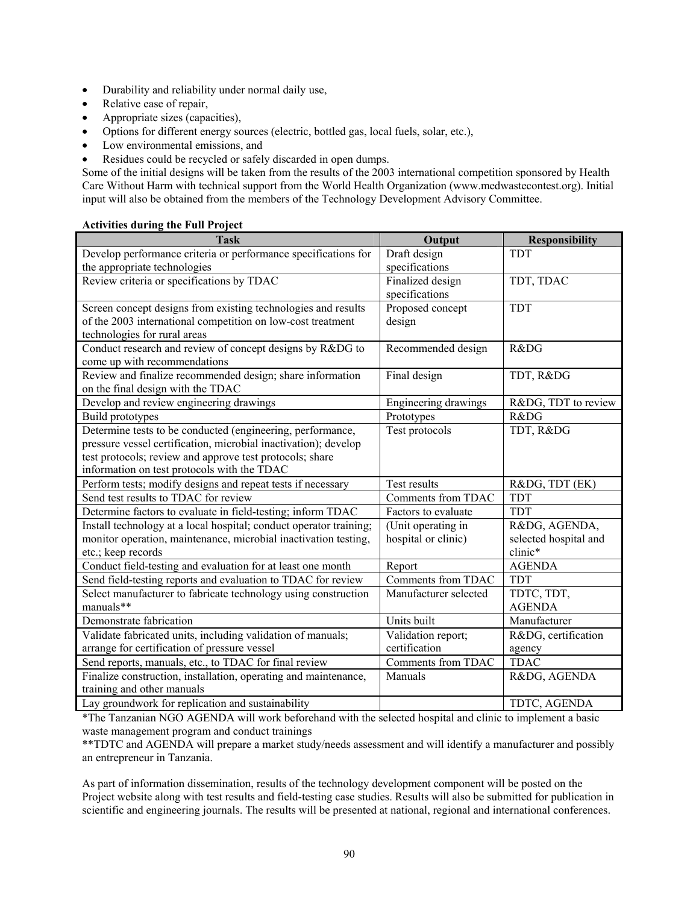- Durability and reliability under normal daily use,
- Relative ease of repair,
- Appropriate sizes (capacities),
- Options for different energy sources (electric, bottled gas, local fuels, solar, etc.),
- Low environmental emissions, and
- Residues could be recycled or safely discarded in open dumps.

Some of the initial designs will be taken from the results of the 2003 international competition sponsored by Health Care Without Harm with technical support from the World Health Organization (www.medwastecontest.org). Initial input will also be obtained from the members of the Technology Development Advisory Committee.

# **Activities during the Full Project**

| <b>Task</b>                                                        | Output                | <b>Responsibility</b> |
|--------------------------------------------------------------------|-----------------------|-----------------------|
| Develop performance criteria or performance specifications for     | Draft design          | <b>TDT</b>            |
| the appropriate technologies                                       | specifications        |                       |
| Review criteria or specifications by TDAC                          | Finalized design      | TDT, TDAC             |
|                                                                    | specifications        |                       |
| Screen concept designs from existing technologies and results      | Proposed concept      | <b>TDT</b>            |
| of the 2003 international competition on low-cost treatment        | design                |                       |
| technologies for rural areas                                       |                       |                       |
| Conduct research and review of concept designs by R&DG to          | Recommended design    | R&DG                  |
| come up with recommendations                                       |                       |                       |
| Review and finalize recommended design; share information          | Final design          | TDT, R&DG             |
| on the final design with the TDAC                                  |                       |                       |
| Develop and review engineering drawings                            | Engineering drawings  | R&DG, TDT to review   |
| Build prototypes                                                   | Prototypes            | R&DG                  |
| Determine tests to be conducted (engineering, performance,         | Test protocols        | TDT, R&DG             |
| pressure vessel certification, microbial inactivation); develop    |                       |                       |
| test protocols; review and approve test protocols; share           |                       |                       |
| information on test protocols with the TDAC                        |                       |                       |
| Perform tests; modify designs and repeat tests if necessary        | Test results          | R&DG, TDT (EK)        |
| Send test results to TDAC for review                               | Comments from TDAC    | <b>TDT</b>            |
| Determine factors to evaluate in field-testing; inform TDAC        | Factors to evaluate   | <b>TDT</b>            |
| Install technology at a local hospital; conduct operator training; | (Unit operating in    | R&DG, AGENDA,         |
| monitor operation, maintenance, microbial inactivation testing,    | hospital or clinic)   | selected hospital and |
| etc.; keep records                                                 |                       | clinic*               |
| Conduct field-testing and evaluation for at least one month        | Report                | <b>AGENDA</b>         |
| Send field-testing reports and evaluation to TDAC for review       | Comments from TDAC    | <b>TDT</b>            |
| Select manufacturer to fabricate technology using construction     | Manufacturer selected | TDTC, TDT,            |
| manuals**                                                          |                       | <b>AGENDA</b>         |
| Demonstrate fabrication                                            | Units built           | Manufacturer          |
| Validate fabricated units, including validation of manuals;        | Validation report;    | R&DG, certification   |
| arrange for certification of pressure vessel                       | certification         | agency                |
| Send reports, manuals, etc., to TDAC for final review              | Comments from TDAC    | <b>TDAC</b>           |
| Finalize construction, installation, operating and maintenance,    | Manuals               | R&DG, AGENDA          |
| training and other manuals                                         |                       |                       |
| Lay groundwork for replication and sustainability                  |                       | TDTC, AGENDA          |

\*The Tanzanian NGO AGENDA will work beforehand with the selected hospital and clinic to implement a basic waste management program and conduct trainings

\*\*TDTC and AGENDA will prepare a market study/needs assessment and will identify a manufacturer and possibly an entrepreneur in Tanzania.

As part of information dissemination, results of the technology development component will be posted on the Project website along with test results and field-testing case studies. Results will also be submitted for publication in scientific and engineering journals. The results will be presented at national, regional and international conferences.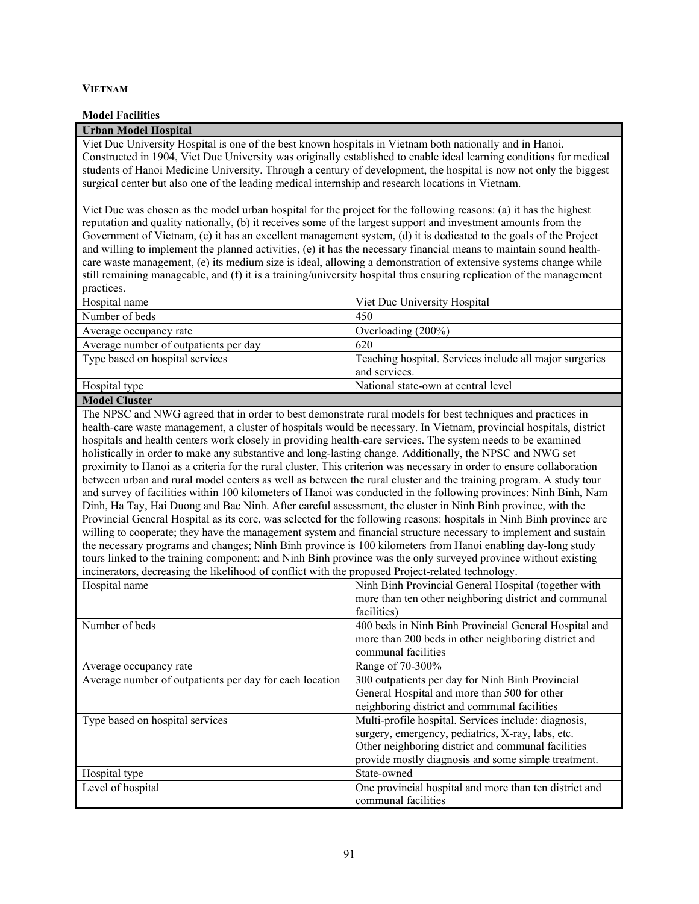### **VIETNAM**

#### **Model Facilities**

# **Urban Model Hospital**

Viet Duc University Hospital is one of the best known hospitals in Vietnam both nationally and in Hanoi. Constructed in 1904, Viet Duc University was originally established to enable ideal learning conditions for medical students of Hanoi Medicine University. Through a century of development, the hospital is now not only the biggest surgical center but also one of the leading medical internship and research locations in Vietnam.

Viet Duc was chosen as the model urban hospital for the project for the following reasons: (a) it has the highest reputation and quality nationally, (b) it receives some of the largest support and investment amounts from the Government of Vietnam, (c) it has an excellent management system, (d) it is dedicated to the goals of the Project and willing to implement the planned activities, (e) it has the necessary financial means to maintain sound healthcare waste management, (e) its medium size is ideal, allowing a demonstration of extensive systems change while still remaining manageable, and (f) it is a training/university hospital thus ensuring replication of the management practices.

| Hospital name                         | Viet Duc University Hospital                            |
|---------------------------------------|---------------------------------------------------------|
| Number of beds                        | 450                                                     |
| Average occupancy rate                | Overloading (200%)                                      |
| Average number of outpatients per day | 620                                                     |
| Type based on hospital services       | Teaching hospital. Services include all major surgeries |
|                                       | and services.                                           |
| Hospital type                         | National state-own at central level                     |
|                                       |                                                         |

# **Model Cluster**

The NPSC and NWG agreed that in order to best demonstrate rural models for best techniques and practices in health-care waste management, a cluster of hospitals would be necessary. In Vietnam, provincial hospitals, district hospitals and health centers work closely in providing health-care services. The system needs to be examined holistically in order to make any substantive and long-lasting change. Additionally, the NPSC and NWG set proximity to Hanoi as a criteria for the rural cluster. This criterion was necessary in order to ensure collaboration between urban and rural model centers as well as between the rural cluster and the training program. A study tour and survey of facilities within 100 kilometers of Hanoi was conducted in the following provinces: Ninh Binh, Nam Dinh, Ha Tay, Hai Duong and Bac Ninh. After careful assessment, the cluster in Ninh Binh province, with the Provincial General Hospital as its core, was selected for the following reasons: hospitals in Ninh Binh province are willing to cooperate; they have the management system and financial structure necessary to implement and sustain the necessary programs and changes; Ninh Binh province is 100 kilometers from Hanoi enabling day-long study tours linked to the training component; and Ninh Binh province was the only surveyed province without existing incinerators, decreasing the likelihood of conflict with the proposed Project-related technology.

| Hospital name                                           | Ninh Binh Provincial General Hospital (together with   |
|---------------------------------------------------------|--------------------------------------------------------|
|                                                         | more than ten other neighboring district and communal  |
|                                                         | facilities)                                            |
| Number of beds                                          | 400 beds in Ninh Binh Provincial General Hospital and  |
|                                                         | more than 200 beds in other neighboring district and   |
|                                                         | communal facilities                                    |
| Average occupancy rate                                  | Range of 70-300%                                       |
| Average number of outpatients per day for each location | 300 outpatients per day for Ninh Binh Provincial       |
|                                                         | General Hospital and more than 500 for other           |
|                                                         | neighboring district and communal facilities           |
| Type based on hospital services                         | Multi-profile hospital. Services include: diagnosis,   |
|                                                         | surgery, emergency, pediatrics, X-ray, labs, etc.      |
|                                                         | Other neighboring district and communal facilities     |
|                                                         | provide mostly diagnosis and some simple treatment.    |
| Hospital type                                           | State-owned                                            |
| Level of hospital                                       | One provincial hospital and more than ten district and |
|                                                         | communal facilities                                    |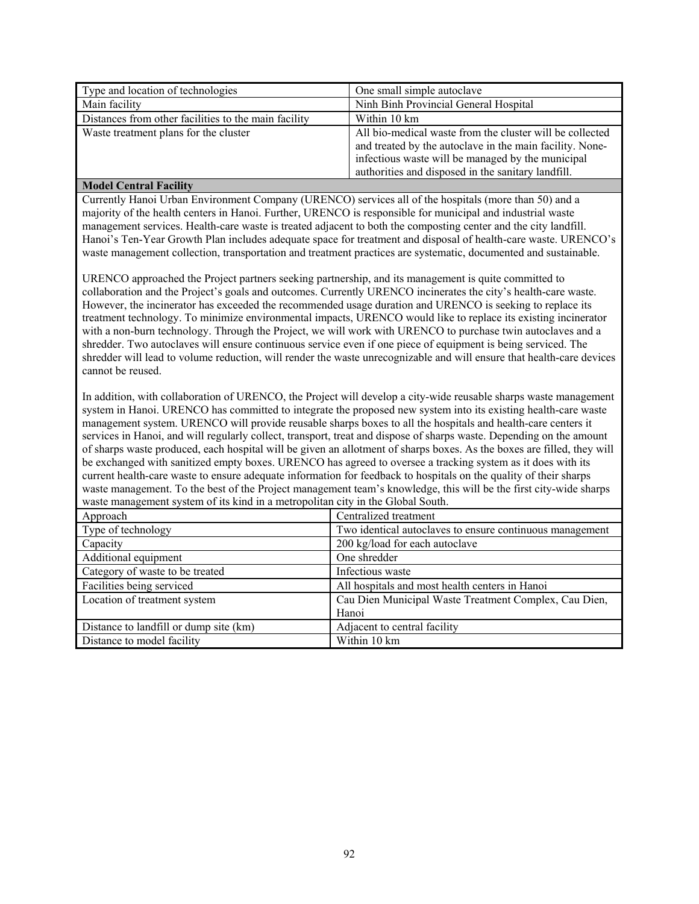| Type and location of technologies                    | One small simple autoclave                                                                                                                                                                                                      |
|------------------------------------------------------|---------------------------------------------------------------------------------------------------------------------------------------------------------------------------------------------------------------------------------|
| Main facility                                        | Ninh Binh Provincial General Hospital                                                                                                                                                                                           |
| Distances from other facilities to the main facility | Within 10 km                                                                                                                                                                                                                    |
| Waste treatment plans for the cluster                | All bio-medical waste from the cluster will be collected<br>and treated by the autoclave in the main facility. None-<br>infectious waste will be managed by the municipal<br>authorities and disposed in the sanitary landfill. |

# **Model Central Facility**

Currently Hanoi Urban Environment Company (URENCO) services all of the hospitals (more than 50) and a majority of the health centers in Hanoi. Further, URENCO is responsible for municipal and industrial waste management services. Health-care waste is treated adjacent to both the composting center and the city landfill. Hanoi's Ten-Year Growth Plan includes adequate space for treatment and disposal of health-care waste. URENCO's waste management collection, transportation and treatment practices are systematic, documented and sustainable.

URENCO approached the Project partners seeking partnership, and its management is quite committed to collaboration and the Project's goals and outcomes. Currently URENCO incinerates the city's health-care waste. However, the incinerator has exceeded the recommended usage duration and URENCO is seeking to replace its treatment technology. To minimize environmental impacts, URENCO would like to replace its existing incinerator with a non-burn technology. Through the Project, we will work with URENCO to purchase twin autoclaves and a shredder. Two autoclaves will ensure continuous service even if one piece of equipment is being serviced. The shredder will lead to volume reduction, will render the waste unrecognizable and will ensure that health-care devices cannot be reused.

In addition, with collaboration of URENCO, the Project will develop a city-wide reusable sharps waste management system in Hanoi. URENCO has committed to integrate the proposed new system into its existing health-care waste management system. URENCO will provide reusable sharps boxes to all the hospitals and health-care centers it services in Hanoi, and will regularly collect, transport, treat and dispose of sharps waste. Depending on the amount of sharps waste produced, each hospital will be given an allotment of sharps boxes. As the boxes are filled, they will be exchanged with sanitized empty boxes. URENCO has agreed to oversee a tracking system as it does with its current health-care waste to ensure adequate information for feedback to hospitals on the quality of their sharps waste management. To the best of the Project management team's knowledge, this will be the first city-wide sharps waste management system of its kind in a metropolitan city in the Global South.

| Approach                               | Centralized treatment                                    |
|----------------------------------------|----------------------------------------------------------|
| Type of technology                     | Two identical autoclaves to ensure continuous management |
| Capacity                               | 200 kg/load for each autoclave                           |
| Additional equipment                   | One shredder                                             |
| Category of waste to be treated        | Infectious waste                                         |
| Facilities being serviced              | All hospitals and most health centers in Hanoi           |
| Location of treatment system           | Cau Dien Municipal Waste Treatment Complex, Cau Dien,    |
|                                        | Hanoi                                                    |
| Distance to landfill or dump site (km) | Adjacent to central facility                             |
| Distance to model facility             | Within 10 km                                             |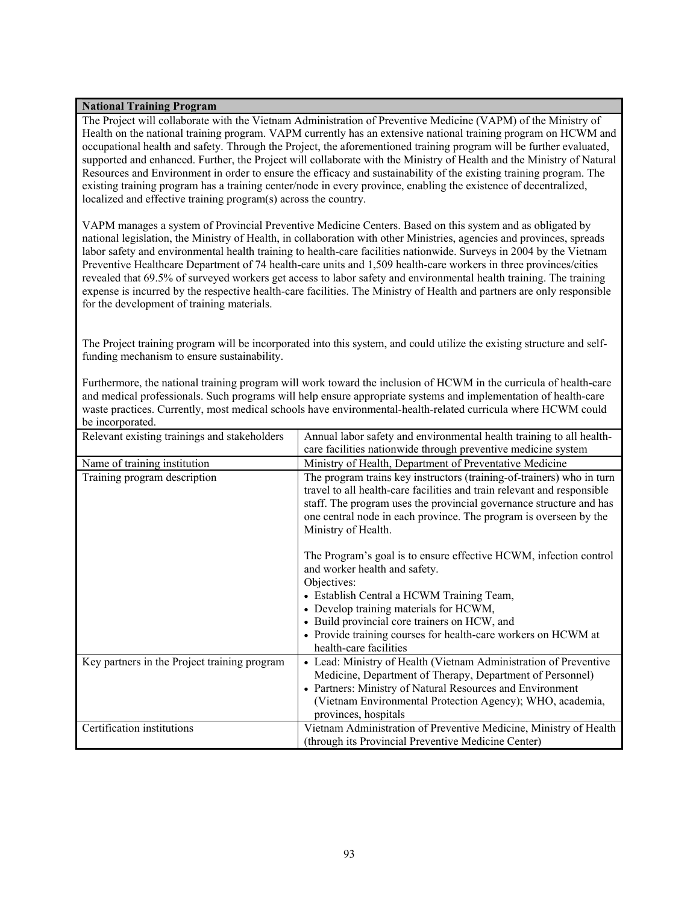# **National Training Program**

The Project will collaborate with the Vietnam Administration of Preventive Medicine (VAPM) of the Ministry of Health on the national training program. VAPM currently has an extensive national training program on HCWM and occupational health and safety. Through the Project, the aforementioned training program will be further evaluated, supported and enhanced. Further, the Project will collaborate with the Ministry of Health and the Ministry of Natural Resources and Environment in order to ensure the efficacy and sustainability of the existing training program. The existing training program has a training center/node in every province, enabling the existence of decentralized, localized and effective training program(s) across the country.

VAPM manages a system of Provincial Preventive Medicine Centers. Based on this system and as obligated by national legislation, the Ministry of Health, in collaboration with other Ministries, agencies and provinces, spreads labor safety and environmental health training to health-care facilities nationwide. Surveys in 2004 by the Vietnam Preventive Healthcare Department of 74 health-care units and 1,509 health-care workers in three provinces/cities revealed that 69.5% of surveyed workers get access to labor safety and environmental health training. The training expense is incurred by the respective health-care facilities. The Ministry of Health and partners are only responsible for the development of training materials.

The Project training program will be incorporated into this system, and could utilize the existing structure and selffunding mechanism to ensure sustainability.

Furthermore, the national training program will work toward the inclusion of HCWM in the curricula of health-care and medical professionals. Such programs will help ensure appropriate systems and implementation of health-care waste practices. Currently, most medical schools have environmental-health-related curricula where HCWM could be incorporated.

| Relevant existing trainings and stakeholders | Annual labor safety and environmental health training to all health-                                                                                                                                                                                                                                                                                |
|----------------------------------------------|-----------------------------------------------------------------------------------------------------------------------------------------------------------------------------------------------------------------------------------------------------------------------------------------------------------------------------------------------------|
|                                              | care facilities nationwide through preventive medicine system                                                                                                                                                                                                                                                                                       |
| Name of training institution                 | Ministry of Health, Department of Preventative Medicine                                                                                                                                                                                                                                                                                             |
| Training program description                 | The program trains key instructors (training-of-trainers) who in turn<br>travel to all health-care facilities and train relevant and responsible<br>staff. The program uses the provincial governance structure and has<br>one central node in each province. The program is overseen by the<br>Ministry of Health.                                 |
|                                              | The Program's goal is to ensure effective HCWM, infection control<br>and worker health and safety.<br>Objectives:<br>• Establish Central a HCWM Training Team,<br>• Develop training materials for HCWM,<br>• Build provincial core trainers on HCW, and<br>• Provide training courses for health-care workers on HCWM at<br>health-care facilities |
| Key partners in the Project training program | • Lead: Ministry of Health (Vietnam Administration of Preventive<br>Medicine, Department of Therapy, Department of Personnel)<br>• Partners: Ministry of Natural Resources and Environment<br>(Vietnam Environmental Protection Agency); WHO, academia,<br>provinces, hospitals                                                                     |
| Certification institutions                   | Vietnam Administration of Preventive Medicine, Ministry of Health<br>(through its Provincial Preventive Medicine Center)                                                                                                                                                                                                                            |